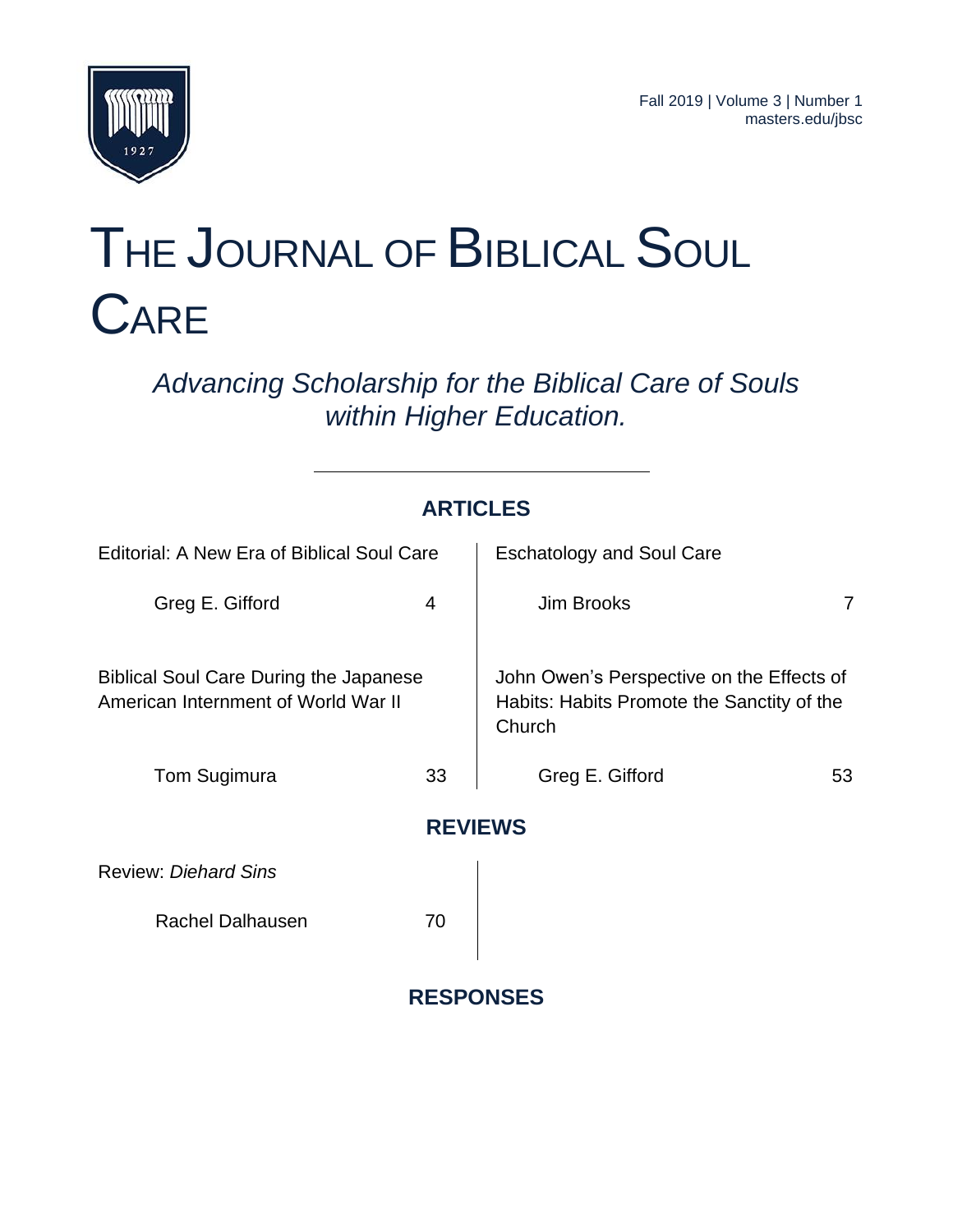

# THE JOURNAL OF BIBLICAL SOUL **CARE**

*Advancing Scholarship for the Biblical Care of Souls within Higher Education.*

|                                                                                      | <b>ARTICLES</b>  |                                                                                                   |    |
|--------------------------------------------------------------------------------------|------------------|---------------------------------------------------------------------------------------------------|----|
| Editorial: A New Era of Biblical Soul Care                                           |                  | <b>Eschatology and Soul Care</b>                                                                  |    |
| Greg E. Gifford                                                                      | 4                | Jim Brooks                                                                                        | 7  |
| <b>Biblical Soul Care During the Japanese</b><br>American Internment of World War II |                  | John Owen's Perspective on the Effects of<br>Habits: Habits Promote the Sanctity of the<br>Church |    |
| Tom Sugimura                                                                         | 33               | Greg E. Gifford                                                                                   | 53 |
|                                                                                      | <b>REVIEWS</b>   |                                                                                                   |    |
| <b>Review: Diehard Sins</b>                                                          |                  |                                                                                                   |    |
| <b>Rachel Dalhausen</b>                                                              | 70               |                                                                                                   |    |
|                                                                                      | <b>RESPONSES</b> |                                                                                                   |    |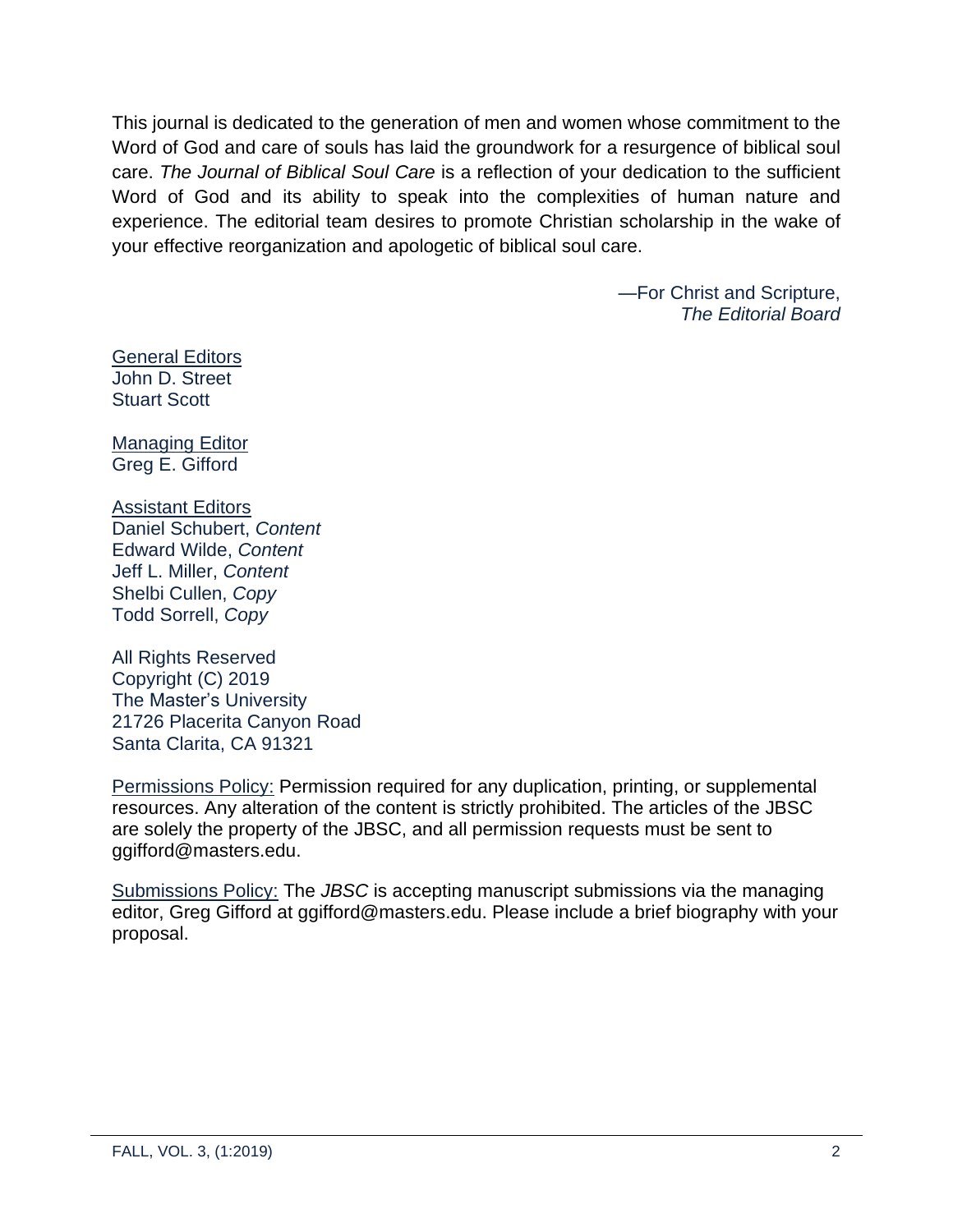This journal is dedicated to the generation of men and women whose commitment to the Word of God and care of souls has laid the groundwork for a resurgence of biblical soul care. *The Journal of Biblical Soul Care* is a reflection of your dedication to the sufficient Word of God and its ability to speak into the complexities of human nature and experience. The editorial team desires to promote Christian scholarship in the wake of your effective reorganization and apologetic of biblical soul care.

> —For Christ and Scripture, *The Editorial Board*

**General Editors** John D. Street Stuart Scott

Managing Editor Greg E. Gifford

## Assistant Editors

Daniel Schubert, *Content* Edward Wilde, *Content* Jeff L. Miller, *Content* Shelbi Cullen, *Copy* Todd Sorrell, *Copy*

All Rights Reserved Copyright (C) 2019 The Master's University 21726 Placerita Canyon Road Santa Clarita, CA 91321

Permissions Policy: Permission required for any duplication, printing, or supplemental resources. Any alteration of the content is strictly prohibited. The articles of the JBSC are solely the property of the JBSC, and all permission requests must be sent to ggifford@masters.edu.

Submissions Policy: The *JBSC* is accepting manuscript submissions via the managing editor, Greg Gifford at ggifford@masters.edu. Please include a brief biography with your proposal.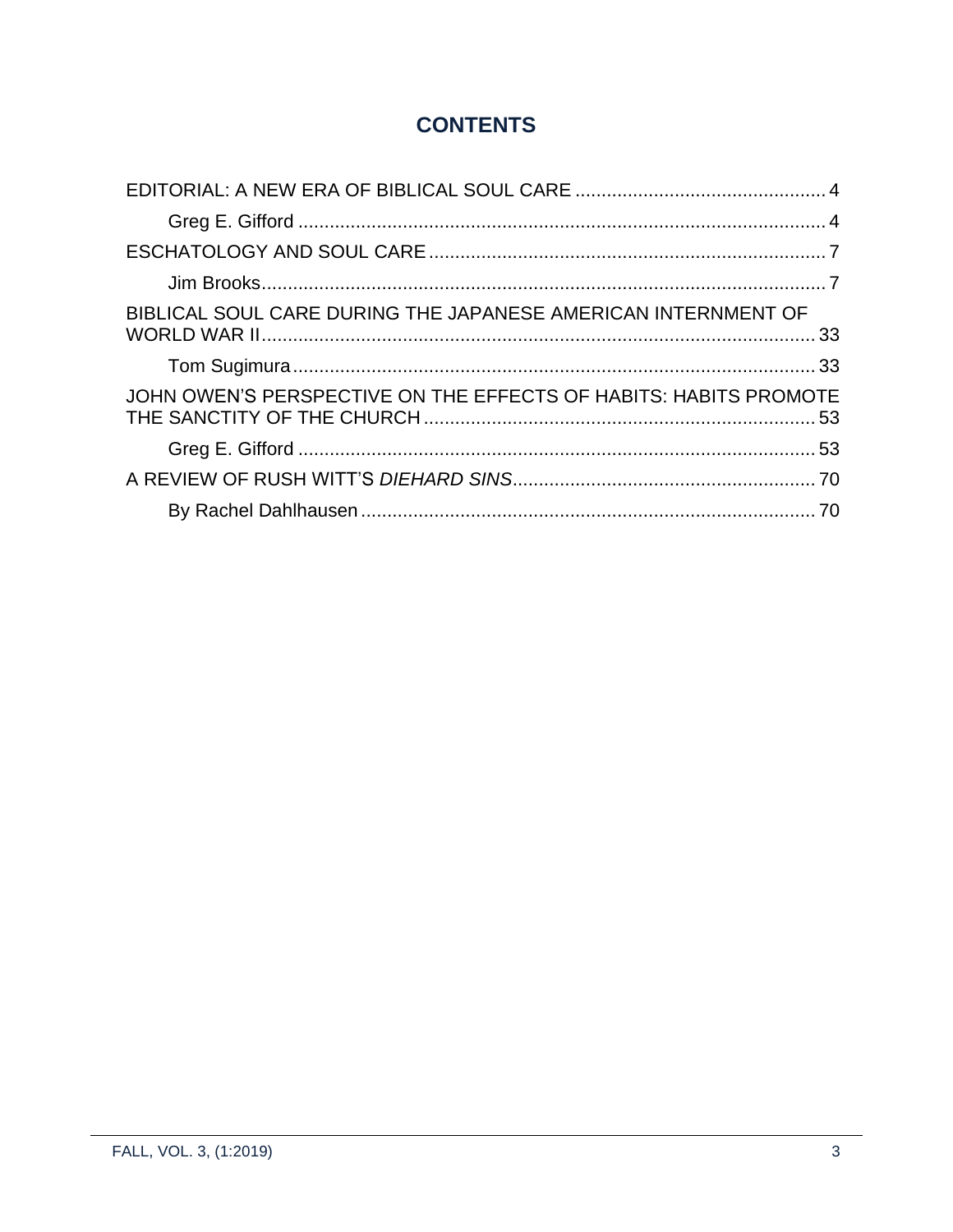## **CONTENTS**

| BIBLICAL SOUL CARE DURING THE JAPANESE AMERICAN INTERNMENT OF    |  |
|------------------------------------------------------------------|--|
|                                                                  |  |
| JOHN OWEN'S PERSPECTIVE ON THE EFFECTS OF HABITS: HABITS PROMOTE |  |
|                                                                  |  |
|                                                                  |  |
|                                                                  |  |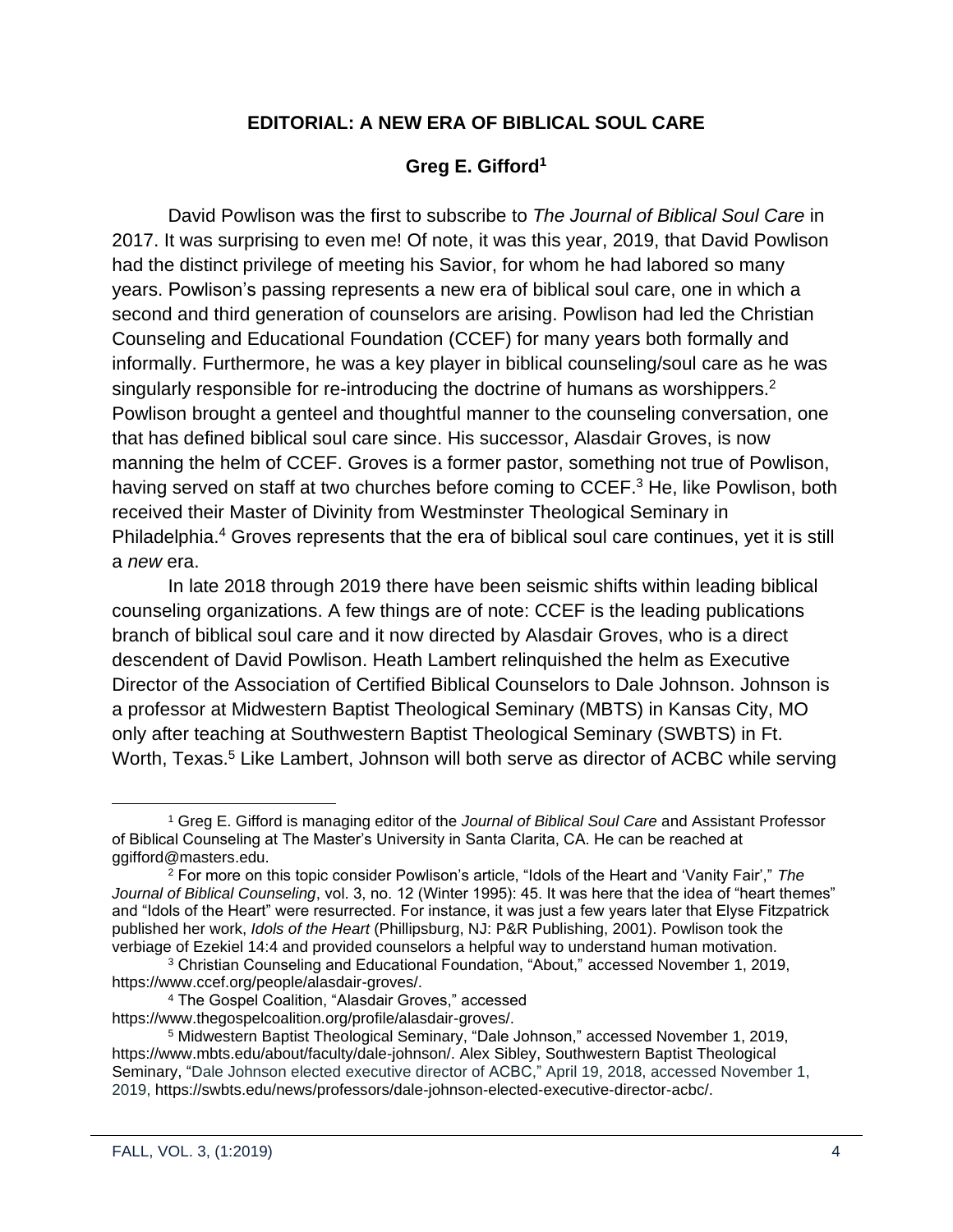#### **EDITORIAL: A NEW ERA OF BIBLICAL SOUL CARE**

#### **Greg E. Gifford<sup>1</sup>**

<span id="page-3-1"></span><span id="page-3-0"></span>David Powlison was the first to subscribe to *The Journal of Biblical Soul Care* in 2017. It was surprising to even me! Of note, it was this year, 2019, that David Powlison had the distinct privilege of meeting his Savior, for whom he had labored so many years. Powlison's passing represents a new era of biblical soul care, one in which a second and third generation of counselors are arising. Powlison had led the Christian Counseling and Educational Foundation (CCEF) for many years both formally and informally. Furthermore, he was a key player in biblical counseling/soul care as he was singularly responsible for re-introducing the doctrine of humans as worshippers.<sup>2</sup> Powlison brought a genteel and thoughtful manner to the counseling conversation, one that has defined biblical soul care since. His successor, Alasdair Groves, is now manning the helm of CCEF. Groves is a former pastor, something not true of Powlison, having served on staff at two churches before coming to CCEF.<sup>3</sup> He, like Powlison, both received their Master of Divinity from Westminster Theological Seminary in Philadelphia.<sup>4</sup> Groves represents that the era of biblical soul care continues, yet it is still a *new* era.

In late 2018 through 2019 there have been seismic shifts within leading biblical counseling organizations. A few things are of note: CCEF is the leading publications branch of biblical soul care and it now directed by Alasdair Groves, who is a direct descendent of David Powlison. Heath Lambert relinquished the helm as Executive Director of the Association of Certified Biblical Counselors to Dale Johnson. Johnson is a professor at Midwestern Baptist Theological Seminary (MBTS) in Kansas City, MO only after teaching at Southwestern Baptist Theological Seminary (SWBTS) in Ft. Worth, Texas.<sup>5</sup> Like Lambert, Johnson will both serve as director of ACBC while serving

<sup>1</sup> Greg E. Gifford is managing editor of the *Journal of Biblical Soul Care* and Assistant Professor of Biblical Counseling at The Master's University in Santa Clarita, CA. He can be reached at ggifford@masters.edu.

<sup>2</sup> For more on this topic consider Powlison's article, "Idols of the Heart and 'Vanity Fair'," *The Journal of Biblical Counseling*, vol. 3, no. 12 (Winter 1995): 45. It was here that the idea of "heart themes" and "Idols of the Heart" were resurrected. For instance, it was just a few years later that Elyse Fitzpatrick published her work, *Idols of the Heart* (Phillipsburg, NJ: P&R Publishing, 2001). Powlison took the verbiage of Ezekiel 14:4 and provided counselors a helpful way to understand human motivation.

<sup>3</sup> Christian Counseling and Educational Foundation, "About," accessed November 1, 2019, https://www.ccef.org/people/alasdair-groves/.

<sup>4</sup> The Gospel Coalition, "Alasdair Groves," accessed https://www.thegospelcoalition.org/profile/alasdair-groves/.

<sup>5</sup> Midwestern Baptist Theological Seminary, "Dale Johnson," accessed November 1, 2019, https://www.mbts.edu/about/faculty/dale-johnson/. Alex Sibley, Southwestern Baptist Theological Seminary, "Dale Johnson elected executive director of ACBC," April 19, 2018, accessed November 1, 2019, https://swbts.edu/news/professors/dale-johnson-elected-executive-director-acbc/.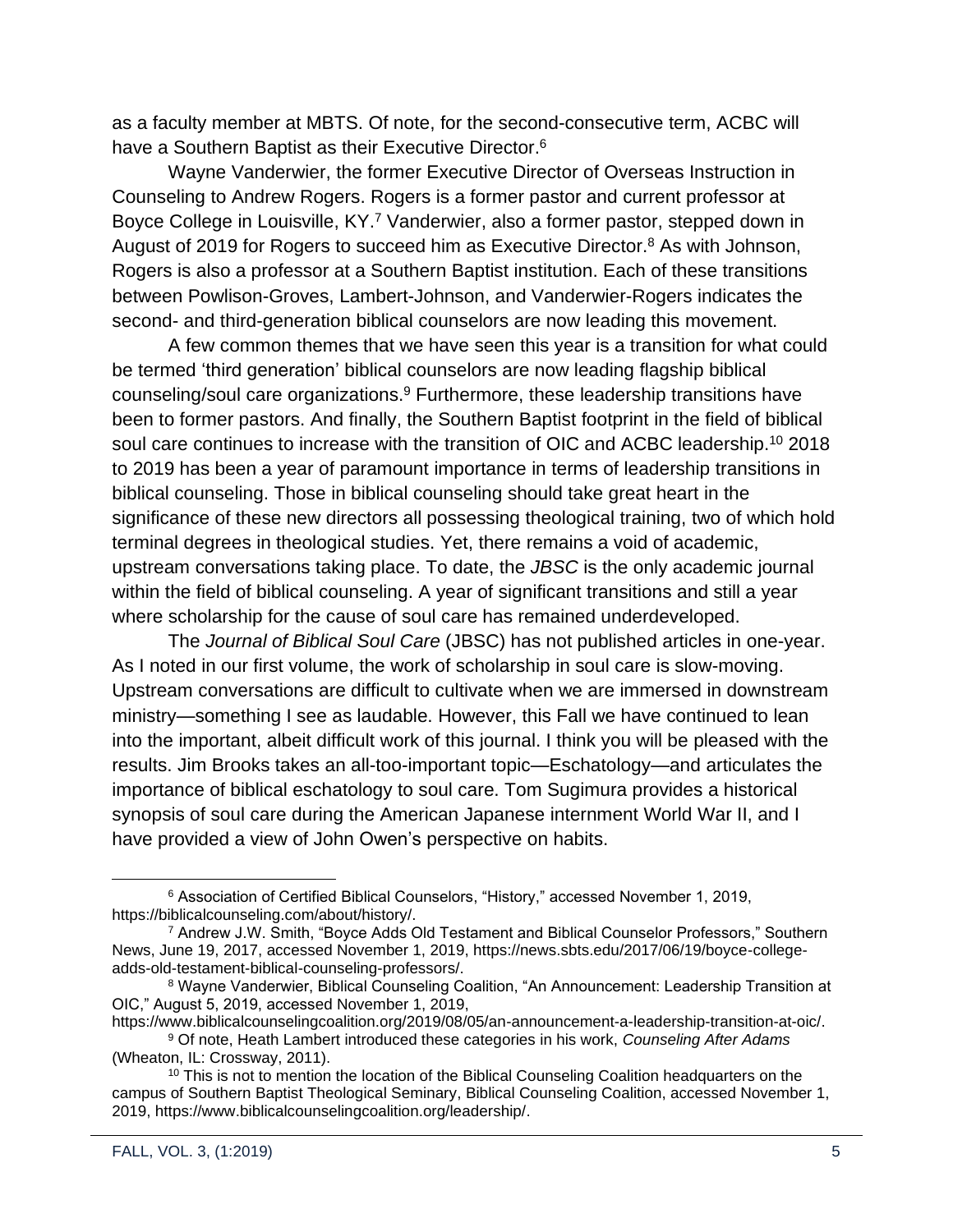as a faculty member at MBTS. Of note, for the second-consecutive term, ACBC will have a Southern Baptist as their Executive Director.<sup>6</sup>

Wayne Vanderwier, the former Executive Director of Overseas Instruction in Counseling to Andrew Rogers. Rogers is a former pastor and current professor at Boyce College in Louisville, KY.<sup>7</sup> Vanderwier, also a former pastor, stepped down in August of 2019 for Rogers to succeed him as Executive Director.<sup>8</sup> As with Johnson, Rogers is also a professor at a Southern Baptist institution. Each of these transitions between Powlison-Groves, Lambert-Johnson, and Vanderwier-Rogers indicates the second- and third-generation biblical counselors are now leading this movement.

A few common themes that we have seen this year is a transition for what could be termed 'third generation' biblical counselors are now leading flagship biblical counseling/soul care organizations.<sup>9</sup> Furthermore, these leadership transitions have been to former pastors. And finally, the Southern Baptist footprint in the field of biblical soul care continues to increase with the transition of OIC and ACBC leadership.<sup>10</sup> 2018 to 2019 has been a year of paramount importance in terms of leadership transitions in biblical counseling. Those in biblical counseling should take great heart in the significance of these new directors all possessing theological training, two of which hold terminal degrees in theological studies. Yet, there remains a void of academic, upstream conversations taking place. To date, the *JBSC* is the only academic journal within the field of biblical counseling. A year of significant transitions and still a year where scholarship for the cause of soul care has remained underdeveloped.

The *Journal of Biblical Soul Care* (JBSC) has not published articles in one-year. As I noted in our first volume, the work of scholarship in soul care is slow-moving. Upstream conversations are difficult to cultivate when we are immersed in downstream ministry—something I see as laudable. However, this Fall we have continued to lean into the important, albeit difficult work of this journal. I think you will be pleased with the results. Jim Brooks takes an all-too-important topic—Eschatology—and articulates the importance of biblical eschatology to soul care. Tom Sugimura provides a historical synopsis of soul care during the American Japanese internment World War II, and I have provided a view of John Owen's perspective on habits.

<sup>6</sup> Association of Certified Biblical Counselors, "History," accessed November 1, 2019, https://biblicalcounseling.com/about/history/.

<sup>7</sup> Andrew J.W. Smith, "Boyce Adds Old Testament and Biblical Counselor Professors," Southern News, June 19, 2017, accessed November 1, 2019, https://news.sbts.edu/2017/06/19/boyce-collegeadds-old-testament-biblical-counseling-professors/.

<sup>8</sup> Wayne Vanderwier, Biblical Counseling Coalition, "An Announcement: Leadership Transition at OIC," August 5, 2019, accessed November 1, 2019,

https://www.biblicalcounselingcoalition.org/2019/08/05/an-announcement-a-leadership-transition-at-oic/. <sup>9</sup> Of note, Heath Lambert introduced these categories in his work, *Counseling After Adams* (Wheaton, IL: Crossway, 2011).

<sup>&</sup>lt;sup>10</sup> This is not to mention the location of the Biblical Counseling Coalition headquarters on the campus of Southern Baptist Theological Seminary, Biblical Counseling Coalition, accessed November 1, 2019, https://www.biblicalcounselingcoalition.org/leadership/.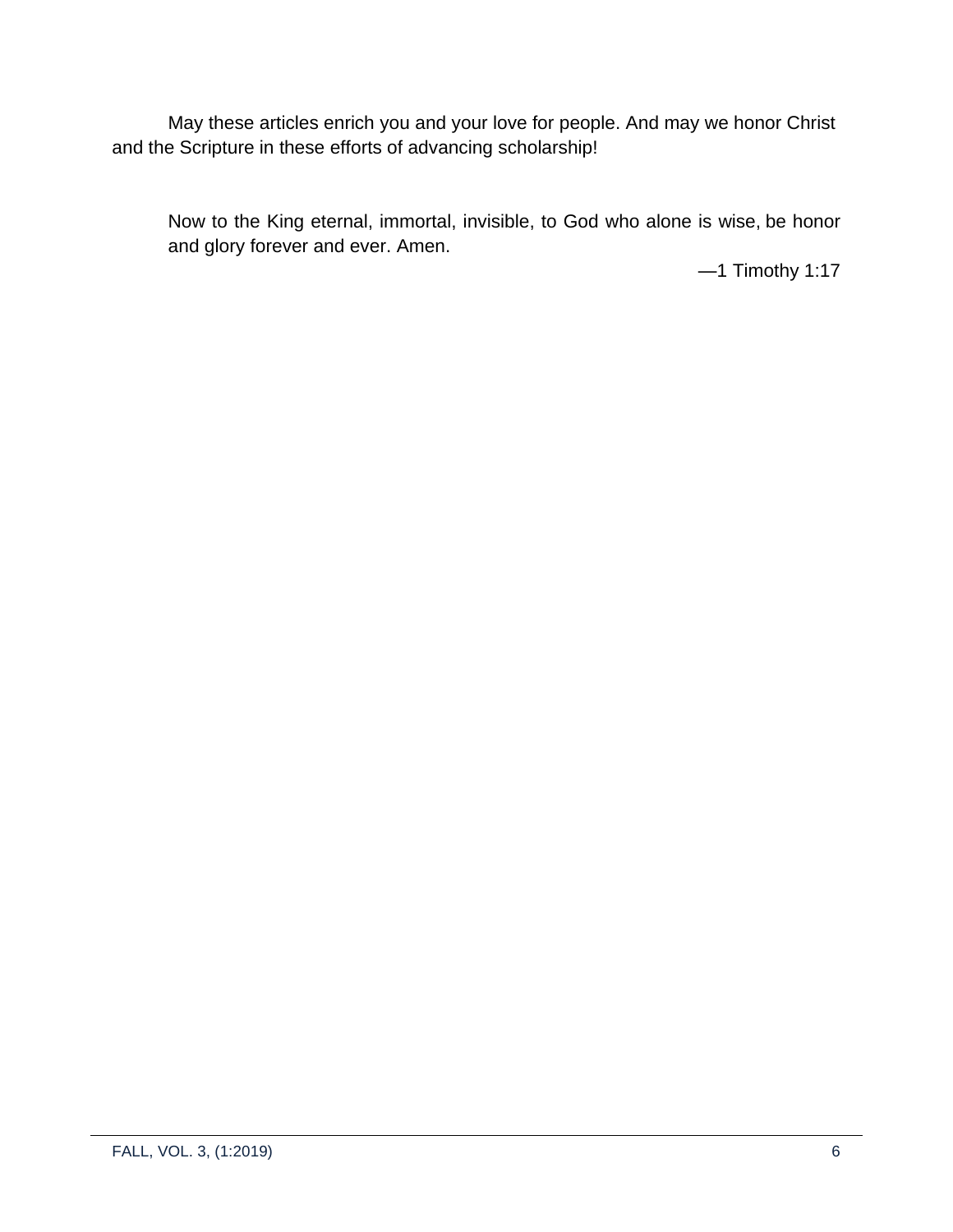May these articles enrich you and your love for people. And may we honor Christ and the Scripture in these efforts of advancing scholarship!

Now to the King eternal, immortal, invisible, to God who alone is wise, be honor and glory forever and ever. Amen.

—1 Timothy 1:17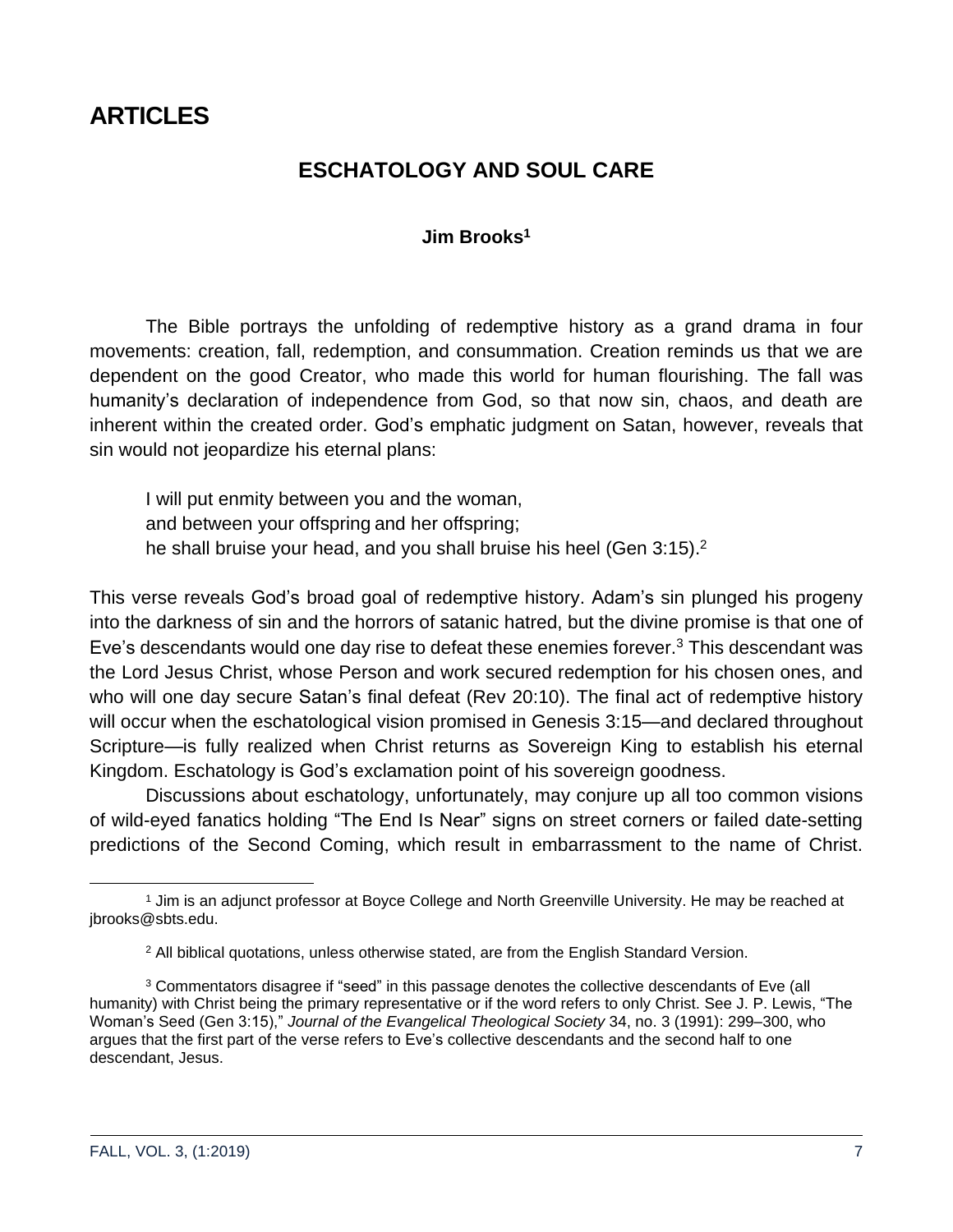## <span id="page-6-1"></span><span id="page-6-0"></span>**ARTICLES**

### **ESCHATOLOGY AND SOUL CARE**

#### **Jim Brooks<sup>1</sup>**

The Bible portrays the unfolding of redemptive history as a grand drama in four movements: creation, fall, redemption, and consummation. Creation reminds us that we are dependent on the good Creator, who made this world for human flourishing. The fall was humanity's declaration of independence from God, so that now sin, chaos, and death are inherent within the created order. God's emphatic judgment on Satan, however, reveals that sin would not jeopardize his eternal plans:

I will put enmity between you and the woman, and between your offspring and her offspring; he shall bruise your head, and you shall bruise his heel (Gen 3:15).<sup>2</sup>

This verse reveals God's broad goal of redemptive history. Adam's sin plunged his progeny into the darkness of sin and the horrors of satanic hatred, but the divine promise is that one of Eve's descendants would one day rise to defeat these enemies forever.<sup>3</sup> This descendant was the Lord Jesus Christ, whose Person and work secured redemption for his chosen ones, and who will one day secure Satan's final defeat (Rev 20:10). The final act of redemptive history will occur when the eschatological vision promised in Genesis 3:15—and declared throughout Scripture—is fully realized when Christ returns as Sovereign King to establish his eternal Kingdom. Eschatology is God's exclamation point of his sovereign goodness.

Discussions about eschatology, unfortunately, may conjure up all too common visions of wild-eyed fanatics holding "The End Is Near" signs on street corners or failed date-setting predictions of the Second Coming, which result in embarrassment to the name of Christ.

<sup>1</sup> Jim is an adjunct professor at Boyce College and North Greenville University. He may be reached at jbrooks@sbts.edu.

<sup>2</sup> All biblical quotations, unless otherwise stated, are from the English Standard Version.

<sup>&</sup>lt;sup>3</sup> Commentators disagree if "seed" in this passage denotes the collective descendants of Eve (all humanity) with Christ being the primary representative or if the word refers to only Christ. See J. P. Lewis, "The Woman's Seed (Gen 3:15)," *Journal of the Evangelical Theological Society* 34, no. 3 (1991): 299–300, who argues that the first part of the verse refers to Eve's collective descendants and the second half to one descendant, Jesus.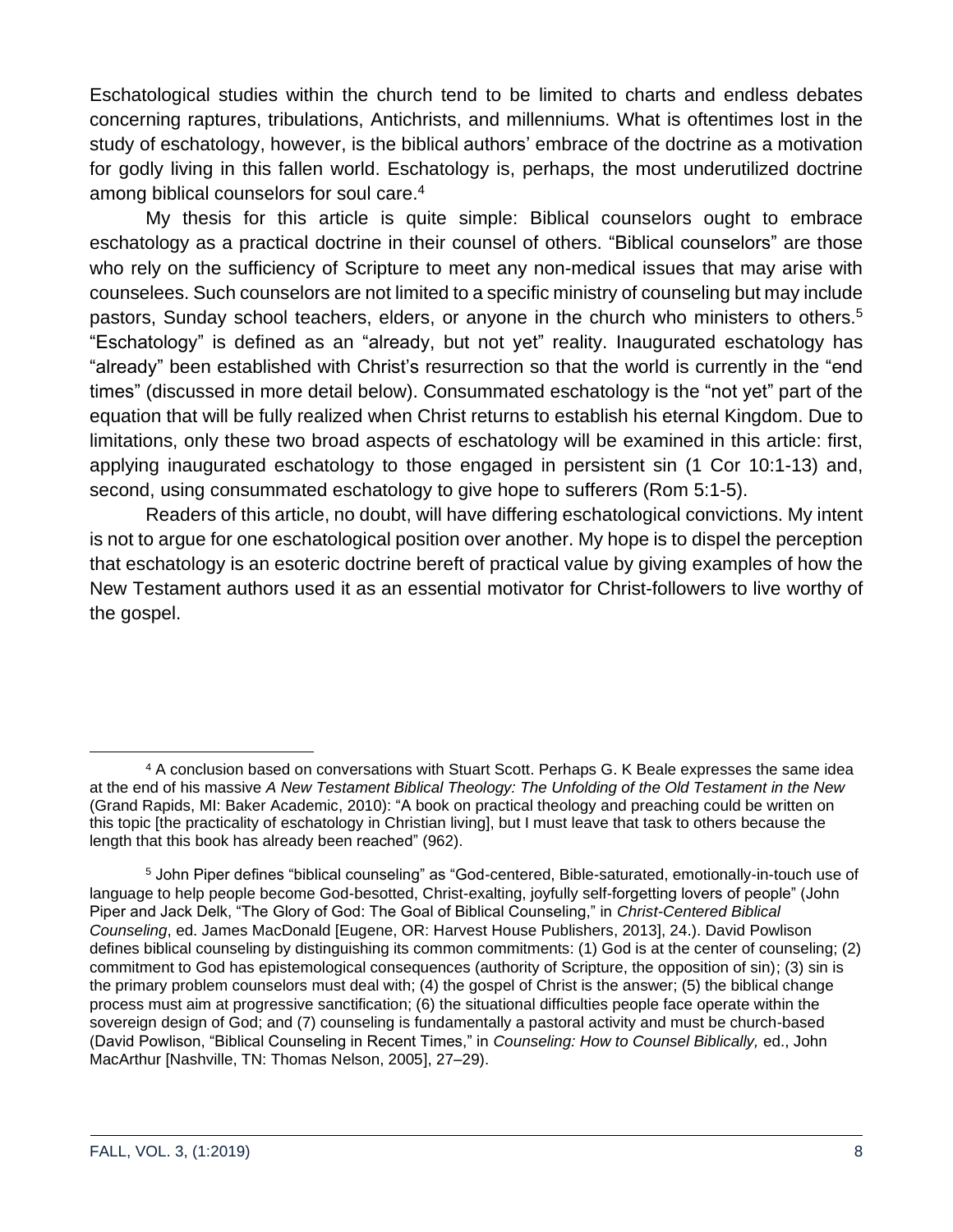Eschatological studies within the church tend to be limited to charts and endless debates concerning raptures, tribulations, Antichrists, and millenniums. What is oftentimes lost in the study of eschatology, however, is the biblical authors' embrace of the doctrine as a motivation for godly living in this fallen world. Eschatology is, perhaps, the most underutilized doctrine among biblical counselors for soul care. 4

My thesis for this article is quite simple: Biblical counselors ought to embrace eschatology as a practical doctrine in their counsel of others. "Biblical counselors" are those who rely on the sufficiency of Scripture to meet any non-medical issues that may arise with counselees. Such counselors are not limited to a specific ministry of counseling but may include pastors, Sunday school teachers, elders, or anyone in the church who ministers to others.<sup>5</sup> "Eschatology" is defined as an "already, but not yet" reality. Inaugurated eschatology has "already" been established with Christ's resurrection so that the world is currently in the "end times" (discussed in more detail below). Consummated eschatology is the "not yet" part of the equation that will be fully realized when Christ returns to establish his eternal Kingdom. Due to limitations, only these two broad aspects of eschatology will be examined in this article: first, applying inaugurated eschatology to those engaged in persistent sin (1 Cor 10:1-13) and, second, using consummated eschatology to give hope to sufferers (Rom 5:1-5).

Readers of this article, no doubt, will have differing eschatological convictions. My intent is not to argue for one eschatological position over another. My hope is to dispel the perception that eschatology is an esoteric doctrine bereft of practical value by giving examples of how the New Testament authors used it as an essential motivator for Christ-followers to live worthy of the gospel.

<sup>4</sup> A conclusion based on conversations with Stuart Scott. Perhaps G. K Beale expresses the same idea at the end of his massive *A New Testament Biblical Theology: The Unfolding of the Old Testament in the New* (Grand Rapids, MI: Baker Academic, 2010): "A book on practical theology and preaching could be written on this topic [the practicality of eschatology in Christian living], but I must leave that task to others because the length that this book has already been reached" (962).

<sup>5</sup> John Piper defines "biblical counseling" as "God-centered, Bible-saturated, emotionally-in-touch use of language to help people become God-besotted, Christ-exalting, joyfully self-forgetting lovers of people" (John Piper and Jack Delk, "The Glory of God: The Goal of Biblical Counseling," in *Christ-Centered Biblical Counseling*, ed. James MacDonald [Eugene, OR: Harvest House Publishers, 2013], 24.). David Powlison defines biblical counseling by distinguishing its common commitments: (1) God is at the center of counseling; (2) commitment to God has epistemological consequences (authority of Scripture, the opposition of sin); (3) sin is the primary problem counselors must deal with; (4) the gospel of Christ is the answer; (5) the biblical change process must aim at progressive sanctification; (6) the situational difficulties people face operate within the sovereign design of God; and (7) counseling is fundamentally a pastoral activity and must be church-based (David Powlison, "Biblical Counseling in Recent Times," in *Counseling: How to Counsel Biblically,* ed., John MacArthur [Nashville, TN: Thomas Nelson, 2005], 27–29).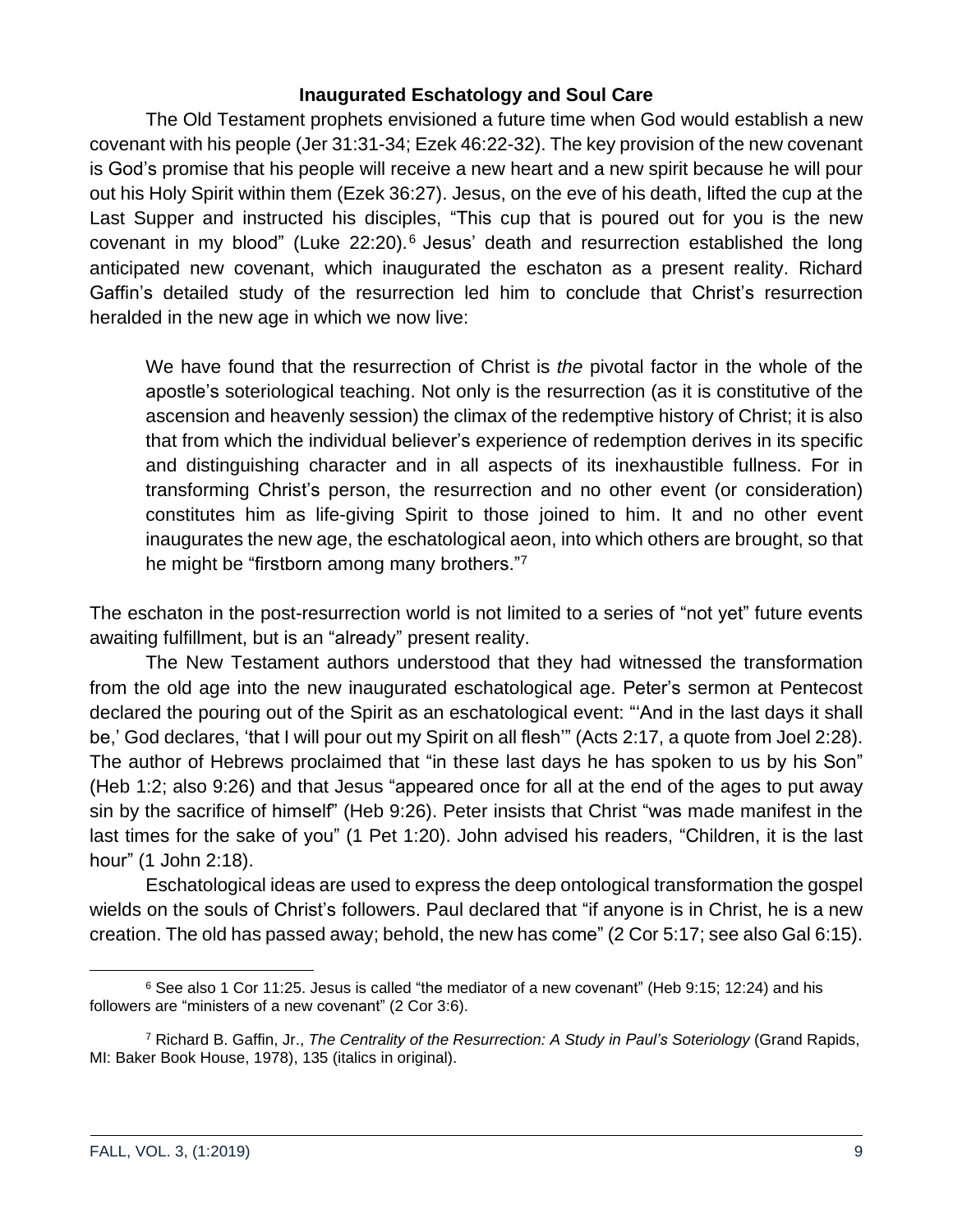#### **Inaugurated Eschatology and Soul Care**

The Old Testament prophets envisioned a future time when God would establish a new covenant with his people (Jer 31:31-34; Ezek 46:22-32). The key provision of the new covenant is God's promise that his people will receive a new heart and a new spirit because he will pour out his Holy Spirit within them (Ezek 36:27). Jesus, on the eve of his death, lifted the cup at the Last Supper and instructed his disciples, "This cup that is poured out for you is the new covenant in my blood" (Luke 22:20).<sup>6</sup> Jesus' death and resurrection established the long anticipated new covenant, which inaugurated the eschaton as a present reality. Richard Gaffin's detailed study of the resurrection led him to conclude that Christ's resurrection heralded in the new age in which we now live:

We have found that the resurrection of Christ is *the* pivotal factor in the whole of the apostle's soteriological teaching. Not only is the resurrection (as it is constitutive of the ascension and heavenly session) the climax of the redemptive history of Christ; it is also that from which the individual believer's experience of redemption derives in its specific and distinguishing character and in all aspects of its inexhaustible fullness. For in transforming Christ's person, the resurrection and no other event (or consideration) constitutes him as life-giving Spirit to those joined to him. It and no other event inaugurates the new age, the eschatological aeon, into which others are brought, so that he might be "firstborn among many brothers."<sup>7</sup>

The eschaton in the post-resurrection world is not limited to a series of "not yet" future events awaiting fulfillment, but is an "already" present reality.

The New Testament authors understood that they had witnessed the transformation from the old age into the new inaugurated eschatological age. Peter's sermon at Pentecost declared the pouring out of the Spirit as an eschatological event: "'And in the last days it shall be,' God declares, 'that I will pour out my Spirit on all flesh'" (Acts 2:17, a quote from Joel 2:28). The author of Hebrews proclaimed that "in these last days he has spoken to us by his Son" (Heb 1:2; also 9:26) and that Jesus "appeared once for all at the end of the ages to put away sin by the sacrifice of himself" (Heb 9:26). Peter insists that Christ "was made manifest in the last times for the sake of you" (1 Pet 1:20). John advised his readers, "Children, it is the last hour" (1 John 2:18).

Eschatological ideas are used to express the deep ontological transformation the gospel wields on the souls of Christ's followers. Paul declared that "if anyone is in Christ, he is a new creation. The old has passed away; behold, the new has come" (2 Cor 5:17; see also Gal 6:15).

 $6$  See also 1 Cor 11:25. Jesus is called "the mediator of a new covenant" (Heb 9:15; 12:24) and his followers are "ministers of a new covenant" (2 Cor 3:6).

<sup>7</sup> Richard B. Gaffin, Jr., *The Centrality of the Resurrection: A Study in Paul's Soteriology* (Grand Rapids, MI: Baker Book House, 1978), 135 (italics in original).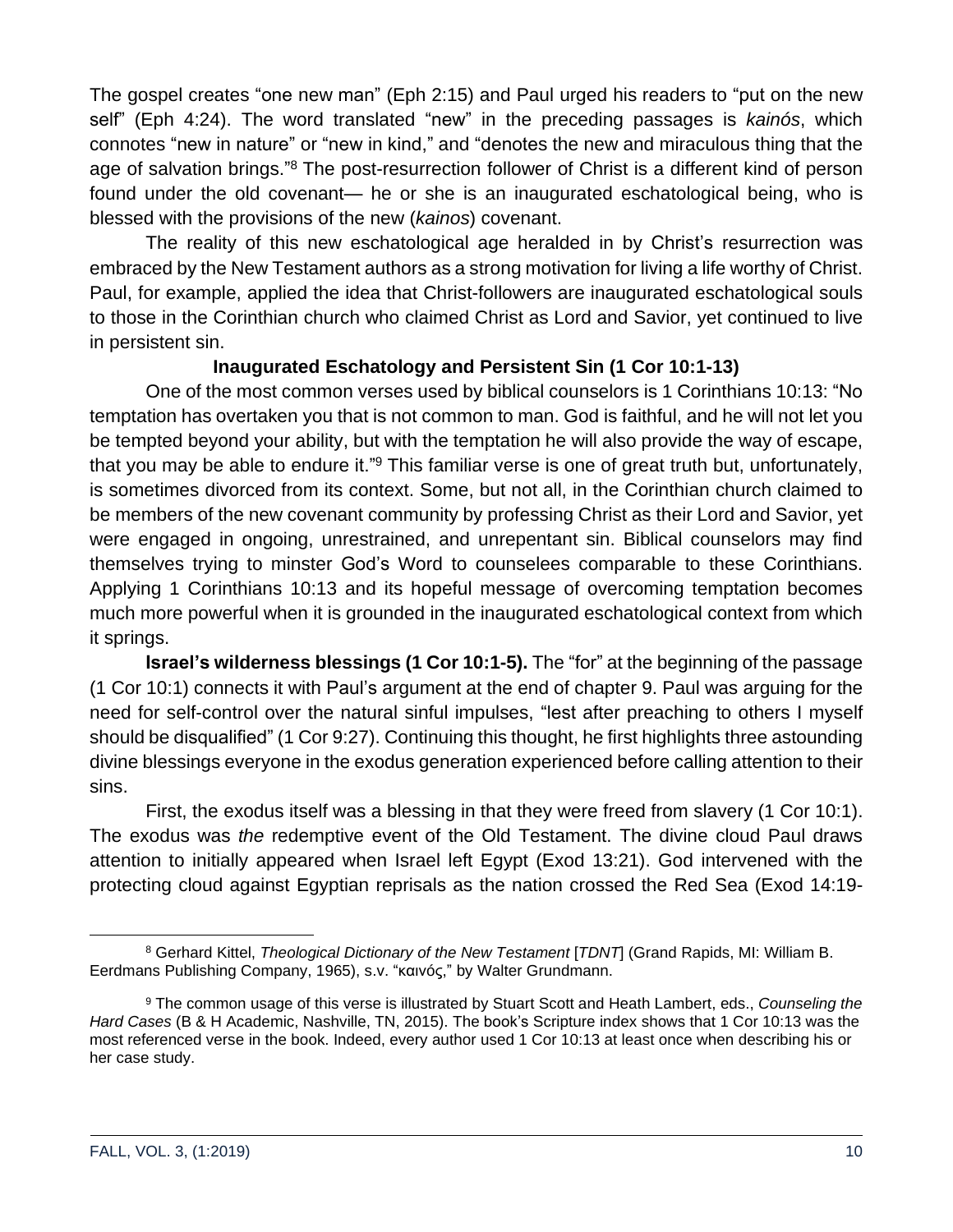The gospel creates "one new man" (Eph 2:15) and Paul urged his readers to "put on the new self" (Eph 4:24). The word translated "new" in the preceding passages is *kainós*, which connotes "new in nature" or "new in kind," and "denotes the new and miraculous thing that the age of salvation brings."<sup>8</sup> The post-resurrection follower of Christ is a different kind of person found under the old covenant— he or she is an inaugurated eschatological being, who is blessed with the provisions of the new (*kainos*) covenant.

The reality of this new eschatological age heralded in by Christ's resurrection was embraced by the New Testament authors as a strong motivation for living a life worthy of Christ. Paul, for example, applied the idea that Christ-followers are inaugurated eschatological souls to those in the Corinthian church who claimed Christ as Lord and Savior, yet continued to live in persistent sin.

#### **Inaugurated Eschatology and Persistent Sin (1 Cor 10:1-13)**

One of the most common verses used by biblical counselors is 1 Corinthians 10:13: "No temptation has overtaken you that is not common to man. God is faithful, and he will not let you be tempted beyond your ability, but with the temptation he will also provide the way of escape, that you may be able to endure it."<sup>9</sup> This familiar verse is one of great truth but, unfortunately, is sometimes divorced from its context. Some, but not all, in the Corinthian church claimed to be members of the new covenant community by professing Christ as their Lord and Savior, yet were engaged in ongoing, unrestrained, and unrepentant sin. Biblical counselors may find themselves trying to minster God's Word to counselees comparable to these Corinthians. Applying 1 Corinthians 10:13 and its hopeful message of overcoming temptation becomes much more powerful when it is grounded in the inaugurated eschatological context from which it springs.

**Israel's wilderness blessings (1 Cor 10:1-5).** The "for" at the beginning of the passage (1 Cor 10:1) connects it with Paul's argument at the end of chapter 9. Paul was arguing for the need for self-control over the natural sinful impulses, "lest after preaching to others I myself should be disqualified" (1 Cor 9:27). Continuing this thought, he first highlights three astounding divine blessings everyone in the exodus generation experienced before calling attention to their sins.

First, the exodus itself was a blessing in that they were freed from slavery (1 Cor 10:1). The exodus was *the* redemptive event of the Old Testament. The divine cloud Paul draws attention to initially appeared when Israel left Egypt (Exod 13:21). God intervened with the protecting cloud against Egyptian reprisals as the nation crossed the Red Sea (Exod 14:19-

<sup>8</sup> Gerhard Kittel, *Theological Dictionary of the New Testament* [*TDNT*] (Grand Rapids, MI: William B. Eerdmans Publishing Company, 1965), s.v. "καινóς," by Walter Grundmann.

<sup>9</sup> The common usage of this verse is illustrated by Stuart Scott and Heath Lambert, eds., *Counseling the Hard Cases* (B & H Academic, Nashville, TN, 2015). The book's Scripture index shows that 1 Cor 10:13 was the most referenced verse in the book. Indeed, every author used 1 Cor 10:13 at least once when describing his or her case study.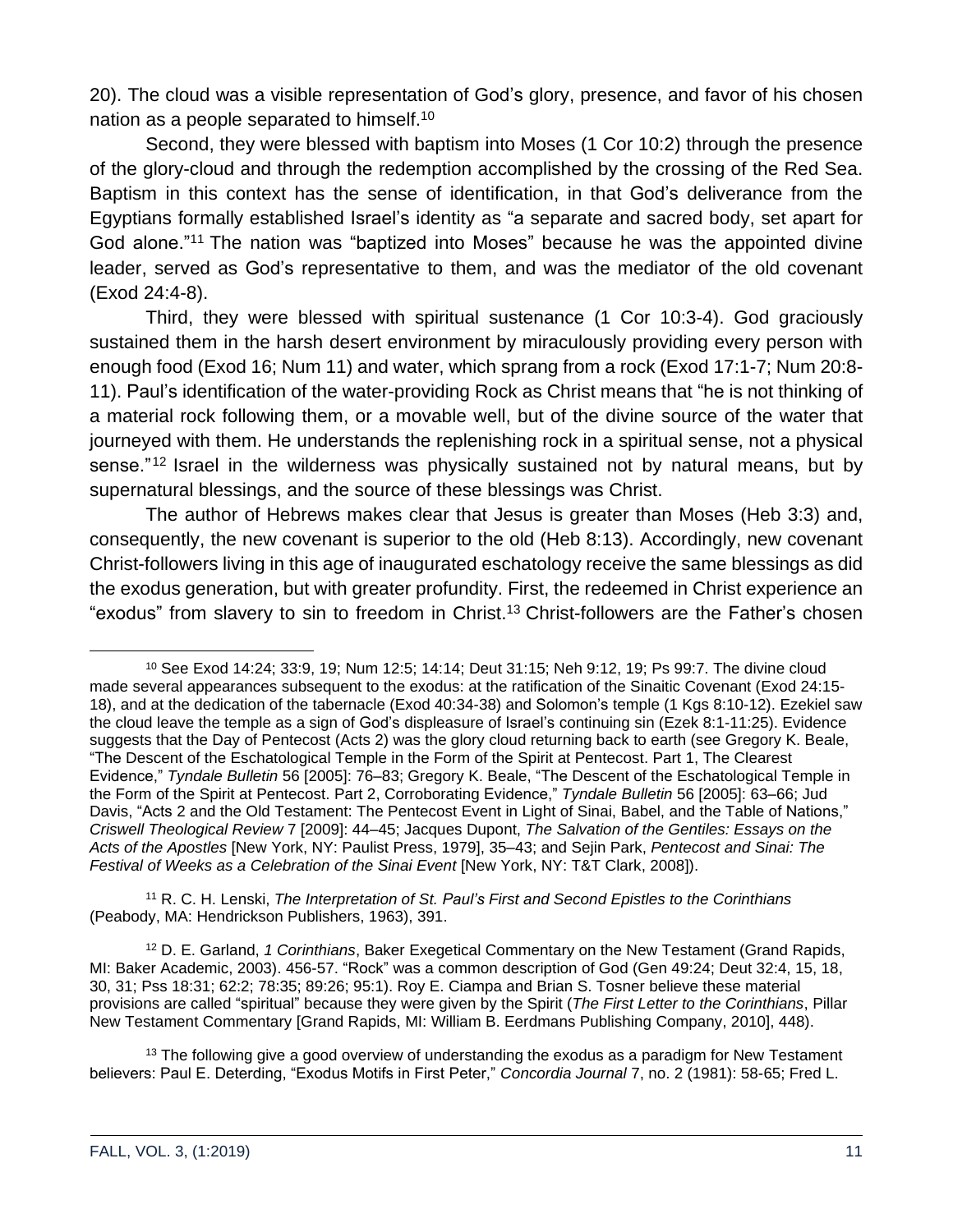20). The cloud was a visible representation of God's glory, presence, and favor of his chosen nation as a people separated to himself.<sup>10</sup>

Second, they were blessed with baptism into Moses (1 Cor 10:2) through the presence of the glory-cloud and through the redemption accomplished by the crossing of the Red Sea. Baptism in this context has the sense of identification, in that God's deliverance from the Egyptians formally established Israel's identity as "a separate and sacred body, set apart for God alone."<sup>11</sup> The nation was "baptized into Moses" because he was the appointed divine leader, served as God's representative to them, and was the mediator of the old covenant (Exod 24:4-8).

Third, they were blessed with spiritual sustenance (1 Cor 10:3-4). God graciously sustained them in the harsh desert environment by miraculously providing every person with enough food (Exod 16; Num 11) and water, which sprang from a rock (Exod 17:1-7; Num 20:8- 11). Paul's identification of the water-providing Rock as Christ means that "he is not thinking of a material rock following them, or a movable well, but of the divine source of the water that journeyed with them. He understands the replenishing rock in a spiritual sense, not a physical sense."<sup>12</sup> Israel in the wilderness was physically sustained not by natural means, but by supernatural blessings, and the source of these blessings was Christ.

The author of Hebrews makes clear that Jesus is greater than Moses (Heb 3:3) and, consequently, the new covenant is superior to the old (Heb 8:13). Accordingly, new covenant Christ-followers living in this age of inaugurated eschatology receive the same blessings as did the exodus generation, but with greater profundity. First, the redeemed in Christ experience an "exodus" from slavery to sin to freedom in Christ.<sup>13</sup> Christ-followers are the Father's chosen

<sup>11</sup> R. C. H. Lenski, *The Interpretation of St. Paul's First and Second Epistles to the Corinthians* (Peabody, MA: Hendrickson Publishers, 1963), 391.

<sup>12</sup> D. E. Garland, *1 Corinthians*, Baker Exegetical Commentary on the New Testament (Grand Rapids, MI: Baker Academic, 2003). 456-57. "Rock" was a common description of God (Gen 49:24; Deut 32:4, 15, 18, 30, 31; Pss 18:31; 62:2; 78:35; 89:26; 95:1). Roy E. Ciampa and Brian S. Tosner believe these material provisions are called "spiritual" because they were given by the Spirit (*The First Letter to the Corinthians*, Pillar New Testament Commentary [Grand Rapids, MI: William B. Eerdmans Publishing Company, 2010], 448).

 $13$  The following give a good overview of understanding the exodus as a paradigm for New Testament believers: Paul E. Deterding, "Exodus Motifs in First Peter," *Concordia Journal* 7, no. 2 (1981): 58-65; Fred L.

<sup>10</sup> See Exod 14:24; 33:9, 19; Num 12:5; 14:14; Deut 31:15; Neh 9:12, 19; Ps 99:7. The divine cloud made several appearances subsequent to the exodus: at the ratification of the Sinaitic Covenant (Exod 24:15- 18), and at the dedication of the tabernacle (Exod 40:34-38) and Solomon's temple (1 Kgs 8:10-12). Ezekiel saw the cloud leave the temple as a sign of God's displeasure of Israel's continuing sin (Ezek 8:1-11:25). Evidence suggests that the Day of Pentecost (Acts 2) was the glory cloud returning back to earth (see Gregory K. Beale, "The Descent of the Eschatological Temple in the Form of the Spirit at Pentecost. Part 1, The Clearest Evidence," *Tyndale Bulletin* 56 [2005]: 76–83; Gregory K. Beale, "The Descent of the Eschatological Temple in the Form of the Spirit at Pentecost. Part 2, Corroborating Evidence," *Tyndale Bulletin* 56 [2005]: 63–66; Jud Davis, "Acts 2 and the Old Testament: The Pentecost Event in Light of Sinai, Babel, and the Table of Nations," *Criswell Theological Review* 7 [2009]: 44–45; Jacques Dupont, *The Salvation of the Gentiles: Essays on the Acts of the Apostles* [New York, NY: Paulist Press, 1979], 35–43; and Sejin Park, *Pentecost and Sinai: The Festival of Weeks as a Celebration of the Sinai Event* [New York, NY: T&T Clark, 2008]).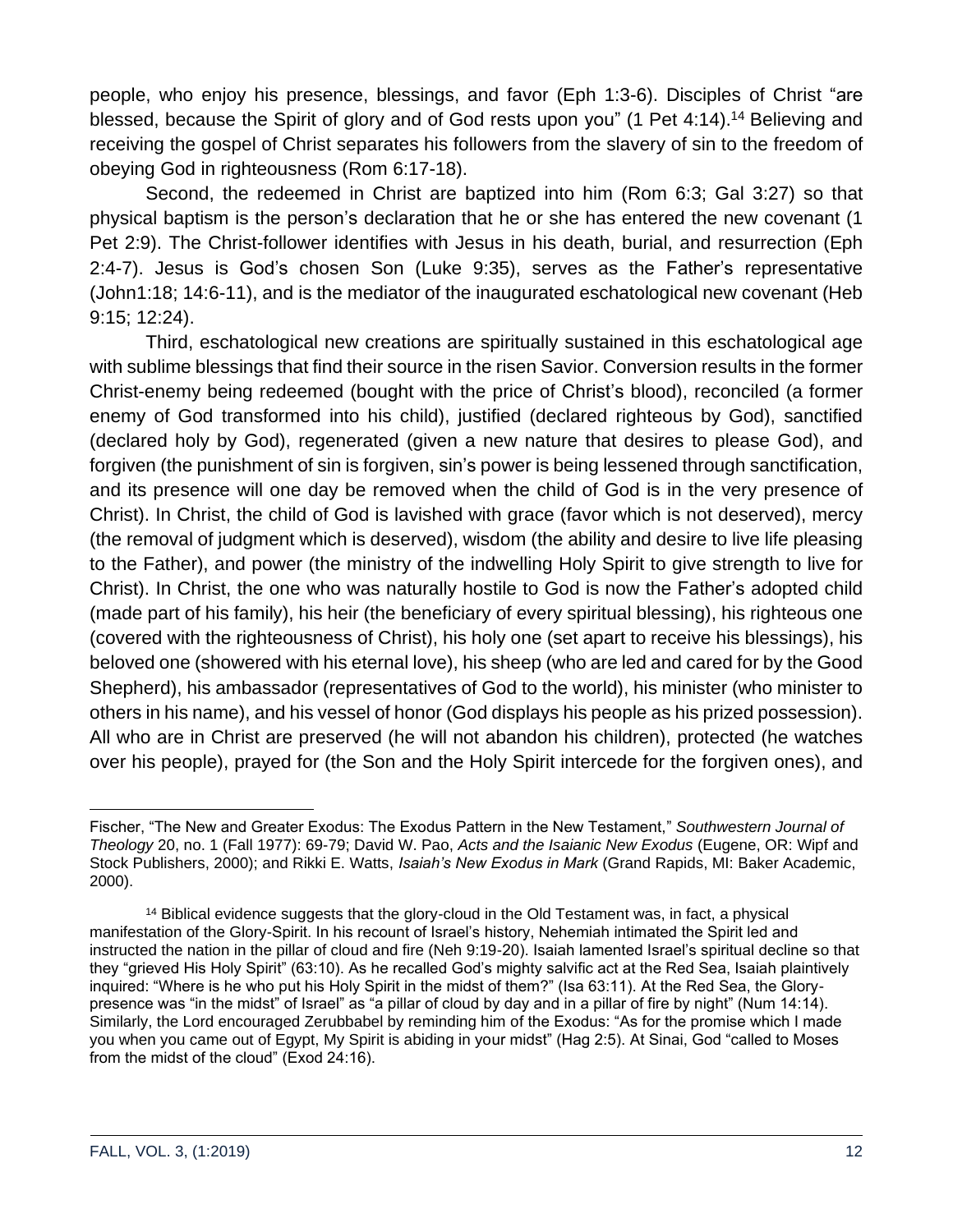people, who enjoy his presence, blessings, and favor (Eph 1:3-6). Disciples of Christ "are blessed, because the Spirit of glory and of God rests upon you" (1 Pet 4:14).<sup>14</sup> Believing and receiving the gospel of Christ separates his followers from the slavery of sin to the freedom of obeying God in righteousness (Rom 6:17-18).

Second, the redeemed in Christ are baptized into him (Rom 6:3; Gal 3:27) so that physical baptism is the person's declaration that he or she has entered the new covenant (1 Pet 2:9). The Christ-follower identifies with Jesus in his death, burial, and resurrection (Eph 2:4-7). Jesus is God's chosen Son (Luke 9:35), serves as the Father's representative (John1:18; 14:6-11), and is the mediator of the inaugurated eschatological new covenant (Heb 9:15; 12:24).

Third, eschatological new creations are spiritually sustained in this eschatological age with sublime blessings that find their source in the risen Savior. Conversion results in the former Christ-enemy being redeemed (bought with the price of Christ's blood), reconciled (a former enemy of God transformed into his child), justified (declared righteous by God), sanctified (declared holy by God), regenerated (given a new nature that desires to please God), and forgiven (the punishment of sin is forgiven, sin's power is being lessened through sanctification, and its presence will one day be removed when the child of God is in the very presence of Christ). In Christ, the child of God is lavished with grace (favor which is not deserved), mercy (the removal of judgment which is deserved), wisdom (the ability and desire to live life pleasing to the Father), and power (the ministry of the indwelling Holy Spirit to give strength to live for Christ). In Christ, the one who was naturally hostile to God is now the Father's adopted child (made part of his family), his heir (the beneficiary of every spiritual blessing), his righteous one (covered with the righteousness of Christ), his holy one (set apart to receive his blessings), his beloved one (showered with his eternal love), his sheep (who are led and cared for by the Good Shepherd), his ambassador (representatives of God to the world), his minister (who minister to others in his name), and his vessel of honor (God displays his people as his prized possession). All who are in Christ are preserved (he will not abandon his children), protected (he watches over his people), prayed for (the Son and the Holy Spirit intercede for the forgiven ones), and

Fischer, "The New and Greater Exodus: The Exodus Pattern in the New Testament," *Southwestern Journal of Theology* 20, no. 1 (Fall 1977): 69-79; David W. Pao, *Acts and the Isaianic New Exodus* (Eugene, OR: Wipf and Stock Publishers, 2000); and Rikki E. Watts, *Isaiah's New Exodus in Mark* (Grand Rapids, MI: Baker Academic, 2000).

<sup>&</sup>lt;sup>14</sup> Biblical evidence suggests that the glory-cloud in the Old Testament was, in fact, a physical manifestation of the Glory-Spirit. In his recount of Israel's history, Nehemiah intimated the Spirit led and instructed the nation in the pillar of cloud and fire (Neh 9:19-20). Isaiah lamented Israel's spiritual decline so that they "grieved His Holy Spirit" (63:10). As he recalled God's mighty salvific act at the Red Sea, Isaiah plaintively inquired: "Where is he who put his Holy Spirit in the midst of them?" (Isa 63:11). At the Red Sea, the Glorypresence was "in the midst" of Israel" as "a pillar of cloud by day and in a pillar of fire by night" (Num 14:14). Similarly, the Lord encouraged Zerubbabel by reminding him of the Exodus: "As for the promise which I made you when you came out of Egypt, My Spirit is abiding in your midst" (Hag 2:5). At Sinai, God "called to Moses from the midst of the cloud" (Exod 24:16).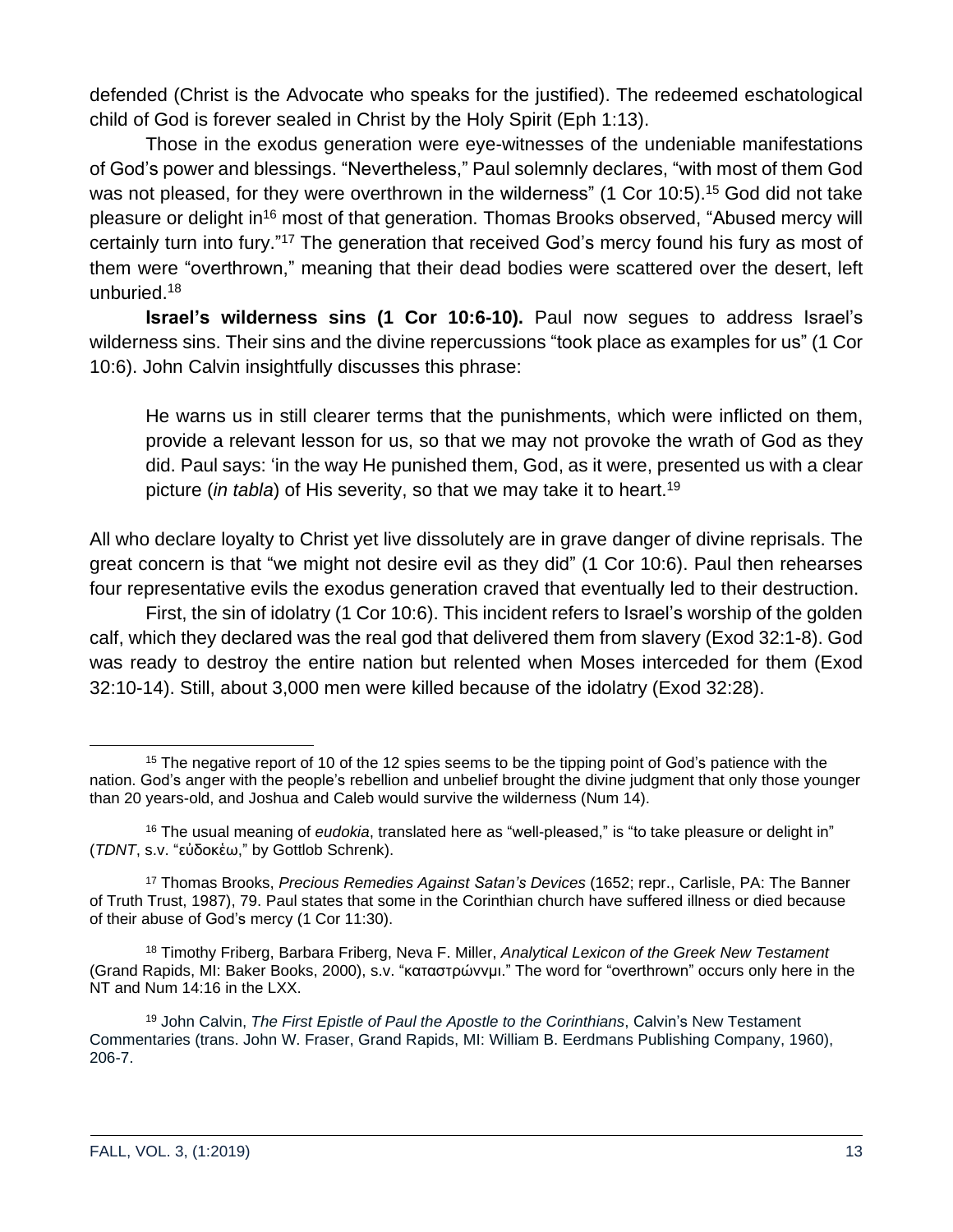defended (Christ is the Advocate who speaks for the justified). The redeemed eschatological child of God is forever sealed in Christ by the Holy Spirit (Eph 1:13).

Those in the exodus generation were eye-witnesses of the undeniable manifestations of God's power and blessings. "Nevertheless," Paul solemnly declares, "with most of them God was not pleased, for they were overthrown in the wilderness" (1 Cor 10:5).<sup>15</sup> God did not take pleasure or delight in<sup>16</sup> most of that generation. Thomas Brooks observed, "Abused mercy will certainly turn into fury."<sup>17</sup> The generation that received God's mercy found his fury as most of them were "overthrown," meaning that their dead bodies were scattered over the desert, left unburied.<sup>18</sup>

**Israel's wilderness sins (1 Cor 10:6-10).** Paul now segues to address Israel's wilderness sins. Their sins and the divine repercussions "took place as examples for us" (1 Cor 10:6). John Calvin insightfully discusses this phrase:

He warns us in still clearer terms that the punishments, which were inflicted on them, provide a relevant lesson for us, so that we may not provoke the wrath of God as they did. Paul says: 'in the way He punished them, God, as it were, presented us with a clear picture (*in tabla*) of His severity, so that we may take it to heart.<sup>19</sup>

All who declare loyalty to Christ yet live dissolutely are in grave danger of divine reprisals. The great concern is that "we might not desire evil as they did" (1 Cor 10:6). Paul then rehearses four representative evils the exodus generation craved that eventually led to their destruction.

First, the sin of idolatry (1 Cor 10:6). This incident refers to Israel's worship of the golden calf, which they declared was the real god that delivered them from slavery (Exod 32:1-8). God was ready to destroy the entire nation but relented when Moses interceded for them (Exod 32:10-14). Still, about 3,000 men were killed because of the idolatry (Exod 32:28).

<sup>&</sup>lt;sup>15</sup> The negative report of 10 of the 12 spies seems to be the tipping point of God's patience with the nation. God's anger with the people's rebellion and unbelief brought the divine judgment that only those younger than 20 years-old, and Joshua and Caleb would survive the wilderness (Num 14).

<sup>16</sup> The usual meaning of *eudokia*, translated here as "well-pleased," is "to take pleasure or delight in" (*TDNT*, s.v. "εὐδοκἑω," by Gottlob Schrenk).

<sup>17</sup> Thomas Brooks, *Precious Remedies Against Satan's Devices* (1652; repr., Carlisle, PA: The Banner of Truth Trust, 1987), 79. Paul states that some in the Corinthian church have suffered illness or died because of their abuse of God's mercy (1 Cor 11:30).

<sup>18</sup> Timothy Friberg, Barbara Friberg, Neva F. Miller, *Analytical Lexicon of the Greek New Testament* (Grand Rapids, MI: Baker Books, 2000), s.v. "καταστρώννμι." The word for "overthrown" occurs only here in the NT and Num 14:16 in the LXX.

<sup>19</sup> John Calvin, *The First Epistle of Paul the Apostle to the Corinthians*, Calvin's New Testament Commentaries (trans. John W. Fraser, Grand Rapids, MI: William B. Eerdmans Publishing Company, 1960), 206-7.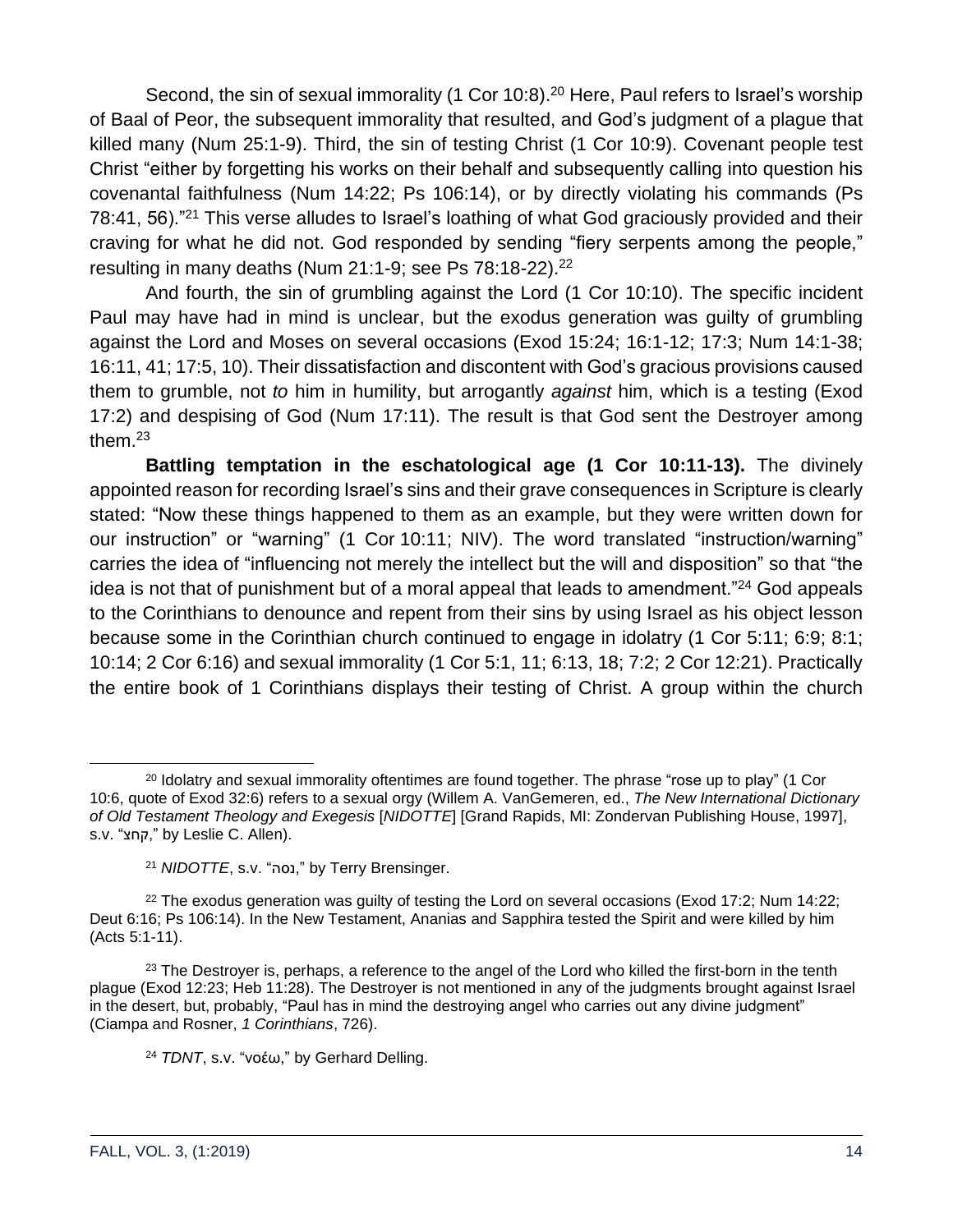Second, the sin of sexual immorality (1 Cor 10:8).<sup>20</sup> Here, Paul refers to Israel's worship of Baal of Peor, the subsequent immorality that resulted, and God's judgment of a plague that killed many (Num 25:1-9). Third, the sin of testing Christ (1 Cor 10:9). Covenant people test Christ "either by forgetting his works on their behalf and subsequently calling into question his covenantal faithfulness (Num 14:22; Ps 106:14), or by directly violating his commands (Ps 78:41, 56).<sup>"21</sup> This verse alludes to Israel's loathing of what God graciously provided and their craving for what he did not. God responded by sending "fiery serpents among the people," resulting in many deaths (Num 21:1-9; see Ps  $78:18-22$ ).<sup>22</sup>

And fourth, the sin of grumbling against the Lord (1 Cor 10:10). The specific incident Paul may have had in mind is unclear, but the exodus generation was guilty of grumbling against the Lord and Moses on several occasions (Exod 15:24; 16:1-12; 17:3; Num 14:1-38; 16:11, 41; 17:5, 10). Their dissatisfaction and discontent with God's gracious provisions caused them to grumble, not *to* him in humility, but arrogantly *against* him, which is a testing (Exod 17:2) and despising of God (Num 17:11). The result is that God sent the Destroyer among them.<sup>23</sup>

**Battling temptation in the eschatological age (1 Cor 10:11-13).** The divinely appointed reason for recording Israel's sins and their grave consequences in Scripture is clearly stated: "Now these things happened to them as an example, but they were written down for our instruction" or "warning" (1 Cor 10:11; NIV). The word translated "instruction/warning" carries the idea of "influencing not merely the intellect but the will and disposition" so that "the idea is not that of punishment but of a moral appeal that leads to amendment." $24$  God appeals to the Corinthians to denounce and repent from their sins by using Israel as his object lesson because some in the Corinthian church continued to engage in idolatry (1 Cor 5:11; 6:9; 8:1; 10:14; 2 Cor 6:16) and sexual immorality (1 Cor 5:1, 11; 6:13, 18; 7:2; 2 Cor 12:21). Practically the entire book of 1 Corinthians displays their testing of Christ. A group within the church

<sup>&</sup>lt;sup>20</sup> Idolatry and sexual immorality oftentimes are found together. The phrase "rose up to play" (1 Cor 10:6, quote of Exod 32:6) refers to a sexual orgy (Willem A. VanGemeren, ed., *The New International Dictionary of Old Testament Theology and Exegesis* [*NIDOTTE*] [Grand Rapids, MI: Zondervan Publishing House, 1997], s.v. "החצ," by Leslie C. Allen).

<sup>&</sup>lt;sup>21</sup> *NIDOTTE*, s.v. "נסה," by Terry Brensinger.

 $22$  The exodus generation was guilty of testing the Lord on several occasions (Exod 17:2; Num 14:22; Deut 6:16; Ps 106:14). In the New Testament, Ananias and Sapphira tested the Spirit and were killed by him (Acts 5:1-11).

<sup>&</sup>lt;sup>23</sup> The Destroyer is, perhaps, a reference to the angel of the Lord who killed the first-born in the tenth plague (Exod 12:23; Heb 11:28). The Destroyer is not mentioned in any of the judgments brought against Israel in the desert, but, probably, "Paul has in mind the destroying angel who carries out any divine judgment" (Ciampa and Rosner, *1 Corinthians*, 726).

<sup>24</sup> *TDNT*, s.v. "νοέω," by Gerhard Delling.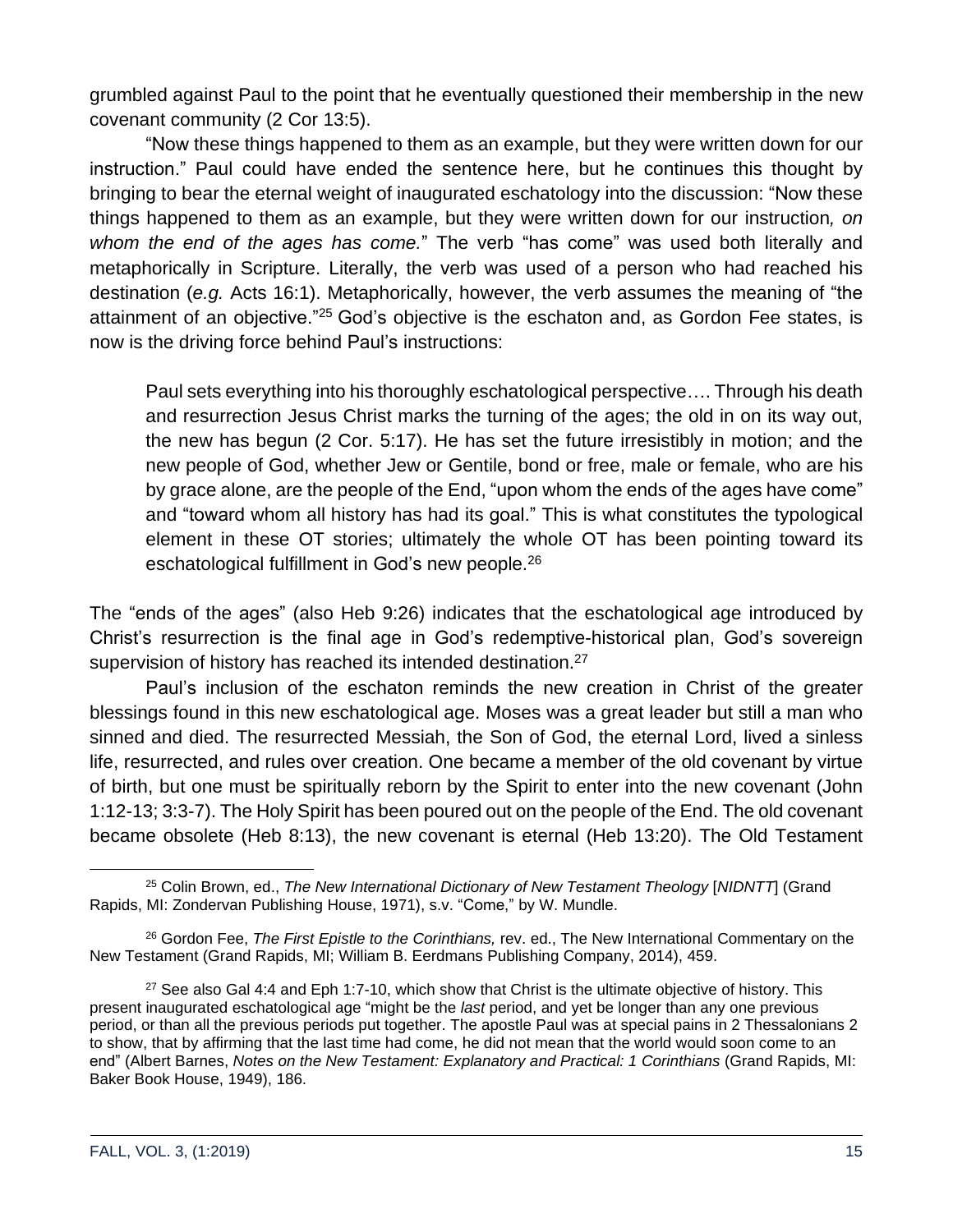grumbled against Paul to the point that he eventually questioned their membership in the new covenant community (2 Cor 13:5).

"Now these things happened to them as an example, but they were written down for our instruction." Paul could have ended the sentence here, but he continues this thought by bringing to bear the eternal weight of inaugurated eschatology into the discussion: "Now these things happened to them as an example, but they were written down for our instruction*, on whom the end of the ages has come.*" The verb "has come" was used both literally and metaphorically in Scripture. Literally, the verb was used of a person who had reached his destination (*e.g.* Acts 16:1). Metaphorically, however, the verb assumes the meaning of "the attainment of an objective."<sup>25</sup> God's objective is the eschaton and, as Gordon Fee states, is now is the driving force behind Paul's instructions:

Paul sets everything into his thoroughly eschatological perspective…. Through his death and resurrection Jesus Christ marks the turning of the ages; the old in on its way out, the new has begun (2 Cor. 5:17). He has set the future irresistibly in motion; and the new people of God, whether Jew or Gentile, bond or free, male or female, who are his by grace alone, are the people of the End, "upon whom the ends of the ages have come" and "toward whom all history has had its goal." This is what constitutes the typological element in these OT stories; ultimately the whole OT has been pointing toward its eschatological fulfillment in God's new people.<sup>26</sup>

The "ends of the ages" (also Heb 9:26) indicates that the eschatological age introduced by Christ's resurrection is the final age in God's redemptive-historical plan, God's sovereign supervision of history has reached its intended destination.<sup>27</sup>

Paul's inclusion of the eschaton reminds the new creation in Christ of the greater blessings found in this new eschatological age. Moses was a great leader but still a man who sinned and died. The resurrected Messiah, the Son of God, the eternal Lord, lived a sinless life, resurrected, and rules over creation. One became a member of the old covenant by virtue of birth, but one must be spiritually reborn by the Spirit to enter into the new covenant (John 1:12-13; 3:3-7). The Holy Spirit has been poured out on the people of the End. The old covenant became obsolete (Heb 8:13), the new covenant is eternal (Heb 13:20). The Old Testament

<sup>25</sup> Colin Brown, ed., *The New International Dictionary of New Testament Theology* [*NIDNTT*] (Grand Rapids, MI: Zondervan Publishing House, 1971), s.v. "Come," by W. Mundle.

<sup>26</sup> Gordon Fee, *The First Epistle to the Corinthians,* rev. ed., The New International Commentary on the New Testament (Grand Rapids, MI; William B. Eerdmans Publishing Company, 2014), 459.

 $27$  See also Gal 4:4 and Eph 1:7-10, which show that Christ is the ultimate objective of history. This present inaugurated eschatological age "might be the *last* period, and yet be longer than any one previous period, or than all the previous periods put together. The apostle Paul was at special pains in 2 Thessalonians 2 to show, that by affirming that the last time had come, he did not mean that the world would soon come to an end" (Albert Barnes, *Notes on the New Testament: Explanatory and Practical: 1 Corinthians* (Grand Rapids, MI: Baker Book House, 1949), 186.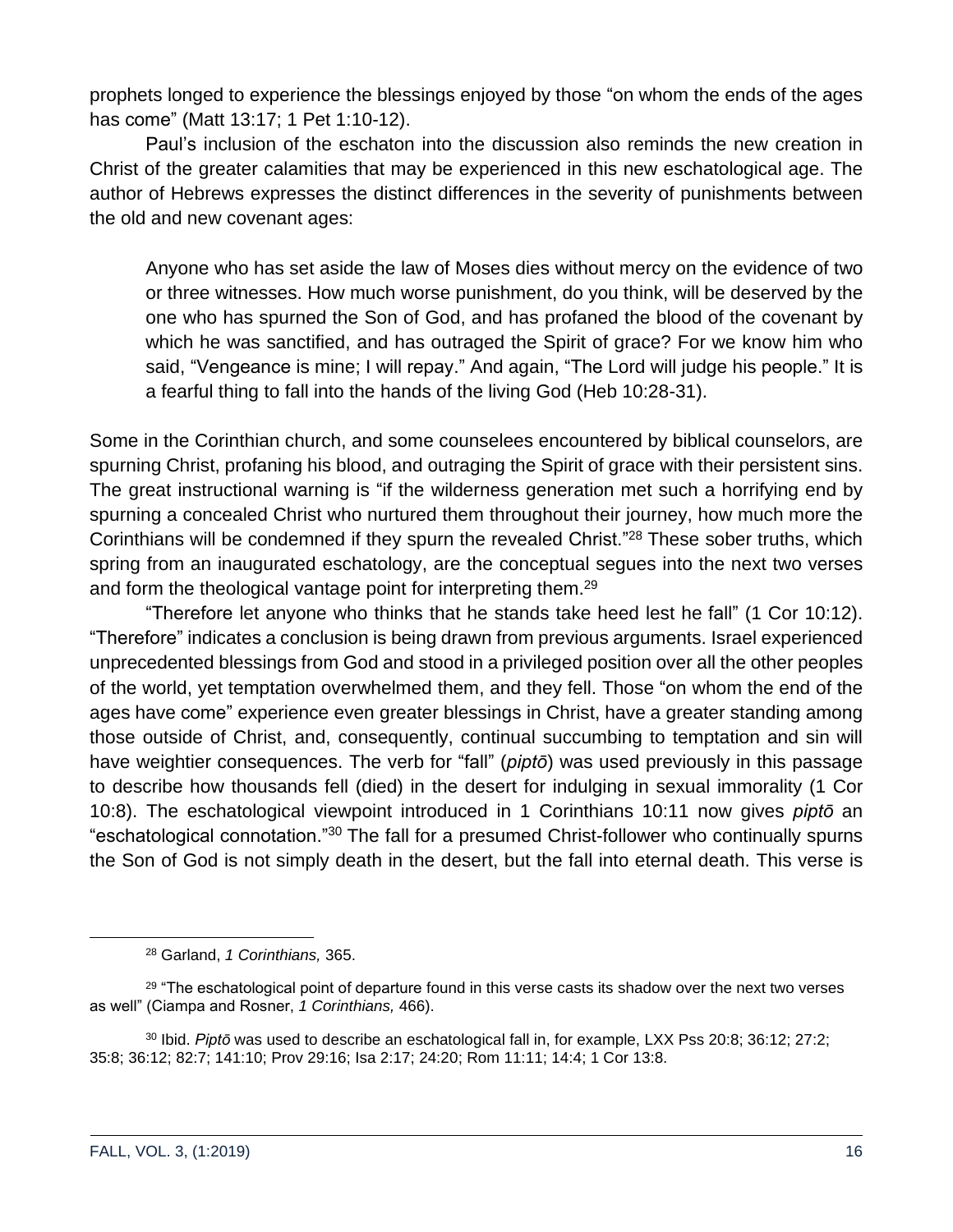prophets longed to experience the blessings enjoyed by those "on whom the ends of the ages has come" (Matt 13:17; 1 Pet 1:10-12).

Paul's inclusion of the eschaton into the discussion also reminds the new creation in Christ of the greater calamities that may be experienced in this new eschatological age. The author of Hebrews expresses the distinct differences in the severity of punishments between the old and new covenant ages:

Anyone who has set aside the law of Moses dies without mercy on the evidence of two or three witnesses. How much worse punishment, do you think, will be deserved by the one who has spurned the Son of God, and has profaned the blood of the covenant by which he was sanctified, and has outraged the Spirit of grace? For we know him who said, "Vengeance is mine; I will repay." And again, "The Lord will judge his people." It is a fearful thing to fall into the hands of the living God (Heb 10:28-31).

Some in the Corinthian church, and some counselees encountered by biblical counselors, are spurning Christ, profaning his blood, and outraging the Spirit of grace with their persistent sins. The great instructional warning is "if the wilderness generation met such a horrifying end by spurning a concealed Christ who nurtured them throughout their journey, how much more the Corinthians will be condemned if they spurn the revealed Christ."<sup>28</sup> These sober truths, which spring from an inaugurated eschatology, are the conceptual segues into the next two verses and form the theological vantage point for interpreting them.<sup>29</sup>

"Therefore let anyone who thinks that he stands take heed lest he fall" (1 Cor 10:12). "Therefore" indicates a conclusion is being drawn from previous arguments. Israel experienced unprecedented blessings from God and stood in a privileged position over all the other peoples of the world, yet temptation overwhelmed them, and they fell. Those "on whom the end of the ages have come" experience even greater blessings in Christ, have a greater standing among those outside of Christ, and, consequently, continual succumbing to temptation and sin will have weightier consequences. The verb for "fall" (*piptō*) was used previously in this passage to describe how thousands fell (died) in the desert for indulging in sexual immorality (1 Cor 10:8). The eschatological viewpoint introduced in 1 Corinthians 10:11 now gives *piptō* an "eschatological connotation."<sup>30</sup> The fall for a presumed Christ-follower who continually spurns the Son of God is not simply death in the desert, but the fall into eternal death. This verse is

<sup>28</sup> Garland, *1 Corinthians,* 365.

<sup>&</sup>lt;sup>29</sup> "The eschatological point of departure found in this verse casts its shadow over the next two verses as well" (Ciampa and Rosner, *1 Corinthians,* 466).

<sup>30</sup> Ibid. *Piptō* was used to describe an eschatological fall in, for example, LXX Pss 20:8; 36:12; 27:2; 35:8; 36:12; 82:7; 141:10; Prov 29:16; Isa 2:17; 24:20; Rom 11:11; 14:4; 1 Cor 13:8.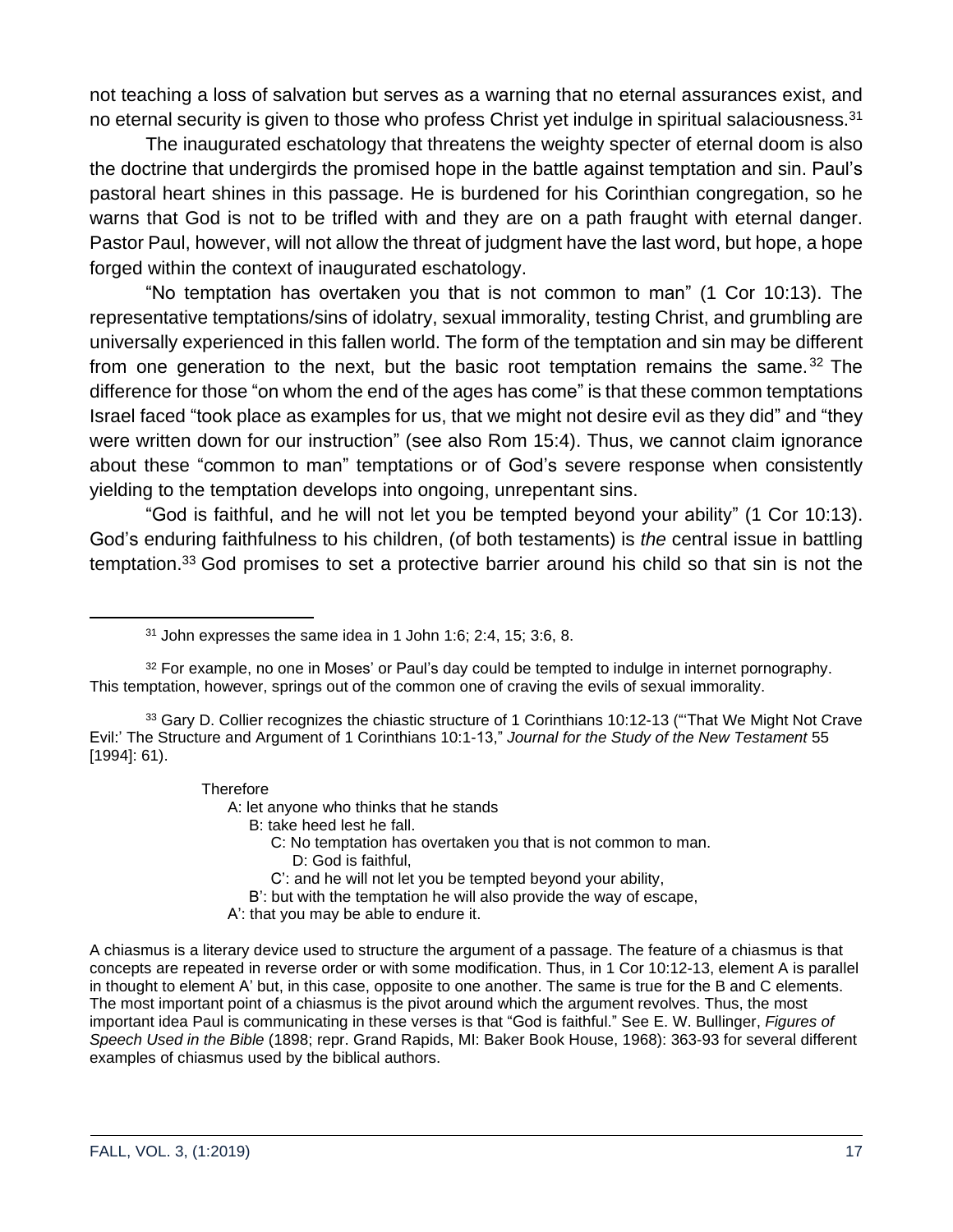not teaching a loss of salvation but serves as a warning that no eternal assurances exist, and no eternal security is given to those who profess Christ yet indulge in spiritual salaciousness.<sup>31</sup>

The inaugurated eschatology that threatens the weighty specter of eternal doom is also the doctrine that undergirds the promised hope in the battle against temptation and sin. Paul's pastoral heart shines in this passage. He is burdened for his Corinthian congregation, so he warns that God is not to be trifled with and they are on a path fraught with eternal danger. Pastor Paul, however, will not allow the threat of judgment have the last word, but hope, a hope forged within the context of inaugurated eschatology.

"No temptation has overtaken you that is not common to man" (1 Cor 10:13). The representative temptations/sins of idolatry, sexual immorality, testing Christ, and grumbling are universally experienced in this fallen world. The form of the temptation and sin may be different from one generation to the next, but the basic root temptation remains the same.<sup>32</sup> The difference for those "on whom the end of the ages has come" is that these common temptations Israel faced "took place as examples for us, that we might not desire evil as they did" and "they were written down for our instruction" (see also Rom 15:4). Thus, we cannot claim ignorance about these "common to man" temptations or of God's severe response when consistently yielding to the temptation develops into ongoing, unrepentant sins.

"God is faithful, and he will not let you be tempted beyond your ability" (1 Cor 10:13). God's enduring faithfulness to his children, (of both testaments) is *the* central issue in battling temptation.<sup>33</sup> God promises to set a protective barrier around his child so that sin is not the

#### **Therefore**

A: let anyone who thinks that he stands

B: take heed lest he fall.

- C: No temptation has overtaken you that is not common to man.
	- D: God is faithful,
- C': and he will not let you be tempted beyond your ability,
- B': but with the temptation he will also provide the way of escape,
- A': that you may be able to endure it.

A chiasmus is a literary device used to structure the argument of a passage. The feature of a chiasmus is that concepts are repeated in reverse order or with some modification. Thus, in 1 Cor 10:12-13, element A is parallel in thought to element A' but, in this case, opposite to one another. The same is true for the B and C elements. The most important point of a chiasmus is the pivot around which the argument revolves. Thus, the most important idea Paul is communicating in these verses is that "God is faithful." See E. W. Bullinger, *Figures of Speech Used in the Bible* (1898; repr. Grand Rapids, MI: Baker Book House, 1968): 363-93 for several different examples of chiasmus used by the biblical authors.

 $31$  John expresses the same idea in 1 John 1:6; 2:4, 15; 3:6, 8.

<sup>&</sup>lt;sup>32</sup> For example, no one in Moses' or Paul's day could be tempted to indulge in internet pornography. This temptation, however, springs out of the common one of craving the evils of sexual immorality.

<sup>33</sup> Gary D. Collier recognizes the chiastic structure of 1 Corinthians 10:12-13 ("That We Might Not Crave Evil:' The Structure and Argument of 1 Corinthians 10:1-13," *Journal for the Study of the New Testament* 55 [1994]: 61).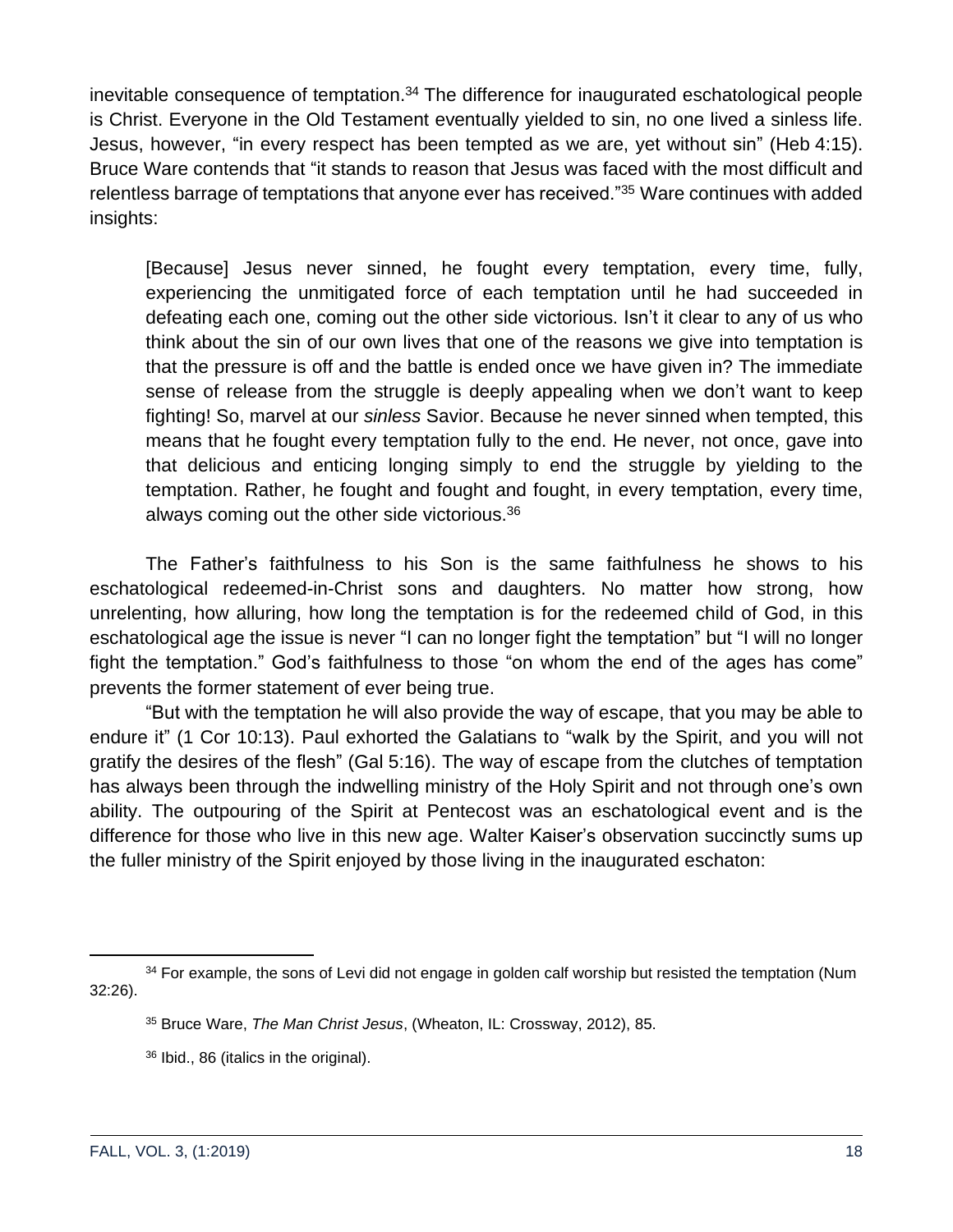inevitable consequence of temptation.<sup>34</sup> The difference for inaugurated eschatological people is Christ. Everyone in the Old Testament eventually yielded to sin, no one lived a sinless life. Jesus, however, "in every respect has been tempted as we are, yet without sin" (Heb 4:15). Bruce Ware contends that "it stands to reason that Jesus was faced with the most difficult and relentless barrage of temptations that anyone ever has received."<sup>35</sup> Ware continues with added insights:

[Because] Jesus never sinned, he fought every temptation, every time, fully, experiencing the unmitigated force of each temptation until he had succeeded in defeating each one, coming out the other side victorious. Isn't it clear to any of us who think about the sin of our own lives that one of the reasons we give into temptation is that the pressure is off and the battle is ended once we have given in? The immediate sense of release from the struggle is deeply appealing when we don't want to keep fighting! So, marvel at our *sinless* Savior. Because he never sinned when tempted, this means that he fought every temptation fully to the end. He never, not once, gave into that delicious and enticing longing simply to end the struggle by yielding to the temptation. Rather, he fought and fought and fought, in every temptation, every time, always coming out the other side victorious.<sup>36</sup>

The Father's faithfulness to his Son is the same faithfulness he shows to his eschatological redeemed-in-Christ sons and daughters. No matter how strong, how unrelenting, how alluring, how long the temptation is for the redeemed child of God, in this eschatological age the issue is never "I can no longer fight the temptation" but "I will no longer fight the temptation." God's faithfulness to those "on whom the end of the ages has come" prevents the former statement of ever being true.

"But with the temptation he will also provide the way of escape, that you may be able to endure it" (1 Cor 10:13). Paul exhorted the Galatians to "walk by the Spirit, and you will not gratify the desires of the flesh" (Gal 5:16). The way of escape from the clutches of temptation has always been through the indwelling ministry of the Holy Spirit and not through one's own ability. The outpouring of the Spirit at Pentecost was an eschatological event and is the difference for those who live in this new age. Walter Kaiser's observation succinctly sums up the fuller ministry of the Spirit enjoyed by those living in the inaugurated eschaton:

<sup>&</sup>lt;sup>34</sup> For example, the sons of Levi did not engage in golden calf worship but resisted the temptation (Num 32:26).

<sup>35</sup> Bruce Ware, *The Man Christ Jesus*, (Wheaton, IL: Crossway, 2012), 85.

<sup>36</sup> Ibid., 86 (italics in the original).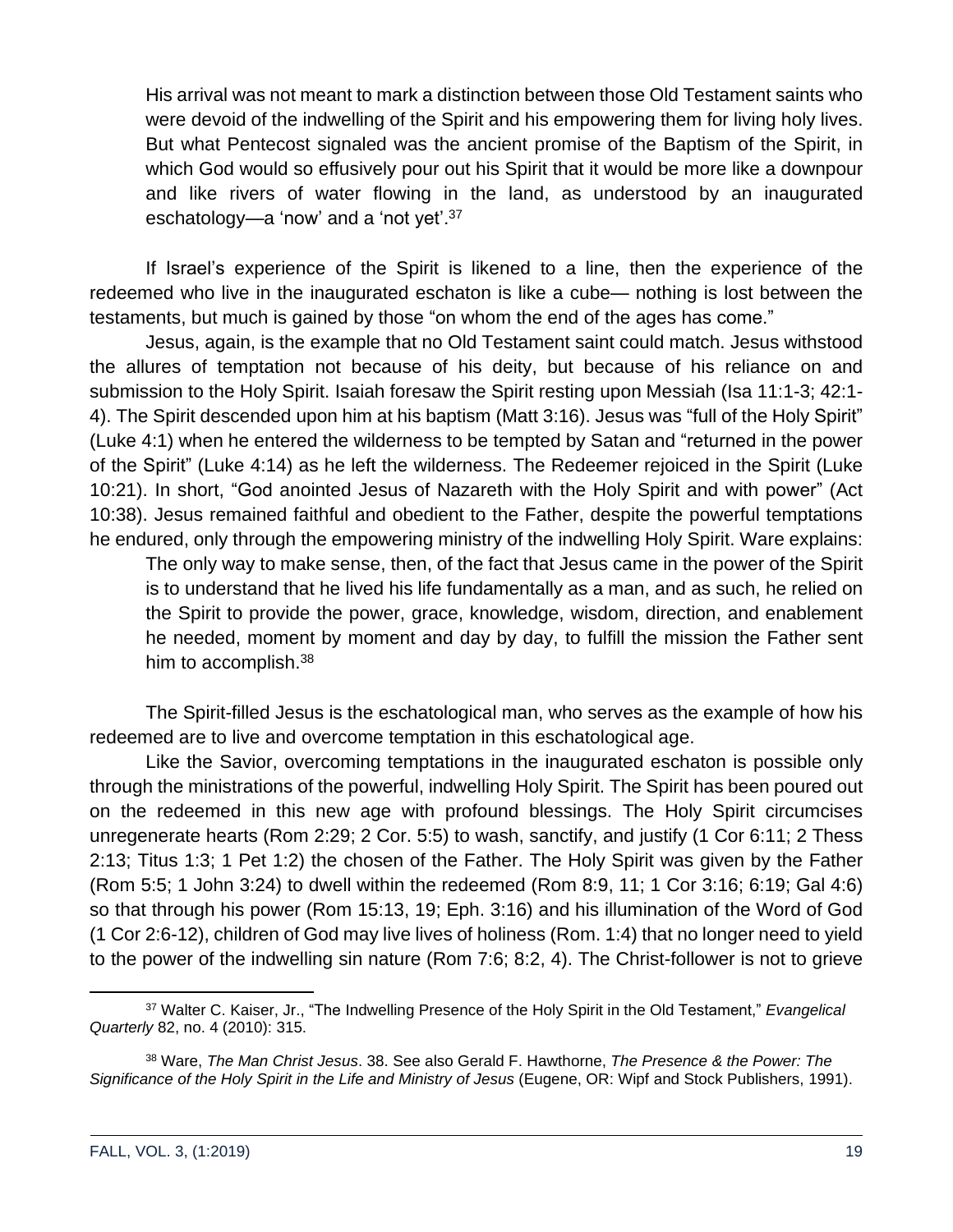His arrival was not meant to mark a distinction between those Old Testament saints who were devoid of the indwelling of the Spirit and his empowering them for living holy lives. But what Pentecost signaled was the ancient promise of the Baptism of the Spirit, in which God would so effusively pour out his Spirit that it would be more like a downpour and like rivers of water flowing in the land, as understood by an inaugurated eschatology—a 'now' and a 'not yet'.<sup>37</sup>

If Israel's experience of the Spirit is likened to a line, then the experience of the redeemed who live in the inaugurated eschaton is like a cube— nothing is lost between the testaments, but much is gained by those "on whom the end of the ages has come."

Jesus, again, is the example that no Old Testament saint could match. Jesus withstood the allures of temptation not because of his deity, but because of his reliance on and submission to the Holy Spirit. Isaiah foresaw the Spirit resting upon Messiah (Isa 11:1-3; 42:1- 4). The Spirit descended upon him at his baptism (Matt 3:16). Jesus was "full of the Holy Spirit" (Luke 4:1) when he entered the wilderness to be tempted by Satan and "returned in the power of the Spirit" (Luke 4:14) as he left the wilderness. The Redeemer rejoiced in the Spirit (Luke 10:21). In short, "God anointed Jesus of Nazareth with the Holy Spirit and with power" (Act 10:38). Jesus remained faithful and obedient to the Father, despite the powerful temptations he endured, only through the empowering ministry of the indwelling Holy Spirit. Ware explains:

The only way to make sense, then, of the fact that Jesus came in the power of the Spirit is to understand that he lived his life fundamentally as a man, and as such, he relied on the Spirit to provide the power, grace, knowledge, wisdom, direction, and enablement he needed, moment by moment and day by day, to fulfill the mission the Father sent him to accomplish.<sup>38</sup>

The Spirit-filled Jesus is the eschatological man, who serves as the example of how his redeemed are to live and overcome temptation in this eschatological age.

Like the Savior, overcoming temptations in the inaugurated eschaton is possible only through the ministrations of the powerful, indwelling Holy Spirit. The Spirit has been poured out on the redeemed in this new age with profound blessings. The Holy Spirit circumcises unregenerate hearts (Rom 2:29; 2 Cor. 5:5) to wash, sanctify, and justify (1 Cor 6:11; 2 Thess 2:13; Titus 1:3; 1 Pet 1:2) the chosen of the Father. The Holy Spirit was given by the Father (Rom 5:5; 1 John 3:24) to dwell within the redeemed (Rom 8:9, 11; 1 Cor 3:16; 6:19; Gal 4:6) so that through his power (Rom 15:13, 19; Eph. 3:16) and his illumination of the Word of God (1 Cor 2:6-12), children of God may live lives of holiness (Rom. 1:4) that no longer need to yield to the power of the indwelling sin nature (Rom 7:6; 8:2, 4). The Christ-follower is not to grieve

<sup>37</sup> Walter C. Kaiser, Jr., "The Indwelling Presence of the Holy Spirit in the Old Testament," *Evangelical Quarterly* 82, no. 4 (2010): 315.

<sup>38</sup> Ware, *The Man Christ Jesus*. 38. See also Gerald F. Hawthorne, *The Presence & the Power: The Significance of the Holy Spirit in the Life and Ministry of Jesus* (Eugene, OR: Wipf and Stock Publishers, 1991).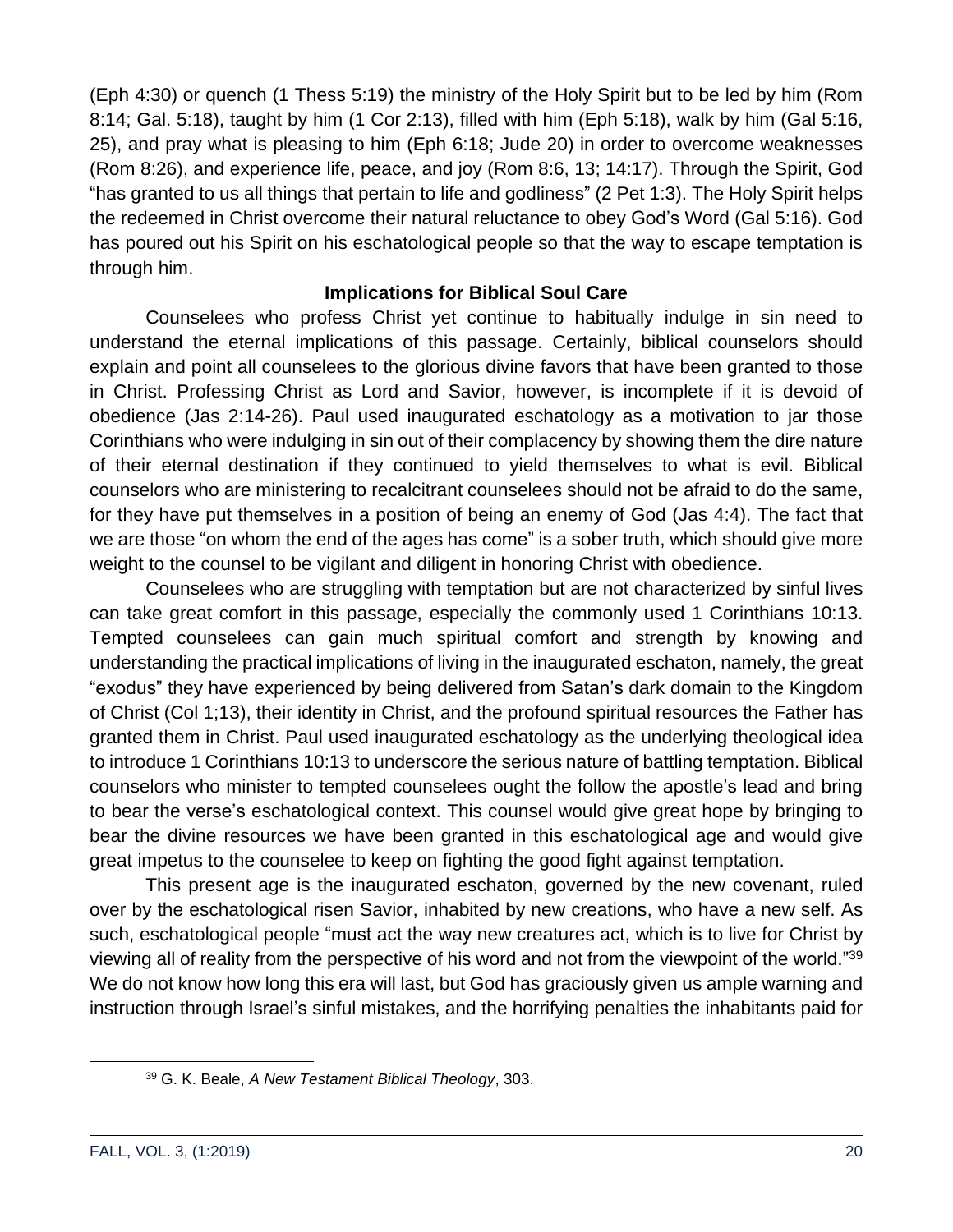(Eph 4:30) or quench (1 Thess 5:19) the ministry of the Holy Spirit but to be led by him (Rom 8:14; Gal. 5:18), taught by him (1 Cor 2:13), filled with him (Eph 5:18), walk by him (Gal 5:16, 25), and pray what is pleasing to him (Eph 6:18; Jude 20) in order to overcome weaknesses (Rom 8:26), and experience life, peace, and joy (Rom 8:6, 13; 14:17). Through the Spirit, God "has granted to us all things that pertain to life and godliness" (2 Pet 1:3). The Holy Spirit helps the redeemed in Christ overcome their natural reluctance to obey God's Word (Gal 5:16). God has poured out his Spirit on his eschatological people so that the way to escape temptation is through him.

#### **Implications for Biblical Soul Care**

Counselees who profess Christ yet continue to habitually indulge in sin need to understand the eternal implications of this passage. Certainly, biblical counselors should explain and point all counselees to the glorious divine favors that have been granted to those in Christ. Professing Christ as Lord and Savior, however, is incomplete if it is devoid of obedience (Jas 2:14-26). Paul used inaugurated eschatology as a motivation to jar those Corinthians who were indulging in sin out of their complacency by showing them the dire nature of their eternal destination if they continued to yield themselves to what is evil. Biblical counselors who are ministering to recalcitrant counselees should not be afraid to do the same, for they have put themselves in a position of being an enemy of God (Jas 4:4). The fact that we are those "on whom the end of the ages has come" is a sober truth, which should give more weight to the counsel to be vigilant and diligent in honoring Christ with obedience.

Counselees who are struggling with temptation but are not characterized by sinful lives can take great comfort in this passage, especially the commonly used 1 Corinthians 10:13. Tempted counselees can gain much spiritual comfort and strength by knowing and understanding the practical implications of living in the inaugurated eschaton, namely, the great "exodus" they have experienced by being delivered from Satan's dark domain to the Kingdom of Christ (Col 1;13), their identity in Christ, and the profound spiritual resources the Father has granted them in Christ. Paul used inaugurated eschatology as the underlying theological idea to introduce 1 Corinthians 10:13 to underscore the serious nature of battling temptation. Biblical counselors who minister to tempted counselees ought the follow the apostle's lead and bring to bear the verse's eschatological context. This counsel would give great hope by bringing to bear the divine resources we have been granted in this eschatological age and would give great impetus to the counselee to keep on fighting the good fight against temptation.

This present age is the inaugurated eschaton, governed by the new covenant, ruled over by the eschatological risen Savior, inhabited by new creations, who have a new self. As such, eschatological people "must act the way new creatures act, which is to live for Christ by viewing all of reality from the perspective of his word and not from the viewpoint of the world."<sup>39</sup> We do not know how long this era will last, but God has graciously given us ample warning and instruction through Israel's sinful mistakes, and the horrifying penalties the inhabitants paid for

<sup>39</sup> G. K. Beale, *A New Testament Biblical Theology*, 303.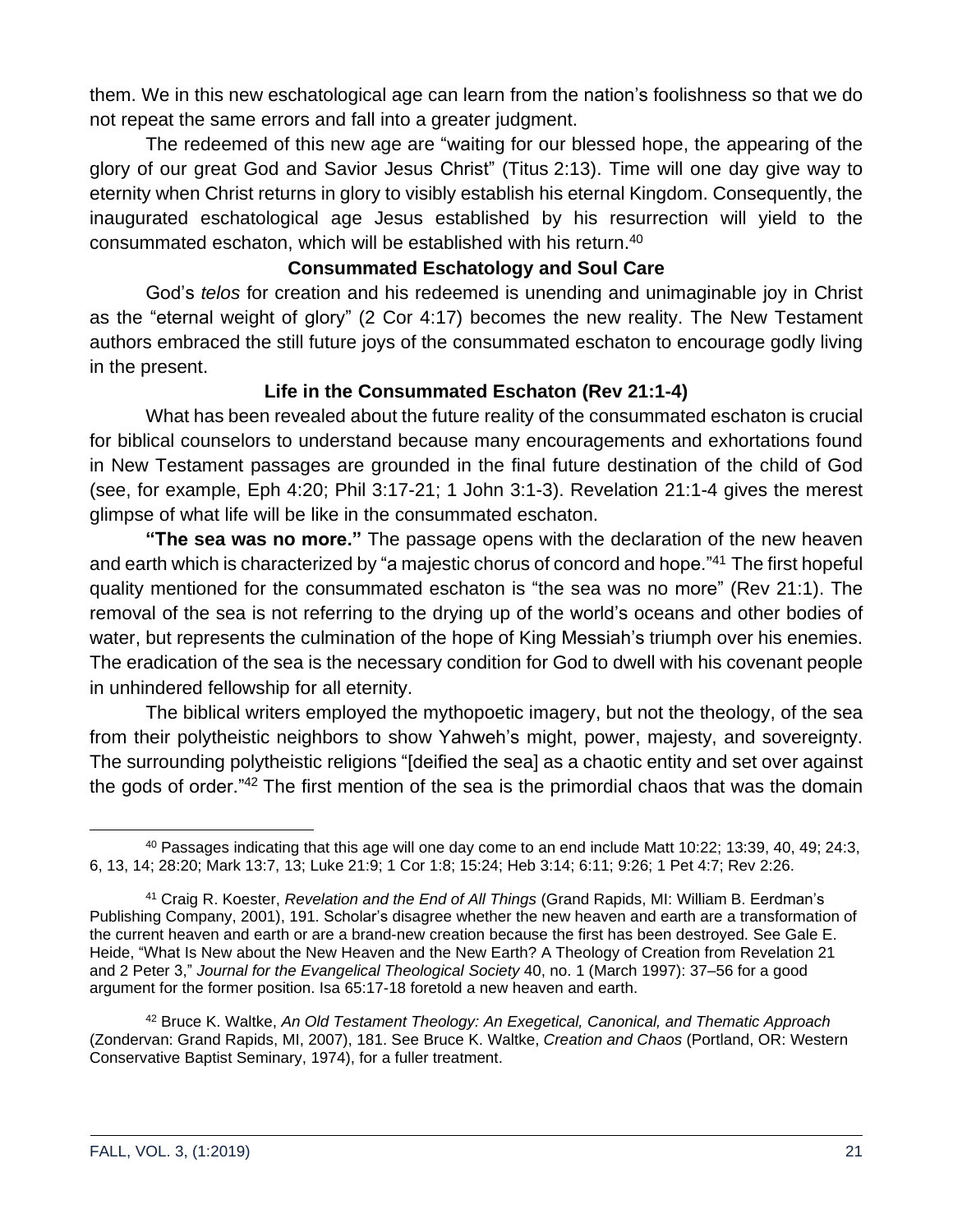them. We in this new eschatological age can learn from the nation's foolishness so that we do not repeat the same errors and fall into a greater judgment.

The redeemed of this new age are "waiting for our blessed hope, the appearing of the glory of our great God and Savior Jesus Christ" (Titus 2:13). Time will one day give way to eternity when Christ returns in glory to visibly establish his eternal Kingdom. Consequently, the inaugurated eschatological age Jesus established by his resurrection will yield to the consummated eschaton, which will be established with his return.<sup>40</sup>

#### **Consummated Eschatology and Soul Care**

God's *telos* for creation and his redeemed is unending and unimaginable joy in Christ as the "eternal weight of glory" (2 Cor 4:17) becomes the new reality. The New Testament authors embraced the still future joys of the consummated eschaton to encourage godly living in the present.

#### **Life in the Consummated Eschaton (Rev 21:1-4)**

What has been revealed about the future reality of the consummated eschaton is crucial for biblical counselors to understand because many encouragements and exhortations found in New Testament passages are grounded in the final future destination of the child of God (see, for example, Eph 4:20; Phil 3:17-21; 1 John 3:1-3). Revelation 21:1-4 gives the merest glimpse of what life will be like in the consummated eschaton.

**"The sea was no more."** The passage opens with the declaration of the new heaven and earth which is characterized by "a majestic chorus of concord and hope."<sup>41</sup> The first hopeful quality mentioned for the consummated eschaton is "the sea was no more" (Rev 21:1). The removal of the sea is not referring to the drying up of the world's oceans and other bodies of water, but represents the culmination of the hope of King Messiah's triumph over his enemies. The eradication of the sea is the necessary condition for God to dwell with his covenant people in unhindered fellowship for all eternity.

The biblical writers employed the mythopoetic imagery, but not the theology, of the sea from their polytheistic neighbors to show Yahweh's might, power, majesty, and sovereignty. The surrounding polytheistic religions "[deified the sea] as a chaotic entity and set over against the gods of order."<sup>42</sup> The first mention of the sea is the primordial chaos that was the domain

<sup>42</sup> Bruce K. Waltke, *An Old Testament Theology: An Exegetical, Canonical, and Thematic Approach* (Zondervan: Grand Rapids, MI, 2007), 181. See Bruce K. Waltke, *Creation and Chaos* (Portland, OR: Western Conservative Baptist Seminary, 1974), for a fuller treatment.

<sup>40</sup> Passages indicating that this age will one day come to an end include Matt 10:22; 13:39, 40, 49; 24:3, 6, 13, 14; 28:20; Mark 13:7, 13; Luke 21:9; 1 Cor 1:8; 15:24; Heb 3:14; 6:11; 9:26; 1 Pet 4:7; Rev 2:26.

<sup>41</sup> Craig R. Koester, *Revelation and the End of All Things* (Grand Rapids, MI: William B. Eerdman's Publishing Company, 2001), 191. Scholar's disagree whether the new heaven and earth are a transformation of the current heaven and earth or are a brand-new creation because the first has been destroyed. See Gale E. Heide, "What Is New about the New Heaven and the New Earth? A Theology of Creation from Revelation 21 and 2 Peter 3," *Journal for the Evangelical Theological Society* 40, no. 1 (March 1997): 37–56 for a good argument for the former position. Isa 65:17-18 foretold a new heaven and earth.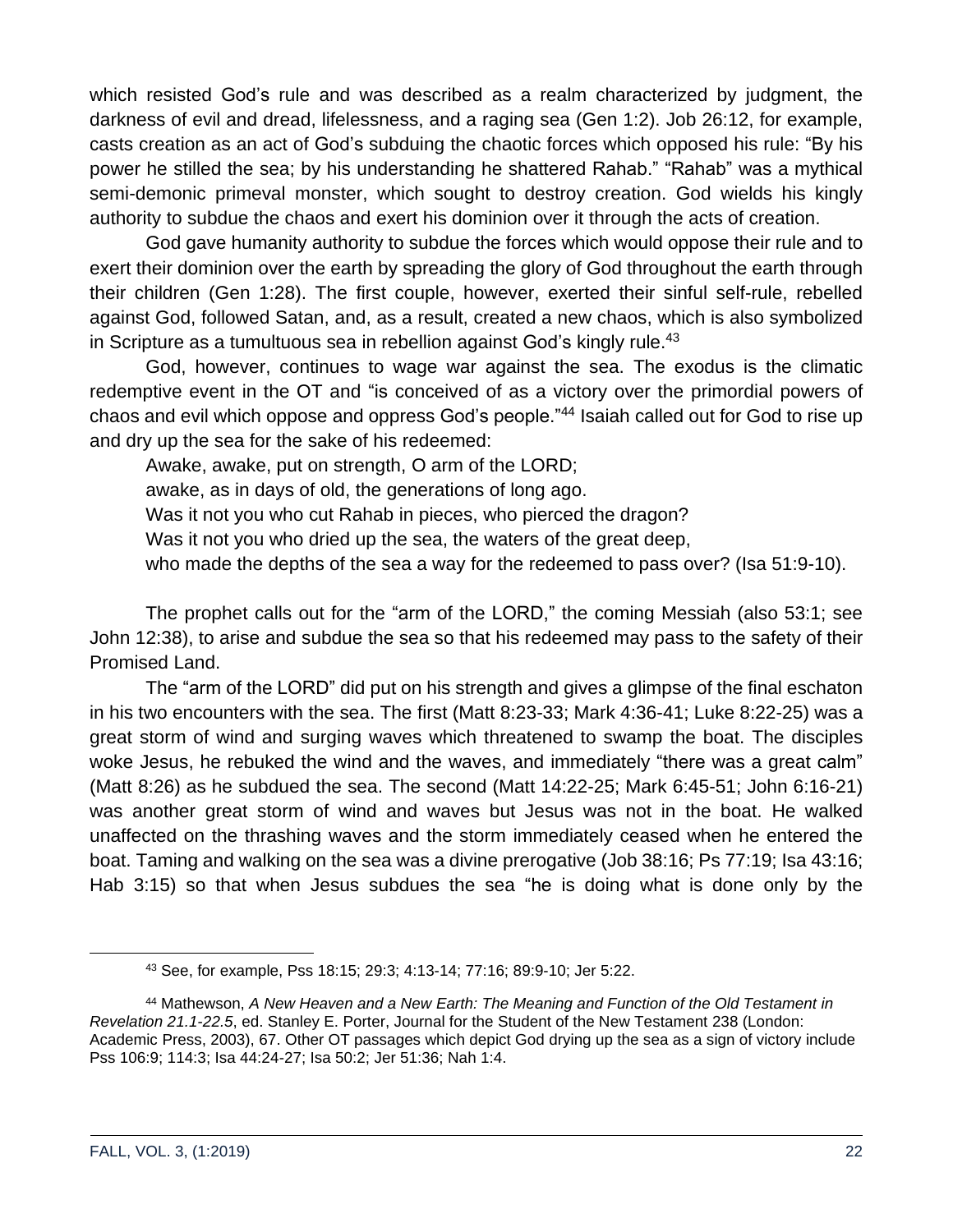which resisted God's rule and was described as a realm characterized by judgment, the darkness of evil and dread, lifelessness, and a raging sea (Gen 1:2). Job 26:12, for example, casts creation as an act of God's subduing the chaotic forces which opposed his rule: "By his power he stilled the sea; by his understanding he shattered Rahab." "Rahab" was a mythical semi-demonic primeval monster, which sought to destroy creation. God wields his kingly authority to subdue the chaos and exert his dominion over it through the acts of creation.

God gave humanity authority to subdue the forces which would oppose their rule and to exert their dominion over the earth by spreading the glory of God throughout the earth through their children (Gen 1:28). The first couple, however, exerted their sinful self-rule, rebelled against God, followed Satan, and, as a result, created a new chaos, which is also symbolized in Scripture as a tumultuous sea in rebellion against God's kingly rule.<sup>43</sup>

God, however, continues to wage war against the sea. The exodus is the climatic redemptive event in the OT and "is conceived of as a victory over the primordial powers of chaos and evil which oppose and oppress God's people."<sup>44</sup> Isaiah called out for God to rise up and dry up the sea for the sake of his redeemed:

Awake, awake, put on strength, O arm of the LORD;

awake, as in days of old, the generations of long ago.

Was it not you who cut Rahab in pieces, who pierced the dragon?

Was it not you who dried up the sea, the waters of the great deep,

who made the depths of the sea a way for the redeemed to pass over? (Isa 51:9-10).

The prophet calls out for the "arm of the LORD," the coming Messiah (also 53:1; see John 12:38), to arise and subdue the sea so that his redeemed may pass to the safety of their Promised Land.

The "arm of the LORD" did put on his strength and gives a glimpse of the final eschaton in his two encounters with the sea. The first (Matt 8:23-33; Mark 4:36-41; Luke 8:22-25) was a great storm of wind and surging waves which threatened to swamp the boat. The disciples woke Jesus, he rebuked the wind and the waves, and immediately "there was a great calm" (Matt 8:26) as he subdued the sea. The second (Matt 14:22-25; Mark 6:45-51; John 6:16-21) was another great storm of wind and waves but Jesus was not in the boat. He walked unaffected on the thrashing waves and the storm immediately ceased when he entered the boat. Taming and walking on the sea was a divine prerogative (Job 38:16; Ps 77:19; Isa 43:16; Hab 3:15) so that when Jesus subdues the sea "he is doing what is done only by the

<sup>43</sup> See, for example, Pss 18:15; 29:3; 4:13-14; 77:16; 89:9-10; Jer 5:22.

<sup>44</sup> Mathewson, *A New Heaven and a New Earth: The Meaning and Function of the Old Testament in Revelation 21.1-22.5*, ed. Stanley E. Porter, Journal for the Student of the New Testament 238 (London: Academic Press, 2003), 67. Other OT passages which depict God drying up the sea as a sign of victory include Pss 106:9; 114:3; Isa 44:24-27; Isa 50:2; Jer 51:36; Nah 1:4.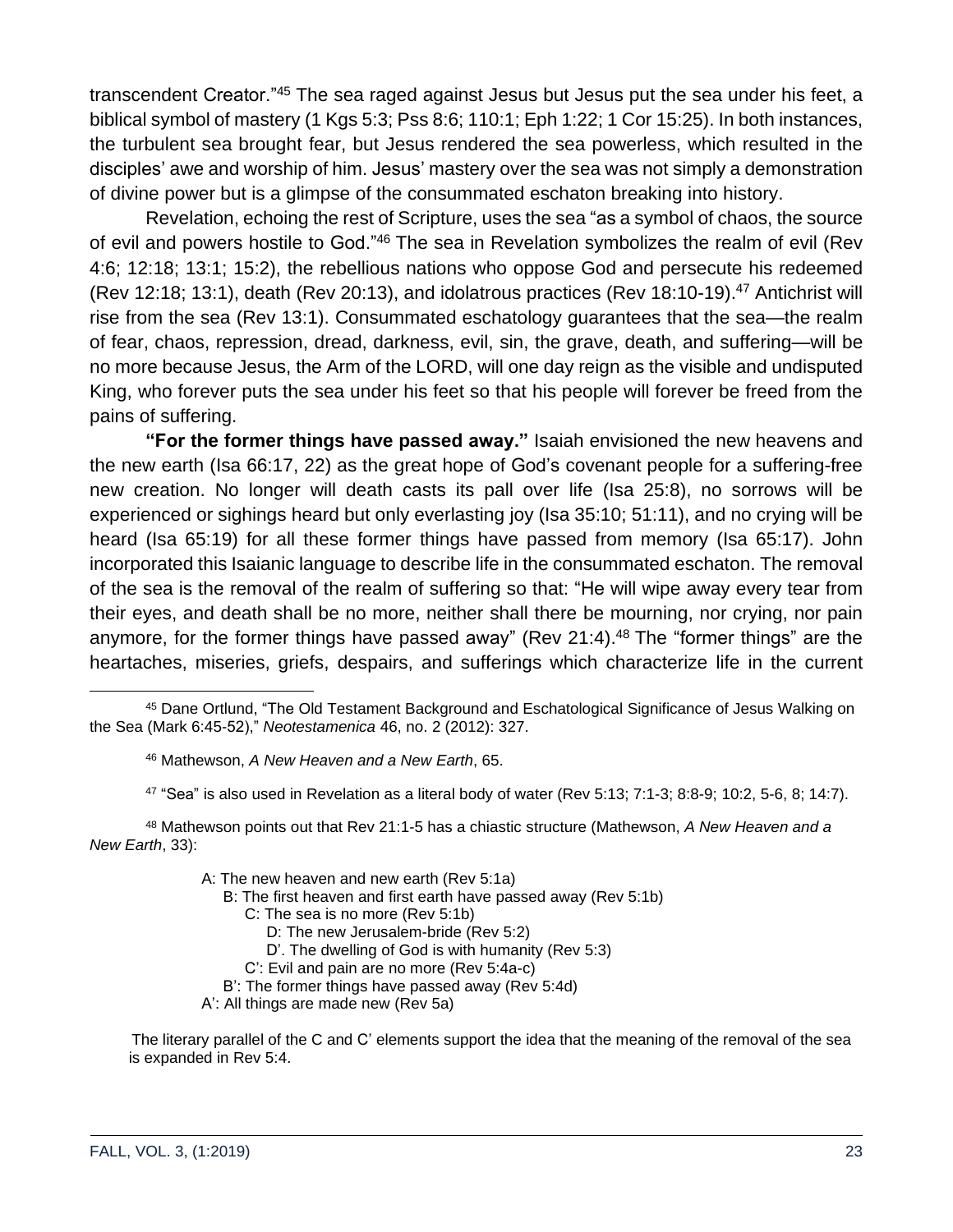transcendent Creator."<sup>45</sup> The sea raged against Jesus but Jesus put the sea under his feet, a biblical symbol of mastery (1 Kgs 5:3; Pss 8:6; 110:1; Eph 1:22; 1 Cor 15:25). In both instances, the turbulent sea brought fear, but Jesus rendered the sea powerless, which resulted in the disciples' awe and worship of him. Jesus' mastery over the sea was not simply a demonstration of divine power but is a glimpse of the consummated eschaton breaking into history.

Revelation, echoing the rest of Scripture, uses the sea "as a symbol of chaos, the source of evil and powers hostile to God."<sup>46</sup> The sea in Revelation symbolizes the realm of evil (Rev 4:6; 12:18; 13:1; 15:2), the rebellious nations who oppose God and persecute his redeemed (Rev 12:18; 13:1), death (Rev 20:13), and idolatrous practices (Rev 18:10-19).<sup>47</sup> Antichrist will rise from the sea (Rev 13:1). Consummated eschatology guarantees that the sea—the realm of fear, chaos, repression, dread, darkness, evil, sin, the grave, death, and suffering—will be no more because Jesus, the Arm of the LORD, will one day reign as the visible and undisputed King, who forever puts the sea under his feet so that his people will forever be freed from the pains of suffering.

**"For the former things have passed away."** Isaiah envisioned the new heavens and the new earth (Isa 66:17, 22) as the great hope of God's covenant people for a suffering-free new creation. No longer will death casts its pall over life (Isa 25:8), no sorrows will be experienced or sighings heard but only everlasting joy (Isa 35:10; 51:11), and no crying will be heard (Isa 65:19) for all these former things have passed from memory (Isa 65:17). John incorporated this Isaianic language to describe life in the consummated eschaton. The removal of the sea is the removal of the realm of suffering so that: "He will wipe away every tear from their eyes, and death shall be no more, neither shall there be mourning, nor crying, nor pain anymore, for the former things have passed away" (Rev 21:4).<sup>48</sup> The "former things" are the heartaches, miseries, griefs, despairs, and sufferings which characterize life in the current

<sup>48</sup> Mathewson points out that Rev 21:1-5 has a chiastic structure (Mathewson, *A New Heaven and a New Earth*, 33):

- A: The new heaven and new earth (Rev 5:1a)
	- B: The first heaven and first earth have passed away (Rev 5:1b)
		- C: The sea is no more (Rev 5:1b)
			- D: The new Jerusalem-bride (Rev 5:2)
			- D'. The dwelling of God is with humanity (Rev 5:3)
		- C': Evil and pain are no more (Rev 5:4a-c)
	- B': The former things have passed away (Rev 5:4d)
- A': All things are made new (Rev 5a)

The literary parallel of the C and C' elements support the idea that the meaning of the removal of the sea is expanded in Rev 5:4.

<sup>45</sup> Dane Ortlund, "The Old Testament Background and Eschatological Significance of Jesus Walking on the Sea (Mark 6:45-52)," *Neotestamenica* 46, no. 2 (2012): 327.

<sup>46</sup> Mathewson, *A New Heaven and a New Earth*, 65.

 $47$  "Sea" is also used in Revelation as a literal body of water (Rev 5:13; 7:1-3; 8:8-9; 10:2, 5-6, 8; 14:7).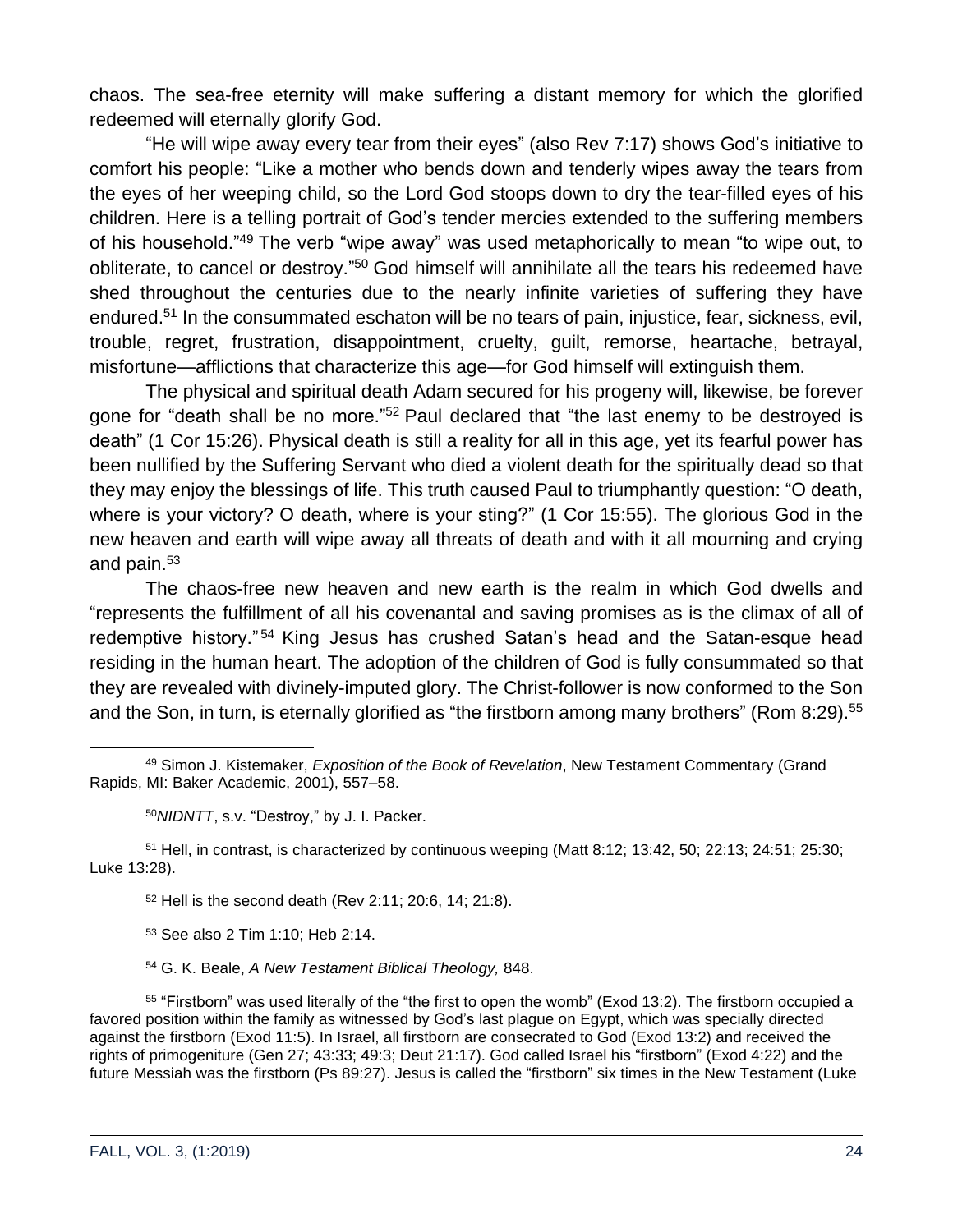chaos. The sea-free eternity will make suffering a distant memory for which the glorified redeemed will eternally glorify God.

"He will wipe away every tear from their eyes" (also Rev 7:17) shows God's initiative to comfort his people: "Like a mother who bends down and tenderly wipes away the tears from the eyes of her weeping child, so the Lord God stoops down to dry the tear-filled eyes of his children. Here is a telling portrait of God's tender mercies extended to the suffering members of his household."<sup>49</sup> The verb "wipe away" was used metaphorically to mean "to wipe out, to obliterate, to cancel or destroy."<sup>50</sup> God himself will annihilate all the tears his redeemed have shed throughout the centuries due to the nearly infinite varieties of suffering they have endured.<sup>51</sup> In the consummated eschaton will be no tears of pain, injustice, fear, sickness, evil, trouble, regret, frustration, disappointment, cruelty, guilt, remorse, heartache, betrayal, misfortune—afflictions that characterize this age—for God himself will extinguish them.

The physical and spiritual death Adam secured for his progeny will, likewise, be forever gone for "death shall be no more."<sup>52</sup> Paul declared that "the last enemy to be destroyed is death" (1 Cor 15:26). Physical death is still a reality for all in this age, yet its fearful power has been nullified by the Suffering Servant who died a violent death for the spiritually dead so that they may enjoy the blessings of life. This truth caused Paul to triumphantly question: "O death, where is your victory? O death, where is your sting?" (1 Cor 15:55). The glorious God in the new heaven and earth will wipe away all threats of death and with it all mourning and crying and pain.<sup>53</sup>

The chaos-free new heaven and new earth is the realm in which God dwells and "represents the fulfillment of all his covenantal and saving promises as is the climax of all of redemptive history."<sup>54</sup> King Jesus has crushed Satan's head and the Satan-esque head residing in the human heart. The adoption of the children of God is fully consummated so that they are revealed with divinely-imputed glory. The Christ-follower is now conformed to the Son and the Son, in turn, is eternally glorified as "the firstborn among many brothers" (Rom 8:29).<sup>55</sup>

<sup>50</sup>*NIDNTT*, s.v. "Destroy," by J. I. Packer.

<sup>51</sup> Hell, in contrast, is characterized by continuous weeping (Matt 8:12; 13:42, 50; 22:13; 24:51; 25:30; Luke 13:28).

<sup>52</sup> Hell is the second death (Rev 2:11; 20:6, 14; 21:8).

<sup>53</sup> See also 2 Tim 1:10; Heb 2:14.

<sup>54</sup> G. K. Beale, *A New Testament Biblical Theology,* 848.

<sup>55</sup> "Firstborn" was used literally of the "the first to open the womb" (Exod 13:2). The firstborn occupied a favored position within the family as witnessed by God's last plague on Egypt, which was specially directed against the firstborn (Exod 11:5). In Israel, all firstborn are consecrated to God (Exod 13:2) and received the rights of primogeniture (Gen 27; 43:33; 49:3; Deut 21:17). God called Israel his "firstborn" (Exod 4:22) and the future Messiah was the firstborn (Ps 89:27). Jesus is called the "firstborn" six times in the New Testament (Luke

<sup>49</sup> Simon J. Kistemaker, *Exposition of the Book of Revelation*, New Testament Commentary (Grand Rapids, MI: Baker Academic, 2001), 557–58.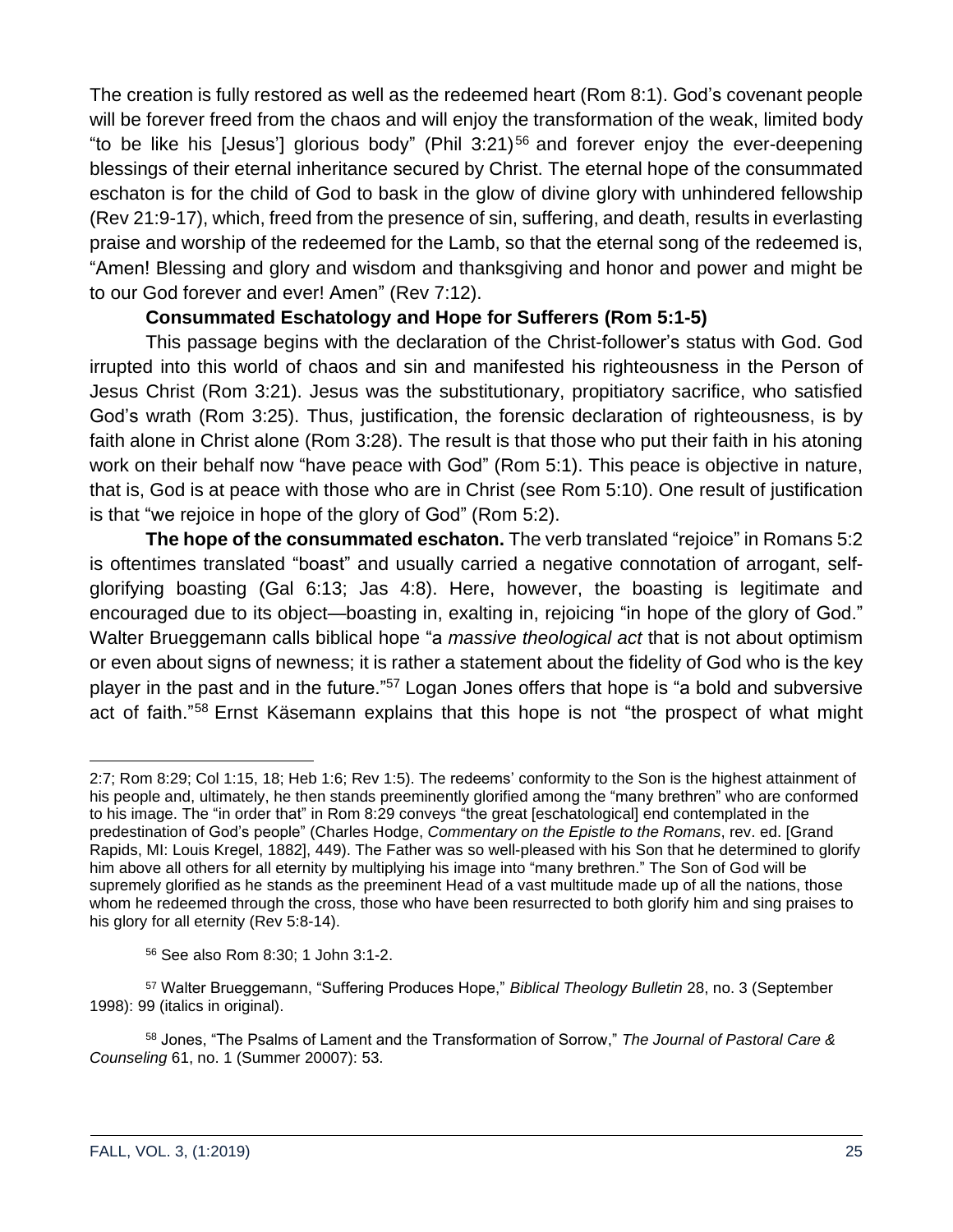The creation is fully restored as well as the redeemed heart (Rom 8:1). God's covenant people will be forever freed from the chaos and will enjoy the transformation of the weak, limited body "to be like his [Jesus'] glorious body" (Phil  $3:21$ )<sup>56</sup> and forever enjoy the ever-deepening blessings of their eternal inheritance secured by Christ. The eternal hope of the consummated eschaton is for the child of God to bask in the glow of divine glory with unhindered fellowship (Rev 21:9-17), which, freed from the presence of sin, suffering, and death, results in everlasting praise and worship of the redeemed for the Lamb, so that the eternal song of the redeemed is, "Amen! Blessing and glory and wisdom and thanksgiving and honor and power and might be to our God forever and ever! Amen" (Rev 7:12).

#### **Consummated Eschatology and Hope for Sufferers (Rom 5:1-5)**

This passage begins with the declaration of the Christ-follower's status with God. God irrupted into this world of chaos and sin and manifested his righteousness in the Person of Jesus Christ (Rom 3:21). Jesus was the substitutionary, propitiatory sacrifice, who satisfied God's wrath (Rom 3:25). Thus, justification, the forensic declaration of righteousness, is by faith alone in Christ alone (Rom 3:28). The result is that those who put their faith in his atoning work on their behalf now "have peace with God" (Rom 5:1). This peace is objective in nature, that is, God is at peace with those who are in Christ (see Rom 5:10). One result of justification is that "we rejoice in hope of the glory of God" (Rom 5:2).

**The hope of the consummated eschaton.** The verb translated "rejoice" in Romans 5:2 is oftentimes translated "boast" and usually carried a negative connotation of arrogant, selfglorifying boasting (Gal 6:13; Jas 4:8). Here, however, the boasting is legitimate and encouraged due to its object—boasting in, exalting in, rejoicing "in hope of the glory of God." Walter Brueggemann calls biblical hope "a *massive theological act* that is not about optimism or even about signs of newness; it is rather a statement about the fidelity of God who is the key player in the past and in the future."<sup>57</sup> Logan Jones offers that hope is "a bold and subversive act of faith."<sup>58</sup> Ernst Käsemann explains that this hope is not "the prospect of what might

<sup>2:7;</sup> Rom 8:29; Col 1:15, 18; Heb 1:6; Rev 1:5). The redeems' conformity to the Son is the highest attainment of his people and, ultimately, he then stands preeminently glorified among the "many brethren" who are conformed to his image. The "in order that" in Rom 8:29 conveys "the great [eschatological] end contemplated in the predestination of God's people" (Charles Hodge, *Commentary on the Epistle to the Romans*, rev. ed. [Grand Rapids, MI: Louis Kregel, 1882], 449). The Father was so well-pleased with his Son that he determined to glorify him above all others for all eternity by multiplying his image into "many brethren." The Son of God will be supremely glorified as he stands as the preeminent Head of a vast multitude made up of all the nations, those whom he redeemed through the cross, those who have been resurrected to both glorify him and sing praises to his glory for all eternity (Rev 5:8-14).

<sup>56</sup> See also Rom 8:30; 1 John 3:1-2.

<sup>57</sup> Walter Brueggemann, "Suffering Produces Hope," *Biblical Theology Bulletin* 28, no. 3 (September 1998): 99 (italics in original).

<sup>58</sup> Jones, "The Psalms of Lament and the Transformation of Sorrow," *The Journal of Pastoral Care & Counseling* 61, no. 1 (Summer 20007): 53.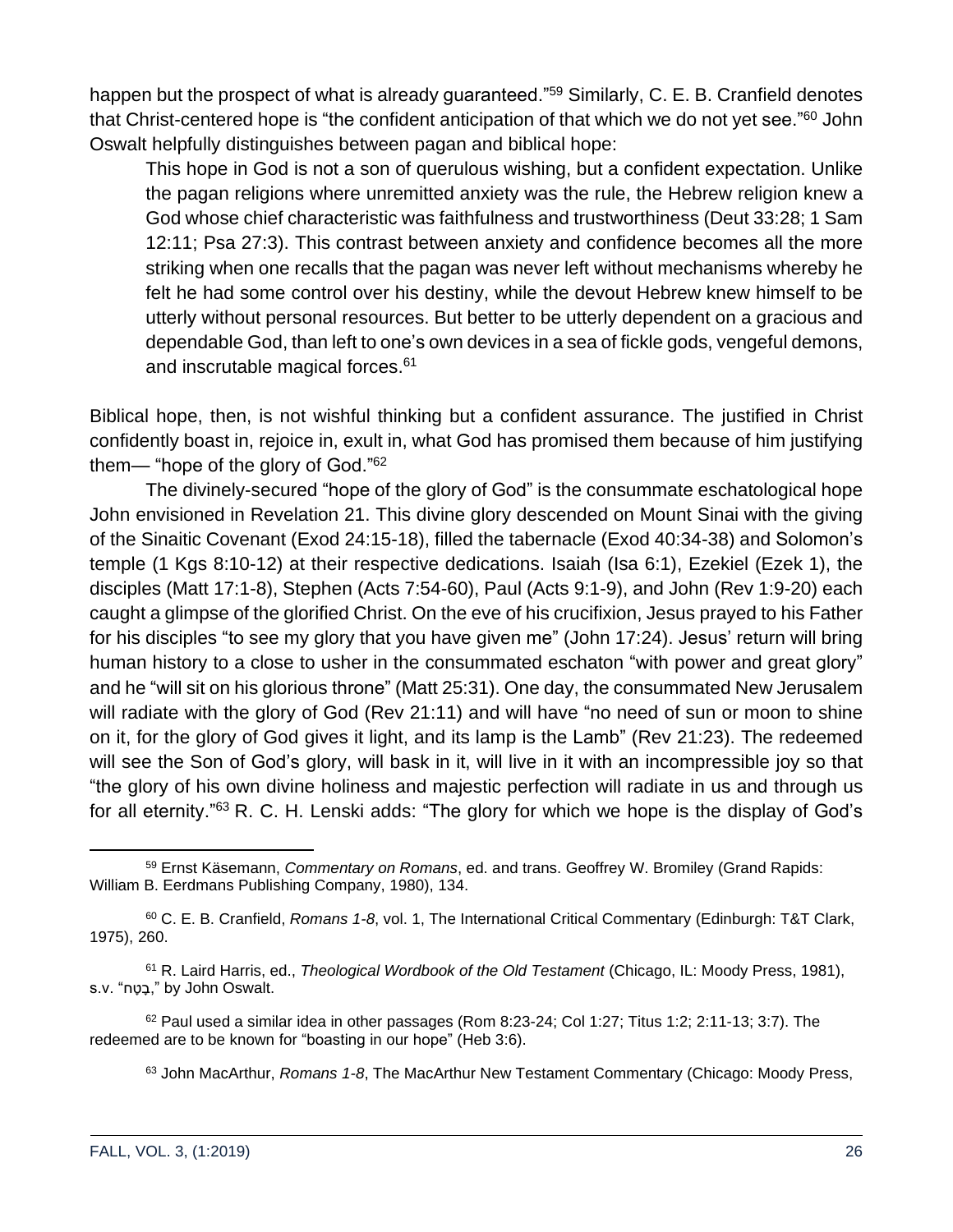happen but the prospect of what is already guaranteed."<sup>59</sup> Similarly, C. E. B. Cranfield denotes that Christ-centered hope is "the confident anticipation of that which we do not yet see."<sup>60</sup> John Oswalt helpfully distinguishes between pagan and biblical hope:

This hope in God is not a son of querulous wishing, but a confident expectation. Unlike the pagan religions where unremitted anxiety was the rule, the Hebrew religion knew a God whose chief characteristic was faithfulness and trustworthiness (Deut 33:28; 1 Sam 12:11; Psa 27:3). This contrast between anxiety and confidence becomes all the more striking when one recalls that the pagan was never left without mechanisms whereby he felt he had some control over his destiny, while the devout Hebrew knew himself to be utterly without personal resources. But better to be utterly dependent on a gracious and dependable God, than left to one's own devices in a sea of fickle gods, vengeful demons, and inscrutable magical forces.<sup>61</sup>

Biblical hope, then, is not wishful thinking but a confident assurance. The justified in Christ confidently boast in, rejoice in, exult in, what God has promised them because of him justifying them— "hope of the glory of God."<sup>62</sup>

The divinely-secured "hope of the glory of God" is the consummate eschatological hope John envisioned in Revelation 21. This divine glory descended on Mount Sinai with the giving of the Sinaitic Covenant (Exod 24:15-18), filled the tabernacle (Exod 40:34-38) and Solomon's temple (1 Kgs 8:10-12) at their respective dedications. Isaiah (Isa 6:1), Ezekiel (Ezek 1), the disciples (Matt 17:1-8), Stephen (Acts 7:54-60), Paul (Acts 9:1-9), and John (Rev 1:9-20) each caught a glimpse of the glorified Christ. On the eve of his crucifixion, Jesus prayed to his Father for his disciples "to see my glory that you have given me" (John 17:24). Jesus' return will bring human history to a close to usher in the consummated eschaton "with power and great glory" and he "will sit on his glorious throne" (Matt 25:31). One day, the consummated New Jerusalem will radiate with the glory of God (Rev 21:11) and will have "no need of sun or moon to shine on it, for the glory of God gives it light, and its lamp is the Lamb" (Rev 21:23). The redeemed will see the Son of God's glory, will bask in it, will live in it with an incompressible joy so that "the glory of his own divine holiness and majestic perfection will radiate in us and through us for all eternity."<sup>63</sup> R. C. H. Lenski adds: "The glory for which we hope is the display of God's

<sup>63</sup> John MacArthur, *Romans 1-8*, The MacArthur New Testament Commentary (Chicago: Moody Press,

<sup>59</sup> Ernst Käsemann, *Commentary on Romans*, ed. and trans. Geoffrey W. Bromiley (Grand Rapids: William B. Eerdmans Publishing Company, 1980), 134.

<sup>60</sup> C. E. B. Cranfield, *Romans 1-8*, vol. 1, The International Critical Commentary (Edinburgh: T&T Clark, 1975), 260.

<sup>61</sup> R. Laird Harris, ed., *Theological Wordbook of the Old Testament* (Chicago, IL: Moody Press, 1981), s.v. "בָּטָח." by John Oswalt.

 $62$  Paul used a similar idea in other passages (Rom 8:23-24; Col 1:27; Titus 1:2; 2:11-13; 3:7). The redeemed are to be known for "boasting in our hope" (Heb 3:6).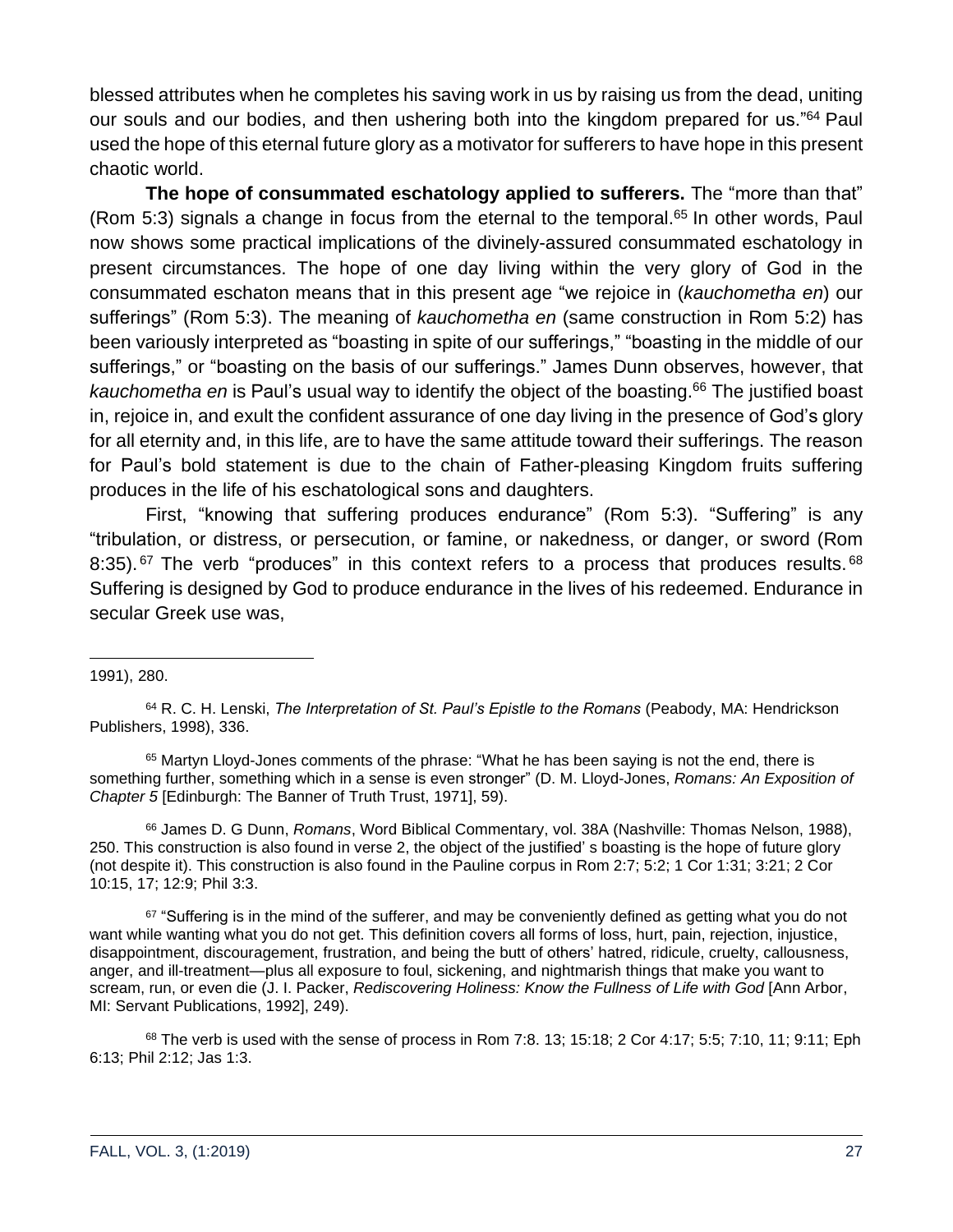blessed attributes when he completes his saving work in us by raising us from the dead, uniting our souls and our bodies, and then ushering both into the kingdom prepared for us."<sup>64</sup> Paul used the hope of this eternal future glory as a motivator for sufferers to have hope in this present chaotic world.

**The hope of consummated eschatology applied to sufferers.** The "more than that" (Rom 5:3) signals a change in focus from the eternal to the temporal.<sup>65</sup> In other words, Paul now shows some practical implications of the divinely-assured consummated eschatology in present circumstances. The hope of one day living within the very glory of God in the consummated eschaton means that in this present age "we rejoice in (*kauchometha en*) our sufferings" (Rom 5:3). The meaning of *kauchometha en* (same construction in Rom 5:2) has been variously interpreted as "boasting in spite of our sufferings," "boasting in the middle of our sufferings," or "boasting on the basis of our sufferings." James Dunn observes, however, that *kauchometha en* is Paul's usual way to identify the object of the boasting.<sup>66</sup> The justified boast in, rejoice in, and exult the confident assurance of one day living in the presence of God's glory for all eternity and, in this life, are to have the same attitude toward their sufferings. The reason for Paul's bold statement is due to the chain of Father-pleasing Kingdom fruits suffering produces in the life of his eschatological sons and daughters.

First, "knowing that suffering produces endurance" (Rom 5:3). "Suffering" is any "tribulation, or distress, or persecution, or famine, or nakedness, or danger, or sword (Rom 8:35).  $67$  The verb "produces" in this context refers to a process that produces results.  $68$ Suffering is designed by God to produce endurance in the lives of his redeemed. Endurance in secular Greek use was,

<sup>65</sup> Martyn Lloyd-Jones comments of the phrase: "What he has been saying is not the end, there is something further, something which in a sense is even stronger" (D. M. Lloyd-Jones, *Romans: An Exposition of Chapter 5* [Edinburgh: The Banner of Truth Trust, 1971], 59).

<sup>66</sup> James D. G Dunn, *Romans*, Word Biblical Commentary, vol. 38A (Nashville: Thomas Nelson, 1988), 250. This construction is also found in verse 2, the object of the justified' s boasting is the hope of future glory (not despite it). This construction is also found in the Pauline corpus in Rom 2:7; 5:2; 1 Cor 1:31; 3:21; 2 Cor 10:15, 17; 12:9; Phil 3:3.

 $67$  "Suffering is in the mind of the sufferer, and may be conveniently defined as getting what you do not want while wanting what you do not get. This definition covers all forms of loss, hurt, pain, rejection, injustice, disappointment, discouragement, frustration, and being the butt of others' hatred, ridicule, cruelty, callousness, anger, and ill-treatment—plus all exposure to foul, sickening, and nightmarish things that make you want to scream, run, or even die (J. I. Packer, *Rediscovering Holiness: Know the Fullness of Life with God* [Ann Arbor, MI: Servant Publications, 1992], 249).

 $68$  The verb is used with the sense of process in Rom 7:8. 13; 15:18; 2 Cor 4:17; 5:5; 7:10, 11; 9:11; Eph 6:13; Phil 2:12; Jas 1:3.

<sup>1991),</sup> 280.

<sup>64</sup> R. C. H. Lenski, *The Interpretation of St. Paul's Epistle to the Romans* (Peabody, MA: Hendrickson Publishers, 1998), 336.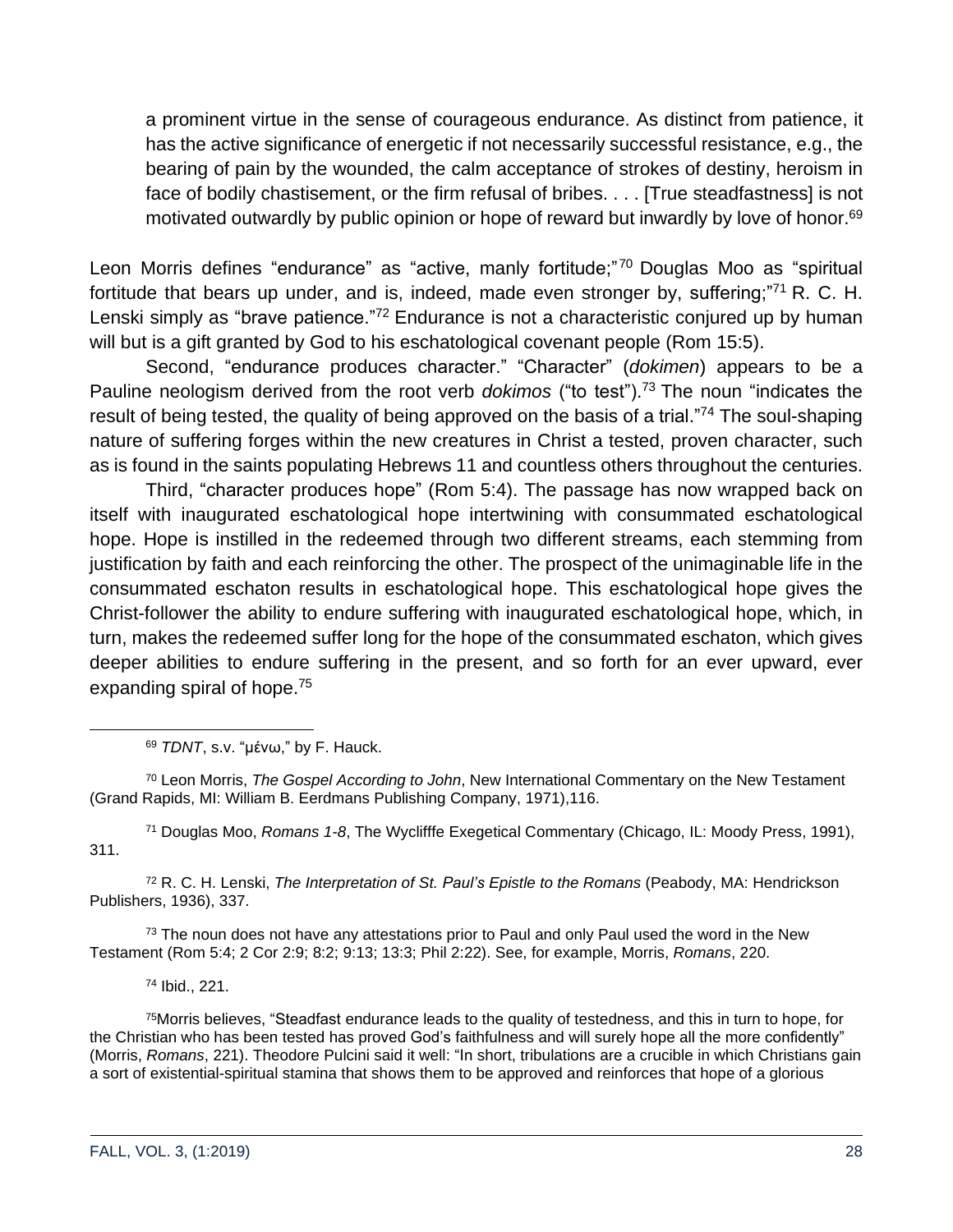a prominent virtue in the sense of courageous endurance. As distinct from patience, it has the active significance of energetic if not necessarily successful resistance, e.g., the bearing of pain by the wounded, the calm acceptance of strokes of destiny, heroism in face of bodily chastisement, or the firm refusal of bribes. . . . [True steadfastness] is not motivated outwardly by public opinion or hope of reward but inwardly by love of honor.<sup>69</sup>

Leon Morris defines "endurance" as "active, manly fortitude;"<sup>70</sup> Douglas Moo as "spiritual fortitude that bears up under, and is, indeed, made even stronger by, suffering; $"71$  R. C. H. Lenski simply as "brave patience."<sup>72</sup> Endurance is not a characteristic conjured up by human will but is a gift granted by God to his eschatological covenant people (Rom 15:5).

Second, "endurance produces character." "Character" (*dokimen*) appears to be a Pauline neologism derived from the root verb *dokimos* ("to test").<sup>73</sup> The noun "indicates the result of being tested, the quality of being approved on the basis of a trial."<sup>74</sup> The soul-shaping nature of suffering forges within the new creatures in Christ a tested, proven character, such as is found in the saints populating Hebrews 11 and countless others throughout the centuries.

Third, "character produces hope" (Rom 5:4). The passage has now wrapped back on itself with inaugurated eschatological hope intertwining with consummated eschatological hope. Hope is instilled in the redeemed through two different streams, each stemming from justification by faith and each reinforcing the other. The prospect of the unimaginable life in the consummated eschaton results in eschatological hope. This eschatological hope gives the Christ-follower the ability to endure suffering with inaugurated eschatological hope, which, in turn, makes the redeemed suffer long for the hope of the consummated eschaton, which gives deeper abilities to endure suffering in the present, and so forth for an ever upward, ever expanding spiral of hope.<sup>75</sup>

<sup>69</sup> *TDNT*, s.v. "μένω," by F. Hauck.

<sup>70</sup> Leon Morris, *The Gospel According to John*, New International Commentary on the New Testament (Grand Rapids, MI: William B. Eerdmans Publishing Company, 1971),116.

<sup>71</sup> Douglas Moo, *Romans 1-8*, The Wyclifffe Exegetical Commentary (Chicago, IL: Moody Press, 1991), 311.

<sup>72</sup> R. C. H. Lenski, *The Interpretation of St. Paul's Epistle to the Romans* (Peabody, MA: Hendrickson Publishers, 1936), 337.

 $73$  The noun does not have any attestations prior to Paul and only Paul used the word in the New Testament (Rom 5:4; 2 Cor 2:9; 8:2; 9:13; 13:3; Phil 2:22). See, for example, Morris, *Romans*, 220.

<sup>74</sup> Ibid., 221.

<sup>75</sup>Morris believes, "Steadfast endurance leads to the quality of testedness, and this in turn to hope, for the Christian who has been tested has proved God's faithfulness and will surely hope all the more confidently" (Morris, *Romans*, 221). Theodore Pulcini said it well: "In short, tribulations are a crucible in which Christians gain a sort of existential-spiritual stamina that shows them to be approved and reinforces that hope of a glorious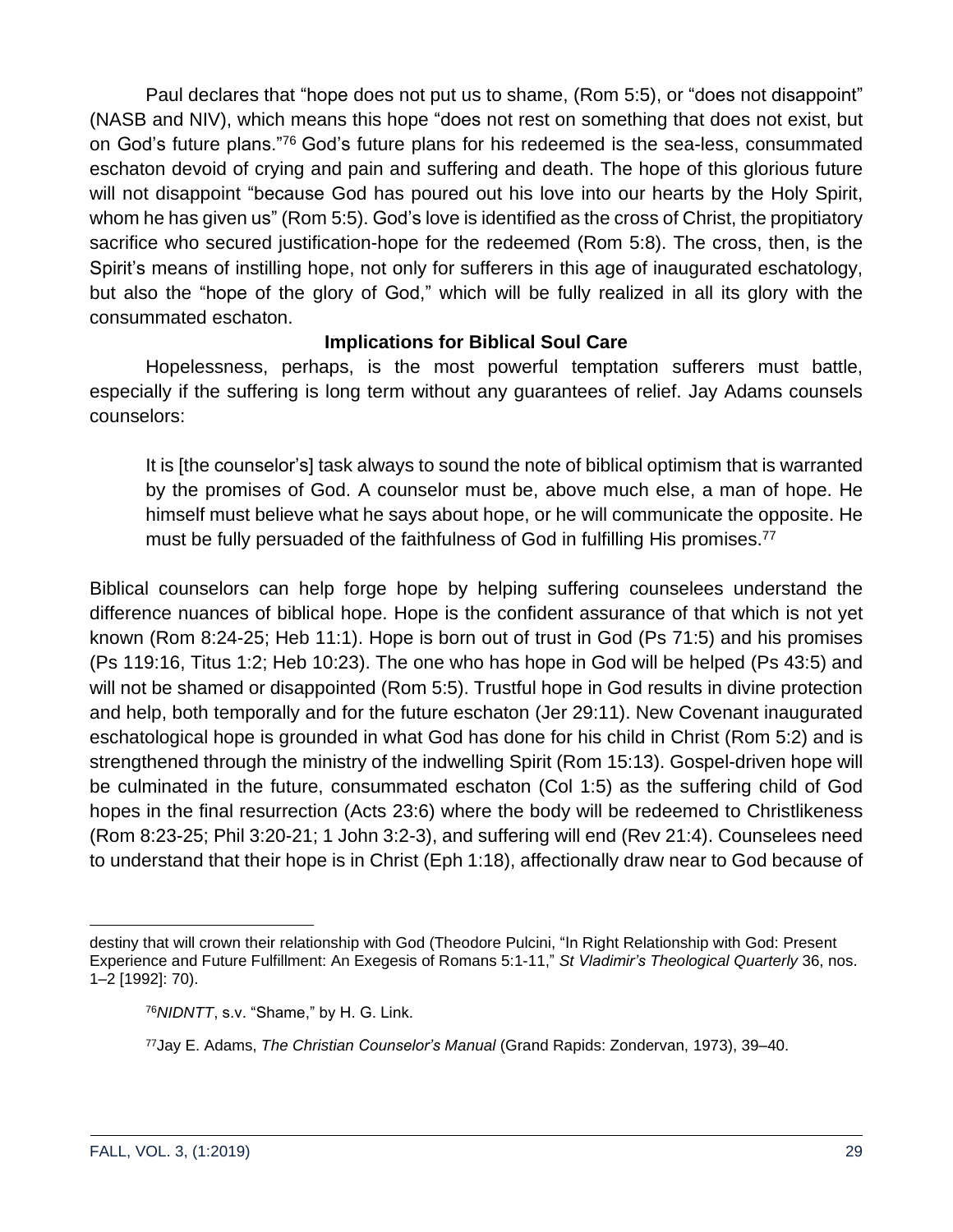Paul declares that "hope does not put us to shame, (Rom 5:5), or "does not disappoint" (NASB and NIV), which means this hope "does not rest on something that does not exist, but on God's future plans."<sup>76</sup> God's future plans for his redeemed is the sea-less, consummated eschaton devoid of crying and pain and suffering and death. The hope of this glorious future will not disappoint "because God has poured out his love into our hearts by the Holy Spirit, whom he has given us" (Rom 5:5). God's love is identified as the cross of Christ, the propitiatory sacrifice who secured justification-hope for the redeemed (Rom 5:8). The cross, then, is the Spirit's means of instilling hope, not only for sufferers in this age of inaugurated eschatology, but also the "hope of the glory of God," which will be fully realized in all its glory with the consummated eschaton.

#### **Implications for Biblical Soul Care**

Hopelessness, perhaps, is the most powerful temptation sufferers must battle, especially if the suffering is long term without any guarantees of relief. Jay Adams counsels counselors:

It is [the counselor's] task always to sound the note of biblical optimism that is warranted by the promises of God. A counselor must be, above much else, a man of hope. He himself must believe what he says about hope, or he will communicate the opposite. He must be fully persuaded of the faithfulness of God in fulfilling His promises.<sup>77</sup>

Biblical counselors can help forge hope by helping suffering counselees understand the difference nuances of biblical hope. Hope is the confident assurance of that which is not yet known (Rom 8:24-25; Heb 11:1). Hope is born out of trust in God (Ps 71:5) and his promises (Ps 119:16, Titus 1:2; Heb 10:23). The one who has hope in God will be helped (Ps 43:5) and will not be shamed or disappointed (Rom 5:5). Trustful hope in God results in divine protection and help, both temporally and for the future eschaton (Jer 29:11). New Covenant inaugurated eschatological hope is grounded in what God has done for his child in Christ (Rom 5:2) and is strengthened through the ministry of the indwelling Spirit (Rom 15:13). Gospel-driven hope will be culminated in the future, consummated eschaton (Col 1:5) as the suffering child of God hopes in the final resurrection (Acts 23:6) where the body will be redeemed to Christlikeness (Rom 8:23-25; Phil 3:20-21; 1 John 3:2-3), and suffering will end (Rev 21:4). Counselees need to understand that their hope is in Christ (Eph 1:18), affectionally draw near to God because of

destiny that will crown their relationship with God (Theodore Pulcini, "In Right Relationship with God: Present Experience and Future Fulfillment: An Exegesis of Romans 5:1-11," *St Vladimir's Theological Quarterly* 36, nos. 1–2 [1992]: 70).

<sup>76</sup>*NIDNTT*, s.v. "Shame," by H. G. Link.

<sup>77</sup>Jay E. Adams, *The Christian Counselor's Manual* (Grand Rapids: Zondervan, 1973), 39–40.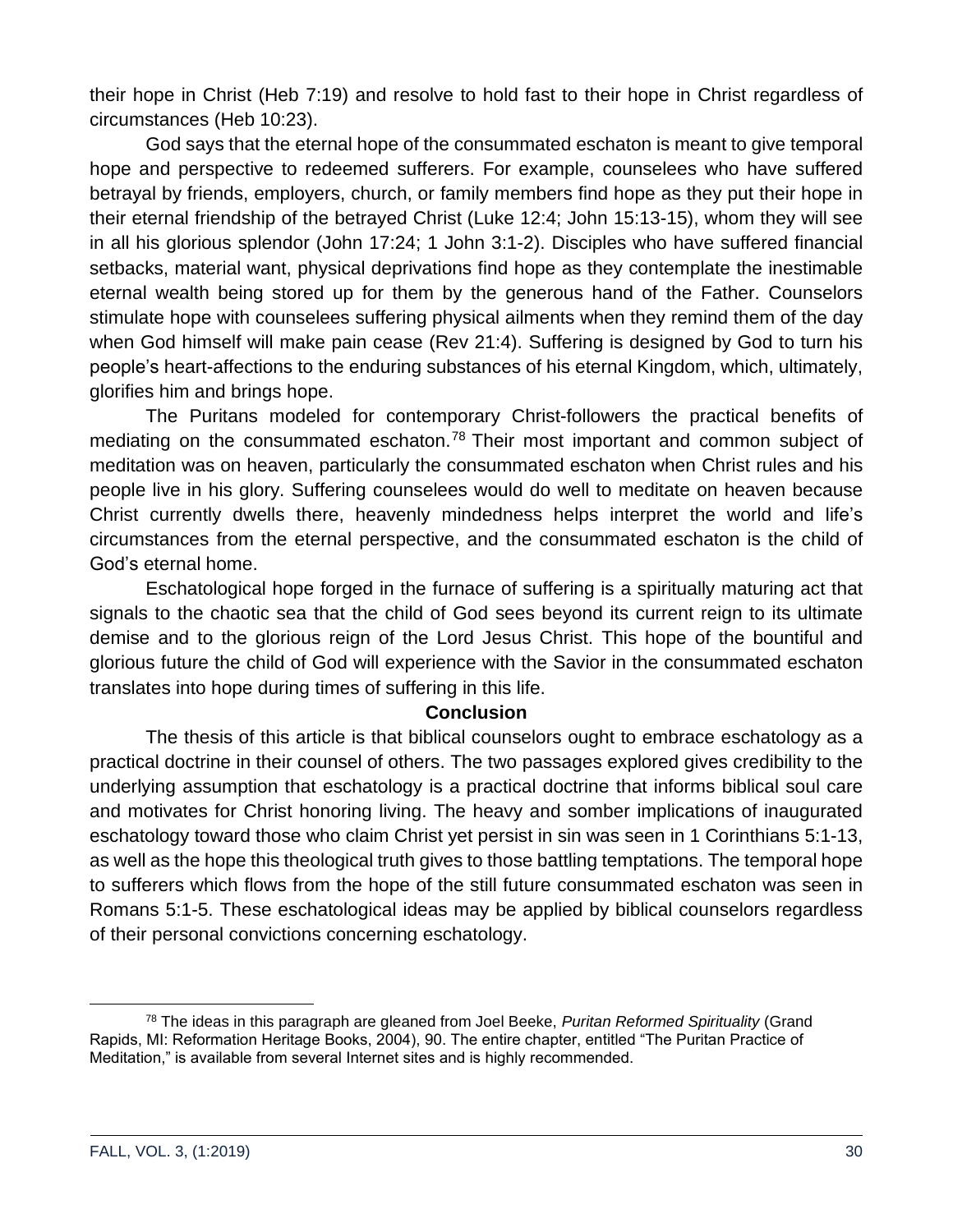their hope in Christ (Heb 7:19) and resolve to hold fast to their hope in Christ regardless of circumstances (Heb 10:23).

God says that the eternal hope of the consummated eschaton is meant to give temporal hope and perspective to redeemed sufferers. For example, counselees who have suffered betrayal by friends, employers, church, or family members find hope as they put their hope in their eternal friendship of the betrayed Christ (Luke 12:4; John 15:13-15), whom they will see in all his glorious splendor (John 17:24; 1 John 3:1-2). Disciples who have suffered financial setbacks, material want, physical deprivations find hope as they contemplate the inestimable eternal wealth being stored up for them by the generous hand of the Father. Counselors stimulate hope with counselees suffering physical ailments when they remind them of the day when God himself will make pain cease (Rev 21:4). Suffering is designed by God to turn his people's heart-affections to the enduring substances of his eternal Kingdom, which, ultimately, glorifies him and brings hope.

The Puritans modeled for contemporary Christ-followers the practical benefits of mediating on the consummated eschaton.<sup>78</sup> Their most important and common subject of meditation was on heaven, particularly the consummated eschaton when Christ rules and his people live in his glory. Suffering counselees would do well to meditate on heaven because Christ currently dwells there, heavenly mindedness helps interpret the world and life's circumstances from the eternal perspective, and the consummated eschaton is the child of God's eternal home.

Eschatological hope forged in the furnace of suffering is a spiritually maturing act that signals to the chaotic sea that the child of God sees beyond its current reign to its ultimate demise and to the glorious reign of the Lord Jesus Christ. This hope of the bountiful and glorious future the child of God will experience with the Savior in the consummated eschaton translates into hope during times of suffering in this life.

#### **Conclusion**

The thesis of this article is that biblical counselors ought to embrace eschatology as a practical doctrine in their counsel of others. The two passages explored gives credibility to the underlying assumption that eschatology is a practical doctrine that informs biblical soul care and motivates for Christ honoring living. The heavy and somber implications of inaugurated eschatology toward those who claim Christ yet persist in sin was seen in 1 Corinthians 5:1-13, as well as the hope this theological truth gives to those battling temptations. The temporal hope to sufferers which flows from the hope of the still future consummated eschaton was seen in Romans 5:1-5. These eschatological ideas may be applied by biblical counselors regardless of their personal convictions concerning eschatology.

<sup>78</sup> The ideas in this paragraph are gleaned from Joel Beeke, *Puritan Reformed Spirituality* (Grand Rapids, MI: Reformation Heritage Books, 2004), 90. The entire chapter, entitled "The Puritan Practice of Meditation," is available from several Internet sites and is highly recommended.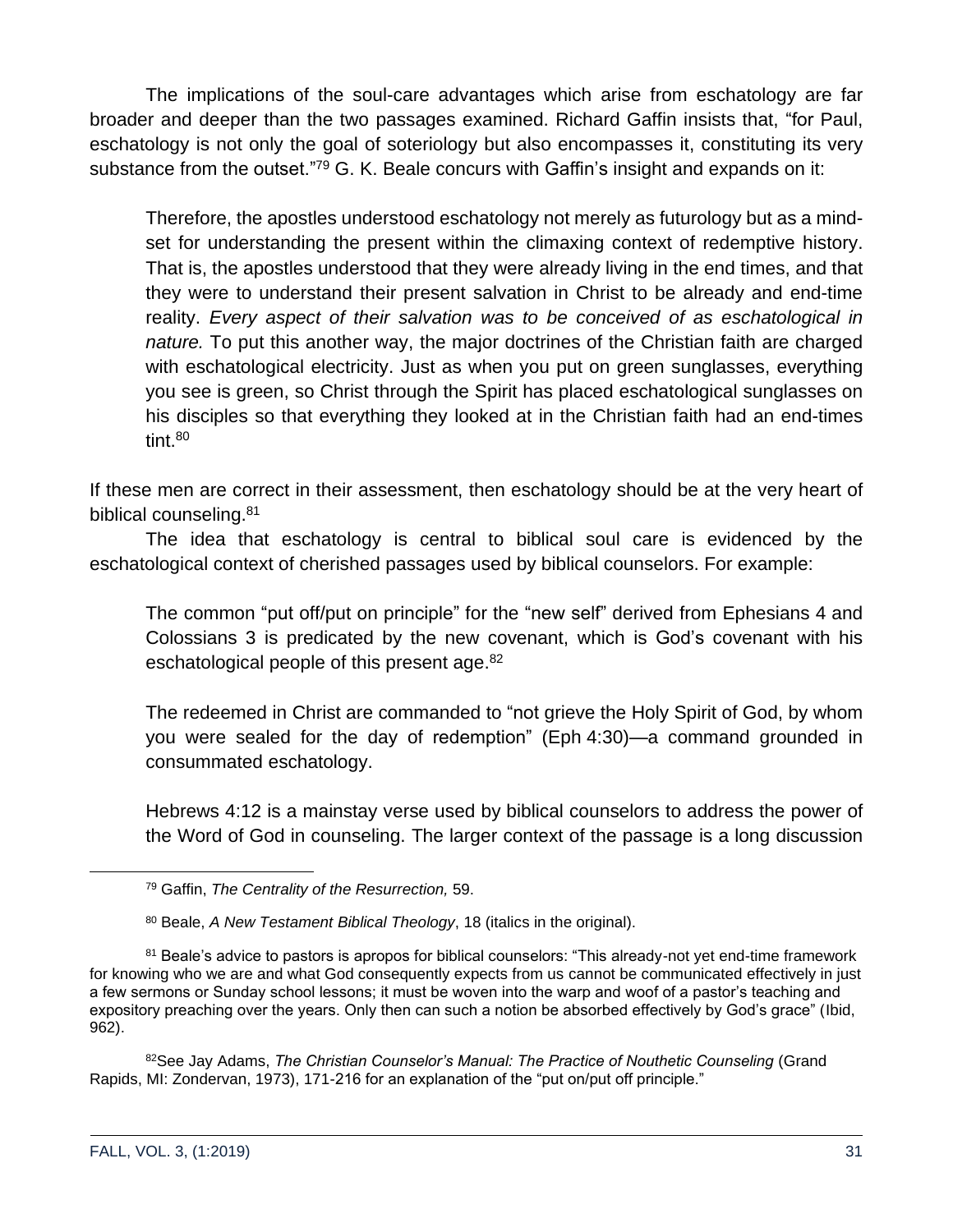The implications of the soul-care advantages which arise from eschatology are far broader and deeper than the two passages examined. Richard Gaffin insists that, "for Paul, eschatology is not only the goal of soteriology but also encompasses it, constituting its very substance from the outset."<sup>79</sup> G. K. Beale concurs with Gaffin's insight and expands on it:

Therefore, the apostles understood eschatology not merely as futurology but as a mindset for understanding the present within the climaxing context of redemptive history. That is, the apostles understood that they were already living in the end times, and that they were to understand their present salvation in Christ to be already and end-time reality. *Every aspect of their salvation was to be conceived of as eschatological in nature.* To put this another way, the major doctrines of the Christian faith are charged with eschatological electricity. Just as when you put on green sunglasses, everything you see is green, so Christ through the Spirit has placed eschatological sunglasses on his disciples so that everything they looked at in the Christian faith had an end-times tint.<sup>80</sup>

If these men are correct in their assessment, then eschatology should be at the very heart of biblical counseling.<sup>81</sup>

The idea that eschatology is central to biblical soul care is evidenced by the eschatological context of cherished passages used by biblical counselors. For example:

The common "put off/put on principle" for the "new self" derived from Ephesians 4 and Colossians 3 is predicated by the new covenant, which is God's covenant with his eschatological people of this present age.<sup>82</sup>

The redeemed in Christ are commanded to "not grieve the Holy Spirit of God, by whom you were sealed for the day of redemption" (Eph 4:30)—a command grounded in consummated eschatology.

Hebrews 4:12 is a mainstay verse used by biblical counselors to address the power of the Word of God in counseling. The larger context of the passage is a long discussion

82See Jay Adams, *The Christian Counselor's Manual: The Practice of Nouthetic Counseling* (Grand Rapids, MI: Zondervan, 1973), 171-216 for an explanation of the "put on/put off principle."

<sup>79</sup> Gaffin, *The Centrality of the Resurrection,* 59.

<sup>80</sup> Beale, *A New Testament Biblical Theology*, 18 (italics in the original).

<sup>&</sup>lt;sup>81</sup> Beale's advice to pastors is apropos for biblical counselors: "This already-not yet end-time framework for knowing who we are and what God consequently expects from us cannot be communicated effectively in just a few sermons or Sunday school lessons; it must be woven into the warp and woof of a pastor's teaching and expository preaching over the years. Only then can such a notion be absorbed effectively by God's grace" (Ibid, 962).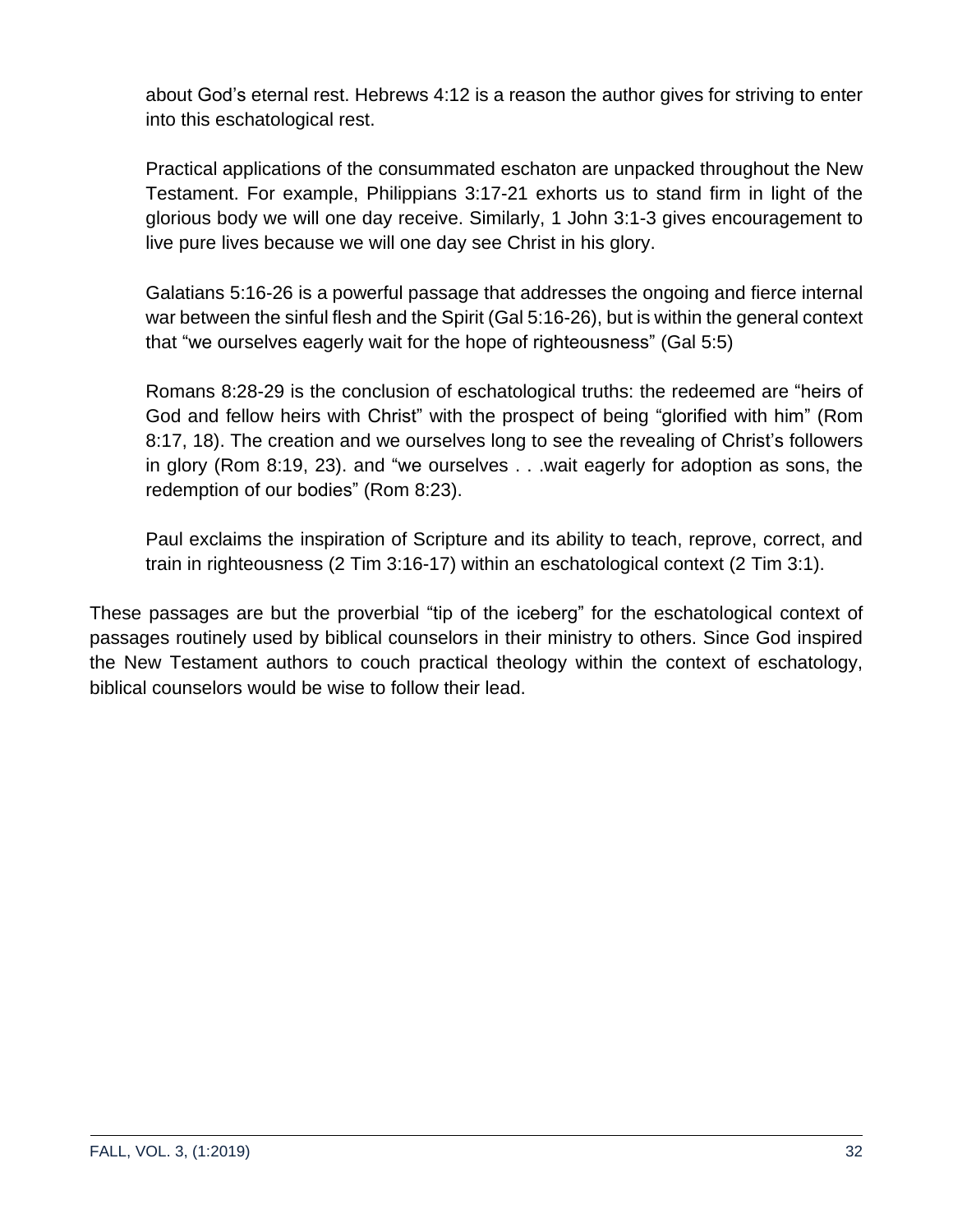about God's eternal rest. Hebrews 4:12 is a reason the author gives for striving to enter into this eschatological rest.

Practical applications of the consummated eschaton are unpacked throughout the New Testament. For example, Philippians 3:17-21 exhorts us to stand firm in light of the glorious body we will one day receive. Similarly, 1 John 3:1-3 gives encouragement to live pure lives because we will one day see Christ in his glory.

Galatians 5:16-26 is a powerful passage that addresses the ongoing and fierce internal war between the sinful flesh and the Spirit (Gal 5:16-26), but is within the general context that "we ourselves eagerly wait for the hope of righteousness" (Gal 5:5)

Romans 8:28-29 is the conclusion of eschatological truths: the redeemed are "heirs of God and fellow heirs with Christ" with the prospect of being "glorified with him" (Rom 8:17, 18). The creation and we ourselves long to see the revealing of Christ's followers in glory (Rom 8:19, 23). and "we ourselves . . .wait eagerly for adoption as sons, the redemption of our bodies" (Rom 8:23).

Paul exclaims the inspiration of Scripture and its ability to teach, reprove, correct, and train in righteousness (2 Tim 3:16-17) within an eschatological context (2 Tim 3:1).

These passages are but the proverbial "tip of the iceberg" for the eschatological context of passages routinely used by biblical counselors in their ministry to others. Since God inspired the New Testament authors to couch practical theology within the context of eschatology, biblical counselors would be wise to follow their lead.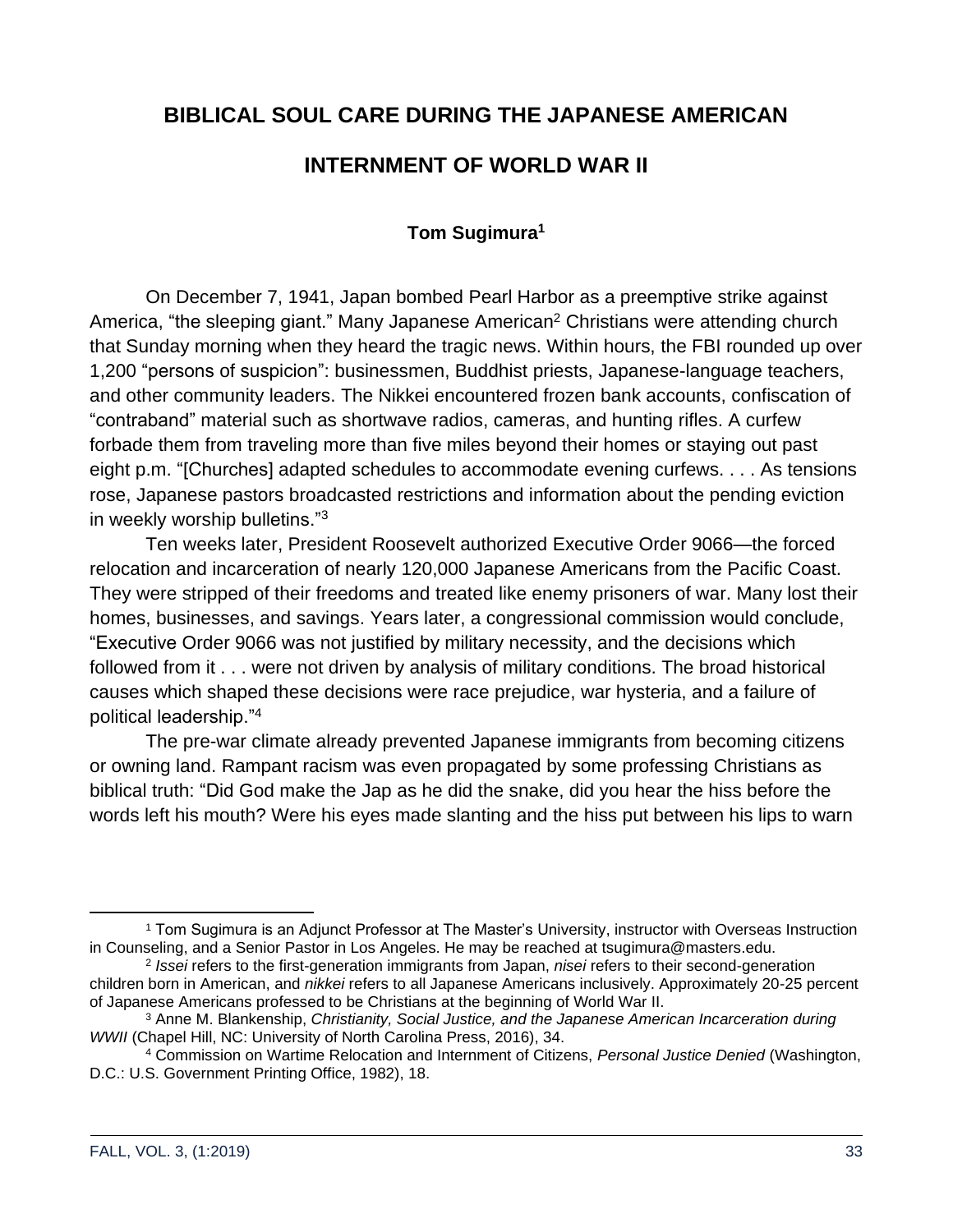## <span id="page-32-0"></span>**BIBLICAL SOUL CARE DURING THE JAPANESE AMERICAN**

#### **INTERNMENT OF WORLD WAR II**

#### **Tom Sugimura<sup>1</sup>**

<span id="page-32-1"></span>On December 7, 1941, Japan bombed Pearl Harbor as a preemptive strike against America, "the sleeping giant." Many Japanese American<sup>2</sup> Christians were attending church that Sunday morning when they heard the tragic news. Within hours, the FBI rounded up over 1,200 "persons of suspicion": businessmen, Buddhist priests, Japanese-language teachers, and other community leaders. The Nikkei encountered frozen bank accounts, confiscation of "contraband" material such as shortwave radios, cameras, and hunting rifles. A curfew forbade them from traveling more than five miles beyond their homes or staying out past eight p.m. "[Churches] adapted schedules to accommodate evening curfews. . . . As tensions rose, Japanese pastors broadcasted restrictions and information about the pending eviction in weekly worship bulletins."<sup>3</sup>

Ten weeks later, President Roosevelt authorized Executive Order 9066—the forced relocation and incarceration of nearly 120,000 Japanese Americans from the Pacific Coast. They were stripped of their freedoms and treated like enemy prisoners of war. Many lost their homes, businesses, and savings. Years later, a congressional commission would conclude, "Executive Order 9066 was not justified by military necessity, and the decisions which followed from it . . . were not driven by analysis of military conditions. The broad historical causes which shaped these decisions were race prejudice, war hysteria, and a failure of political leadership."<sup>4</sup>

The pre-war climate already prevented Japanese immigrants from becoming citizens or owning land. Rampant racism was even propagated by some professing Christians as biblical truth: "Did God make the Jap as he did the snake, did you hear the hiss before the words left his mouth? Were his eyes made slanting and the hiss put between his lips to warn

<sup>1</sup> Tom Sugimura is an Adjunct Professor at The Master's University, instructor with Overseas Instruction in Counseling, and a Senior Pastor in Los Angeles. He may be reached at tsugimura@masters.edu.

<sup>2</sup> *Issei* refers to the first-generation immigrants from Japan, *nisei* refers to their second-generation children born in American, and *nikkei* refers to all Japanese Americans inclusively. Approximately 20-25 percent of Japanese Americans professed to be Christians at the beginning of World War II.

<sup>3</sup> Anne M. Blankenship, *Christianity, Social Justice, and the Japanese American Incarceration during WWII* (Chapel Hill, NC: University of North Carolina Press, 2016), 34.

<sup>4</sup> Commission on Wartime Relocation and Internment of Citizens, *Personal Justice Denied* (Washington, D.C.: U.S. Government Printing Office, 1982), 18.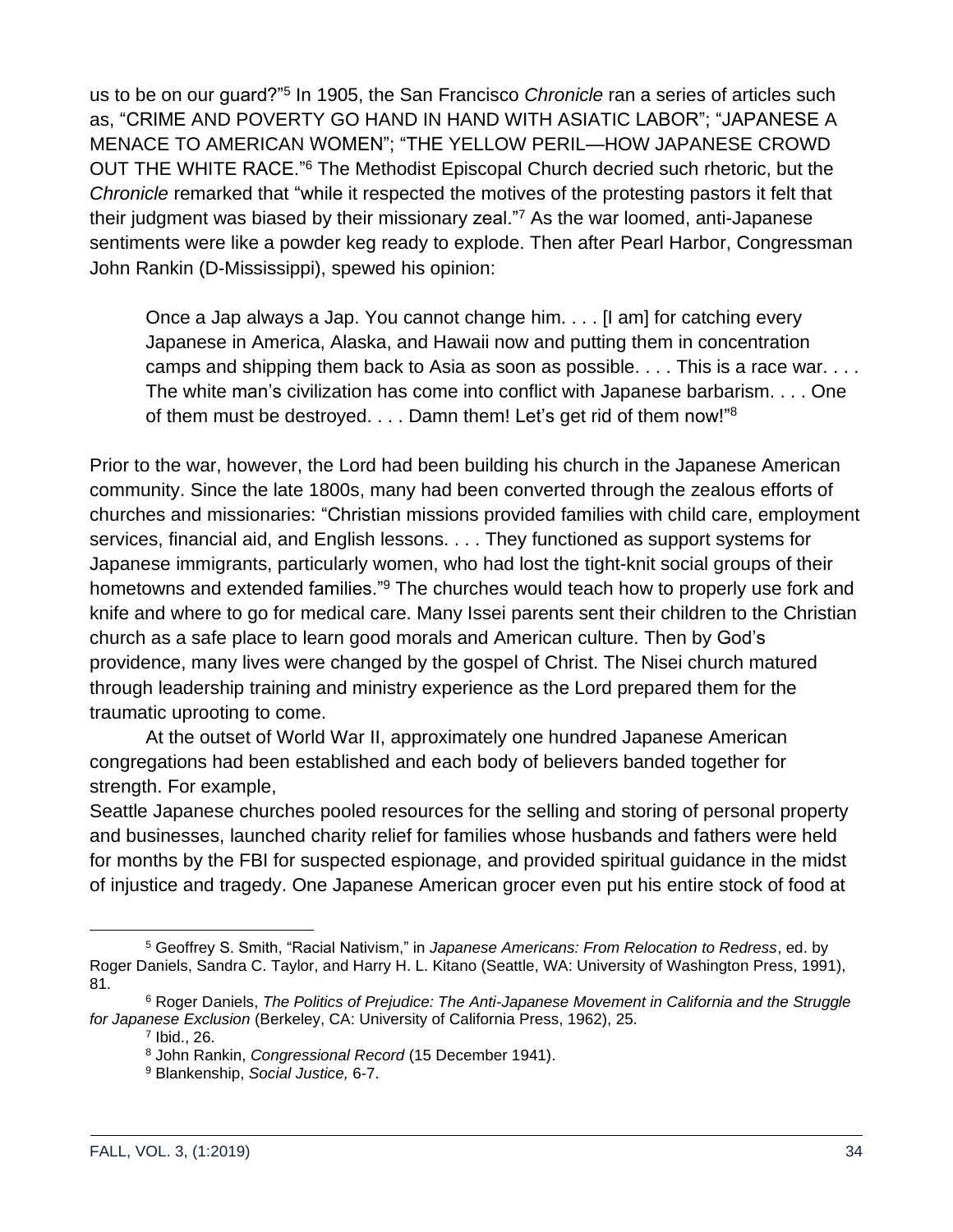us to be on our guard?"<sup>5</sup> In 1905, the San Francisco *Chronicle* ran a series of articles such as, "CRIME AND POVERTY GO HAND IN HAND WITH ASIATIC LABOR"; "JAPANESE A MENACE TO AMERICAN WOMEN"; "THE YELLOW PERIL—HOW JAPANESE CROWD OUT THE WHITE RACE."<sup>6</sup> The Methodist Episcopal Church decried such rhetoric, but the *Chronicle* remarked that "while it respected the motives of the protesting pastors it felt that their judgment was biased by their missionary zeal."<sup>7</sup> As the war loomed, anti-Japanese sentiments were like a powder keg ready to explode. Then after Pearl Harbor, Congressman John Rankin (D-Mississippi), spewed his opinion:

Once a Jap always a Jap. You cannot change him. . . . [I am] for catching every Japanese in America, Alaska, and Hawaii now and putting them in concentration camps and shipping them back to Asia as soon as possible. . . . This is a race war. . . . The white man's civilization has come into conflict with Japanese barbarism. . . . One of them must be destroyed. . . . Damn them! Let's get rid of them now!"<sup>8</sup>

Prior to the war, however, the Lord had been building his church in the Japanese American community. Since the late 1800s, many had been converted through the zealous efforts of churches and missionaries: "Christian missions provided families with child care, employment services, financial aid, and English lessons. . . . They functioned as support systems for Japanese immigrants, particularly women, who had lost the tight-knit social groups of their hometowns and extended families."<sup>9</sup> The churches would teach how to properly use fork and knife and where to go for medical care. Many Issei parents sent their children to the Christian church as a safe place to learn good morals and American culture. Then by God's providence, many lives were changed by the gospel of Christ. The Nisei church matured through leadership training and ministry experience as the Lord prepared them for the traumatic uprooting to come.

At the outset of World War II, approximately one hundred Japanese American congregations had been established and each body of believers banded together for strength. For example,

Seattle Japanese churches pooled resources for the selling and storing of personal property and businesses, launched charity relief for families whose husbands and fathers were held for months by the FBI for suspected espionage, and provided spiritual guidance in the midst of injustice and tragedy. One Japanese American grocer even put his entire stock of food at

<sup>5</sup> Geoffrey S. Smith, "Racial Nativism," in *Japanese Americans: From Relocation to Redress*, ed. by Roger Daniels, Sandra C. Taylor, and Harry H. L. Kitano (Seattle, WA: University of Washington Press, 1991), 81.

<sup>6</sup> Roger Daniels, *The Politics of Prejudice: The Anti-Japanese Movement in California and the Struggle for Japanese Exclusion* (Berkeley, CA: University of California Press, 1962), 25.

<sup>7</sup> Ibid., 26.

<sup>8</sup> John Rankin, *Congressional Record* (15 December 1941).

<sup>9</sup> Blankenship, *Social Justice,* 6-7.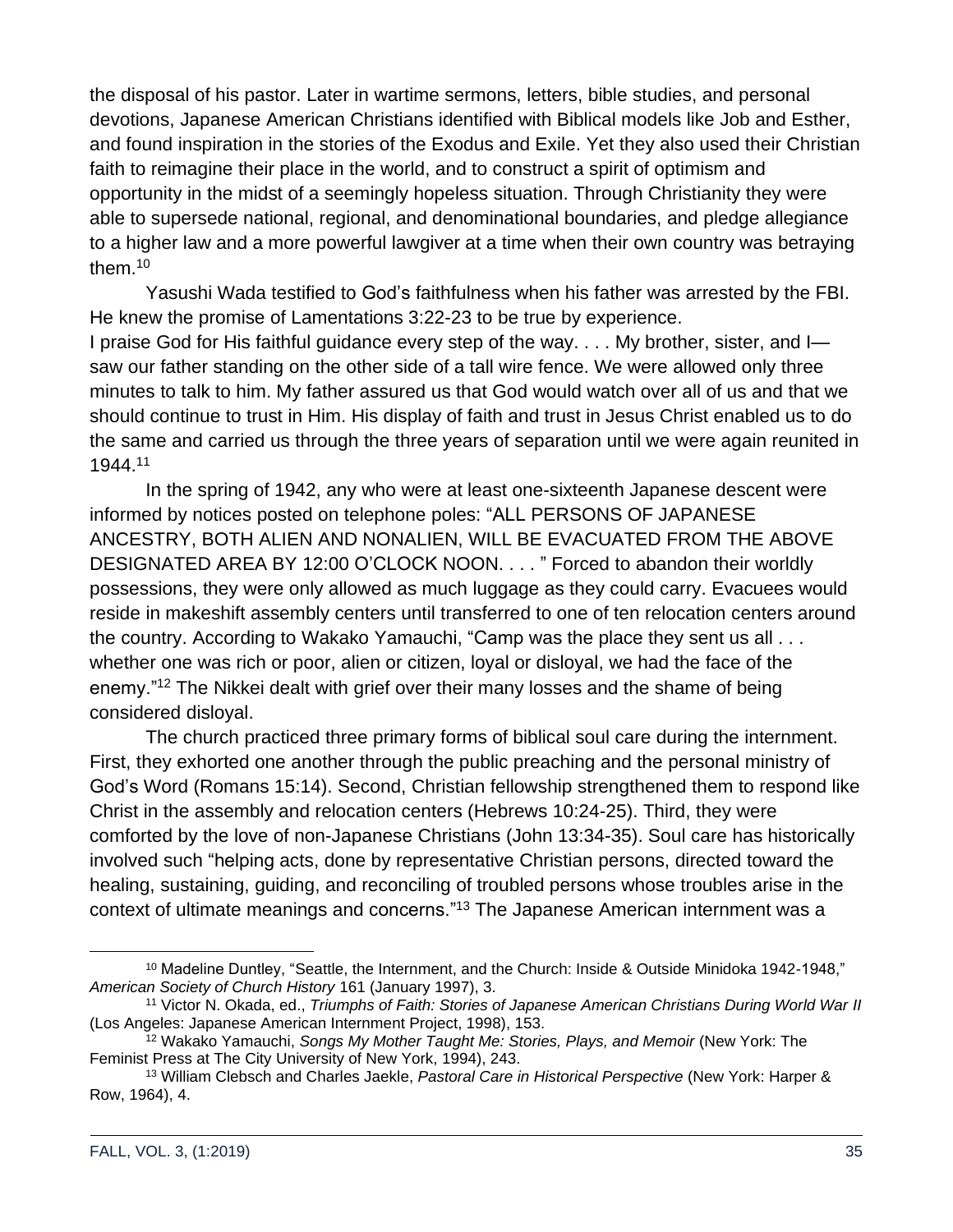the disposal of his pastor. Later in wartime sermons, letters, bible studies, and personal devotions, Japanese American Christians identified with Biblical models like Job and Esther, and found inspiration in the stories of the Exodus and Exile. Yet they also used their Christian faith to reimagine their place in the world, and to construct a spirit of optimism and opportunity in the midst of a seemingly hopeless situation. Through Christianity they were able to supersede national, regional, and denominational boundaries, and pledge allegiance to a higher law and a more powerful lawgiver at a time when their own country was betraying them.<sup>10</sup>

Yasushi Wada testified to God's faithfulness when his father was arrested by the FBI. He knew the promise of Lamentations 3:22-23 to be true by experience. I praise God for His faithful guidance every step of the way. . . . My brother, sister, and I—

saw our father standing on the other side of a tall wire fence. We were allowed only three minutes to talk to him. My father assured us that God would watch over all of us and that we should continue to trust in Him. His display of faith and trust in Jesus Christ enabled us to do the same and carried us through the three years of separation until we were again reunited in 1944.<sup>11</sup>

In the spring of 1942, any who were at least one-sixteenth Japanese descent were informed by notices posted on telephone poles: "ALL PERSONS OF JAPANESE ANCESTRY, BOTH ALIEN AND NONALIEN, WILL BE EVACUATED FROM THE ABOVE DESIGNATED AREA BY 12:00 O'CLOCK NOON. . . . " Forced to abandon their worldly possessions, they were only allowed as much luggage as they could carry. Evacuees would reside in makeshift assembly centers until transferred to one of ten relocation centers around the country. According to Wakako Yamauchi, "Camp was the place they sent us all . . . whether one was rich or poor, alien or citizen, loyal or disloyal, we had the face of the enemy."<sup>12</sup> The Nikkei dealt with grief over their many losses and the shame of being considered disloyal.

The church practiced three primary forms of biblical soul care during the internment. First, they exhorted one another through the public preaching and the personal ministry of God's Word (Romans 15:14). Second, Christian fellowship strengthened them to respond like Christ in the assembly and relocation centers (Hebrews 10:24-25). Third, they were comforted by the love of non-Japanese Christians (John 13:34-35). Soul care has historically involved such "helping acts, done by representative Christian persons, directed toward the healing, sustaining, guiding, and reconciling of troubled persons whose troubles arise in the context of ultimate meanings and concerns."<sup>13</sup> The Japanese American internment was a

<sup>&</sup>lt;sup>10</sup> Madeline Duntley, "Seattle, the Internment, and the Church: Inside & Outside Minidoka 1942-1948," *American Society of Church History* 161 (January 1997), 3.

<sup>11</sup> Victor N. Okada, ed., *Triumphs of Faith: Stories of Japanese American Christians During World War II* (Los Angeles: Japanese American Internment Project, 1998), 153.

<sup>12</sup> Wakako Yamauchi, *Songs My Mother Taught Me: Stories, Plays, and Memoir* (New York: The Feminist Press at The City University of New York, 1994), 243.

<sup>13</sup> William Clebsch and Charles Jaekle, *Pastoral Care in Historical Perspective* (New York: Harper & Row, 1964), 4.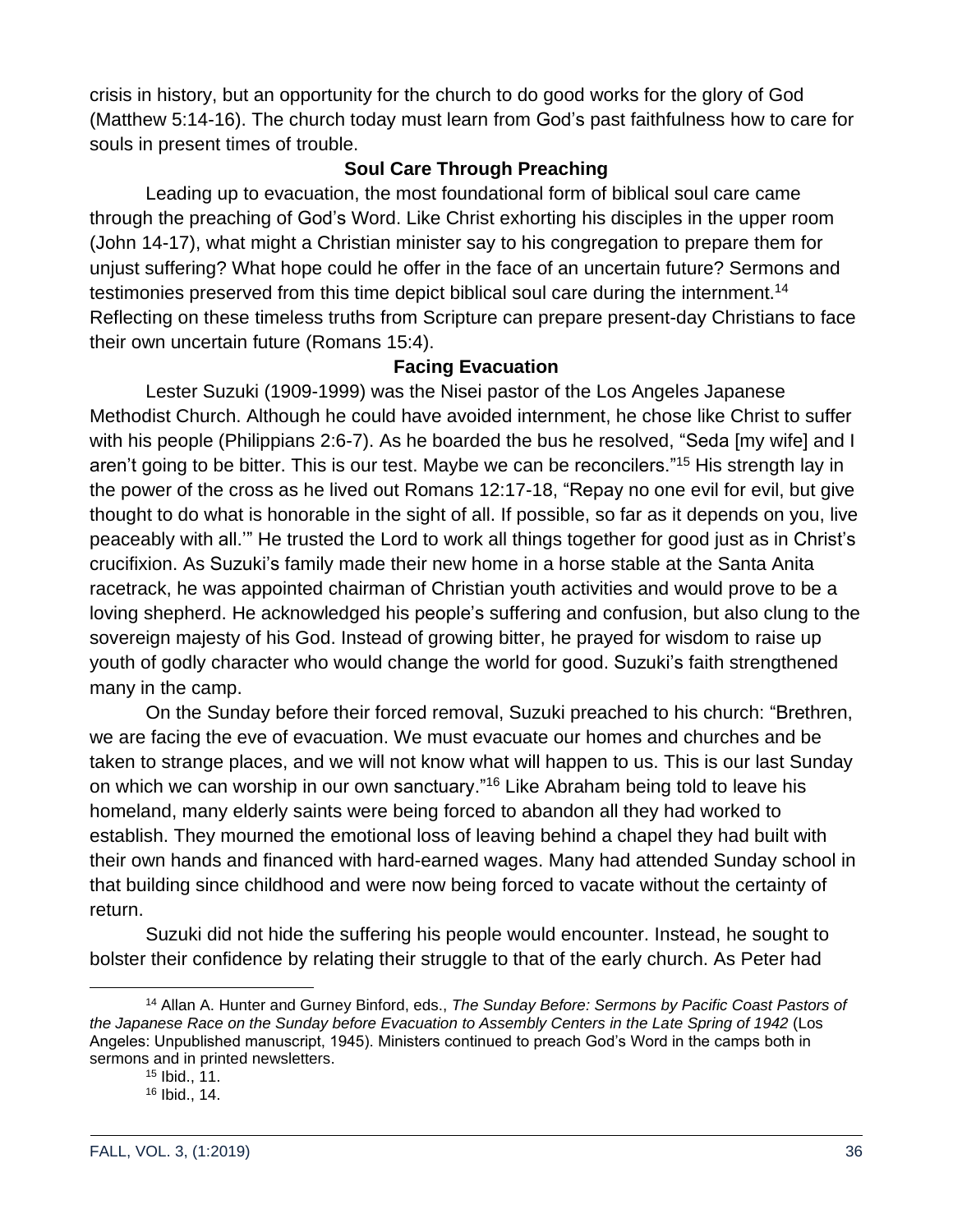crisis in history, but an opportunity for the church to do good works for the glory of God (Matthew 5:14-16). The church today must learn from God's past faithfulness how to care for souls in present times of trouble.

#### **Soul Care Through Preaching**

Leading up to evacuation, the most foundational form of biblical soul care came through the preaching of God's Word. Like Christ exhorting his disciples in the upper room (John 14-17), what might a Christian minister say to his congregation to prepare them for unjust suffering? What hope could he offer in the face of an uncertain future? Sermons and testimonies preserved from this time depict biblical soul care during the internment.<sup>14</sup> Reflecting on these timeless truths from Scripture can prepare present-day Christians to face their own uncertain future (Romans 15:4).

#### **Facing Evacuation**

Lester Suzuki (1909-1999) was the Nisei pastor of the Los Angeles Japanese Methodist Church. Although he could have avoided internment, he chose like Christ to suffer with his people (Philippians 2:6-7). As he boarded the bus he resolved, "Seda [my wife] and I aren't going to be bitter. This is our test. Maybe we can be reconcilers."<sup>15</sup> His strength lay in the power of the cross as he lived out Romans 12:17-18, "Repay no one evil for evil, but give thought to do what is honorable in the sight of all. If possible, so far as it depends on you, live peaceably with all.'" He trusted the Lord to work all things together for good just as in Christ's crucifixion. As Suzuki's family made their new home in a horse stable at the Santa Anita racetrack, he was appointed chairman of Christian youth activities and would prove to be a loving shepherd. He acknowledged his people's suffering and confusion, but also clung to the sovereign majesty of his God. Instead of growing bitter, he prayed for wisdom to raise up youth of godly character who would change the world for good. Suzuki's faith strengthened many in the camp.

On the Sunday before their forced removal, Suzuki preached to his church: "Brethren, we are facing the eve of evacuation. We must evacuate our homes and churches and be taken to strange places, and we will not know what will happen to us. This is our last Sunday on which we can worship in our own sanctuary."<sup>16</sup> Like Abraham being told to leave his homeland, many elderly saints were being forced to abandon all they had worked to establish. They mourned the emotional loss of leaving behind a chapel they had built with their own hands and financed with hard-earned wages. Many had attended Sunday school in that building since childhood and were now being forced to vacate without the certainty of return.

Suzuki did not hide the suffering his people would encounter. Instead, he sought to bolster their confidence by relating their struggle to that of the early church. As Peter had

<sup>14</sup> Allan A. Hunter and Gurney Binford, eds., *The Sunday Before: Sermons by Pacific Coast Pastors of the Japanese Race on the Sunday before Evacuation to Assembly Centers in the Late Spring of 1942* (Los Angeles: Unpublished manuscript, 1945). Ministers continued to preach God's Word in the camps both in sermons and in printed newsletters.

<sup>15</sup> Ibid., 11.

<sup>16</sup> Ibid., 14.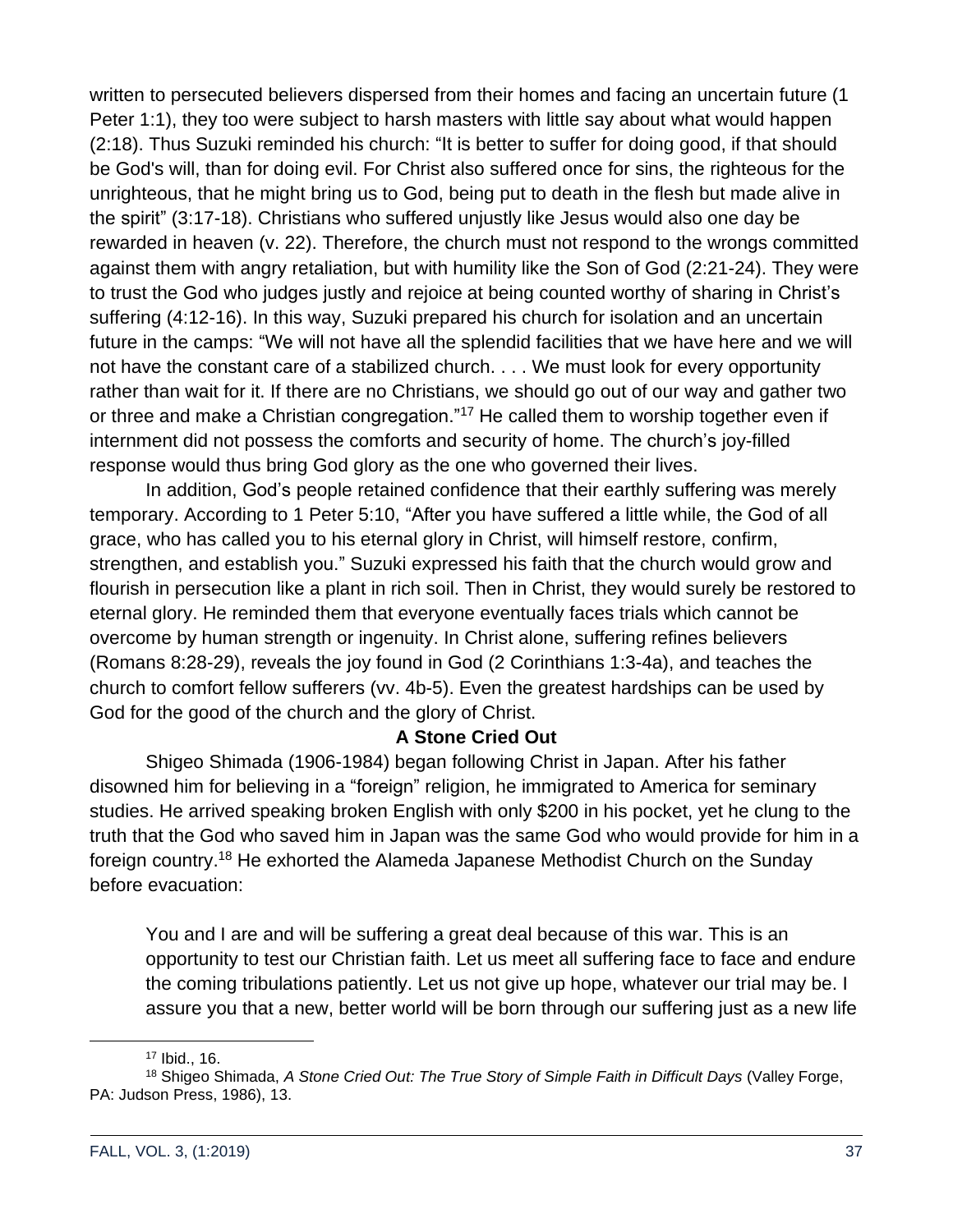written to persecuted believers dispersed from their homes and facing an uncertain future (1 Peter 1:1), they too were subject to harsh masters with little say about what would happen (2:18). Thus Suzuki reminded his church: "It is better to suffer for doing good, if that should be God's will, than for doing evil. For Christ also suffered once for sins, the righteous for the unrighteous, that he might bring us to God, being put to death in the flesh but made alive in the spirit" (3:17-18). Christians who suffered unjustly like Jesus would also one day be rewarded in heaven (v. 22). Therefore, the church must not respond to the wrongs committed against them with angry retaliation, but with humility like the Son of God (2:21-24). They were to trust the God who judges justly and rejoice at being counted worthy of sharing in Christ's suffering (4:12-16). In this way, Suzuki prepared his church for isolation and an uncertain future in the camps: "We will not have all the splendid facilities that we have here and we will not have the constant care of a stabilized church. . . . We must look for every opportunity rather than wait for it. If there are no Christians, we should go out of our way and gather two or three and make a Christian congregation."<sup>17</sup> He called them to worship together even if internment did not possess the comforts and security of home. The church's joy-filled response would thus bring God glory as the one who governed their lives.

In addition, God's people retained confidence that their earthly suffering was merely temporary. According to 1 Peter 5:10, "After you have suffered a little while, the God of all grace, who has called you to his eternal glory in Christ, will himself restore, confirm, strengthen, and establish you." Suzuki expressed his faith that the church would grow and flourish in persecution like a plant in rich soil. Then in Christ, they would surely be restored to eternal glory. He reminded them that everyone eventually faces trials which cannot be overcome by human strength or ingenuity. In Christ alone, suffering refines believers (Romans 8:28-29), reveals the joy found in God (2 Corinthians 1:3-4a), and teaches the church to comfort fellow sufferers (vv. 4b-5). Even the greatest hardships can be used by God for the good of the church and the glory of Christ.

### **A Stone Cried Out**

Shigeo Shimada (1906-1984) began following Christ in Japan. After his father disowned him for believing in a "foreign" religion, he immigrated to America for seminary studies. He arrived speaking broken English with only \$200 in his pocket, yet he clung to the truth that the God who saved him in Japan was the same God who would provide for him in a foreign country.<sup>18</sup> He exhorted the Alameda Japanese Methodist Church on the Sunday before evacuation:

You and I are and will be suffering a great deal because of this war. This is an opportunity to test our Christian faith. Let us meet all suffering face to face and endure the coming tribulations patiently. Let us not give up hope, whatever our trial may be. I assure you that a new, better world will be born through our suffering just as a new life

<sup>17</sup> Ibid., 16.

<sup>18</sup> Shigeo Shimada, *A Stone Cried Out: The True Story of Simple Faith in Difficult Days* (Valley Forge, PA: Judson Press, 1986), 13.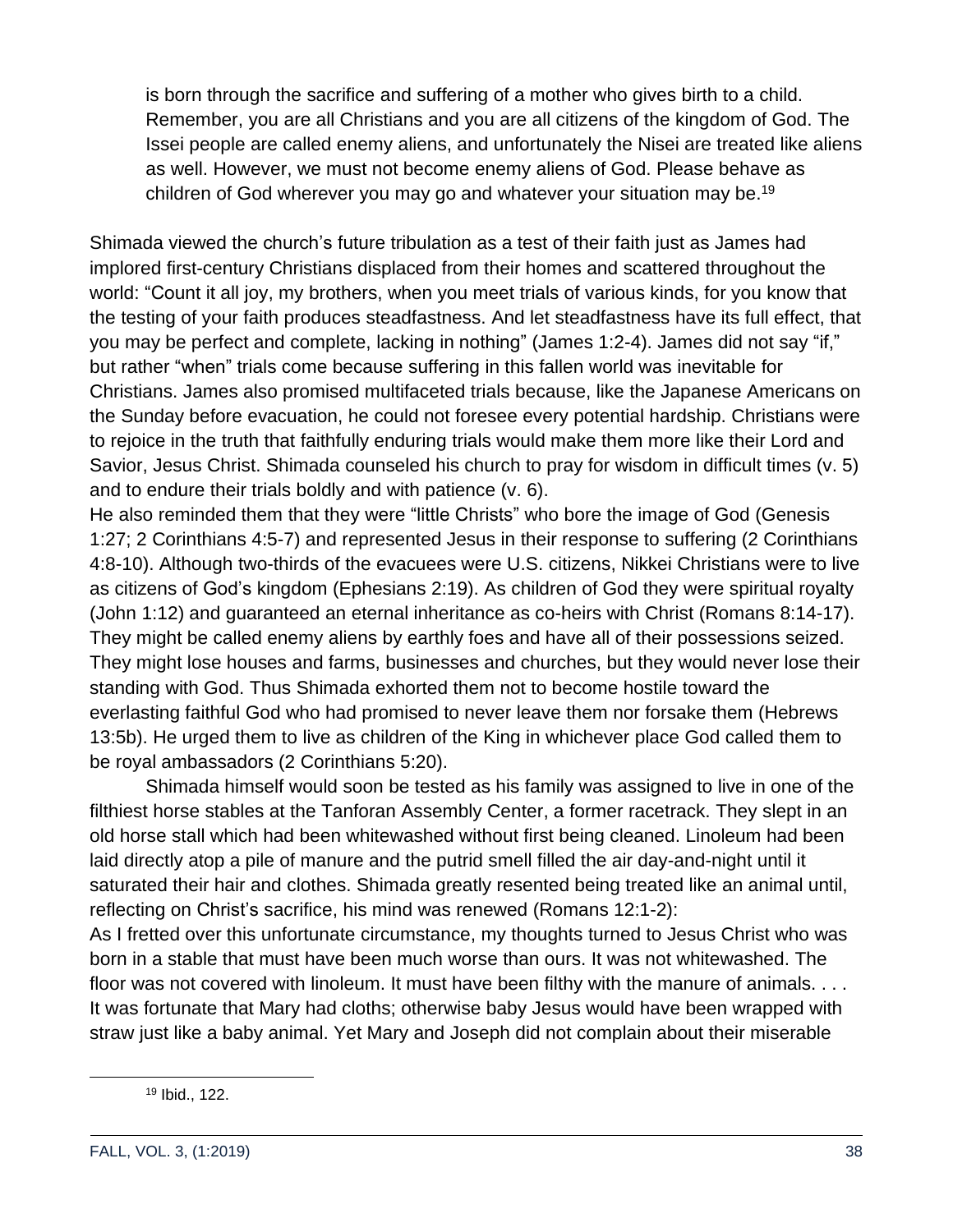is born through the sacrifice and suffering of a mother who gives birth to a child. Remember, you are all Christians and you are all citizens of the kingdom of God. The Issei people are called enemy aliens, and unfortunately the Nisei are treated like aliens as well. However, we must not become enemy aliens of God. Please behave as children of God wherever you may go and whatever your situation may be.<sup>19</sup>

Shimada viewed the church's future tribulation as a test of their faith just as James had implored first-century Christians displaced from their homes and scattered throughout the world: "Count it all joy, my brothers, when you meet trials of various kinds, for you know that the testing of your faith produces steadfastness. And let steadfastness have its full effect, that you may be perfect and complete, lacking in nothing" (James 1:2-4). James did not say "if," but rather "when" trials come because suffering in this fallen world was inevitable for Christians. James also promised multifaceted trials because, like the Japanese Americans on the Sunday before evacuation, he could not foresee every potential hardship. Christians were to rejoice in the truth that faithfully enduring trials would make them more like their Lord and Savior, Jesus Christ. Shimada counseled his church to pray for wisdom in difficult times (v. 5) and to endure their trials boldly and with patience (v. 6).

He also reminded them that they were "little Christs" who bore the image of God (Genesis 1:27; 2 Corinthians 4:5-7) and represented Jesus in their response to suffering (2 Corinthians 4:8-10). Although two-thirds of the evacuees were U.S. citizens, Nikkei Christians were to live as citizens of God's kingdom (Ephesians 2:19). As children of God they were spiritual royalty (John 1:12) and guaranteed an eternal inheritance as co-heirs with Christ (Romans 8:14-17). They might be called enemy aliens by earthly foes and have all of their possessions seized. They might lose houses and farms, businesses and churches, but they would never lose their standing with God. Thus Shimada exhorted them not to become hostile toward the everlasting faithful God who had promised to never leave them nor forsake them (Hebrews 13:5b). He urged them to live as children of the King in whichever place God called them to be royal ambassadors (2 Corinthians 5:20).

Shimada himself would soon be tested as his family was assigned to live in one of the filthiest horse stables at the Tanforan Assembly Center, a former racetrack. They slept in an old horse stall which had been whitewashed without first being cleaned. Linoleum had been laid directly atop a pile of manure and the putrid smell filled the air day-and-night until it saturated their hair and clothes. Shimada greatly resented being treated like an animal until, reflecting on Christ's sacrifice, his mind was renewed (Romans 12:1-2):

As I fretted over this unfortunate circumstance, my thoughts turned to Jesus Christ who was born in a stable that must have been much worse than ours. It was not whitewashed. The floor was not covered with linoleum. It must have been filthy with the manure of animals. . . . It was fortunate that Mary had cloths; otherwise baby Jesus would have been wrapped with straw just like a baby animal. Yet Mary and Joseph did not complain about their miserable

<sup>19</sup> Ibid., 122.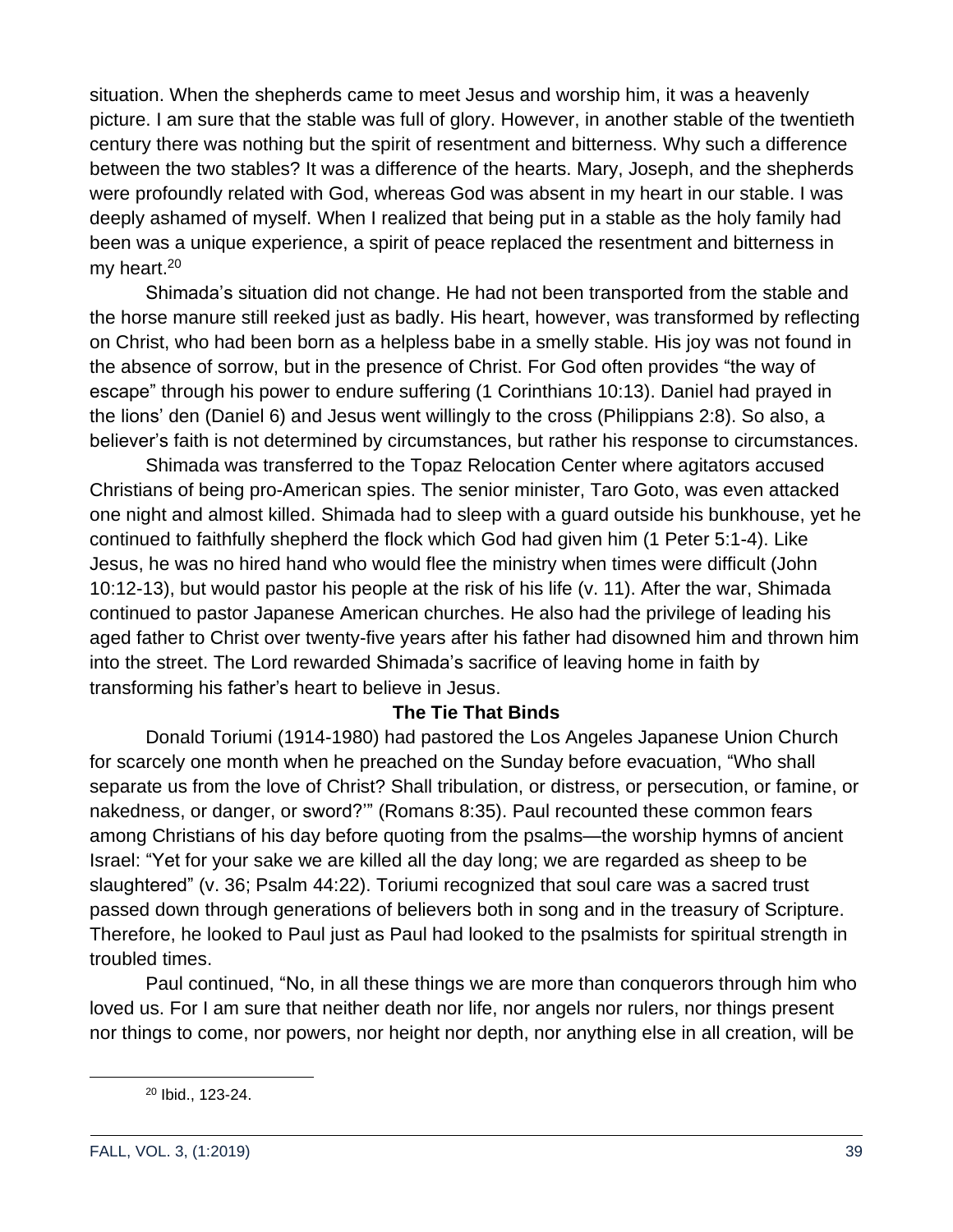situation. When the shepherds came to meet Jesus and worship him, it was a heavenly picture. I am sure that the stable was full of glory. However, in another stable of the twentieth century there was nothing but the spirit of resentment and bitterness. Why such a difference between the two stables? It was a difference of the hearts. Mary, Joseph, and the shepherds were profoundly related with God, whereas God was absent in my heart in our stable. I was deeply ashamed of myself. When I realized that being put in a stable as the holy family had been was a unique experience, a spirit of peace replaced the resentment and bitterness in my heart.<sup>20</sup>

Shimada's situation did not change. He had not been transported from the stable and the horse manure still reeked just as badly. His heart, however, was transformed by reflecting on Christ, who had been born as a helpless babe in a smelly stable. His joy was not found in the absence of sorrow, but in the presence of Christ. For God often provides "the way of escape" through his power to endure suffering (1 Corinthians 10:13). Daniel had prayed in the lions' den (Daniel 6) and Jesus went willingly to the cross (Philippians 2:8). So also, a believer's faith is not determined by circumstances, but rather his response to circumstances.

Shimada was transferred to the Topaz Relocation Center where agitators accused Christians of being pro-American spies. The senior minister, Taro Goto, was even attacked one night and almost killed. Shimada had to sleep with a guard outside his bunkhouse, yet he continued to faithfully shepherd the flock which God had given him (1 Peter 5:1-4). Like Jesus, he was no hired hand who would flee the ministry when times were difficult (John 10:12-13), but would pastor his people at the risk of his life (v. 11). After the war, Shimada continued to pastor Japanese American churches. He also had the privilege of leading his aged father to Christ over twenty-five years after his father had disowned him and thrown him into the street. The Lord rewarded Shimada's sacrifice of leaving home in faith by transforming his father's heart to believe in Jesus.

### **The Tie That Binds**

Donald Toriumi (1914-1980) had pastored the Los Angeles Japanese Union Church for scarcely one month when he preached on the Sunday before evacuation, "Who shall separate us from the love of Christ? Shall tribulation, or distress, or persecution, or famine, or nakedness, or danger, or sword?'" (Romans 8:35). Paul recounted these common fears among Christians of his day before quoting from the psalms—the worship hymns of ancient Israel: "Yet for your sake we are killed all the day long; we are regarded as sheep to be slaughtered" (v. 36; Psalm 44:22). Toriumi recognized that soul care was a sacred trust passed down through generations of believers both in song and in the treasury of Scripture. Therefore, he looked to Paul just as Paul had looked to the psalmists for spiritual strength in troubled times.

Paul continued, "No, in all these things we are more than conquerors through him who loved us. For I am sure that neither death nor life, nor angels nor rulers, nor things present nor things to come, nor powers, nor height nor depth, nor anything else in all creation, will be

<sup>20</sup> Ibid., 123-24.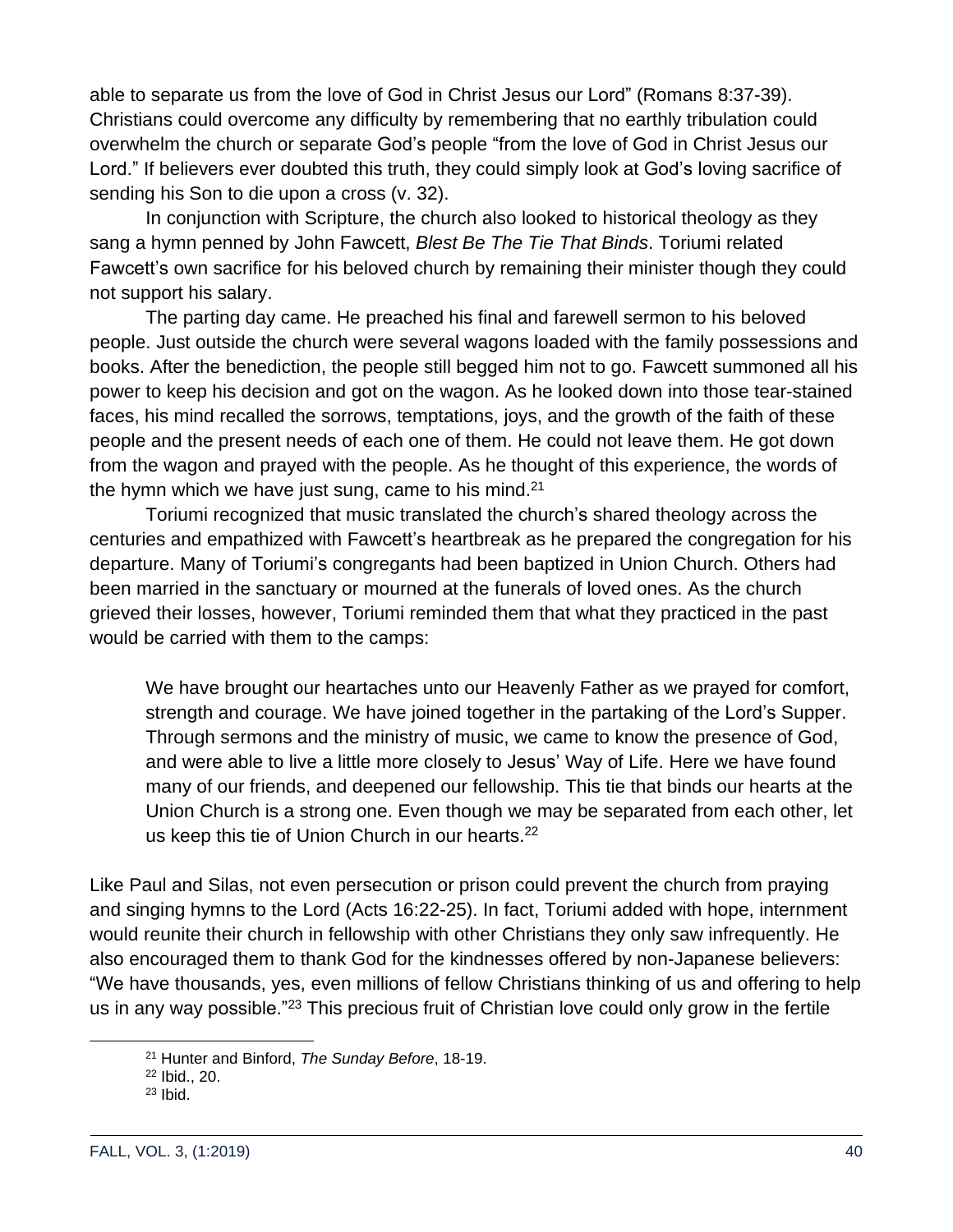able to separate us from the love of God in Christ Jesus our Lord" (Romans 8:37-39). Christians could overcome any difficulty by remembering that no earthly tribulation could overwhelm the church or separate God's people "from the love of God in Christ Jesus our Lord." If believers ever doubted this truth, they could simply look at God's loving sacrifice of sending his Son to die upon a cross (v. 32).

In conjunction with Scripture, the church also looked to historical theology as they sang a hymn penned by John Fawcett, *Blest Be The Tie That Binds*. Toriumi related Fawcett's own sacrifice for his beloved church by remaining their minister though they could not support his salary.

The parting day came. He preached his final and farewell sermon to his beloved people. Just outside the church were several wagons loaded with the family possessions and books. After the benediction, the people still begged him not to go. Fawcett summoned all his power to keep his decision and got on the wagon. As he looked down into those tear-stained faces, his mind recalled the sorrows, temptations, joys, and the growth of the faith of these people and the present needs of each one of them. He could not leave them. He got down from the wagon and prayed with the people. As he thought of this experience, the words of the hymn which we have just sung, came to his mind.<sup>21</sup>

Toriumi recognized that music translated the church's shared theology across the centuries and empathized with Fawcett's heartbreak as he prepared the congregation for his departure. Many of Toriumi's congregants had been baptized in Union Church. Others had been married in the sanctuary or mourned at the funerals of loved ones. As the church grieved their losses, however, Toriumi reminded them that what they practiced in the past would be carried with them to the camps:

We have brought our heartaches unto our Heavenly Father as we prayed for comfort, strength and courage. We have joined together in the partaking of the Lord's Supper. Through sermons and the ministry of music, we came to know the presence of God, and were able to live a little more closely to Jesus' Way of Life. Here we have found many of our friends, and deepened our fellowship. This tie that binds our hearts at the Union Church is a strong one. Even though we may be separated from each other, let us keep this tie of Union Church in our hearts.<sup>22</sup>

Like Paul and Silas, not even persecution or prison could prevent the church from praying and singing hymns to the Lord (Acts 16:22-25). In fact, Toriumi added with hope, internment would reunite their church in fellowship with other Christians they only saw infrequently. He also encouraged them to thank God for the kindnesses offered by non-Japanese believers: "We have thousands, yes, even millions of fellow Christians thinking of us and offering to help us in any way possible."<sup>23</sup> This precious fruit of Christian love could only grow in the fertile

<sup>21</sup> Hunter and Binford, *The Sunday Before*, 18-19.

<sup>22</sup> Ibid., 20.

 $23$  Ibid.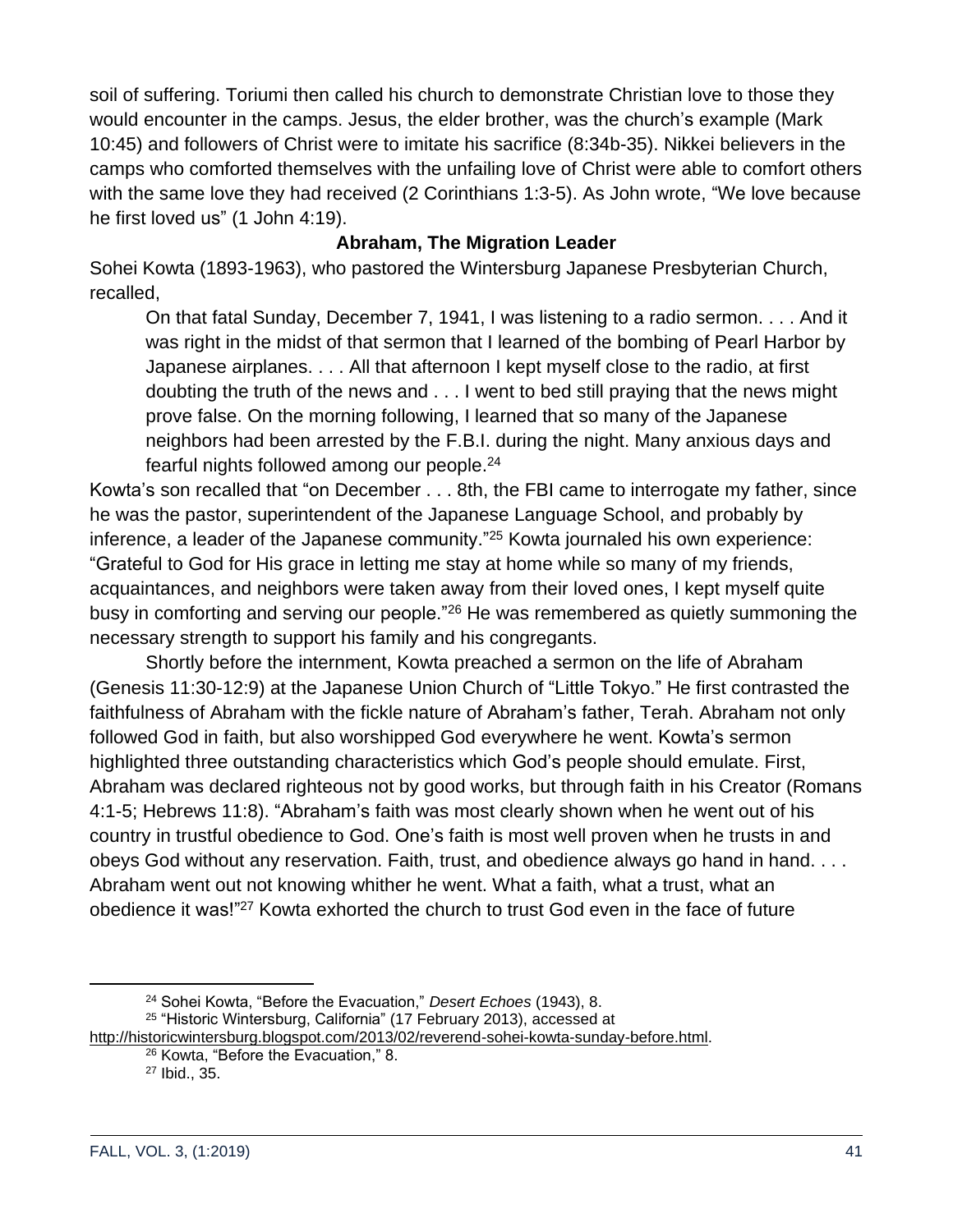soil of suffering. Toriumi then called his church to demonstrate Christian love to those they would encounter in the camps. Jesus, the elder brother, was the church's example (Mark 10:45) and followers of Christ were to imitate his sacrifice (8:34b-35). Nikkei believers in the camps who comforted themselves with the unfailing love of Christ were able to comfort others with the same love they had received (2 Corinthians 1:3-5). As John wrote, "We love because he first loved us" (1 John 4:19).

# **Abraham, The Migration Leader**

Sohei Kowta (1893-1963), who pastored the Wintersburg Japanese Presbyterian Church, recalled,

On that fatal Sunday, December 7, 1941, I was listening to a radio sermon. . . . And it was right in the midst of that sermon that I learned of the bombing of Pearl Harbor by Japanese airplanes. . . . All that afternoon I kept myself close to the radio, at first doubting the truth of the news and . . . I went to bed still praying that the news might prove false. On the morning following, I learned that so many of the Japanese neighbors had been arrested by the F.B.I. during the night. Many anxious days and fearful nights followed among our people.<sup>24</sup>

Kowta's son recalled that "on December . . . 8th, the FBI came to interrogate my father, since he was the pastor, superintendent of the Japanese Language School, and probably by inference, a leader of the Japanese community."<sup>25</sup> Kowta journaled his own experience: "Grateful to God for His grace in letting me stay at home while so many of my friends, acquaintances, and neighbors were taken away from their loved ones, I kept myself quite busy in comforting and serving our people."<sup>26</sup> He was remembered as quietly summoning the necessary strength to support his family and his congregants.

Shortly before the internment, Kowta preached a sermon on the life of Abraham (Genesis 11:30-12:9) at the Japanese Union Church of "Little Tokyo." He first contrasted the faithfulness of Abraham with the fickle nature of Abraham's father, Terah. Abraham not only followed God in faith, but also worshipped God everywhere he went. Kowta's sermon highlighted three outstanding characteristics which God's people should emulate. First, Abraham was declared righteous not by good works, but through faith in his Creator (Romans 4:1-5; Hebrews 11:8). "Abraham's faith was most clearly shown when he went out of his country in trustful obedience to God. One's faith is most well proven when he trusts in and obeys God without any reservation. Faith, trust, and obedience always go hand in hand. . . . Abraham went out not knowing whither he went. What a faith, what a trust, what an obedience it was!"<sup>27</sup> Kowta exhorted the church to trust God even in the face of future

<sup>24</sup> Sohei Kowta, "Before the Evacuation," *Desert Echoes* (1943), 8.

<sup>25</sup> "Historic Wintersburg, California" (17 February 2013), accessed at

[http://historicwintersburg.blogspot.com/2013/02/reverend-sohei-kowta-sunday-before.html.](http://historicwintersburg.blogspot.com/2013/02/reverend-sohei-kowta-sunday-before.html)

<sup>26</sup> Kowta, "Before the Evacuation," 8.

<sup>27</sup> Ibid., 35.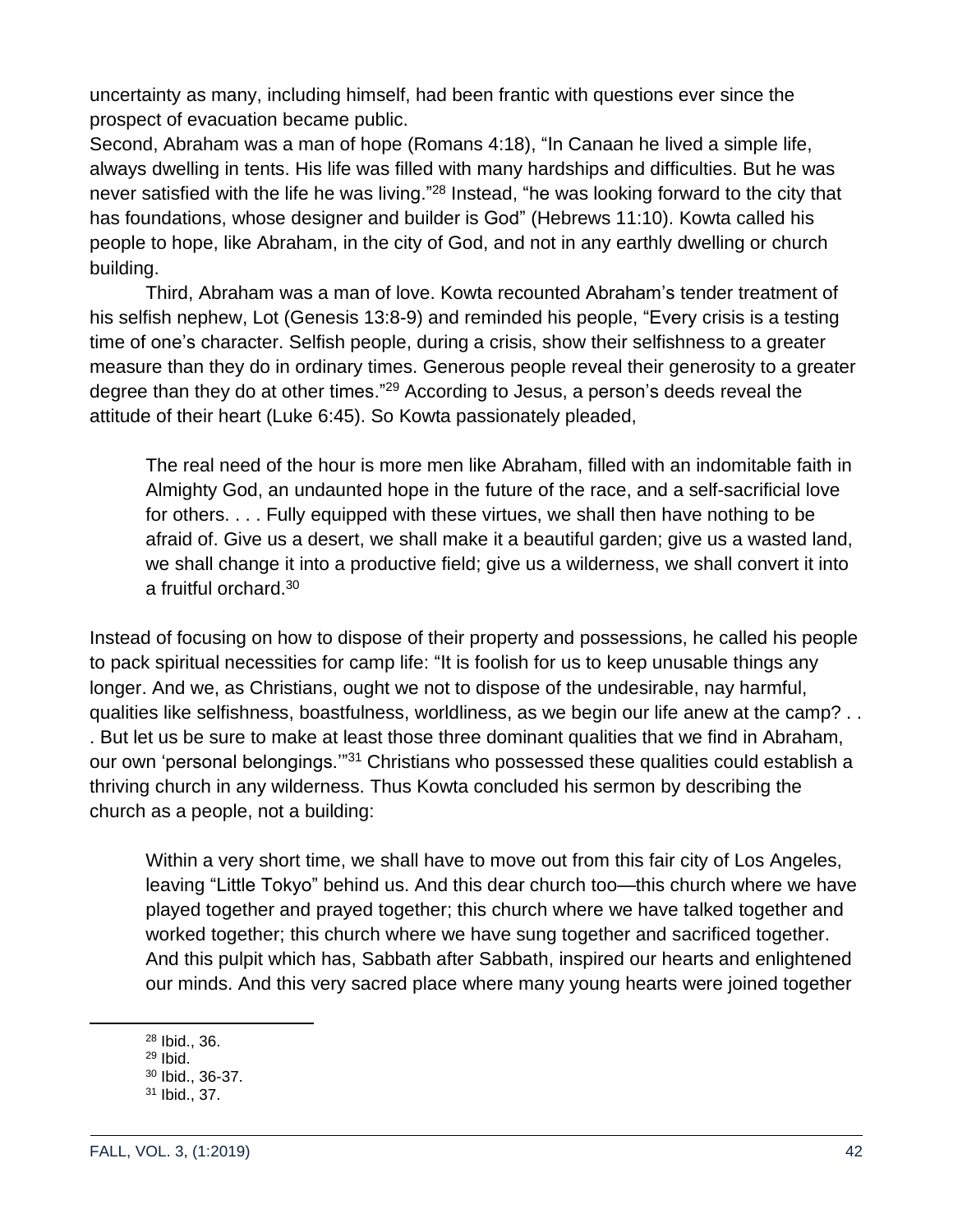uncertainty as many, including himself, had been frantic with questions ever since the prospect of evacuation became public.

Second, Abraham was a man of hope (Romans 4:18), "In Canaan he lived a simple life, always dwelling in tents. His life was filled with many hardships and difficulties. But he was never satisfied with the life he was living."<sup>28</sup> Instead, "he was looking forward to the city that has foundations, whose designer and builder is God" (Hebrews 11:10). Kowta called his people to hope, like Abraham, in the city of God, and not in any earthly dwelling or church building.

Third, Abraham was a man of love. Kowta recounted Abraham's tender treatment of his selfish nephew, Lot (Genesis 13:8-9) and reminded his people, "Every crisis is a testing time of one's character. Selfish people, during a crisis, show their selfishness to a greater measure than they do in ordinary times. Generous people reveal their generosity to a greater degree than they do at other times."<sup>29</sup> According to Jesus, a person's deeds reveal the attitude of their heart (Luke 6:45). So Kowta passionately pleaded,

The real need of the hour is more men like Abraham, filled with an indomitable faith in Almighty God, an undaunted hope in the future of the race, and a self-sacrificial love for others. . . . Fully equipped with these virtues, we shall then have nothing to be afraid of. Give us a desert, we shall make it a beautiful garden; give us a wasted land, we shall change it into a productive field; give us a wilderness, we shall convert it into a fruitful orchard.<sup>30</sup>

Instead of focusing on how to dispose of their property and possessions, he called his people to pack spiritual necessities for camp life: "It is foolish for us to keep unusable things any longer. And we, as Christians, ought we not to dispose of the undesirable, nay harmful, qualities like selfishness, boastfulness, worldliness, as we begin our life anew at the camp? . . . But let us be sure to make at least those three dominant qualities that we find in Abraham, our own 'personal belongings."<sup>31</sup> Christians who possessed these qualities could establish a thriving church in any wilderness. Thus Kowta concluded his sermon by describing the church as a people, not a building:

Within a very short time, we shall have to move out from this fair city of Los Angeles, leaving "Little Tokyo" behind us. And this dear church too—this church where we have played together and prayed together; this church where we have talked together and worked together; this church where we have sung together and sacrificed together. And this pulpit which has, Sabbath after Sabbath, inspired our hearts and enlightened our minds. And this very sacred place where many young hearts were joined together

<sup>28</sup> Ibid., 36.

 $29$  Ibid.

<sup>30</sup> Ibid., 36-37.

<sup>31</sup> Ibid., 37.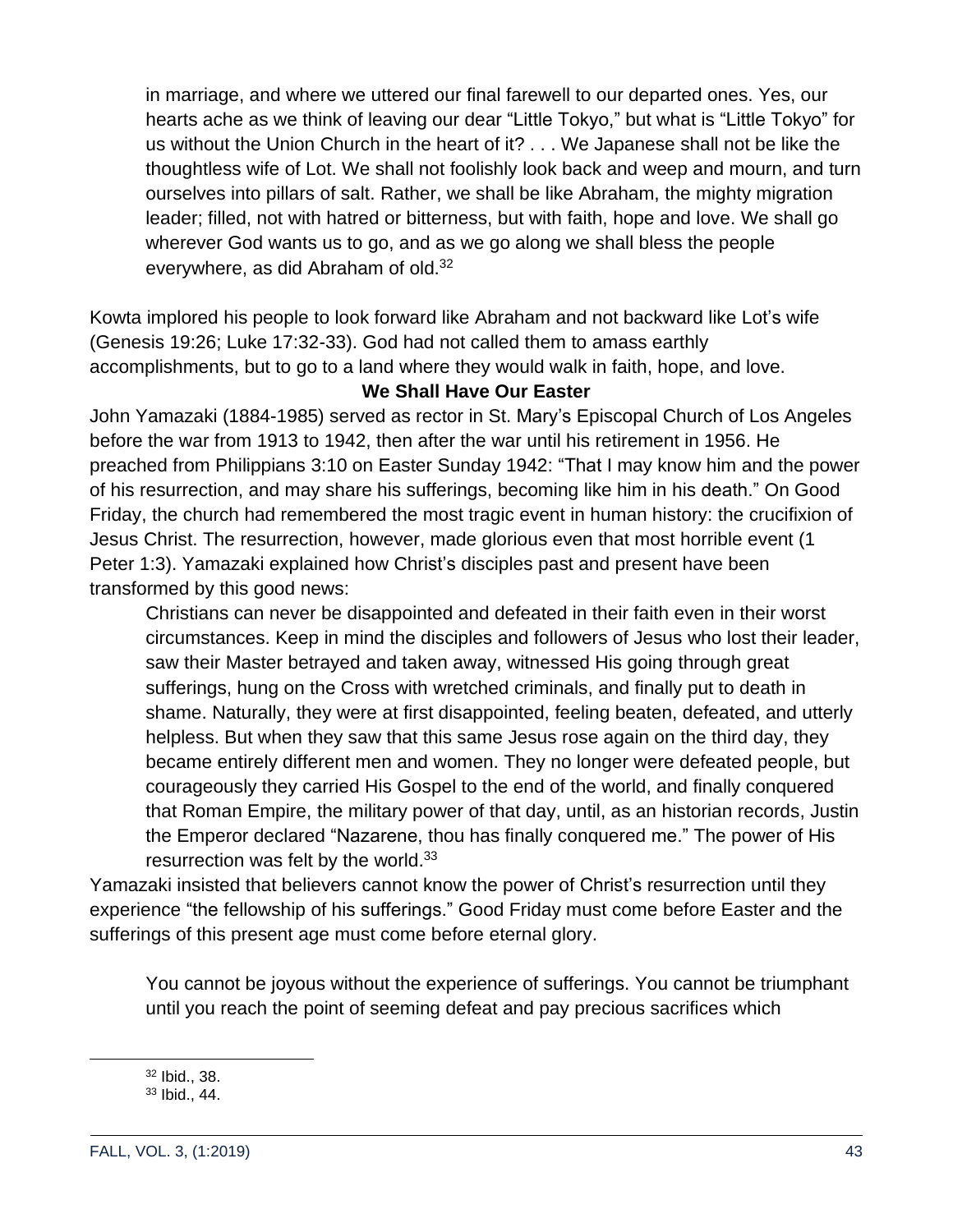in marriage, and where we uttered our final farewell to our departed ones. Yes, our hearts ache as we think of leaving our dear "Little Tokyo," but what is "Little Tokyo" for us without the Union Church in the heart of it? . . . We Japanese shall not be like the thoughtless wife of Lot. We shall not foolishly look back and weep and mourn, and turn ourselves into pillars of salt. Rather, we shall be like Abraham, the mighty migration leader; filled, not with hatred or bitterness, but with faith, hope and love. We shall go wherever God wants us to go, and as we go along we shall bless the people everywhere, as did Abraham of old.<sup>32</sup>

Kowta implored his people to look forward like Abraham and not backward like Lot's wife (Genesis 19:26; Luke 17:32-33). God had not called them to amass earthly accomplishments, but to go to a land where they would walk in faith, hope, and love.

### **We Shall Have Our Easter**

John Yamazaki (1884-1985) served as rector in St. Mary's Episcopal Church of Los Angeles before the war from 1913 to 1942, then after the war until his retirement in 1956. He preached from Philippians 3:10 on Easter Sunday 1942: "That I may know him and the power of his resurrection, and may share his sufferings, becoming like him in his death." On Good Friday, the church had remembered the most tragic event in human history: the crucifixion of Jesus Christ. The resurrection, however, made glorious even that most horrible event (1 Peter 1:3). Yamazaki explained how Christ's disciples past and present have been transformed by this good news:

Christians can never be disappointed and defeated in their faith even in their worst circumstances. Keep in mind the disciples and followers of Jesus who lost their leader, saw their Master betrayed and taken away, witnessed His going through great sufferings, hung on the Cross with wretched criminals, and finally put to death in shame. Naturally, they were at first disappointed, feeling beaten, defeated, and utterly helpless. But when they saw that this same Jesus rose again on the third day, they became entirely different men and women. They no longer were defeated people, but courageously they carried His Gospel to the end of the world, and finally conquered that Roman Empire, the military power of that day, until, as an historian records, Justin the Emperor declared "Nazarene, thou has finally conquered me." The power of His resurrection was felt by the world.<sup>33</sup>

Yamazaki insisted that believers cannot know the power of Christ's resurrection until they experience "the fellowship of his sufferings." Good Friday must come before Easter and the sufferings of this present age must come before eternal glory.

You cannot be joyous without the experience of sufferings. You cannot be triumphant until you reach the point of seeming defeat and pay precious sacrifices which

<sup>32</sup> Ibid., 38. <sup>33</sup> Ibid., 44.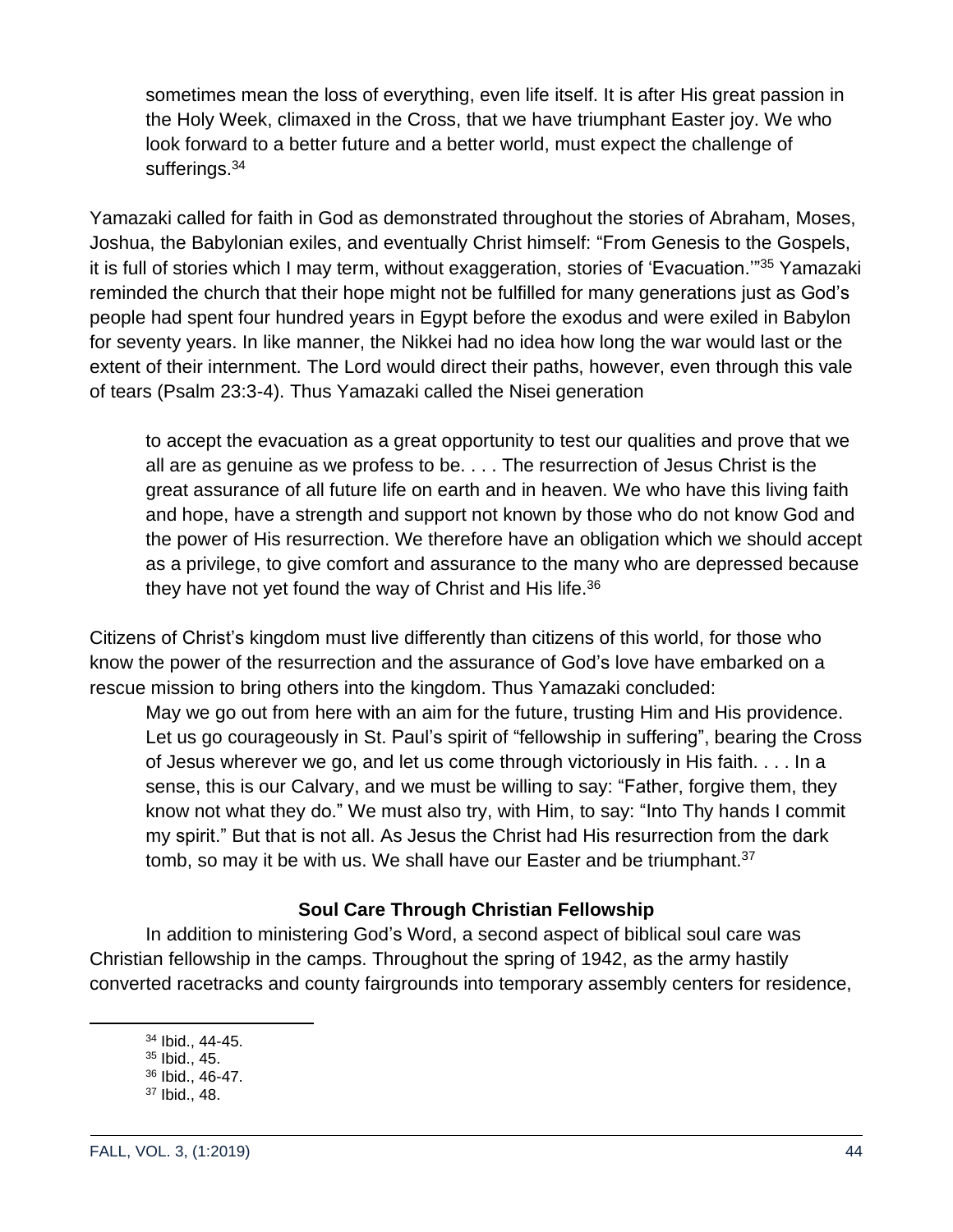sometimes mean the loss of everything, even life itself. It is after His great passion in the Holy Week, climaxed in the Cross, that we have triumphant Easter joy. We who look forward to a better future and a better world, must expect the challenge of sufferings.<sup>34</sup>

Yamazaki called for faith in God as demonstrated throughout the stories of Abraham, Moses, Joshua, the Babylonian exiles, and eventually Christ himself: "From Genesis to the Gospels, it is full of stories which I may term, without exaggeration, stories of 'Evacuation.'"<sup>35</sup> Yamazaki reminded the church that their hope might not be fulfilled for many generations just as God's people had spent four hundred years in Egypt before the exodus and were exiled in Babylon for seventy years. In like manner, the Nikkei had no idea how long the war would last or the extent of their internment. The Lord would direct their paths, however, even through this vale of tears (Psalm 23:3-4). Thus Yamazaki called the Nisei generation

to accept the evacuation as a great opportunity to test our qualities and prove that we all are as genuine as we profess to be. . . . The resurrection of Jesus Christ is the great assurance of all future life on earth and in heaven. We who have this living faith and hope, have a strength and support not known by those who do not know God and the power of His resurrection. We therefore have an obligation which we should accept as a privilege, to give comfort and assurance to the many who are depressed because they have not yet found the way of Christ and His life.<sup>36</sup>

Citizens of Christ's kingdom must live differently than citizens of this world, for those who know the power of the resurrection and the assurance of God's love have embarked on a rescue mission to bring others into the kingdom. Thus Yamazaki concluded:

May we go out from here with an aim for the future, trusting Him and His providence. Let us go courageously in St. Paul's spirit of "fellowship in suffering", bearing the Cross of Jesus wherever we go, and let us come through victoriously in His faith. . . . In a sense, this is our Calvary, and we must be willing to say: "Father, forgive them, they know not what they do." We must also try, with Him, to say: "Into Thy hands I commit my spirit." But that is not all. As Jesus the Christ had His resurrection from the dark tomb, so may it be with us. We shall have our Easter and be triumphant.<sup>37</sup>

# **Soul Care Through Christian Fellowship**

In addition to ministering God's Word, a second aspect of biblical soul care was Christian fellowship in the camps. Throughout the spring of 1942, as the army hastily converted racetracks and county fairgrounds into temporary assembly centers for residence,

<sup>34</sup> Ibid., 44-45.

<sup>35</sup> Ibid., 45.

<sup>36</sup> Ibid., 46-47.

<sup>37</sup> Ibid., 48.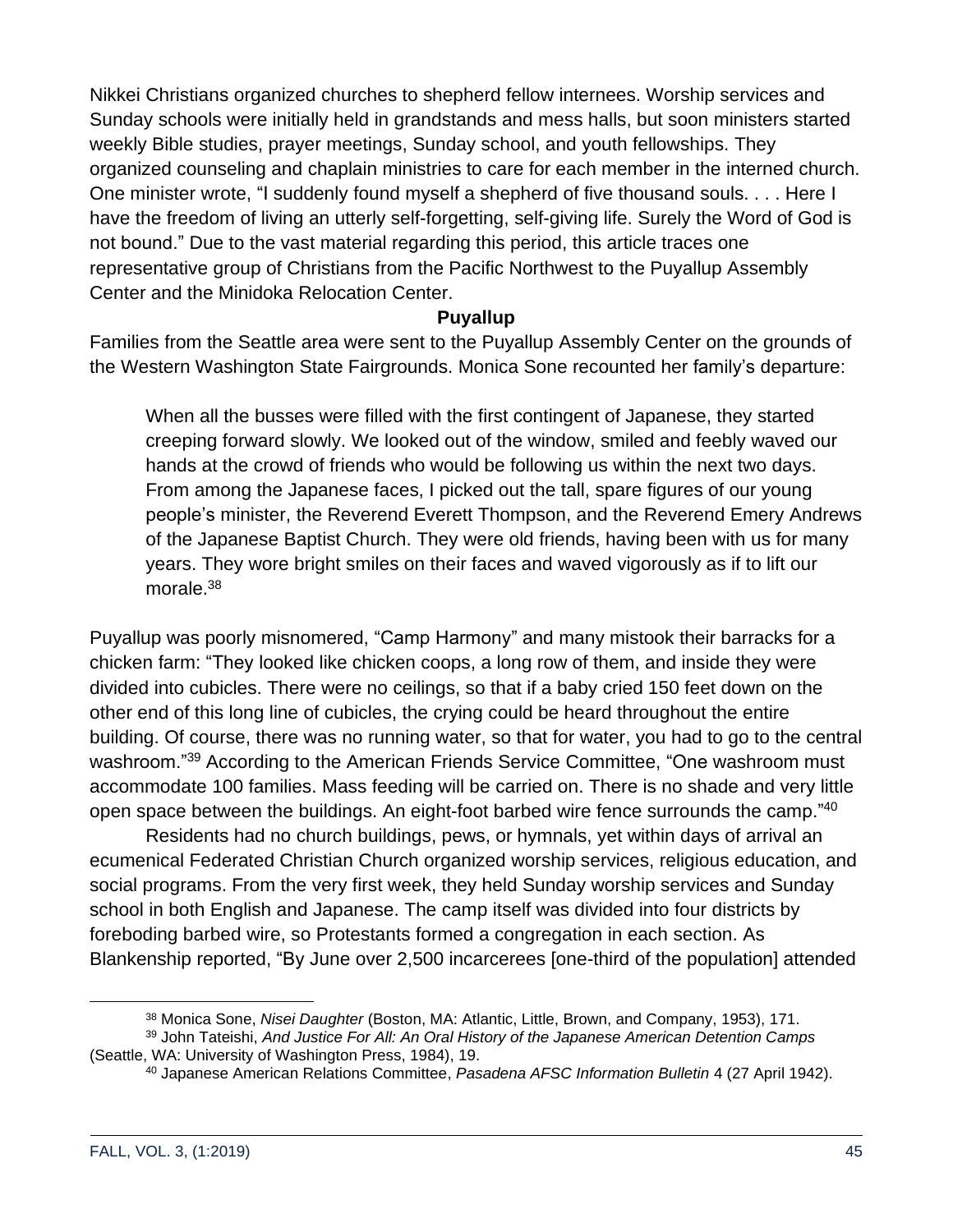Nikkei Christians organized churches to shepherd fellow internees. Worship services and Sunday schools were initially held in grandstands and mess halls, but soon ministers started weekly Bible studies, prayer meetings, Sunday school, and youth fellowships. They organized counseling and chaplain ministries to care for each member in the interned church. One minister wrote, "I suddenly found myself a shepherd of five thousand souls. . . . Here I have the freedom of living an utterly self-forgetting, self-giving life. Surely the Word of God is not bound." Due to the vast material regarding this period, this article traces one representative group of Christians from the Pacific Northwest to the Puyallup Assembly Center and the Minidoka Relocation Center.

### **Puyallup**

Families from the Seattle area were sent to the Puyallup Assembly Center on the grounds of the Western Washington State Fairgrounds. Monica Sone recounted her family's departure:

When all the busses were filled with the first contingent of Japanese, they started creeping forward slowly. We looked out of the window, smiled and feebly waved our hands at the crowd of friends who would be following us within the next two days. From among the Japanese faces, I picked out the tall, spare figures of our young people's minister, the Reverend Everett Thompson, and the Reverend Emery Andrews of the Japanese Baptist Church. They were old friends, having been with us for many years. They wore bright smiles on their faces and waved vigorously as if to lift our morale.<sup>38</sup>

Puyallup was poorly misnomered, "Camp Harmony" and many mistook their barracks for a chicken farm: "They looked like chicken coops, a long row of them, and inside they were divided into cubicles. There were no ceilings, so that if a baby cried 150 feet down on the other end of this long line of cubicles, the crying could be heard throughout the entire building. Of course, there was no running water, so that for water, you had to go to the central washroom."<sup>39</sup> According to the American Friends Service Committee, "One washroom must accommodate 100 families. Mass feeding will be carried on. There is no shade and very little open space between the buildings. An eight-foot barbed wire fence surrounds the camp."<sup>40</sup>

Residents had no church buildings, pews, or hymnals, yet within days of arrival an ecumenical Federated Christian Church organized worship services, religious education, and social programs. From the very first week, they held Sunday worship services and Sunday school in both English and Japanese. The camp itself was divided into four districts by foreboding barbed wire, so Protestants formed a congregation in each section. As Blankenship reported, "By June over 2,500 incarcerees [one-third of the population] attended

<sup>38</sup> Monica Sone, *Nisei Daughter* (Boston, MA: Atlantic, Little, Brown, and Company, 1953), 171.

<sup>39</sup> John Tateishi, *And Justice For All: An Oral History of the Japanese American Detention Camps* (Seattle, WA: University of Washington Press, 1984), 19.

<sup>40</sup> Japanese American Relations Committee, *Pasadena AFSC Information Bulletin* 4 (27 April 1942).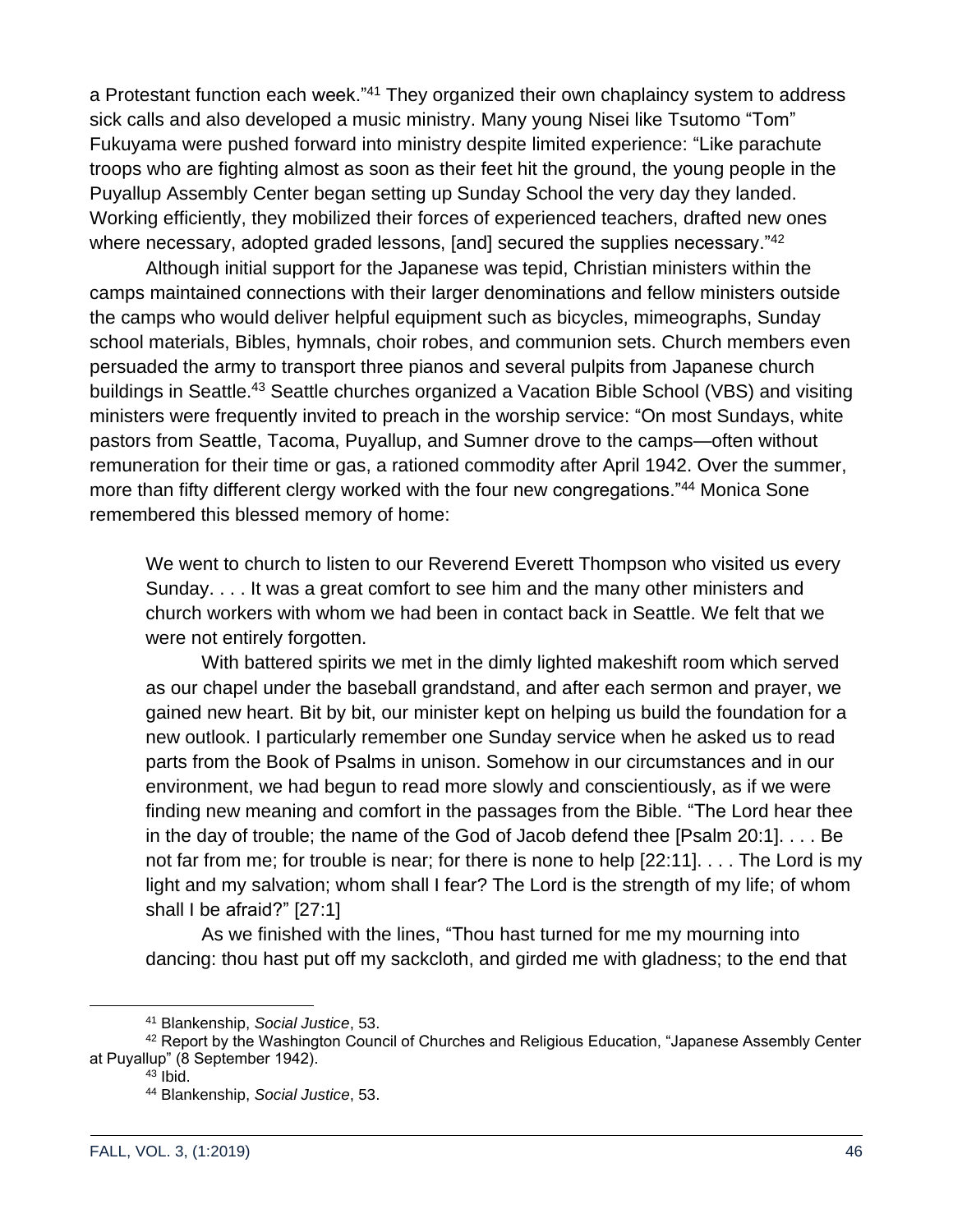a Protestant function each week."<sup>41</sup> They organized their own chaplaincy system to address sick calls and also developed a music ministry. Many young Nisei like Tsutomo "Tom" Fukuyama were pushed forward into ministry despite limited experience: "Like parachute troops who are fighting almost as soon as their feet hit the ground, the young people in the Puyallup Assembly Center began setting up Sunday School the very day they landed. Working efficiently, they mobilized their forces of experienced teachers, drafted new ones where necessary, adopted graded lessons, [and] secured the supplies necessary."<sup>42</sup>

Although initial support for the Japanese was tepid, Christian ministers within the camps maintained connections with their larger denominations and fellow ministers outside the camps who would deliver helpful equipment such as bicycles, mimeographs, Sunday school materials, Bibles, hymnals, choir robes, and communion sets. Church members even persuaded the army to transport three pianos and several pulpits from Japanese church buildings in Seattle.<sup>43</sup> Seattle churches organized a Vacation Bible School (VBS) and visiting ministers were frequently invited to preach in the worship service: "On most Sundays, white pastors from Seattle, Tacoma, Puyallup, and Sumner drove to the camps—often without remuneration for their time or gas, a rationed commodity after April 1942. Over the summer, more than fifty different clergy worked with the four new congregations."<sup>44</sup> Monica Sone remembered this blessed memory of home:

We went to church to listen to our Reverend Everett Thompson who visited us every Sunday. . . . It was a great comfort to see him and the many other ministers and church workers with whom we had been in contact back in Seattle. We felt that we were not entirely forgotten.

With battered spirits we met in the dimly lighted makeshift room which served as our chapel under the baseball grandstand, and after each sermon and prayer, we gained new heart. Bit by bit, our minister kept on helping us build the foundation for a new outlook. I particularly remember one Sunday service when he asked us to read parts from the Book of Psalms in unison. Somehow in our circumstances and in our environment, we had begun to read more slowly and conscientiously, as if we were finding new meaning and comfort in the passages from the Bible. "The Lord hear thee in the day of trouble; the name of the God of Jacob defend thee [Psalm 20:1]. . . . Be not far from me; for trouble is near; for there is none to help [22:11]. . . . The Lord is my light and my salvation; whom shall I fear? The Lord is the strength of my life; of whom shall I be afraid?" [27:1]

As we finished with the lines, "Thou hast turned for me my mourning into dancing: thou hast put off my sackcloth, and girded me with gladness; to the end that

<sup>41</sup> Blankenship, *Social Justice*, 53.

<sup>42</sup> Report by the Washington Council of Churches and Religious Education, "Japanese Assembly Center at Puyallup" (8 September 1942).

 $43$  Ibid.

<sup>44</sup> Blankenship, *Social Justice*, 53.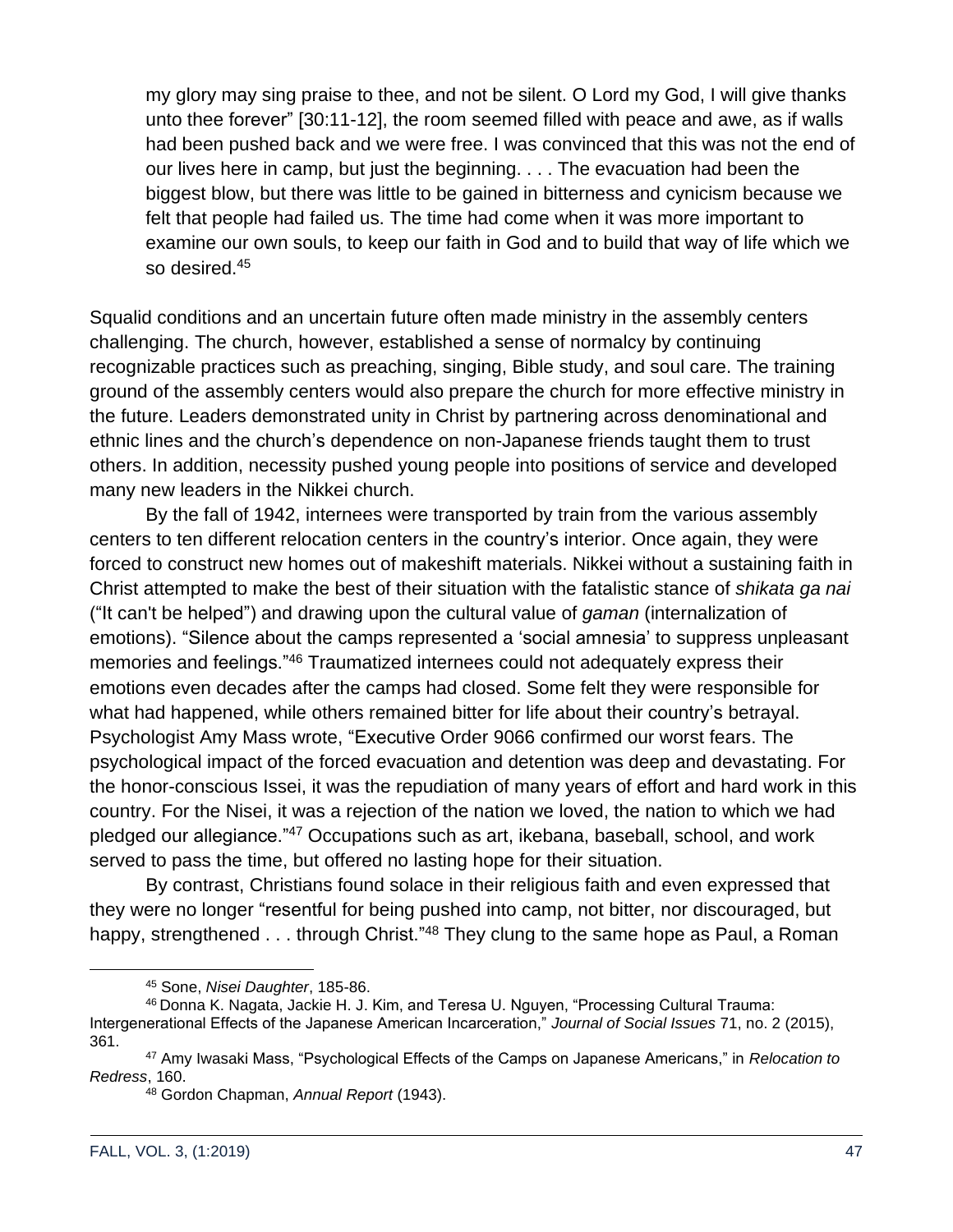my glory may sing praise to thee, and not be silent. O Lord my God, I will give thanks unto thee forever" [30:11-12], the room seemed filled with peace and awe, as if walls had been pushed back and we were free. I was convinced that this was not the end of our lives here in camp, but just the beginning. . . . The evacuation had been the biggest blow, but there was little to be gained in bitterness and cynicism because we felt that people had failed us. The time had come when it was more important to examine our own souls, to keep our faith in God and to build that way of life which we so desired.<sup>45</sup>

Squalid conditions and an uncertain future often made ministry in the assembly centers challenging. The church, however, established a sense of normalcy by continuing recognizable practices such as preaching, singing, Bible study, and soul care. The training ground of the assembly centers would also prepare the church for more effective ministry in the future. Leaders demonstrated unity in Christ by partnering across denominational and ethnic lines and the church's dependence on non-Japanese friends taught them to trust others. In addition, necessity pushed young people into positions of service and developed many new leaders in the Nikkei church.

By the fall of 1942, internees were transported by train from the various assembly centers to ten different relocation centers in the country's interior. Once again, they were forced to construct new homes out of makeshift materials. Nikkei without a sustaining faith in Christ attempted to make the best of their situation with the fatalistic stance of *shikata ga nai* ("It can't be helped") and drawing upon the cultural value of *gaman* (internalization of emotions). "Silence about the camps represented a 'social amnesia' to suppress unpleasant memories and feelings."<sup>46</sup> Traumatized internees could not adequately express their emotions even decades after the camps had closed. Some felt they were responsible for what had happened, while others remained bitter for life about their country's betrayal. Psychologist Amy Mass wrote, "Executive Order 9066 confirmed our worst fears. The psychological impact of the forced evacuation and detention was deep and devastating. For the honor-conscious Issei, it was the repudiation of many years of effort and hard work in this country. For the Nisei, it was a rejection of the nation we loved, the nation to which we had pledged our allegiance."<sup>47</sup> Occupations such as art, ikebana, baseball, school, and work served to pass the time, but offered no lasting hope for their situation.

By contrast, Christians found solace in their religious faith and even expressed that they were no longer "resentful for being pushed into camp, not bitter, nor discouraged, but happy, strengthened . . . through Christ."<sup>48</sup> They clung to the same hope as Paul, a Roman

<sup>45</sup> Sone, *Nisei Daughter*, 185-86.

<sup>46</sup> Donna K. Nagata, Jackie H. J. Kim, and Teresa U. Nguyen, "Processing Cultural Trauma: Intergenerational Effects of the Japanese American Incarceration," *Journal of Social Issues* 71, no. 2 (2015), 361.

<sup>47</sup> Amy Iwasaki Mass, "Psychological Effects of the Camps on Japanese Americans," in *Relocation to Redress*, 160.

<sup>48</sup> Gordon Chapman, *Annual Report* (1943).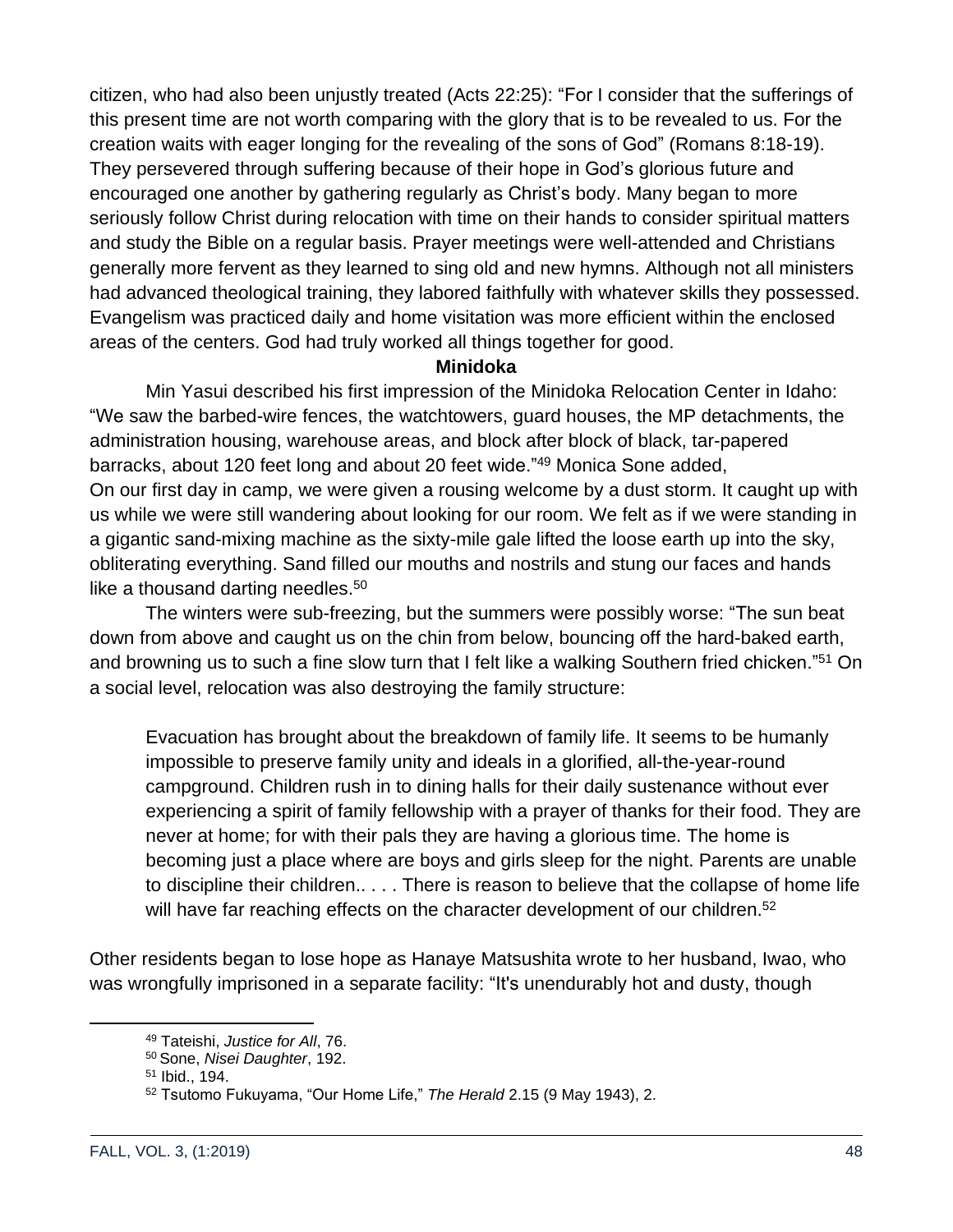citizen, who had also been unjustly treated (Acts 22:25): "For I consider that the sufferings of this present time are not worth comparing with the glory that is to be revealed to us. For the creation waits with eager longing for the revealing of the sons of God" (Romans 8:18-19). They persevered through suffering because of their hope in God's glorious future and encouraged one another by gathering regularly as Christ's body. Many began to more seriously follow Christ during relocation with time on their hands to consider spiritual matters and study the Bible on a regular basis. Prayer meetings were well-attended and Christians generally more fervent as they learned to sing old and new hymns. Although not all ministers had advanced theological training, they labored faithfully with whatever skills they possessed. Evangelism was practiced daily and home visitation was more efficient within the enclosed areas of the centers. God had truly worked all things together for good.

### **Minidoka**

Min Yasui described his first impression of the Minidoka Relocation Center in Idaho: "We saw the barbed-wire fences, the watchtowers, guard houses, the MP detachments, the administration housing, warehouse areas, and block after block of black, tar-papered barracks, about 120 feet long and about 20 feet wide."<sup>49</sup> Monica Sone added, On our first day in camp, we were given a rousing welcome by a dust storm. It caught up with us while we were still wandering about looking for our room. We felt as if we were standing in a gigantic sand-mixing machine as the sixty-mile gale lifted the loose earth up into the sky, obliterating everything. Sand filled our mouths and nostrils and stung our faces and hands like a thousand darting needles. $50<sub>0</sub>$ 

The winters were sub-freezing, but the summers were possibly worse: "The sun beat down from above and caught us on the chin from below, bouncing off the hard-baked earth, and browning us to such a fine slow turn that I felt like a walking Southern fried chicken."<sup>51</sup> On a social level, relocation was also destroying the family structure:

Evacuation has brought about the breakdown of family life. It seems to be humanly impossible to preserve family unity and ideals in a glorified, all-the-year-round campground. Children rush in to dining halls for their daily sustenance without ever experiencing a spirit of family fellowship with a prayer of thanks for their food. They are never at home; for with their pals they are having a glorious time. The home is becoming just a place where are boys and girls sleep for the night. Parents are unable to discipline their children.. . . . There is reason to believe that the collapse of home life will have far reaching effects on the character development of our children.<sup>52</sup>

Other residents began to lose hope as Hanaye Matsushita wrote to her husband, Iwao, who was wrongfully imprisoned in a separate facility: "It's unendurably hot and dusty, though

<sup>49</sup> Tateishi, *Justice for All*, 76.

<sup>50</sup> Sone, *Nisei Daughter*, 192.

<sup>51</sup> Ibid., 194.

<sup>52</sup> Tsutomo Fukuyama, "Our Home Life," *The Herald* 2.15 (9 May 1943), 2.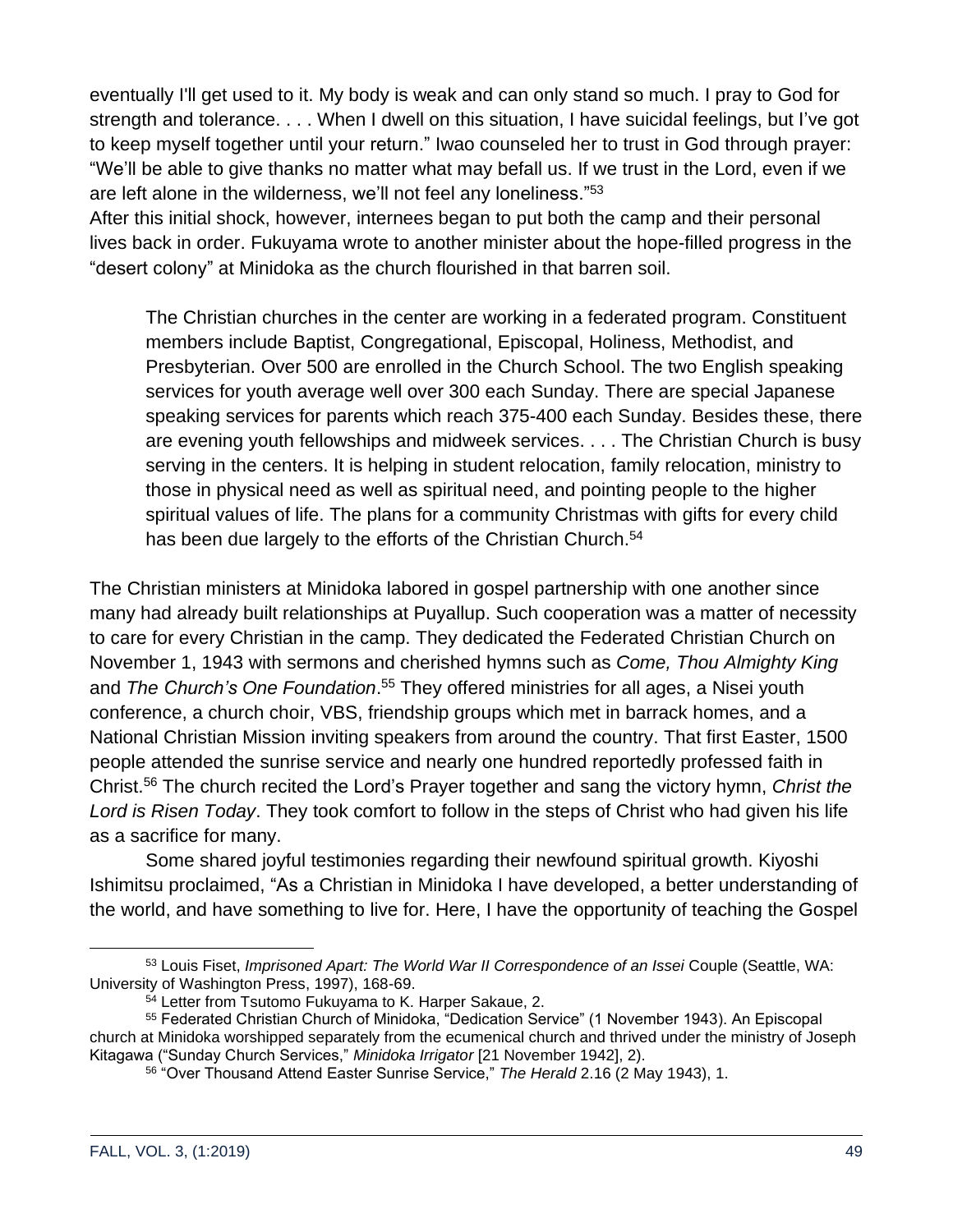eventually I'll get used to it. My body is weak and can only stand so much. I pray to God for strength and tolerance. . . . When I dwell on this situation, I have suicidal feelings, but I've got to keep myself together until your return." Iwao counseled her to trust in God through prayer: "We'll be able to give thanks no matter what may befall us. If we trust in the Lord, even if we are left alone in the wilderness, we'll not feel any loneliness."<sup>53</sup>

After this initial shock, however, internees began to put both the camp and their personal lives back in order. Fukuyama wrote to another minister about the hope-filled progress in the "desert colony" at Minidoka as the church flourished in that barren soil.

The Christian churches in the center are working in a federated program. Constituent members include Baptist, Congregational, Episcopal, Holiness, Methodist, and Presbyterian. Over 500 are enrolled in the Church School. The two English speaking services for youth average well over 300 each Sunday. There are special Japanese speaking services for parents which reach 375-400 each Sunday. Besides these, there are evening youth fellowships and midweek services. . . . The Christian Church is busy serving in the centers. It is helping in student relocation, family relocation, ministry to those in physical need as well as spiritual need, and pointing people to the higher spiritual values of life. The plans for a community Christmas with gifts for every child has been due largely to the efforts of the Christian Church.<sup>54</sup>

The Christian ministers at Minidoka labored in gospel partnership with one another since many had already built relationships at Puyallup. Such cooperation was a matter of necessity to care for every Christian in the camp. They dedicated the Federated Christian Church on November 1, 1943 with sermons and cherished hymns such as *Come, Thou Almighty King* and *The Church's One Foundation*. <sup>55</sup> They offered ministries for all ages, a Nisei youth conference, a church choir, VBS, friendship groups which met in barrack homes, and a National Christian Mission inviting speakers from around the country. That first Easter, 1500 people attended the sunrise service and nearly one hundred reportedly professed faith in Christ.<sup>56</sup> The church recited the Lord's Prayer together and sang the victory hymn, *Christ the Lord is Risen Today*. They took comfort to follow in the steps of Christ who had given his life as a sacrifice for many.

Some shared joyful testimonies regarding their newfound spiritual growth. Kiyoshi Ishimitsu proclaimed, "As a Christian in Minidoka I have developed, a better understanding of the world, and have something to live for. Here, I have the opportunity of teaching the Gospel

<sup>53</sup> Louis Fiset, *Imprisoned Apart: The World War II Correspondence of an Issei* Couple (Seattle, WA: University of Washington Press, 1997), 168-69.

<sup>54</sup> Letter from Tsutomo Fukuyama to K. Harper Sakaue, 2.

<sup>55</sup> Federated Christian Church of Minidoka, "Dedication Service" (1 November 1943). An Episcopal church at Minidoka worshipped separately from the ecumenical church and thrived under the ministry of Joseph Kitagawa ("Sunday Church Services," *Minidoka Irrigator* [21 November 1942], 2).

<sup>56</sup> "Over Thousand Attend Easter Sunrise Service," *The Herald* 2.16 (2 May 1943), 1.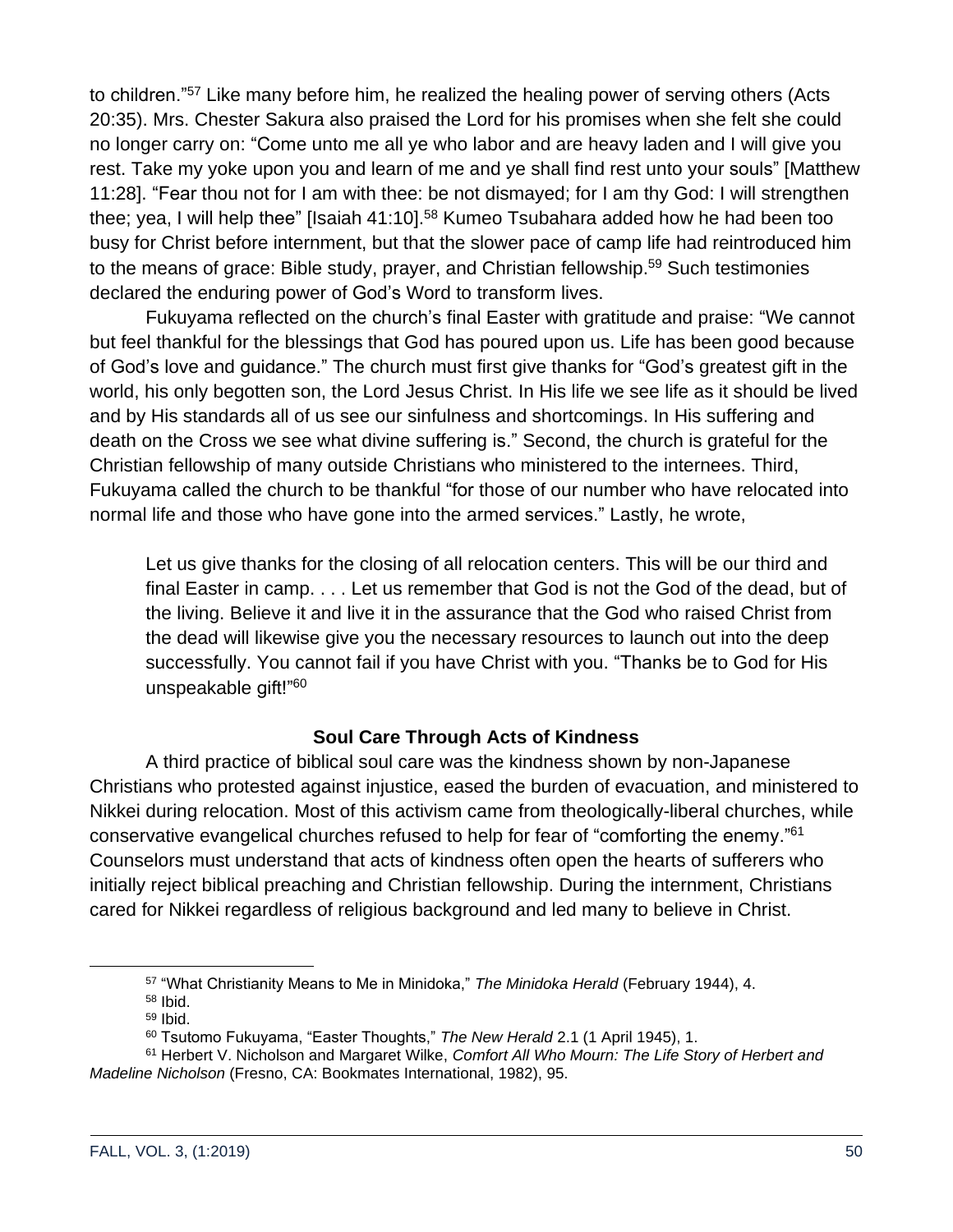to children."<sup>57</sup> Like many before him, he realized the healing power of serving others (Acts 20:35). Mrs. Chester Sakura also praised the Lord for his promises when she felt she could no longer carry on: "Come unto me all ye who labor and are heavy laden and I will give you rest. Take my yoke upon you and learn of me and ye shall find rest unto your souls" [Matthew 11:28]. "Fear thou not for I am with thee: be not dismayed; for I am thy God: I will strengthen thee; yea, I will help thee" [Isaiah 41:10].<sup>58</sup> Kumeo Tsubahara added how he had been too busy for Christ before internment, but that the slower pace of camp life had reintroduced him to the means of grace: Bible study, prayer, and Christian fellowship.<sup>59</sup> Such testimonies declared the enduring power of God's Word to transform lives.

Fukuyama reflected on the church's final Easter with gratitude and praise: "We cannot but feel thankful for the blessings that God has poured upon us. Life has been good because of God's love and guidance." The church must first give thanks for "God's greatest gift in the world, his only begotten son, the Lord Jesus Christ. In His life we see life as it should be lived and by His standards all of us see our sinfulness and shortcomings. In His suffering and death on the Cross we see what divine suffering is." Second, the church is grateful for the Christian fellowship of many outside Christians who ministered to the internees. Third, Fukuyama called the church to be thankful "for those of our number who have relocated into normal life and those who have gone into the armed services." Lastly, he wrote,

Let us give thanks for the closing of all relocation centers. This will be our third and final Easter in camp. . . . Let us remember that God is not the God of the dead, but of the living. Believe it and live it in the assurance that the God who raised Christ from the dead will likewise give you the necessary resources to launch out into the deep successfully. You cannot fail if you have Christ with you. "Thanks be to God for His unspeakable gift!"<sup>60</sup>

# **Soul Care Through Acts of Kindness**

A third practice of biblical soul care was the kindness shown by non-Japanese Christians who protested against injustice, eased the burden of evacuation, and ministered to Nikkei during relocation. Most of this activism came from theologically-liberal churches, while conservative evangelical churches refused to help for fear of "comforting the enemy."<sup>61</sup> Counselors must understand that acts of kindness often open the hearts of sufferers who initially reject biblical preaching and Christian fellowship. During the internment, Christians cared for Nikkei regardless of religious background and led many to believe in Christ.

<sup>57</sup> "What Christianity Means to Me in Minidoka," *The Minidoka Herald* (February 1944), 4.

<sup>58</sup> Ibid.

<sup>59</sup> Ibid.

<sup>60</sup> Tsutomo Fukuyama, "Easter Thoughts," *The New Herald* 2.1 (1 April 1945), 1.

<sup>61</sup> Herbert V. Nicholson and Margaret Wilke, *Comfort All Who Mourn: The Life Story of Herbert and Madeline Nicholson* (Fresno, CA: Bookmates International, 1982), 95.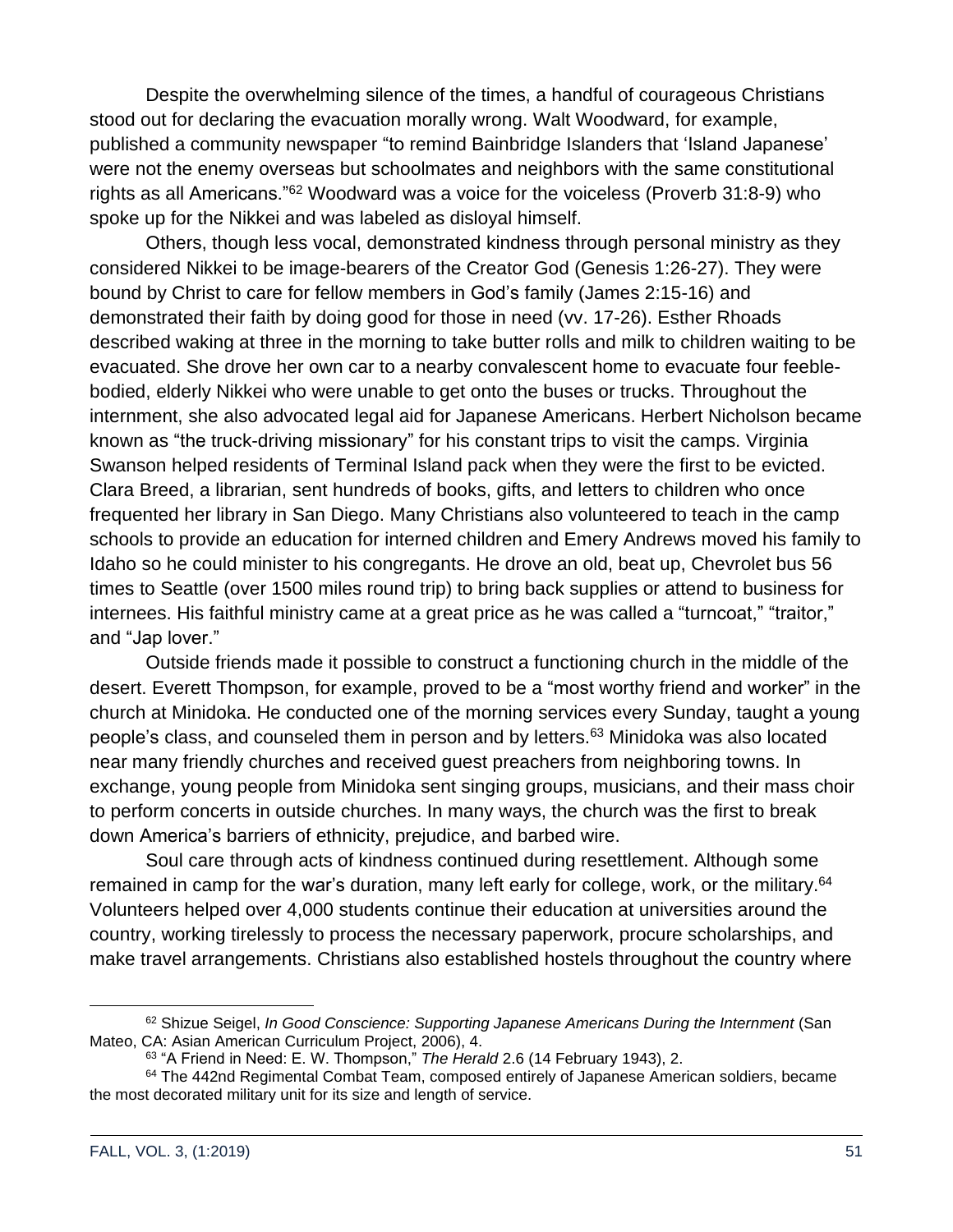Despite the overwhelming silence of the times, a handful of courageous Christians stood out for declaring the evacuation morally wrong. Walt Woodward, for example, published a community newspaper "to remind Bainbridge Islanders that 'Island Japanese' were not the enemy overseas but schoolmates and neighbors with the same constitutional rights as all Americans."<sup>62</sup> Woodward was a voice for the voiceless (Proverb 31:8-9) who spoke up for the Nikkei and was labeled as disloyal himself.

Others, though less vocal, demonstrated kindness through personal ministry as they considered Nikkei to be image-bearers of the Creator God (Genesis 1:26-27). They were bound by Christ to care for fellow members in God's family (James 2:15-16) and demonstrated their faith by doing good for those in need (vv. 17-26). Esther Rhoads described waking at three in the morning to take butter rolls and milk to children waiting to be evacuated. She drove her own car to a nearby convalescent home to evacuate four feeblebodied, elderly Nikkei who were unable to get onto the buses or trucks. Throughout the internment, she also advocated legal aid for Japanese Americans. Herbert Nicholson became known as "the truck-driving missionary" for his constant trips to visit the camps. Virginia Swanson helped residents of Terminal Island pack when they were the first to be evicted. Clara Breed, a librarian, sent hundreds of books, gifts, and letters to children who once frequented her library in San Diego. Many Christians also volunteered to teach in the camp schools to provide an education for interned children and Emery Andrews moved his family to Idaho so he could minister to his congregants. He drove an old, beat up, Chevrolet bus 56 times to Seattle (over 1500 miles round trip) to bring back supplies or attend to business for internees. His faithful ministry came at a great price as he was called a "turncoat," "traitor," and "Jap lover."

Outside friends made it possible to construct a functioning church in the middle of the desert. Everett Thompson, for example, proved to be a "most worthy friend and worker" in the church at Minidoka. He conducted one of the morning services every Sunday, taught a young people's class, and counseled them in person and by letters.<sup>63</sup> Minidoka was also located near many friendly churches and received guest preachers from neighboring towns. In exchange, young people from Minidoka sent singing groups, musicians, and their mass choir to perform concerts in outside churches. In many ways, the church was the first to break down America's barriers of ethnicity, prejudice, and barbed wire.

Soul care through acts of kindness continued during resettlement. Although some remained in camp for the war's duration, many left early for college, work, or the military.<sup>64</sup> Volunteers helped over 4,000 students continue their education at universities around the country, working tirelessly to process the necessary paperwork, procure scholarships, and make travel arrangements. Christians also established hostels throughout the country where

<sup>62</sup> Shizue Seigel, *In Good Conscience: Supporting Japanese Americans During the Internment* (San Mateo, CA: Asian American Curriculum Project, 2006), 4.

<sup>63</sup> "A Friend in Need: E. W. Thompson," *The Herald* 2.6 (14 February 1943), 2.

 $64$  The 442nd Regimental Combat Team, composed entirely of Japanese American soldiers, became the most decorated military unit for its size and length of service.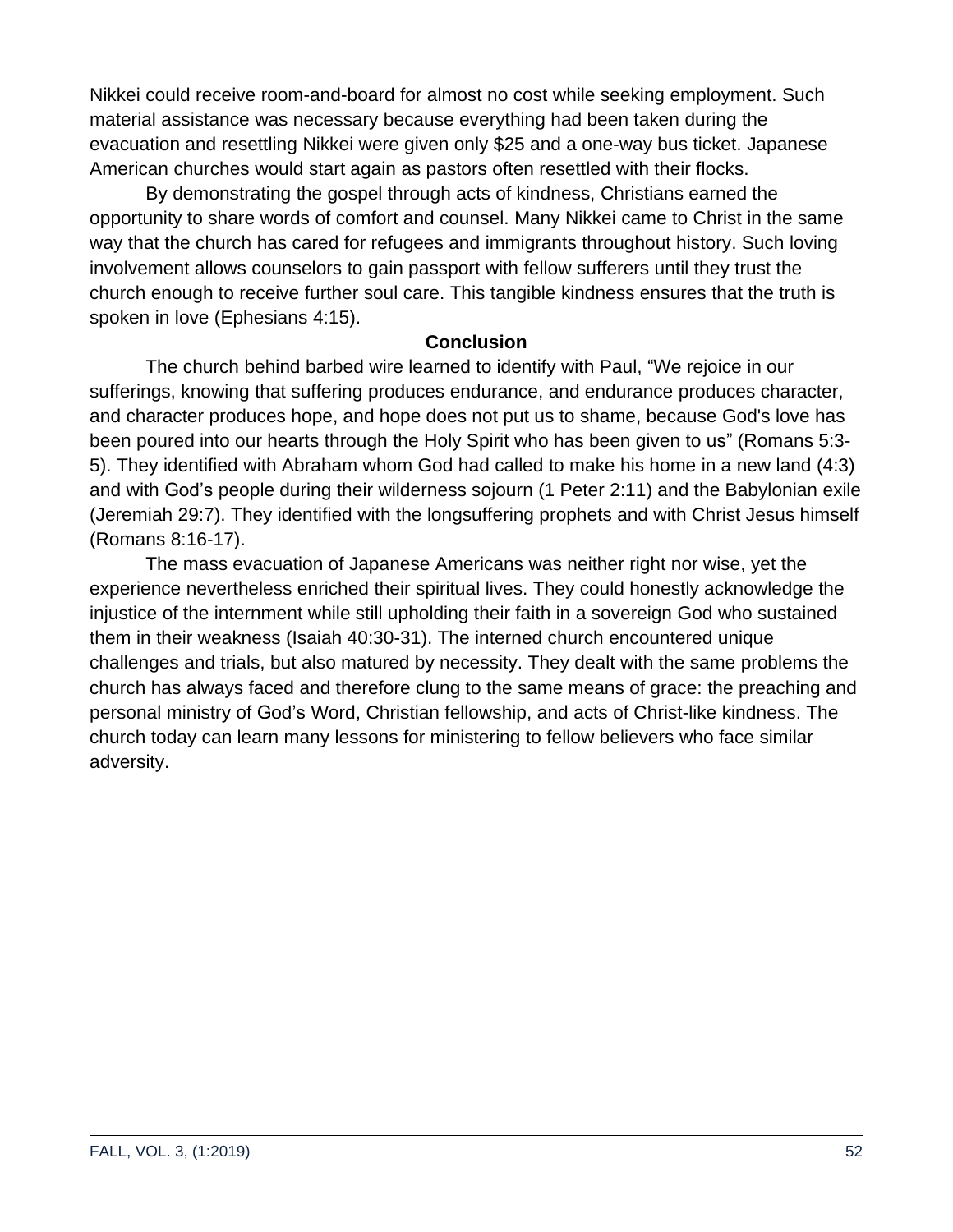Nikkei could receive room-and-board for almost no cost while seeking employment. Such material assistance was necessary because everything had been taken during the evacuation and resettling Nikkei were given only \$25 and a one-way bus ticket. Japanese American churches would start again as pastors often resettled with their flocks.

By demonstrating the gospel through acts of kindness, Christians earned the opportunity to share words of comfort and counsel. Many Nikkei came to Christ in the same way that the church has cared for refugees and immigrants throughout history. Such loving involvement allows counselors to gain passport with fellow sufferers until they trust the church enough to receive further soul care. This tangible kindness ensures that the truth is spoken in love (Ephesians 4:15).

### **Conclusion**

The church behind barbed wire learned to identify with Paul, "We rejoice in our sufferings, knowing that suffering produces endurance, and endurance produces character, and character produces hope, and hope does not put us to shame, because God's love has been poured into our hearts through the Holy Spirit who has been given to us" (Romans 5:3- 5). They identified with Abraham whom God had called to make his home in a new land (4:3) and with God's people during their wilderness sojourn (1 Peter 2:11) and the Babylonian exile (Jeremiah 29:7). They identified with the longsuffering prophets and with Christ Jesus himself (Romans 8:16-17).

The mass evacuation of Japanese Americans was neither right nor wise, yet the experience nevertheless enriched their spiritual lives. They could honestly acknowledge the injustice of the internment while still upholding their faith in a sovereign God who sustained them in their weakness (Isaiah 40:30-31). The interned church encountered unique challenges and trials, but also matured by necessity. They dealt with the same problems the church has always faced and therefore clung to the same means of grace: the preaching and personal ministry of God's Word, Christian fellowship, and acts of Christ-like kindness. The church today can learn many lessons for ministering to fellow believers who face similar adversity.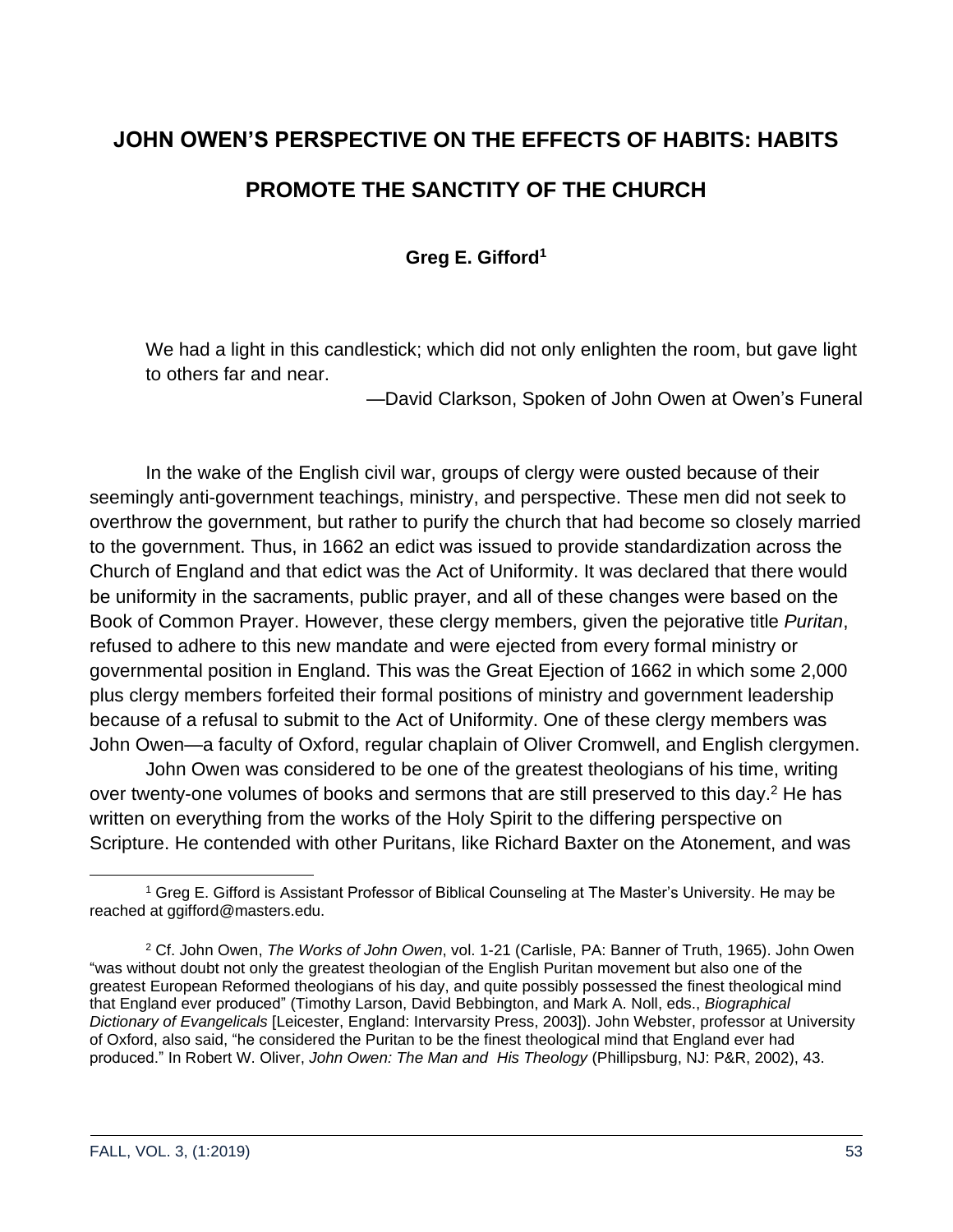# **JOHN OWEN'S PERSPECTIVE ON THE EFFECTS OF HABITS: HABITS**

# **PROMOTE THE SANCTITY OF THE CHURCH**

**Greg E. Gifford<sup>1</sup>**

We had a light in this candlestick; which did not only enlighten the room, but gave light to others far and near.

—David Clarkson, Spoken of John Owen at Owen's Funeral

In the wake of the English civil war, groups of clergy were ousted because of their seemingly anti-government teachings, ministry, and perspective. These men did not seek to overthrow the government, but rather to purify the church that had become so closely married to the government. Thus, in 1662 an edict was issued to provide standardization across the Church of England and that edict was the Act of Uniformity. It was declared that there would be uniformity in the sacraments, public prayer, and all of these changes were based on the Book of Common Prayer. However, these clergy members, given the pejorative title *Puritan*, refused to adhere to this new mandate and were ejected from every formal ministry or governmental position in England. This was the Great Ejection of 1662 in which some 2,000 plus clergy members forfeited their formal positions of ministry and government leadership because of a refusal to submit to the Act of Uniformity. One of these clergy members was John Owen—a faculty of Oxford, regular chaplain of Oliver Cromwell, and English clergymen.

John Owen was considered to be one of the greatest theologians of his time, writing over twenty-one volumes of books and sermons that are still preserved to this day.<sup>2</sup> He has written on everything from the works of the Holy Spirit to the differing perspective on Scripture. He contended with other Puritans, like Richard Baxter on the Atonement, and was

<sup>1</sup> Greg E. Gifford is Assistant Professor of Biblical Counseling at The Master's University. He may be reached at ggifford@masters.edu.

<sup>2</sup> Cf. John Owen, *The Works of John Owen*, vol. 1-21 (Carlisle, PA: Banner of Truth, 1965). John Owen "was without doubt not only the greatest theologian of the English Puritan movement but also one of the greatest European Reformed theologians of his day, and quite possibly possessed the finest theological mind that England ever produced" (Timothy Larson, David Bebbington, and Mark A. Noll, eds., *Biographical Dictionary of Evangelicals* [Leicester, England: Intervarsity Press, 2003]). John Webster, professor at University of Oxford, also said, "he considered the Puritan to be the finest theological mind that England ever had produced." In Robert W. Oliver, *John Owen: The Man and His Theology* (Phillipsburg, NJ: P&R, 2002), 43.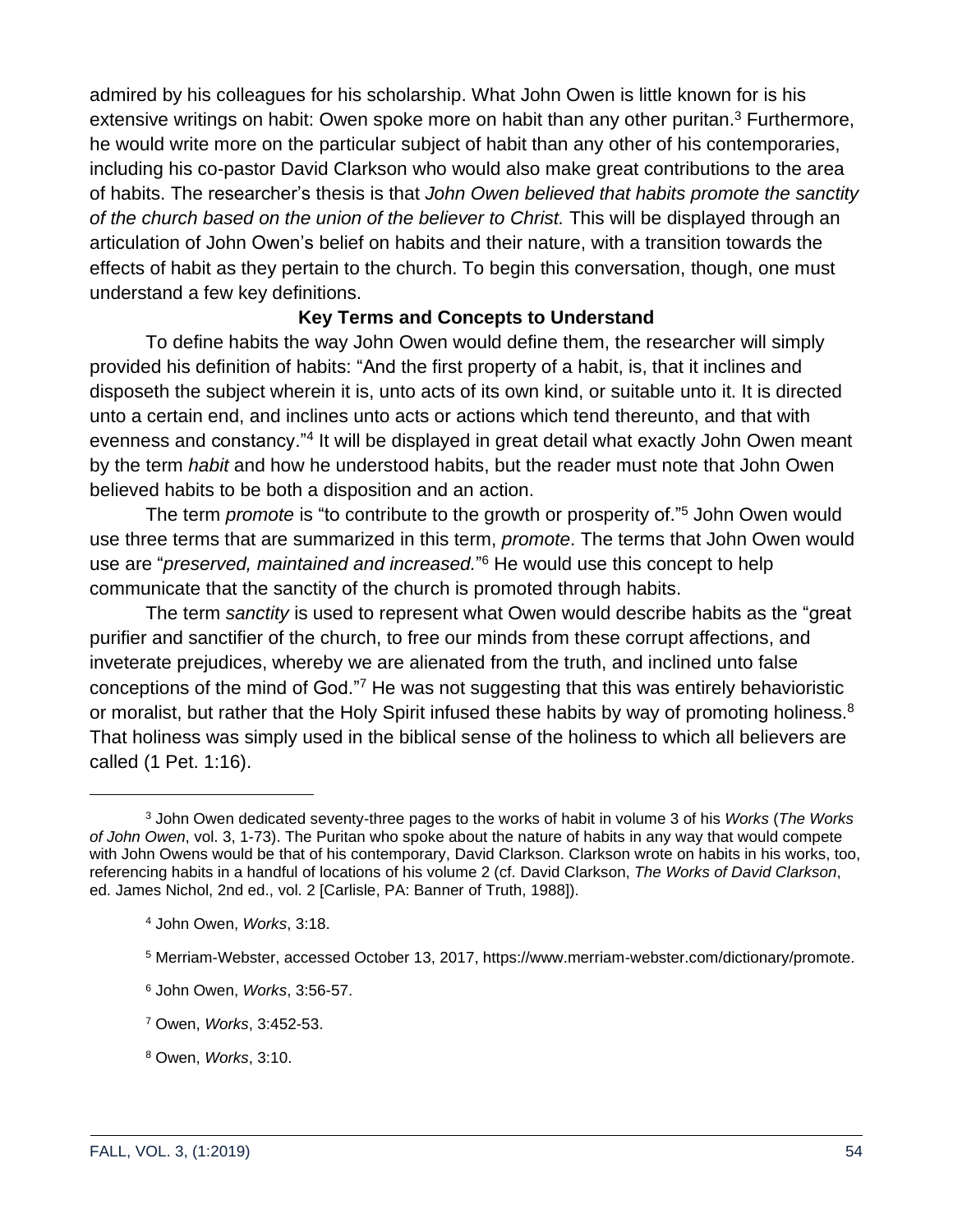admired by his colleagues for his scholarship. What John Owen is little known for is his extensive writings on habit: Owen spoke more on habit than any other puritan.<sup>3</sup> Furthermore, he would write more on the particular subject of habit than any other of his contemporaries, including his co-pastor David Clarkson who would also make great contributions to the area of habits. The researcher's thesis is that *John Owen believed that habits promote the sanctity of the church based on the union of the believer to Christ.* This will be displayed through an articulation of John Owen's belief on habits and their nature, with a transition towards the effects of habit as they pertain to the church. To begin this conversation, though, one must understand a few key definitions.

### **Key Terms and Concepts to Understand**

To define habits the way John Owen would define them, the researcher will simply provided his definition of habits: "And the first property of a habit, is, that it inclines and disposeth the subject wherein it is, unto acts of its own kind, or suitable unto it. It is directed unto a certain end, and inclines unto acts or actions which tend thereunto, and that with evenness and constancy."<sup>4</sup> It will be displayed in great detail what exactly John Owen meant by the term *habit* and how he understood habits, but the reader must note that John Owen believed habits to be both a disposition and an action.

The term *promote* is "to contribute to the growth or prosperity of."<sup>5</sup> John Owen would use three terms that are summarized in this term, *promote*. The terms that John Owen would use are "*preserved, maintained and increased.*" <sup>6</sup> He would use this concept to help communicate that the sanctity of the church is promoted through habits.

The term *sanctity* is used to represent what Owen would describe habits as the "great purifier and sanctifier of the church, to free our minds from these corrupt affections, and inveterate prejudices, whereby we are alienated from the truth, and inclined unto false conceptions of the mind of God."<sup>7</sup> He was not suggesting that this was entirely behavioristic or moralist, but rather that the Holy Spirit infused these habits by way of promoting holiness.<sup>8</sup> That holiness was simply used in the biblical sense of the holiness to which all believers are called (1 Pet. 1:16).

<sup>3</sup> John Owen dedicated seventy-three pages to the works of habit in volume 3 of his *Works* (*The Works of John Owen*, vol. 3, 1-73). The Puritan who spoke about the nature of habits in any way that would compete with John Owens would be that of his contemporary, David Clarkson. Clarkson wrote on habits in his works, too, referencing habits in a handful of locations of his volume 2 (cf. David Clarkson, *The Works of David Clarkson*, ed. James Nichol, 2nd ed., vol. 2 [Carlisle, PA: Banner of Truth, 1988]).

<sup>4</sup> John Owen, *Works*, 3:18.

<sup>5</sup> Merriam-Webster, accessed October 13, 2017, https://www.merriam-webster.com/dictionary/promote.

<sup>6</sup> John Owen, *Works*, 3:56-57.

<sup>7</sup> Owen, *Works*, 3:452-53.

<sup>8</sup> Owen, *Works*, 3:10.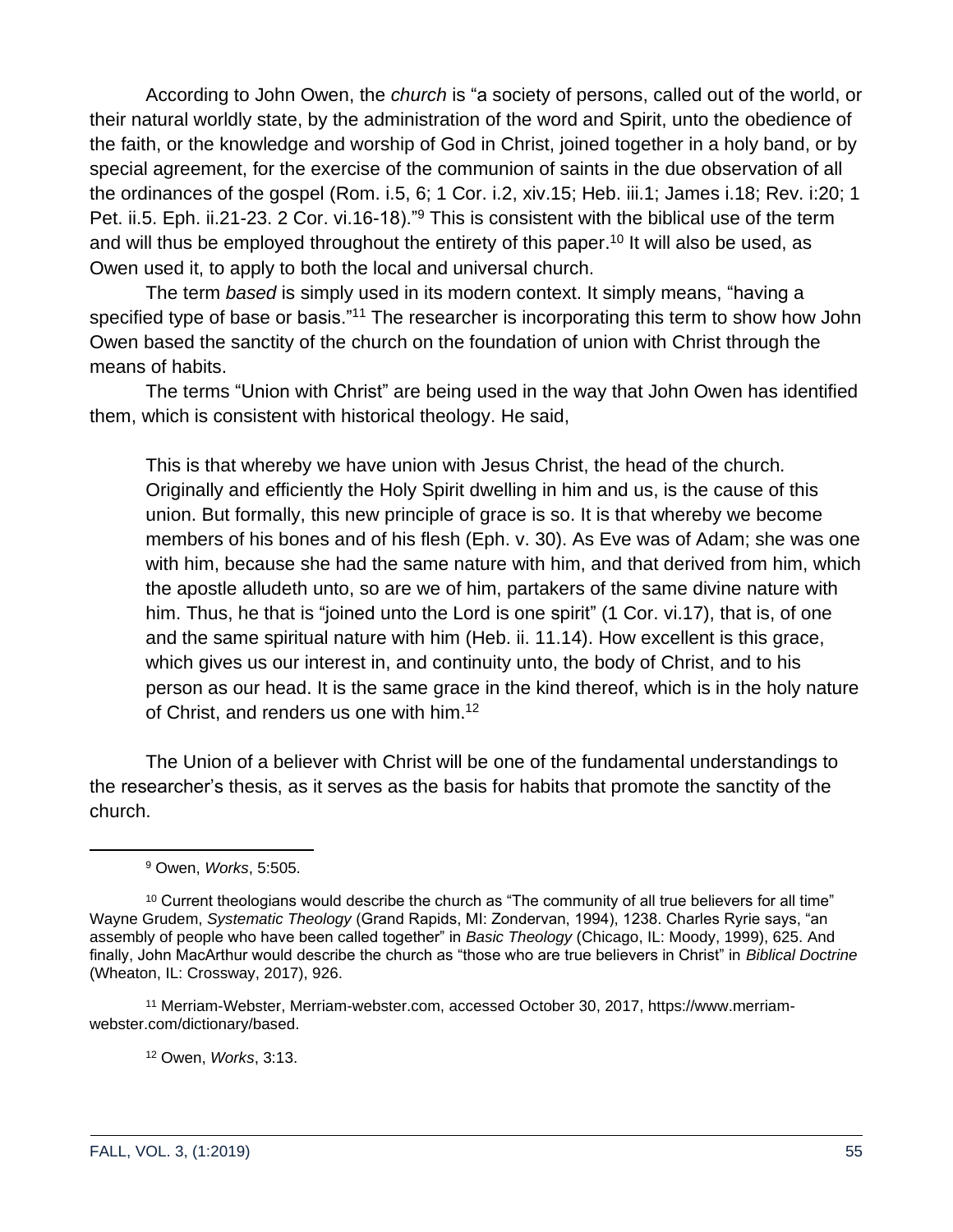According to John Owen, the *church* is "a society of persons, called out of the world, or their natural worldly state, by the administration of the word and Spirit, unto the obedience of the faith, or the knowledge and worship of God in Christ, joined together in a holy band, or by special agreement, for the exercise of the communion of saints in the due observation of all the ordinances of the gospel (Rom. i.5, 6; 1 Cor. i.2, xiv.15; Heb. iii.1; James i.18; Rev. i:20; 1 Pet. ii.5. Eph. ii.21-23. 2 Cor. vi.16-18).<sup>"9</sup> This is consistent with the biblical use of the term and will thus be employed throughout the entirety of this paper.<sup>10</sup> It will also be used, as Owen used it, to apply to both the local and universal church.

The term *based* is simply used in its modern context. It simply means, "having a specified type of base or basis."<sup>11</sup> The researcher is incorporating this term to show how John Owen based the sanctity of the church on the foundation of union with Christ through the means of habits.

The terms "Union with Christ" are being used in the way that John Owen has identified them, which is consistent with historical theology. He said,

This is that whereby we have union with Jesus Christ, the head of the church. Originally and efficiently the Holy Spirit dwelling in him and us, is the cause of this union. But formally, this new principle of grace is so. It is that whereby we become members of his bones and of his flesh (Eph. v. 30). As Eve was of Adam; she was one with him, because she had the same nature with him, and that derived from him, which the apostle alludeth unto, so are we of him, partakers of the same divine nature with him. Thus, he that is "joined unto the Lord is one spirit" (1 Cor. vi.17), that is, of one and the same spiritual nature with him (Heb. ii. 11.14). How excellent is this grace, which gives us our interest in, and continuity unto, the body of Christ, and to his person as our head. It is the same grace in the kind thereof, which is in the holy nature of Christ, and renders us one with him.<sup>12</sup>

The Union of a believer with Christ will be one of the fundamental understandings to the researcher's thesis, as it serves as the basis for habits that promote the sanctity of the church.

<sup>12</sup> Owen, *Works*, 3:13.

<sup>9</sup> Owen, *Works*, 5:505.

<sup>&</sup>lt;sup>10</sup> Current theologians would describe the church as "The community of all true believers for all time" Wayne Grudem, *Systematic Theology* (Grand Rapids, MI: Zondervan, 1994), 1238. Charles Ryrie says, "an assembly of people who have been called together" in *Basic Theology* (Chicago, IL: Moody, 1999), 625. And finally, John MacArthur would describe the church as "those who are true believers in Christ" in *Biblical Doctrine* (Wheaton, IL: Crossway, 2017), 926.

<sup>11</sup> Merriam-Webster, Merriam-webster.com, accessed October 30, 2017, https://www.merriamwebster.com/dictionary/based.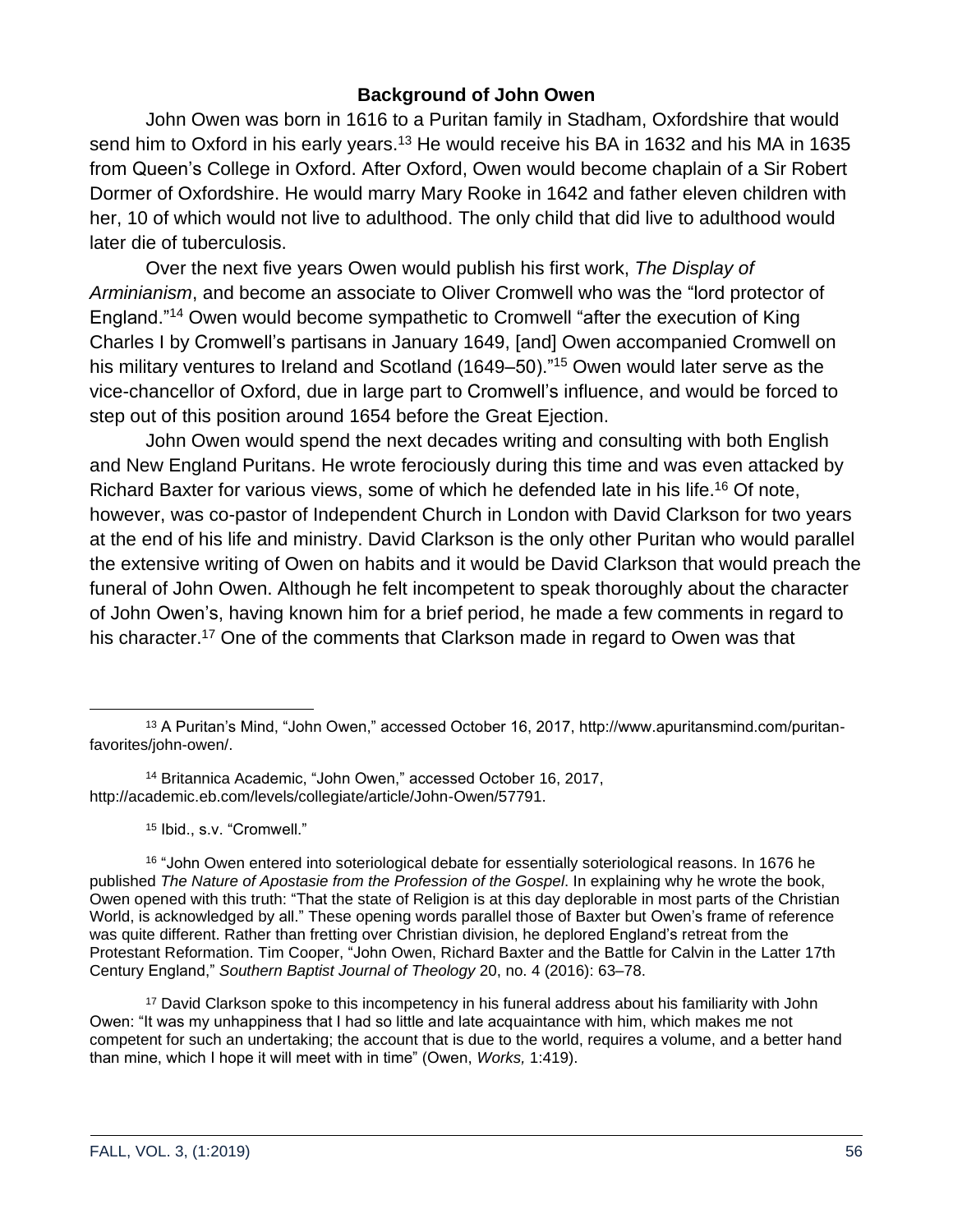# **Background of John Owen**

John Owen was born in 1616 to a Puritan family in Stadham, Oxfordshire that would send him to Oxford in his early years.<sup>13</sup> He would receive his BA in 1632 and his MA in 1635 from Queen's College in Oxford. After Oxford, Owen would become chaplain of a Sir Robert Dormer of Oxfordshire. He would marry Mary Rooke in 1642 and father eleven children with her, 10 of which would not live to adulthood. The only child that did live to adulthood would later die of tuberculosis.

Over the next five years Owen would publish his first work, *The Display of Arminianism*, and become an associate to Oliver Cromwell who was the "lord protector of England."<sup>14</sup> Owen would become sympathetic to Cromwell "after the execution of King Charles I by Cromwell's partisans in January 1649, [and] Owen accompanied Cromwell on his military ventures to Ireland and Scotland (1649–50)."<sup>15</sup> Owen would later serve as the vice-chancellor of Oxford, due in large part to Cromwell's influence, and would be forced to step out of this position around 1654 before the Great Ejection.

John Owen would spend the next decades writing and consulting with both English and New England Puritans. He wrote ferociously during this time and was even attacked by Richard Baxter for various views, some of which he defended late in his life.<sup>16</sup> Of note, however, was co-pastor of Independent Church in London with David Clarkson for two years at the end of his life and ministry. David Clarkson is the only other Puritan who would parallel the extensive writing of Owen on habits and it would be David Clarkson that would preach the funeral of John Owen. Although he felt incompetent to speak thoroughly about the character of John Owen's, having known him for a brief period, he made a few comments in regard to his character.<sup>17</sup> One of the comments that Clarkson made in regard to Owen was that

<sup>14</sup> Britannica Academic, "John Owen," accessed October 16, 2017, http://academic.eb.com/levels/collegiate/article/John-Owen/57791.

<sup>15</sup> Ibid., s.v. "Cromwell."

<sup>16</sup> "John Owen entered into soteriological debate for essentially soteriological reasons. In 1676 he published *The Nature of Apostasie from the Profession of the Gospel*. In explaining why he wrote the book, Owen opened with this truth: "That the state of Religion is at this day deplorable in most parts of the Christian World, is acknowledged by all." These opening words parallel those of Baxter but Owen's frame of reference was quite different. Rather than fretting over Christian division, he deplored England's retreat from the Protestant Reformation. Tim Cooper, "John Owen, Richard Baxter and the Battle for Calvin in the Latter 17th Century England," *Southern Baptist Journal of Theology* 20, no. 4 (2016): 63–78.

<sup>17</sup> David Clarkson spoke to this incompetency in his funeral address about his familiarity with John Owen: "It was my unhappiness that I had so little and late acquaintance with him, which makes me not competent for such an undertaking; the account that is due to the world, requires a volume, and a better hand than mine, which I hope it will meet with in time" (Owen, *Works,* 1:419).

<sup>13</sup> A Puritan's Mind, "John Owen," accessed October 16, 2017, http://www.apuritansmind.com/puritanfavorites/john-owen/.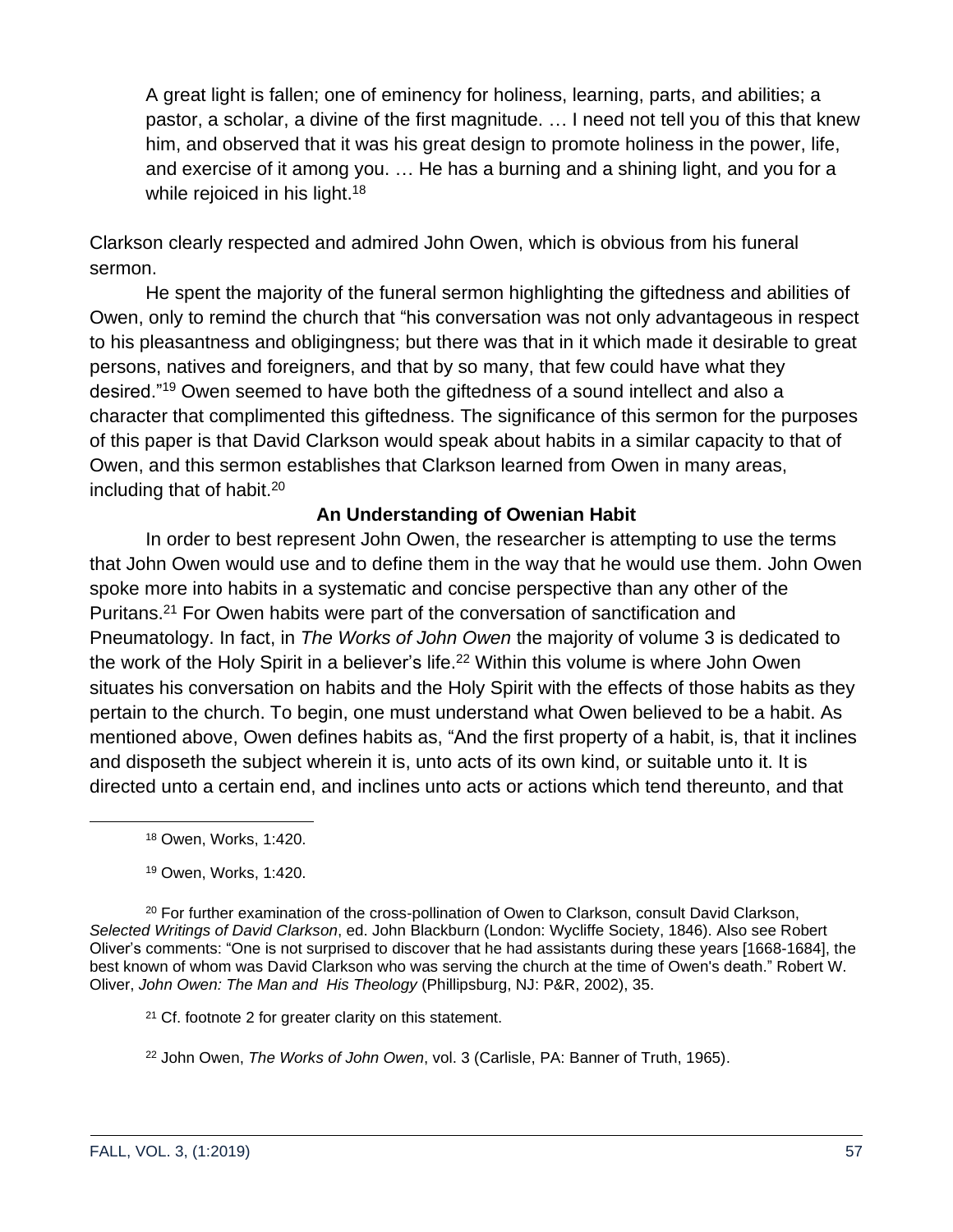A great light is fallen; one of eminency for holiness, learning, parts, and abilities; a pastor, a scholar, a divine of the first magnitude. … I need not tell you of this that knew him, and observed that it was his great design to promote holiness in the power, life, and exercise of it among you. … He has a burning and a shining light, and you for a while rejoiced in his light.<sup>18</sup>

Clarkson clearly respected and admired John Owen, which is obvious from his funeral sermon.

He spent the majority of the funeral sermon highlighting the giftedness and abilities of Owen, only to remind the church that "his conversation was not only advantageous in respect to his pleasantness and obligingness; but there was that in it which made it desirable to great persons, natives and foreigners, and that by so many, that few could have what they desired."<sup>19</sup> Owen seemed to have both the giftedness of a sound intellect and also a character that complimented this giftedness. The significance of this sermon for the purposes of this paper is that David Clarkson would speak about habits in a similar capacity to that of Owen, and this sermon establishes that Clarkson learned from Owen in many areas, including that of habit. $20$ 

### **An Understanding of Owenian Habit**

In order to best represent John Owen, the researcher is attempting to use the terms that John Owen would use and to define them in the way that he would use them. John Owen spoke more into habits in a systematic and concise perspective than any other of the Puritans.<sup>21</sup> For Owen habits were part of the conversation of sanctification and Pneumatology. In fact, in *The Works of John Owen* the majority of volume 3 is dedicated to the work of the Holy Spirit in a believer's life.<sup>22</sup> Within this volume is where John Owen situates his conversation on habits and the Holy Spirit with the effects of those habits as they pertain to the church. To begin, one must understand what Owen believed to be a habit. As mentioned above, Owen defines habits as, "And the first property of a habit, is, that it inclines and disposeth the subject wherein it is, unto acts of its own kind, or suitable unto it. It is directed unto a certain end, and inclines unto acts or actions which tend thereunto, and that

<sup>18</sup> Owen, Works, 1:420.

<sup>19</sup> Owen, Works, 1:420.

<sup>20</sup> For further examination of the cross-pollination of Owen to Clarkson, consult David Clarkson, *Selected Writings of David Clarkson*, ed. John Blackburn (London: Wycliffe Society, 1846). Also see Robert Oliver's comments: "One is not surprised to discover that he had assistants during these years [1668-1684], the best known of whom was David Clarkson who was serving the church at the time of Owen's death." Robert W. Oliver, *John Owen: The Man and His Theology* (Phillipsburg, NJ: P&R, 2002), 35.

<sup>21</sup> Cf. footnote 2 for greater clarity on this statement.

<sup>22</sup> John Owen, *The Works of John Owen*, vol. 3 (Carlisle, PA: Banner of Truth, 1965).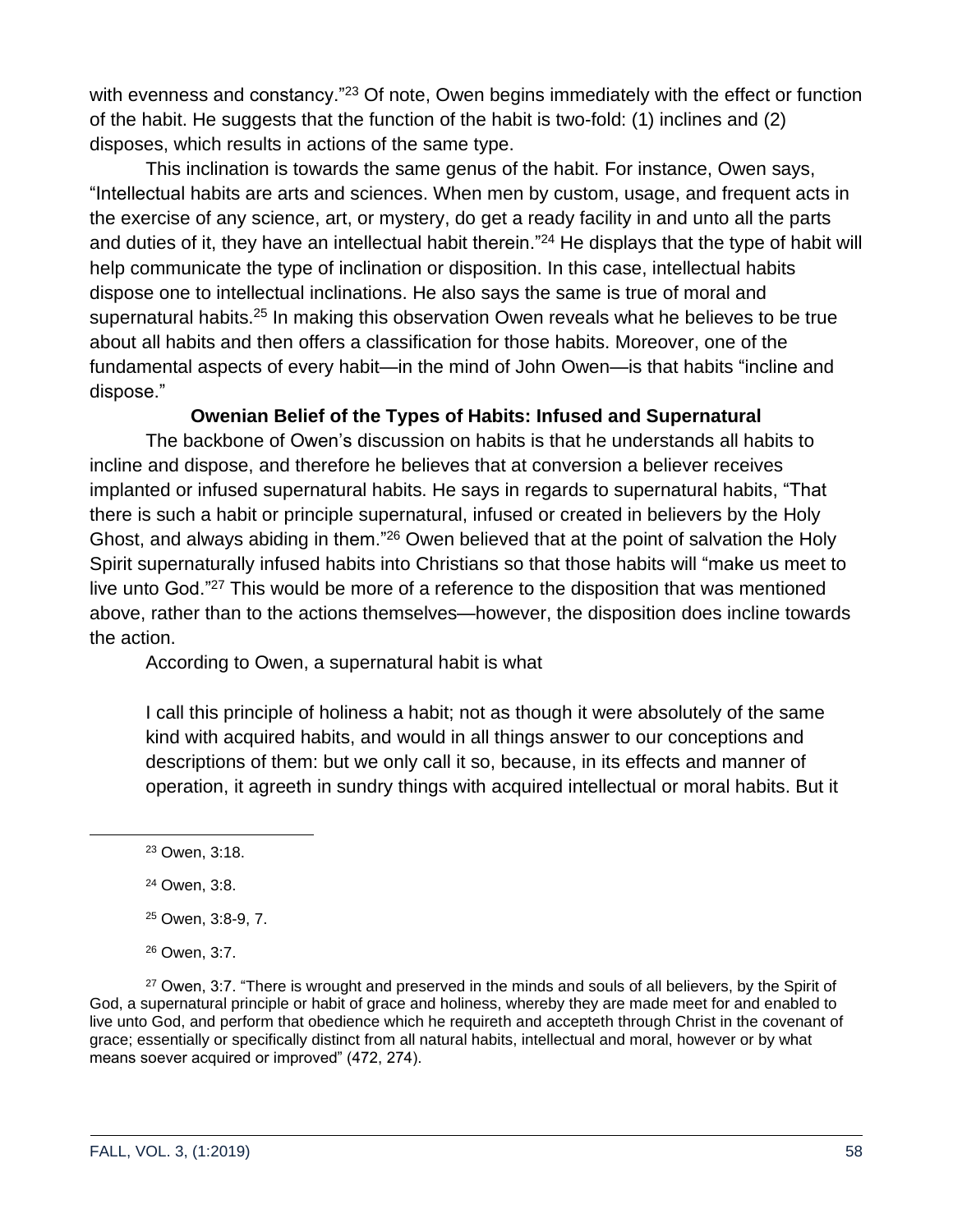with evenness and constancy.<sup>"23</sup> Of note, Owen begins immediately with the effect or function of the habit. He suggests that the function of the habit is two-fold: (1) inclines and (2) disposes, which results in actions of the same type.

This inclination is towards the same genus of the habit. For instance, Owen says, "Intellectual habits are arts and sciences. When men by custom, usage, and frequent acts in the exercise of any science, art, or mystery, do get a ready facility in and unto all the parts and duties of it, they have an intellectual habit therein."<sup>24</sup> He displays that the type of habit will help communicate the type of inclination or disposition. In this case, intellectual habits dispose one to intellectual inclinations. He also says the same is true of moral and supernatural habits.<sup>25</sup> In making this observation Owen reveals what he believes to be true about all habits and then offers a classification for those habits. Moreover, one of the fundamental aspects of every habit—in the mind of John Owen—is that habits "incline and dispose."

# **Owenian Belief of the Types of Habits: Infused and Supernatural**

The backbone of Owen's discussion on habits is that he understands all habits to incline and dispose, and therefore he believes that at conversion a believer receives implanted or infused supernatural habits. He says in regards to supernatural habits, "That there is such a habit or principle supernatural, infused or created in believers by the Holy Ghost, and always abiding in them."<sup>26</sup> Owen believed that at the point of salvation the Holy Spirit supernaturally infused habits into Christians so that those habits will "make us meet to live unto God."<sup>27</sup> This would be more of a reference to the disposition that was mentioned above, rather than to the actions themselves—however, the disposition does incline towards the action.

According to Owen, a supernatural habit is what

I call this principle of holiness a habit; not as though it were absolutely of the same kind with acquired habits, and would in all things answer to our conceptions and descriptions of them: but we only call it so, because, in its effects and manner of operation, it agreeth in sundry things with acquired intellectual or moral habits. But it

<sup>27</sup> Owen, 3:7. "There is wrought and preserved in the minds and souls of all believers, by the Spirit of God, a supernatural principle or habit of grace and holiness, whereby they are made meet for and enabled to live unto God, and perform that obedience which he requireth and accepteth through Christ in the covenant of grace; essentially or specifically distinct from all natural habits, intellectual and moral, however or by what means soever acquired or improved" (472, 274).

<sup>23</sup> Owen, 3:18.

<sup>24</sup> Owen, 3:8.

<sup>25</sup> Owen, 3:8-9, 7.

<sup>26</sup> Owen, 3:7.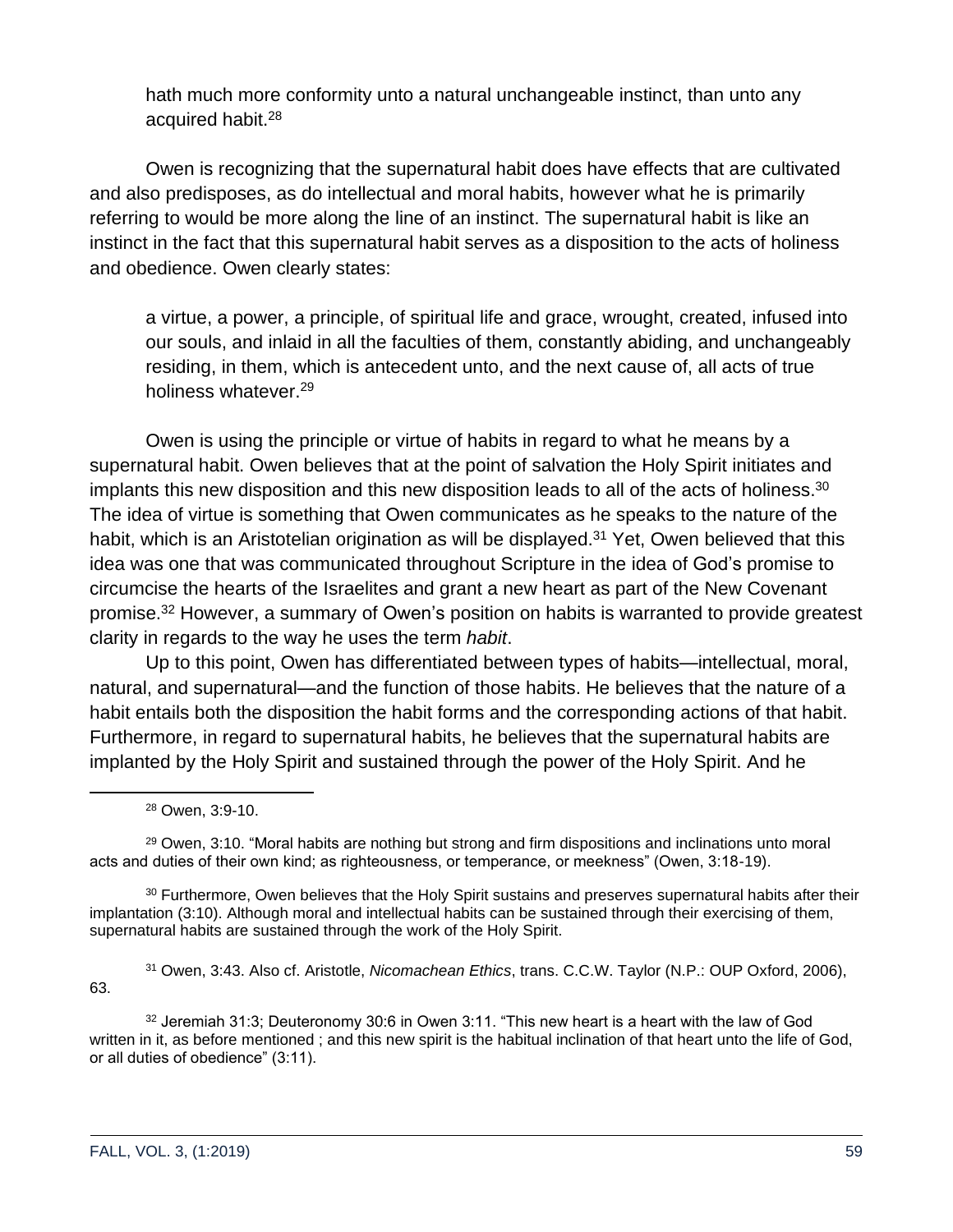hath much more conformity unto a natural unchangeable instinct, than unto any acquired habit.<sup>28</sup>

Owen is recognizing that the supernatural habit does have effects that are cultivated and also predisposes, as do intellectual and moral habits, however what he is primarily referring to would be more along the line of an instinct. The supernatural habit is like an instinct in the fact that this supernatural habit serves as a disposition to the acts of holiness and obedience. Owen clearly states:

a virtue, a power, a principle, of spiritual life and grace, wrought, created, infused into our souls, and inlaid in all the faculties of them, constantly abiding, and unchangeably residing, in them, which is antecedent unto, and the next cause of, all acts of true holiness whatever.<sup>29</sup>

Owen is using the principle or virtue of habits in regard to what he means by a supernatural habit. Owen believes that at the point of salvation the Holy Spirit initiates and implants this new disposition and this new disposition leads to all of the acts of holiness.<sup>30</sup> The idea of virtue is something that Owen communicates as he speaks to the nature of the habit, which is an Aristotelian origination as will be displayed.<sup>31</sup> Yet, Owen believed that this idea was one that was communicated throughout Scripture in the idea of God's promise to circumcise the hearts of the Israelites and grant a new heart as part of the New Covenant promise.<sup>32</sup> However, a summary of Owen's position on habits is warranted to provide greatest clarity in regards to the way he uses the term *habit*.

Up to this point, Owen has differentiated between types of habits—intellectual, moral, natural, and supernatural—and the function of those habits. He believes that the nature of a habit entails both the disposition the habit forms and the corresponding actions of that habit. Furthermore, in regard to supernatural habits, he believes that the supernatural habits are implanted by the Holy Spirit and sustained through the power of the Holy Spirit. And he

<sup>29</sup> Owen, 3:10. "Moral habits are nothing but strong and firm dispositions and inclinations unto moral acts and duties of their own kind; as righteousness, or temperance, or meekness" (Owen, 3:18-19).

<sup>30</sup> Furthermore, Owen believes that the Holy Spirit sustains and preserves supernatural habits after their implantation (3:10). Although moral and intellectual habits can be sustained through their exercising of them, supernatural habits are sustained through the work of the Holy Spirit.

<sup>31</sup> Owen, 3:43. Also cf. Aristotle, *Nicomachean Ethics*, trans. C.C.W. Taylor (N.P.: OUP Oxford, 2006), 63.

<sup>32</sup> Jeremiah 31:3; Deuteronomy 30:6 in Owen 3:11. "This new heart is a heart with the law of God written in it, as before mentioned ; and this new spirit is the habitual inclination of that heart unto the life of God, or all duties of obedience" (3:11).

<sup>28</sup> Owen, 3:9-10.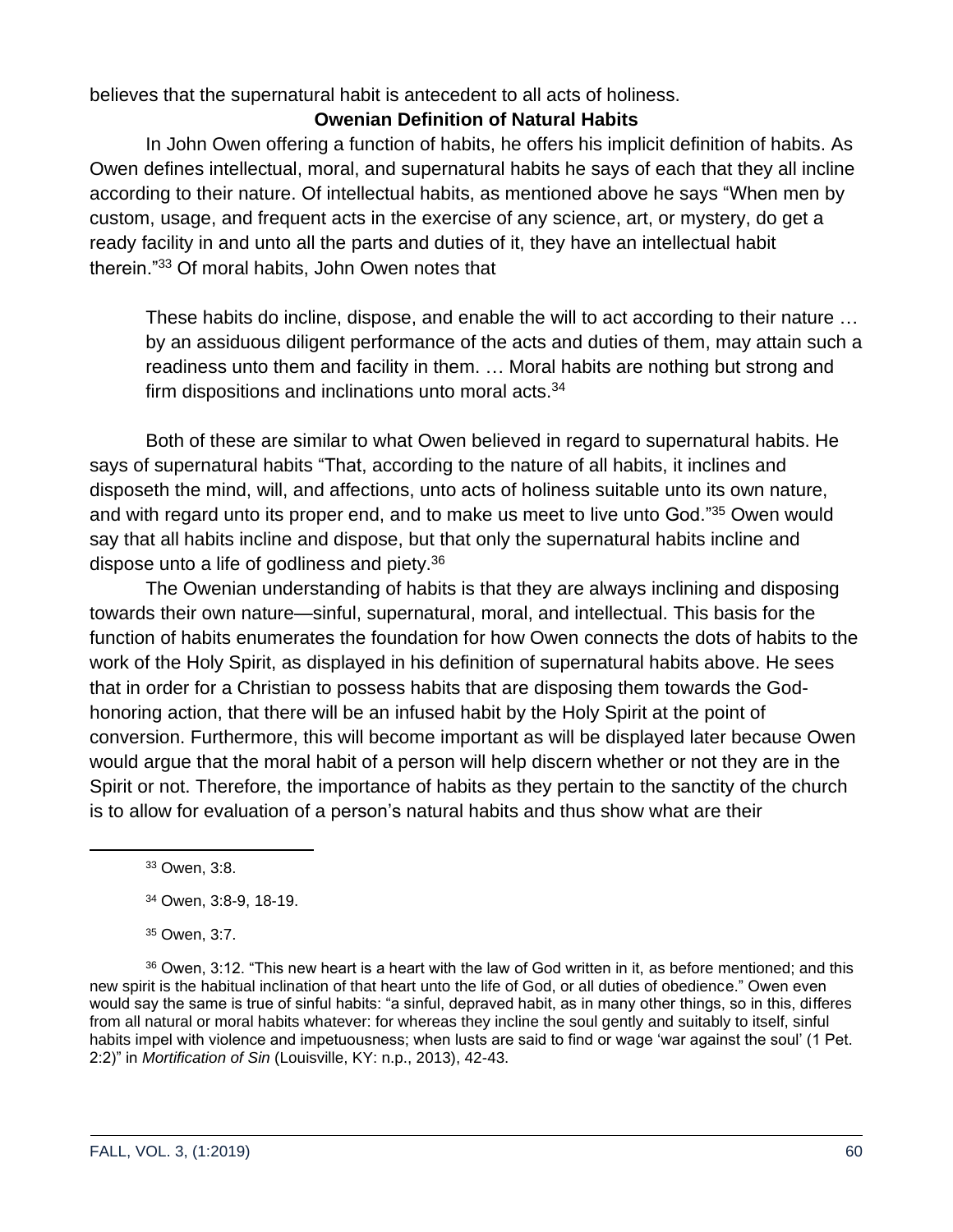believes that the supernatural habit is antecedent to all acts of holiness.

# **Owenian Definition of Natural Habits**

In John Owen offering a function of habits, he offers his implicit definition of habits. As Owen defines intellectual, moral, and supernatural habits he says of each that they all incline according to their nature. Of intellectual habits, as mentioned above he says "When men by custom, usage, and frequent acts in the exercise of any science, art, or mystery, do get a ready facility in and unto all the parts and duties of it, they have an intellectual habit therein."<sup>33</sup> Of moral habits, John Owen notes that

These habits do incline, dispose, and enable the will to act according to their nature … by an assiduous diligent performance of the acts and duties of them, may attain such a readiness unto them and facility in them. … Moral habits are nothing but strong and firm dispositions and inclinations unto moral acts. $34$ 

Both of these are similar to what Owen believed in regard to supernatural habits. He says of supernatural habits "That, according to the nature of all habits, it inclines and disposeth the mind, will, and affections, unto acts of holiness suitable unto its own nature, and with regard unto its proper end, and to make us meet to live unto God."<sup>35</sup> Owen would say that all habits incline and dispose, but that only the supernatural habits incline and dispose unto a life of godliness and piety.<sup>36</sup>

The Owenian understanding of habits is that they are always inclining and disposing towards their own nature—sinful, supernatural, moral, and intellectual. This basis for the function of habits enumerates the foundation for how Owen connects the dots of habits to the work of the Holy Spirit, as displayed in his definition of supernatural habits above. He sees that in order for a Christian to possess habits that are disposing them towards the Godhonoring action, that there will be an infused habit by the Holy Spirit at the point of conversion. Furthermore, this will become important as will be displayed later because Owen would argue that the moral habit of a person will help discern whether or not they are in the Spirit or not. Therefore, the importance of habits as they pertain to the sanctity of the church is to allow for evaluation of a person's natural habits and thus show what are their

<sup>36</sup> Owen, 3:12. "This new heart is a heart with the law of God written in it, as before mentioned; and this new spirit is the habitual inclination of that heart unto the life of God, or all duties of obedience." Owen even would say the same is true of sinful habits: "a sinful, depraved habit, as in many other things, so in this, differes from all natural or moral habits whatever: for whereas they incline the soul gently and suitably to itself, sinful habits impel with violence and impetuousness; when lusts are said to find or wage 'war against the soul' (1 Pet. 2:2)" in *Mortification of Sin* (Louisville, KY: n.p., 2013), 42-43.

<sup>33</sup> Owen, 3:8.

<sup>34</sup> Owen, 3:8-9, 18-19.

<sup>35</sup> Owen, 3:7.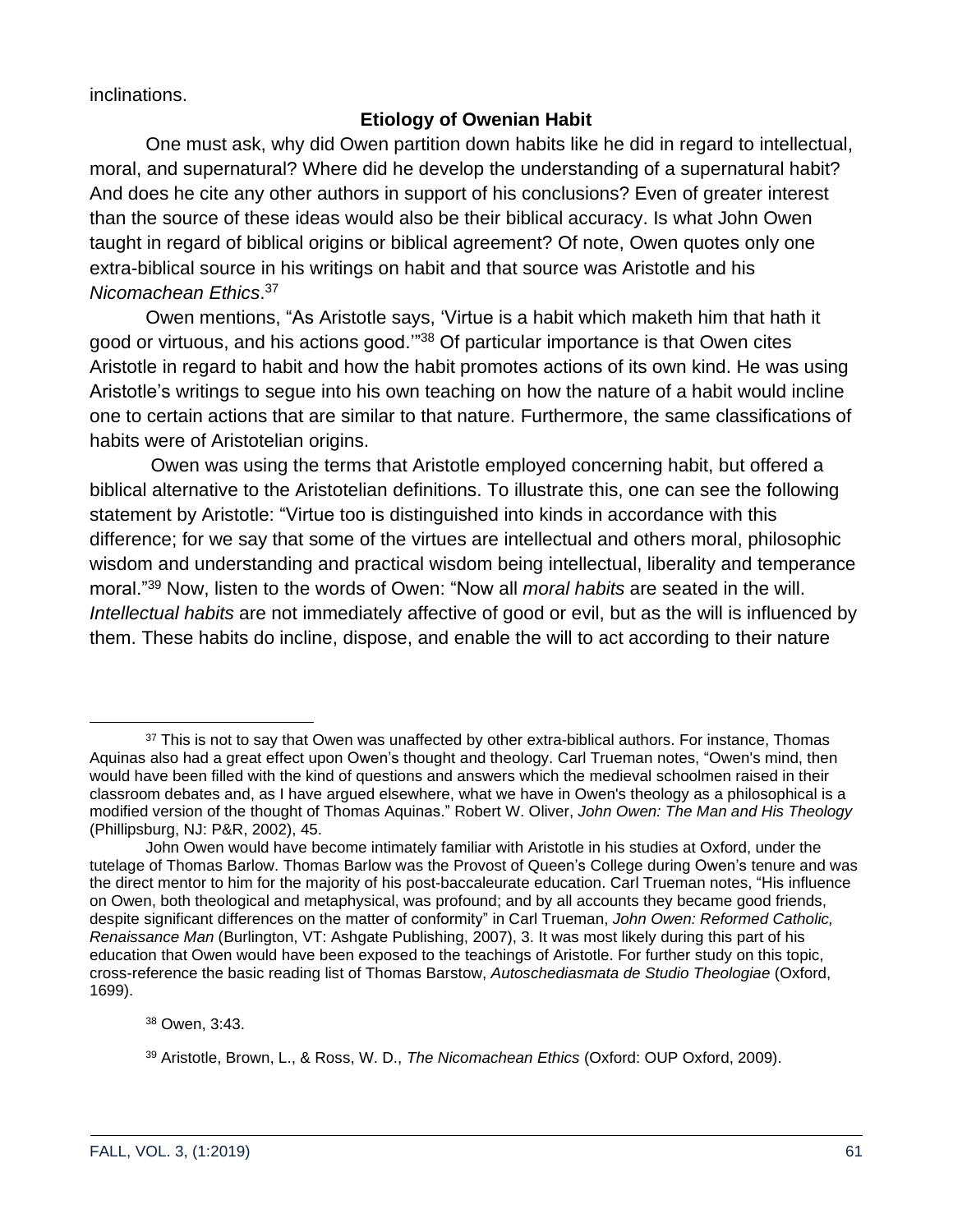inclinations.

# **Etiology of Owenian Habit**

One must ask, why did Owen partition down habits like he did in regard to intellectual, moral, and supernatural? Where did he develop the understanding of a supernatural habit? And does he cite any other authors in support of his conclusions? Even of greater interest than the source of these ideas would also be their biblical accuracy. Is what John Owen taught in regard of biblical origins or biblical agreement? Of note, Owen quotes only one extra-biblical source in his writings on habit and that source was Aristotle and his *Nicomachean Ethics*. 37

Owen mentions, "As Aristotle says, 'Virtue is a habit which maketh him that hath it good or virtuous, and his actions good.'"<sup>38</sup> Of particular importance is that Owen cites Aristotle in regard to habit and how the habit promotes actions of its own kind. He was using Aristotle's writings to segue into his own teaching on how the nature of a habit would incline one to certain actions that are similar to that nature. Furthermore, the same classifications of habits were of Aristotelian origins.

Owen was using the terms that Aristotle employed concerning habit, but offered a biblical alternative to the Aristotelian definitions. To illustrate this, one can see the following statement by Aristotle: "Virtue too is distinguished into kinds in accordance with this difference; for we say that some of the virtues are intellectual and others moral, philosophic wisdom and understanding and practical wisdom being intellectual, liberality and temperance moral."<sup>39</sup> Now, listen to the words of Owen: "Now all *moral habits* are seated in the will. *Intellectual habits* are not immediately affective of good or evil, but as the will is influenced by them. These habits do incline, dispose, and enable the will to act according to their nature

<sup>&</sup>lt;sup>37</sup> This is not to say that Owen was unaffected by other extra-biblical authors. For instance, Thomas Aquinas also had a great effect upon Owen's thought and theology. Carl Trueman notes, "Owen's mind, then would have been filled with the kind of questions and answers which the medieval schoolmen raised in their classroom debates and, as I have argued elsewhere, what we have in Owen's theology as a philosophical is a modified version of the thought of Thomas Aquinas." Robert W. Oliver, *John Owen: The Man and His Theology* (Phillipsburg, NJ: P&R, 2002), 45.

John Owen would have become intimately familiar with Aristotle in his studies at Oxford, under the tutelage of Thomas Barlow. Thomas Barlow was the Provost of Queen's College during Owen's tenure and was the direct mentor to him for the majority of his post-baccaleurate education. Carl Trueman notes, "His influence on Owen, both theological and metaphysical, was profound; and by all accounts they became good friends, despite significant differences on the matter of conformity" in Carl Trueman, *John Owen: Reformed Catholic, Renaissance Man* (Burlington, VT: Ashgate Publishing, 2007), 3. It was most likely during this part of his education that Owen would have been exposed to the teachings of Aristotle. For further study on this topic, cross-reference the basic reading list of Thomas Barstow, *Autoschediasmata de Studio Theologiae* (Oxford, 1699).

<sup>38</sup> Owen, 3:43.

<sup>39</sup> Aristotle, Brown, L., & Ross, W. D., *The Nicomachean Ethics* (Oxford: OUP Oxford, 2009).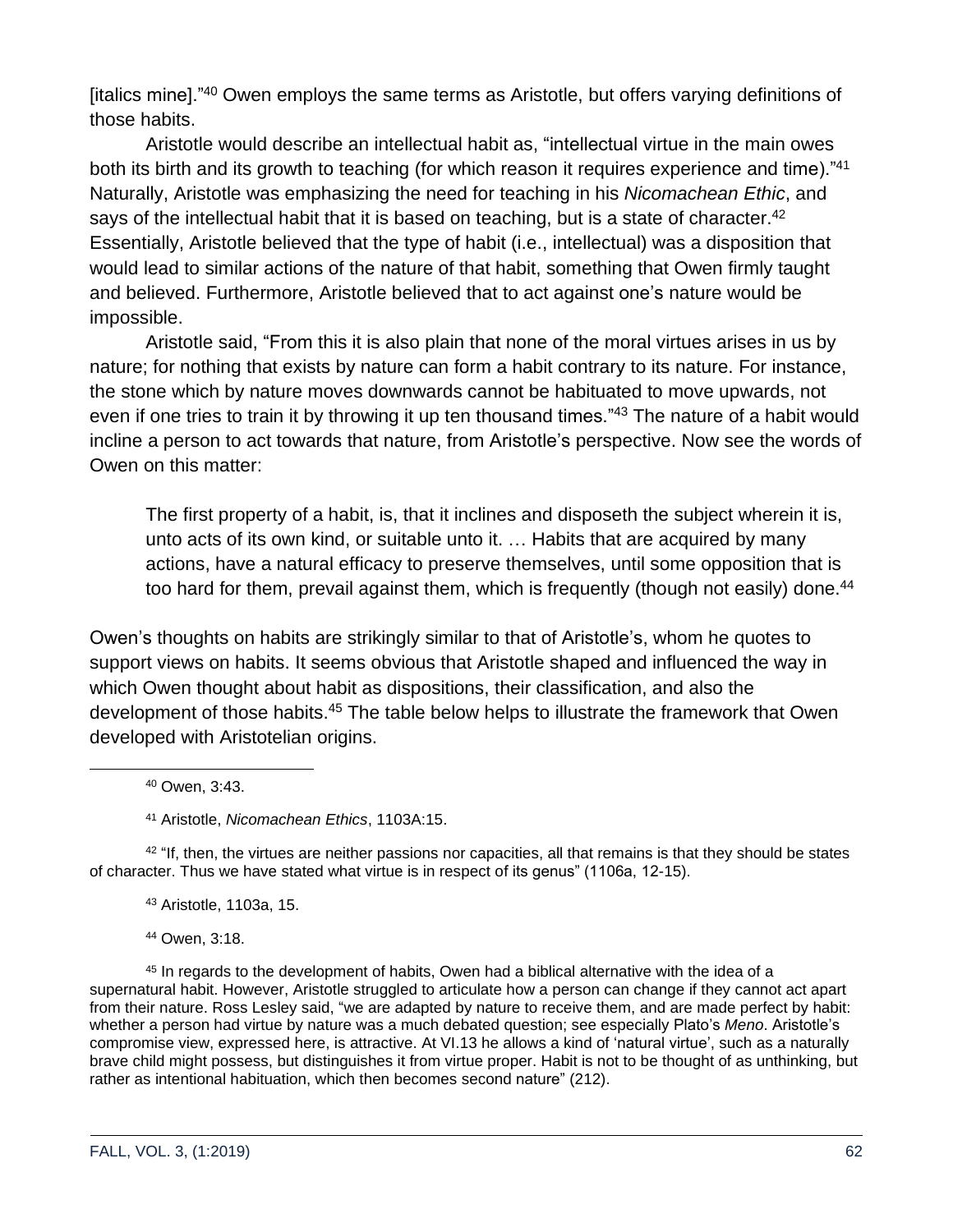[italics mine]."<sup>40</sup> Owen employs the same terms as Aristotle, but offers varying definitions of those habits.

Aristotle would describe an intellectual habit as, "intellectual virtue in the main owes both its birth and its growth to teaching (for which reason it requires experience and time)."41 Naturally, Aristotle was emphasizing the need for teaching in his *Nicomachean Ethic*, and says of the intellectual habit that it is based on teaching, but is a state of character.<sup>42</sup> Essentially, Aristotle believed that the type of habit (i.e., intellectual) was a disposition that would lead to similar actions of the nature of that habit, something that Owen firmly taught and believed. Furthermore, Aristotle believed that to act against one's nature would be impossible.

Aristotle said, "From this it is also plain that none of the moral virtues arises in us by nature; for nothing that exists by nature can form a habit contrary to its nature. For instance, the stone which by nature moves downwards cannot be habituated to move upwards, not even if one tries to train it by throwing it up ten thousand times."<sup>43</sup> The nature of a habit would incline a person to act towards that nature, from Aristotle's perspective. Now see the words of Owen on this matter:

The first property of a habit, is, that it inclines and disposeth the subject wherein it is, unto acts of its own kind, or suitable unto it. … Habits that are acquired by many actions, have a natural efficacy to preserve themselves, until some opposition that is too hard for them, prevail against them, which is frequently (though not easily) done.<sup>44</sup>

Owen's thoughts on habits are strikingly similar to that of Aristotle's, whom he quotes to support views on habits. It seems obvious that Aristotle shaped and influenced the way in which Owen thought about habit as dispositions, their classification, and also the development of those habits.<sup>45</sup> The table below helps to illustrate the framework that Owen developed with Aristotelian origins.

<sup>41</sup> Aristotle, *Nicomachean Ethics*, 1103A:15.

 $42$  "If, then, the virtues are neither passions nor capacities, all that remains is that they should be states of character. Thus we have stated what virtue is in respect of its genus" (1106a, 12-15).

<sup>43</sup> Aristotle, 1103a, 15.

<sup>44</sup> Owen, 3:18.

<sup>45</sup> In regards to the development of habits, Owen had a biblical alternative with the idea of a supernatural habit. However, Aristotle struggled to articulate how a person can change if they cannot act apart from their nature. Ross Lesley said, "we are adapted by nature to receive them, and are made perfect by habit: whether a person had virtue by nature was a much debated question; see especially Plato's *Meno*. Aristotle's compromise view, expressed here, is attractive. At VI.13 he allows a kind of 'natural virtue', such as a naturally brave child might possess, but distinguishes it from virtue proper. Habit is not to be thought of as unthinking, but rather as intentional habituation, which then becomes second nature" (212).

<sup>40</sup> Owen, 3:43.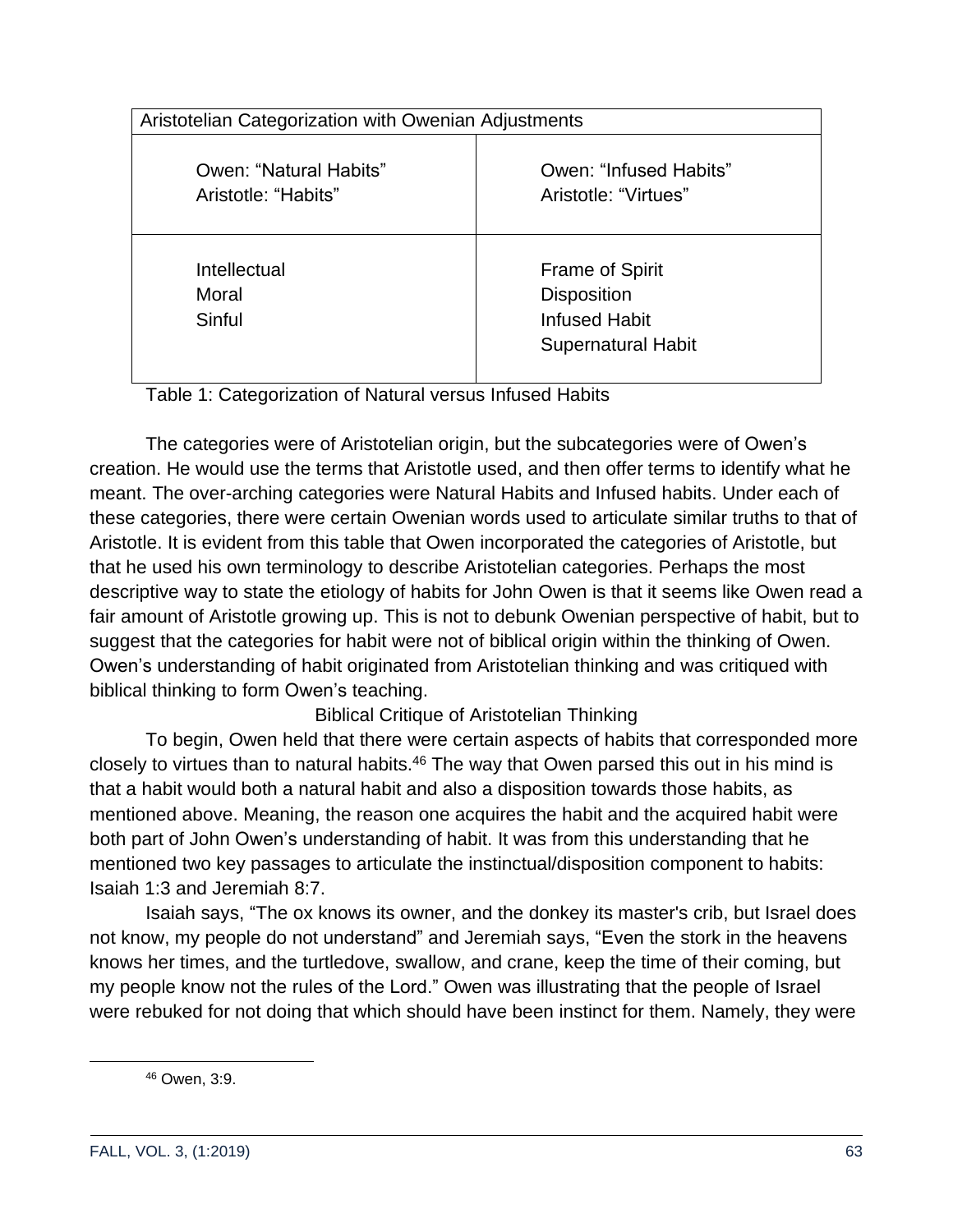| Aristotelian Categorization with Owenian Adjustments |                                                                                                   |
|------------------------------------------------------|---------------------------------------------------------------------------------------------------|
| Owen: "Natural Habits"<br>Aristotle: "Habits"        | Owen: "Infused Habits"<br>Aristotle: "Virtues"                                                    |
| Intellectual<br>Moral<br>Sinful                      | <b>Frame of Spirit</b><br><b>Disposition</b><br><b>Infused Habit</b><br><b>Supernatural Habit</b> |

Table 1: Categorization of Natural versus Infused Habits

The categories were of Aristotelian origin, but the subcategories were of Owen's creation. He would use the terms that Aristotle used, and then offer terms to identify what he meant. The over-arching categories were Natural Habits and Infused habits. Under each of these categories, there were certain Owenian words used to articulate similar truths to that of Aristotle. It is evident from this table that Owen incorporated the categories of Aristotle, but that he used his own terminology to describe Aristotelian categories. Perhaps the most descriptive way to state the etiology of habits for John Owen is that it seems like Owen read a fair amount of Aristotle growing up. This is not to debunk Owenian perspective of habit, but to suggest that the categories for habit were not of biblical origin within the thinking of Owen. Owen's understanding of habit originated from Aristotelian thinking and was critiqued with biblical thinking to form Owen's teaching.

Biblical Critique of Aristotelian Thinking

To begin, Owen held that there were certain aspects of habits that corresponded more closely to virtues than to natural habits.<sup>46</sup> The way that Owen parsed this out in his mind is that a habit would both a natural habit and also a disposition towards those habits, as mentioned above. Meaning, the reason one acquires the habit and the acquired habit were both part of John Owen's understanding of habit. It was from this understanding that he mentioned two key passages to articulate the instinctual/disposition component to habits: Isaiah 1:3 and Jeremiah 8:7.

Isaiah says, "The ox knows its owner, and the donkey its master's crib, but Israel does not know, my people do not understand" and Jeremiah says, "Even the stork in the heavens knows her times, and the turtledove, swallow, and crane, keep the time of their coming, but my people know not the rules of the Lord." Owen was illustrating that the people of Israel were rebuked for not doing that which should have been instinct for them. Namely, they were

<sup>46</sup> Owen, 3:9.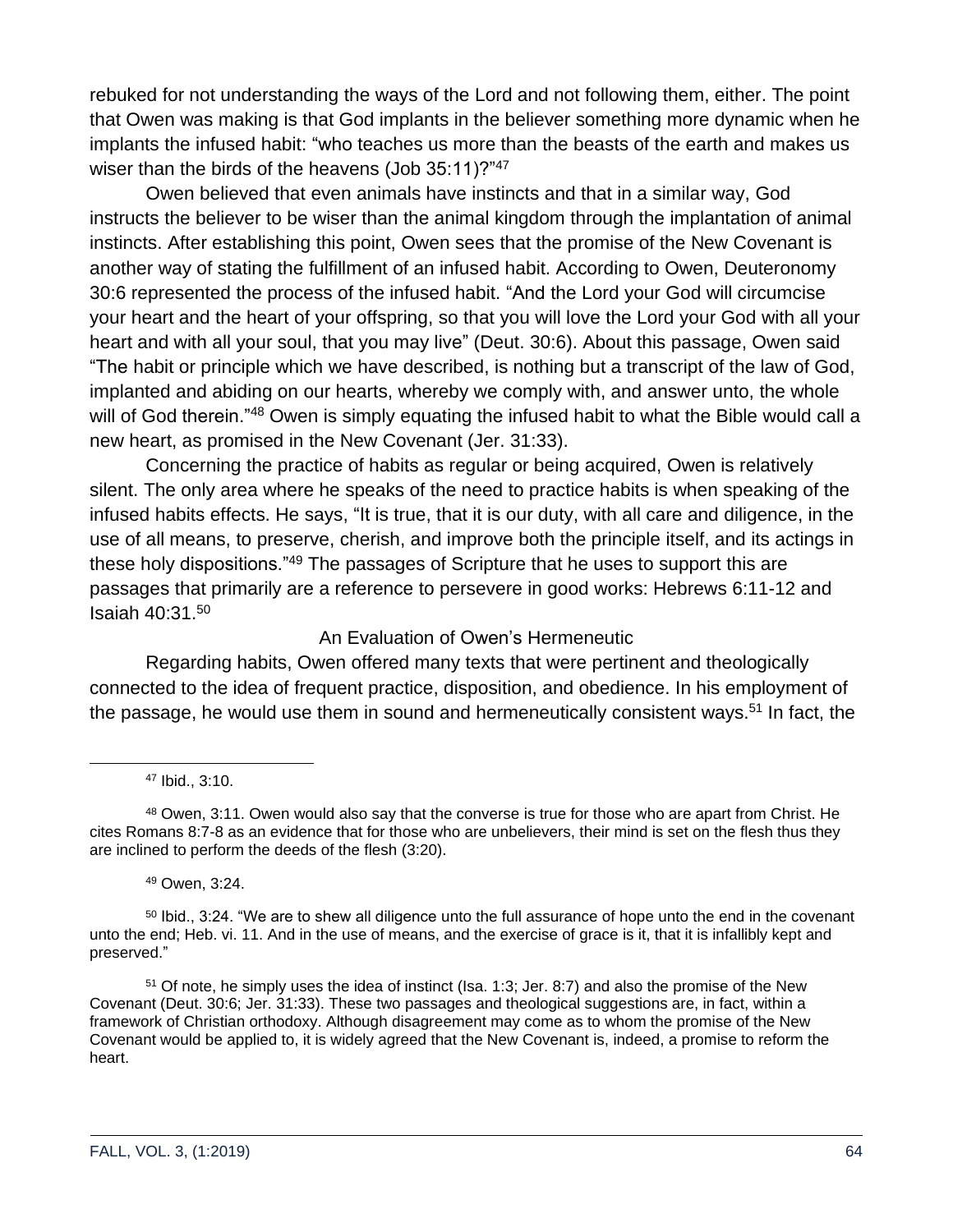rebuked for not understanding the ways of the Lord and not following them, either. The point that Owen was making is that God implants in the believer something more dynamic when he implants the infused habit: "who teaches us more than the beasts of the earth and makes us wiser than the birds of the heavens (Job 35:11)?"47

Owen believed that even animals have instincts and that in a similar way, God instructs the believer to be wiser than the animal kingdom through the implantation of animal instincts. After establishing this point, Owen sees that the promise of the New Covenant is another way of stating the fulfillment of an infused habit. According to Owen, Deuteronomy 30:6 represented the process of the infused habit. "And the Lord your God will circumcise your heart and the heart of your offspring, so that you will love the Lord your God with all your heart and with all your soul, that you may live" (Deut. 30:6). About this passage, Owen said "The habit or principle which we have described, is nothing but a transcript of the law of God, implanted and abiding on our hearts, whereby we comply with, and answer unto, the whole will of God therein."<sup>48</sup> Owen is simply equating the infused habit to what the Bible would call a new heart, as promised in the New Covenant (Jer. 31:33).

Concerning the practice of habits as regular or being acquired, Owen is relatively silent. The only area where he speaks of the need to practice habits is when speaking of the infused habits effects. He says, "It is true, that it is our duty, with all care and diligence, in the use of all means, to preserve, cherish, and improve both the principle itself, and its actings in these holy dispositions."<sup>49</sup> The passages of Scripture that he uses to support this are passages that primarily are a reference to persevere in good works: Hebrews 6:11-12 and Isaiah 40:31.<sup>50</sup>

### An Evaluation of Owen's Hermeneutic

Regarding habits, Owen offered many texts that were pertinent and theologically connected to the idea of frequent practice, disposition, and obedience. In his employment of the passage, he would use them in sound and hermeneutically consistent ways.<sup>51</sup> In fact, the

<sup>47</sup> Ibid., 3:10.

48 Owen, 3:11. Owen would also say that the converse is true for those who are apart from Christ. He cites Romans 8:7-8 as an evidence that for those who are unbelievers, their mind is set on the flesh thus they are inclined to perform the deeds of the flesh (3:20).

<sup>49</sup> Owen, 3:24.

<sup>51</sup> Of note, he simply uses the idea of instinct (Isa. 1:3; Jer. 8:7) and also the promise of the New Covenant (Deut. 30:6; Jer. 31:33). These two passages and theological suggestions are, in fact, within a framework of Christian orthodoxy. Although disagreement may come as to whom the promise of the New Covenant would be applied to, it is widely agreed that the New Covenant is, indeed, a promise to reform the heart.

<sup>&</sup>lt;sup>50</sup> Ibid., 3:24. "We are to shew all diligence unto the full assurance of hope unto the end in the covenant unto the end; Heb. vi. 11. And in the use of means, and the exercise of grace is it, that it is infallibly kept and preserved."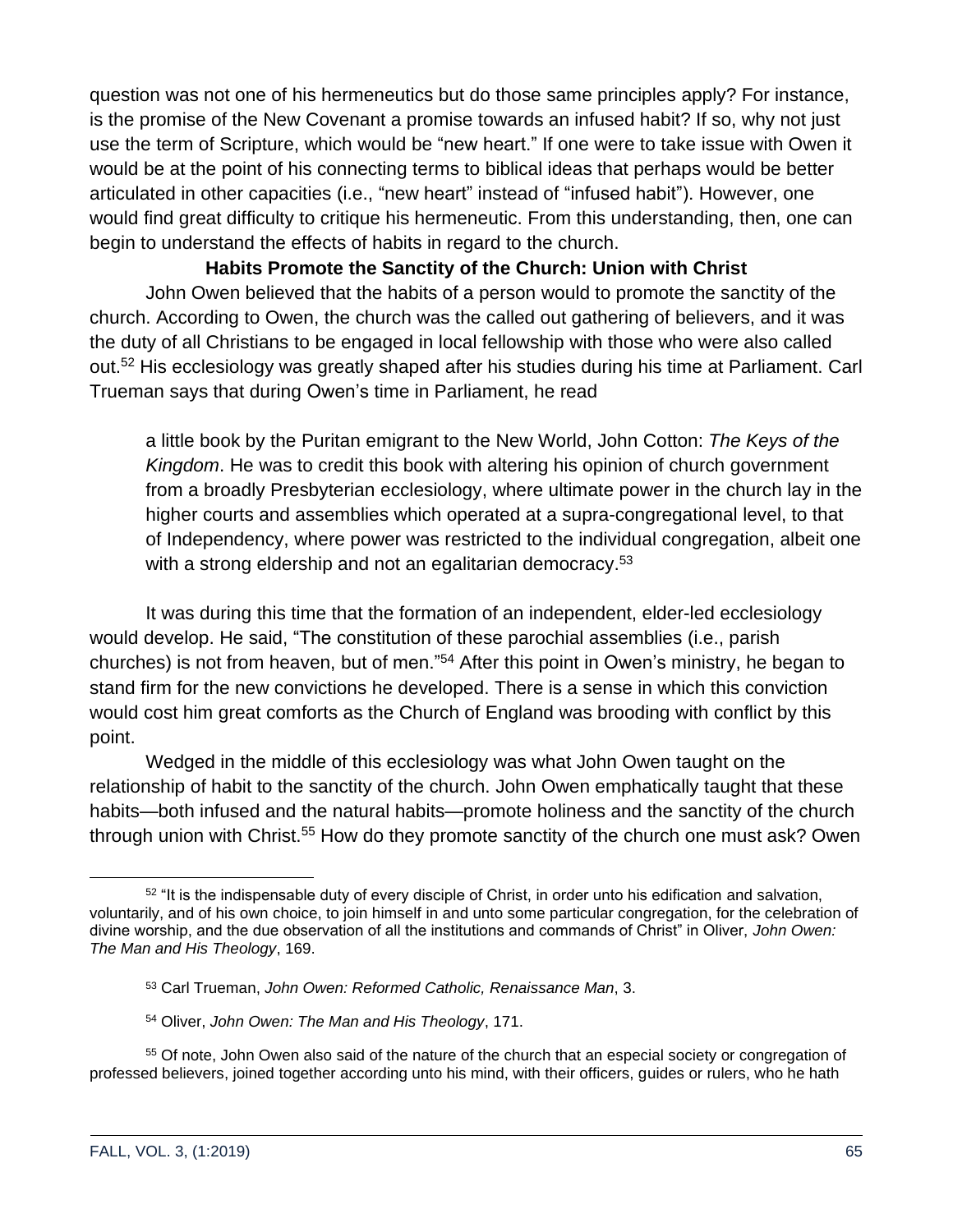question was not one of his hermeneutics but do those same principles apply? For instance, is the promise of the New Covenant a promise towards an infused habit? If so, why not just use the term of Scripture, which would be "new heart." If one were to take issue with Owen it would be at the point of his connecting terms to biblical ideas that perhaps would be better articulated in other capacities (i.e., "new heart" instead of "infused habit"). However, one would find great difficulty to critique his hermeneutic. From this understanding, then, one can begin to understand the effects of habits in regard to the church.

# **Habits Promote the Sanctity of the Church: Union with Christ**

John Owen believed that the habits of a person would to promote the sanctity of the church. According to Owen, the church was the called out gathering of believers, and it was the duty of all Christians to be engaged in local fellowship with those who were also called out.<sup>52</sup> His ecclesiology was greatly shaped after his studies during his time at Parliament. Carl Trueman says that during Owen's time in Parliament, he read

a little book by the Puritan emigrant to the New World, John Cotton: *The Keys of the Kingdom*. He was to credit this book with altering his opinion of church government from a broadly Presbyterian ecclesiology, where ultimate power in the church lay in the higher courts and assemblies which operated at a supra-congregational level, to that of Independency, where power was restricted to the individual congregation, albeit one with a strong eldership and not an egalitarian democracy.<sup>53</sup>

It was during this time that the formation of an independent, elder-led ecclesiology would develop. He said, "The constitution of these parochial assemblies (i.e., parish churches) is not from heaven, but of men."<sup>54</sup> After this point in Owen's ministry, he began to stand firm for the new convictions he developed. There is a sense in which this conviction would cost him great comforts as the Church of England was brooding with conflict by this point.

Wedged in the middle of this ecclesiology was what John Owen taught on the relationship of habit to the sanctity of the church. John Owen emphatically taught that these habits—both infused and the natural habits—promote holiness and the sanctity of the church through union with Christ.<sup>55</sup> How do they promote sanctity of the church one must ask? Owen

<sup>52</sup> "It is the indispensable duty of every disciple of Christ, in order unto his edification and salvation, voluntarily, and of his own choice, to join himself in and unto some particular congregation, for the celebration of divine worship, and the due observation of all the institutions and commands of Christ" in Oliver, *John Owen: The Man and His Theology*, 169.

<sup>53</sup> Carl Trueman, *John Owen: Reformed Catholic, Renaissance Man*, 3.

<sup>54</sup> Oliver, *John Owen: The Man and His Theology*, 171.

<sup>55</sup> Of note, John Owen also said of the nature of the church that an especial society or congregation of professed believers, joined together according unto his mind, with their officers, guides or rulers, who he hath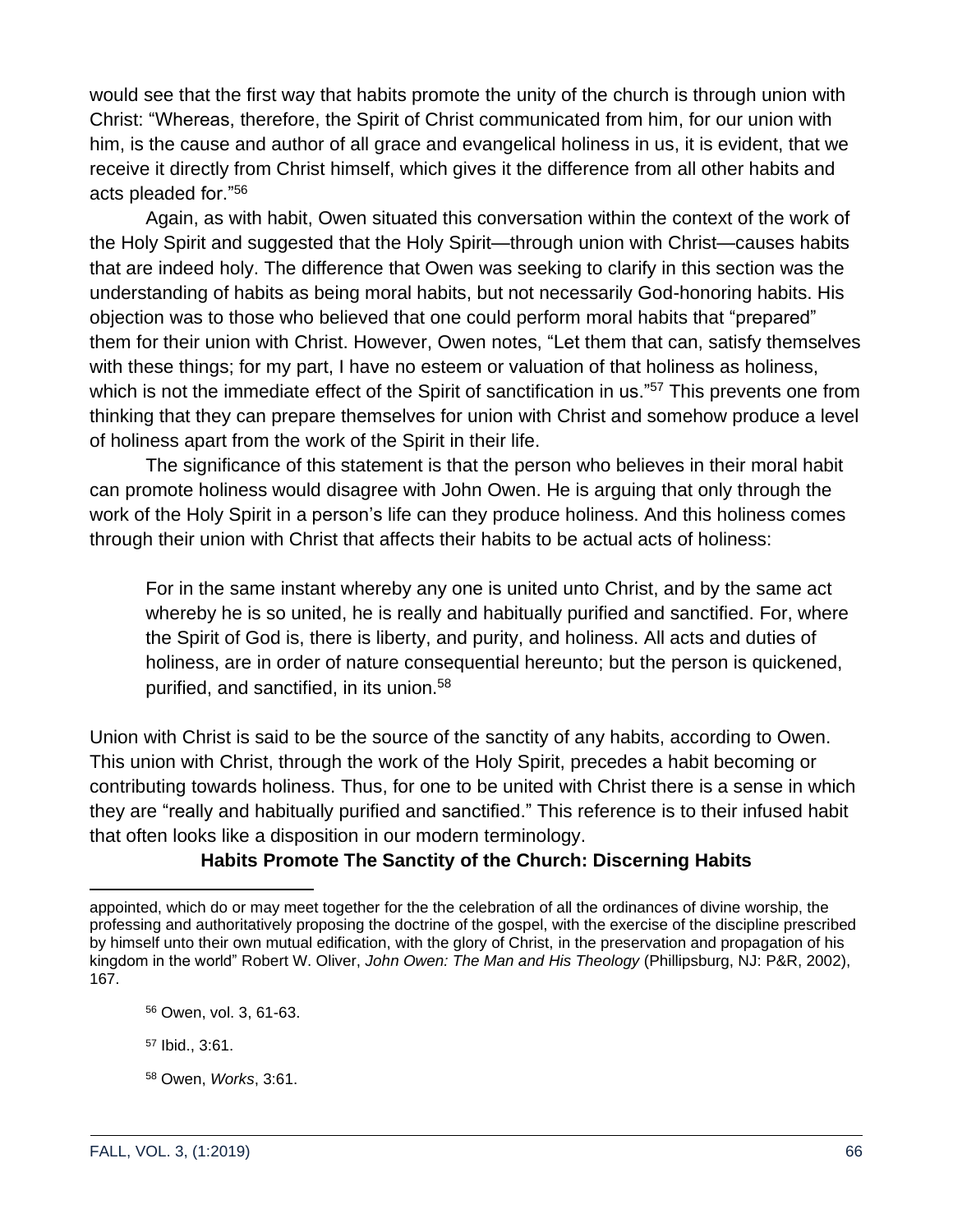would see that the first way that habits promote the unity of the church is through union with Christ: "Whereas, therefore, the Spirit of Christ communicated from him, for our union with him, is the cause and author of all grace and evangelical holiness in us, it is evident, that we receive it directly from Christ himself, which gives it the difference from all other habits and acts pleaded for."<sup>56</sup>

Again, as with habit, Owen situated this conversation within the context of the work of the Holy Spirit and suggested that the Holy Spirit—through union with Christ—causes habits that are indeed holy. The difference that Owen was seeking to clarify in this section was the understanding of habits as being moral habits, but not necessarily God-honoring habits. His objection was to those who believed that one could perform moral habits that "prepared" them for their union with Christ. However, Owen notes, "Let them that can, satisfy themselves with these things; for my part, I have no esteem or valuation of that holiness as holiness, which is not the immediate effect of the Spirit of sanctification in us."<sup>57</sup> This prevents one from thinking that they can prepare themselves for union with Christ and somehow produce a level of holiness apart from the work of the Spirit in their life.

The significance of this statement is that the person who believes in their moral habit can promote holiness would disagree with John Owen. He is arguing that only through the work of the Holy Spirit in a person's life can they produce holiness. And this holiness comes through their union with Christ that affects their habits to be actual acts of holiness:

For in the same instant whereby any one is united unto Christ, and by the same act whereby he is so united, he is really and habitually purified and sanctified. For, where the Spirit of God is, there is liberty, and purity, and holiness. All acts and duties of holiness, are in order of nature consequential hereunto; but the person is quickened, purified, and sanctified, in its union.<sup>58</sup>

Union with Christ is said to be the source of the sanctity of any habits, according to Owen. This union with Christ, through the work of the Holy Spirit, precedes a habit becoming or contributing towards holiness. Thus, for one to be united with Christ there is a sense in which they are "really and habitually purified and sanctified." This reference is to their infused habit that often looks like a disposition in our modern terminology.

# **Habits Promote The Sanctity of the Church: Discerning Habits**

appointed, which do or may meet together for the the celebration of all the ordinances of divine worship, the professing and authoritatively proposing the doctrine of the gospel, with the exercise of the discipline prescribed by himself unto their own mutual edification, with the glory of Christ, in the preservation and propagation of his kingdom in the world" Robert W. Oliver, *John Owen: The Man and His Theology* (Phillipsburg, NJ: P&R, 2002), 167.

<sup>56</sup> Owen, vol. 3, 61-63.

<sup>57</sup> Ibid., 3:61.

<sup>58</sup> Owen, *Works*, 3:61.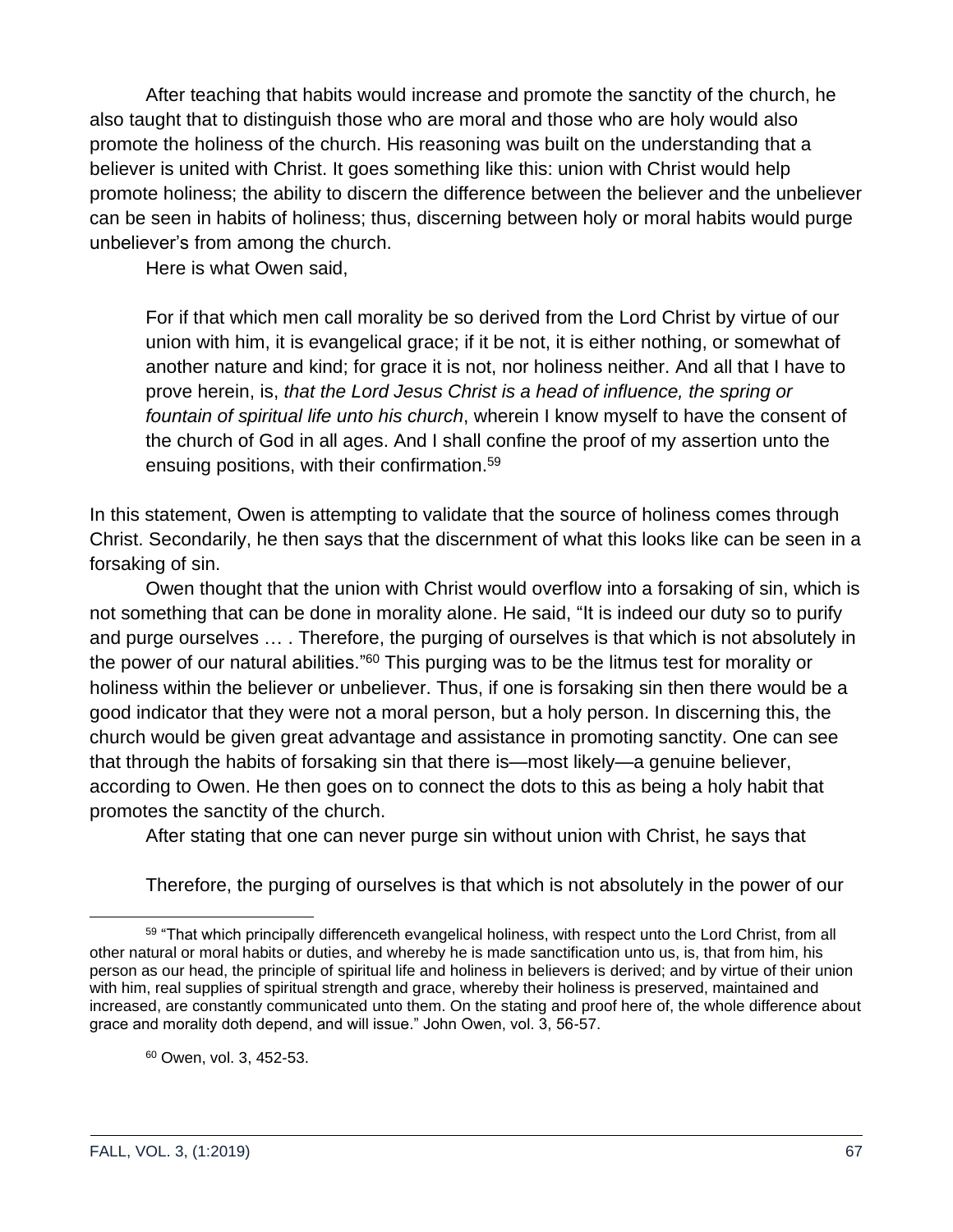After teaching that habits would increase and promote the sanctity of the church, he also taught that to distinguish those who are moral and those who are holy would also promote the holiness of the church. His reasoning was built on the understanding that a believer is united with Christ. It goes something like this: union with Christ would help promote holiness; the ability to discern the difference between the believer and the unbeliever can be seen in habits of holiness; thus, discerning between holy or moral habits would purge unbeliever's from among the church.

Here is what Owen said,

For if that which men call morality be so derived from the Lord Christ by virtue of our union with him, it is evangelical grace; if it be not, it is either nothing, or somewhat of another nature and kind; for grace it is not, nor holiness neither. And all that I have to prove herein, is, *that the Lord Jesus Christ is a head of influence, the spring or fountain of spiritual life unto his church*, wherein I know myself to have the consent of the church of God in all ages. And I shall confine the proof of my assertion unto the ensuing positions, with their confirmation.<sup>59</sup>

In this statement, Owen is attempting to validate that the source of holiness comes through Christ. Secondarily, he then says that the discernment of what this looks like can be seen in a forsaking of sin.

Owen thought that the union with Christ would overflow into a forsaking of sin, which is not something that can be done in morality alone. He said, "It is indeed our duty so to purify and purge ourselves … . Therefore, the purging of ourselves is that which is not absolutely in the power of our natural abilities."<sup>60</sup> This purging was to be the litmus test for morality or holiness within the believer or unbeliever. Thus, if one is forsaking sin then there would be a good indicator that they were not a moral person, but a holy person. In discerning this, the church would be given great advantage and assistance in promoting sanctity. One can see that through the habits of forsaking sin that there is—most likely—a genuine believer, according to Owen. He then goes on to connect the dots to this as being a holy habit that promotes the sanctity of the church.

After stating that one can never purge sin without union with Christ, he says that

Therefore, the purging of ourselves is that which is not absolutely in the power of our

<sup>60</sup> Owen, vol. 3, 452-53.

<sup>59 &</sup>quot;That which principally differenceth evangelical holiness, with respect unto the Lord Christ, from all other natural or moral habits or duties, and whereby he is made sanctification unto us, is, that from him, his person as our head, the principle of spiritual life and holiness in believers is derived; and by virtue of their union with him, real supplies of spiritual strength and grace, whereby their holiness is preserved, maintained and increased, are constantly communicated unto them. On the stating and proof here of, the whole difference about grace and morality doth depend, and will issue." John Owen, vol. 3, 56-57.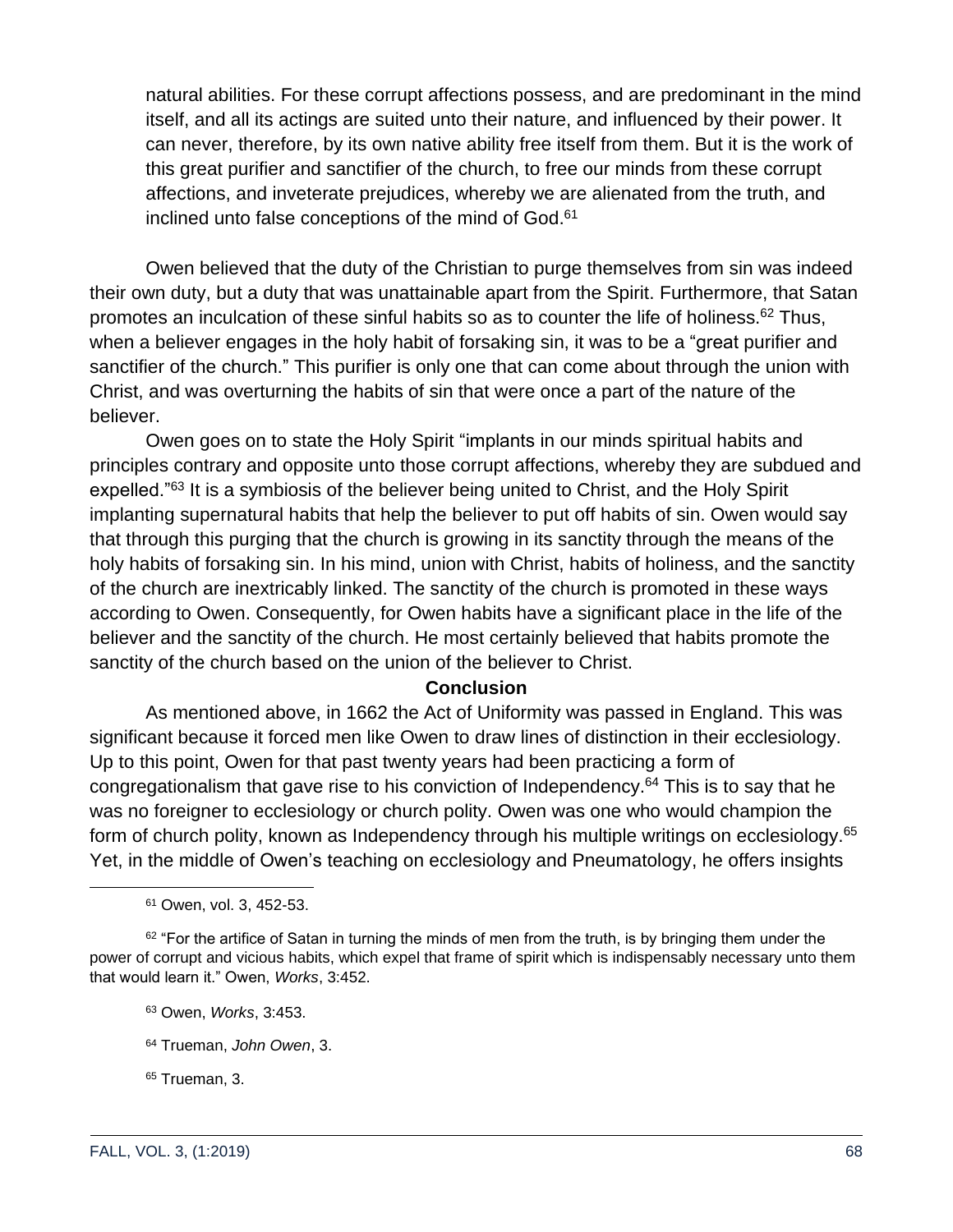natural abilities. For these corrupt affections possess, and are predominant in the mind itself, and all its actings are suited unto their nature, and influenced by their power. It can never, therefore, by its own native ability free itself from them. But it is the work of this great purifier and sanctifier of the church, to free our minds from these corrupt affections, and inveterate prejudices, whereby we are alienated from the truth, and inclined unto false conceptions of the mind of God.<sup>61</sup>

Owen believed that the duty of the Christian to purge themselves from sin was indeed their own duty, but a duty that was unattainable apart from the Spirit. Furthermore, that Satan promotes an inculcation of these sinful habits so as to counter the life of holiness. $62$  Thus, when a believer engages in the holy habit of forsaking sin, it was to be a "great purifier and sanctifier of the church." This purifier is only one that can come about through the union with Christ, and was overturning the habits of sin that were once a part of the nature of the believer.

Owen goes on to state the Holy Spirit "implants in our minds spiritual habits and principles contrary and opposite unto those corrupt affections, whereby they are subdued and expelled."<sup>63</sup> It is a symbiosis of the believer being united to Christ, and the Holy Spirit implanting supernatural habits that help the believer to put off habits of sin. Owen would say that through this purging that the church is growing in its sanctity through the means of the holy habits of forsaking sin. In his mind, union with Christ, habits of holiness, and the sanctity of the church are inextricably linked. The sanctity of the church is promoted in these ways according to Owen. Consequently, for Owen habits have a significant place in the life of the believer and the sanctity of the church. He most certainly believed that habits promote the sanctity of the church based on the union of the believer to Christ.

#### **Conclusion**

As mentioned above, in 1662 the Act of Uniformity was passed in England. This was significant because it forced men like Owen to draw lines of distinction in their ecclesiology. Up to this point, Owen for that past twenty years had been practicing a form of congregationalism that gave rise to his conviction of Independency.<sup>64</sup> This is to say that he was no foreigner to ecclesiology or church polity. Owen was one who would champion the form of church polity, known as Independency through his multiple writings on ecclesiology.<sup>65</sup> Yet, in the middle of Owen's teaching on ecclesiology and Pneumatology, he offers insights

<sup>61</sup> Owen, vol. 3, 452-53.

 $62$  "For the artifice of Satan in turning the minds of men from the truth, is by bringing them under the power of corrupt and vicious habits, which expel that frame of spirit which is indispensably necessary unto them that would learn it." Owen, *Works*, 3:452.

<sup>63</sup> Owen, *Works*, 3:453.

<sup>64</sup> Trueman, *John Owen*, 3.

<sup>65</sup> Trueman, 3.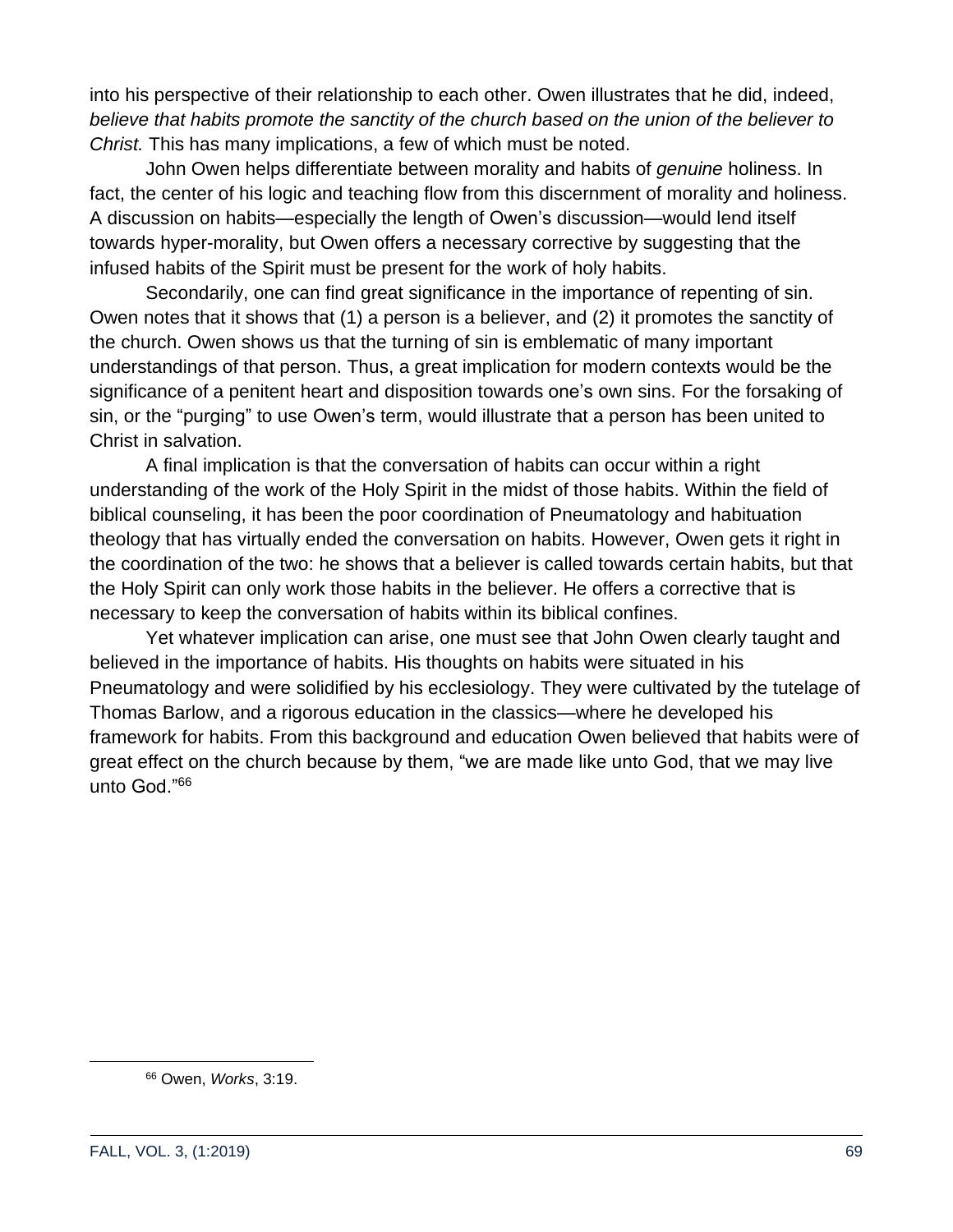into his perspective of their relationship to each other. Owen illustrates that he did, indeed, *believe that habits promote the sanctity of the church based on the union of the believer to Christ.* This has many implications, a few of which must be noted.

John Owen helps differentiate between morality and habits of *genuine* holiness. In fact, the center of his logic and teaching flow from this discernment of morality and holiness. A discussion on habits—especially the length of Owen's discussion—would lend itself towards hyper-morality, but Owen offers a necessary corrective by suggesting that the infused habits of the Spirit must be present for the work of holy habits.

Secondarily, one can find great significance in the importance of repenting of sin. Owen notes that it shows that (1) a person is a believer, and (2) it promotes the sanctity of the church. Owen shows us that the turning of sin is emblematic of many important understandings of that person. Thus, a great implication for modern contexts would be the significance of a penitent heart and disposition towards one's own sins. For the forsaking of sin, or the "purging" to use Owen's term, would illustrate that a person has been united to Christ in salvation.

A final implication is that the conversation of habits can occur within a right understanding of the work of the Holy Spirit in the midst of those habits. Within the field of biblical counseling, it has been the poor coordination of Pneumatology and habituation theology that has virtually ended the conversation on habits. However, Owen gets it right in the coordination of the two: he shows that a believer is called towards certain habits, but that the Holy Spirit can only work those habits in the believer. He offers a corrective that is necessary to keep the conversation of habits within its biblical confines.

Yet whatever implication can arise, one must see that John Owen clearly taught and believed in the importance of habits. His thoughts on habits were situated in his Pneumatology and were solidified by his ecclesiology. They were cultivated by the tutelage of Thomas Barlow, and a rigorous education in the classics—where he developed his framework for habits. From this background and education Owen believed that habits were of great effect on the church because by them, "we are made like unto God, that we may live unto God."<sup>66</sup>

<sup>66</sup> Owen, *Works*, 3:19.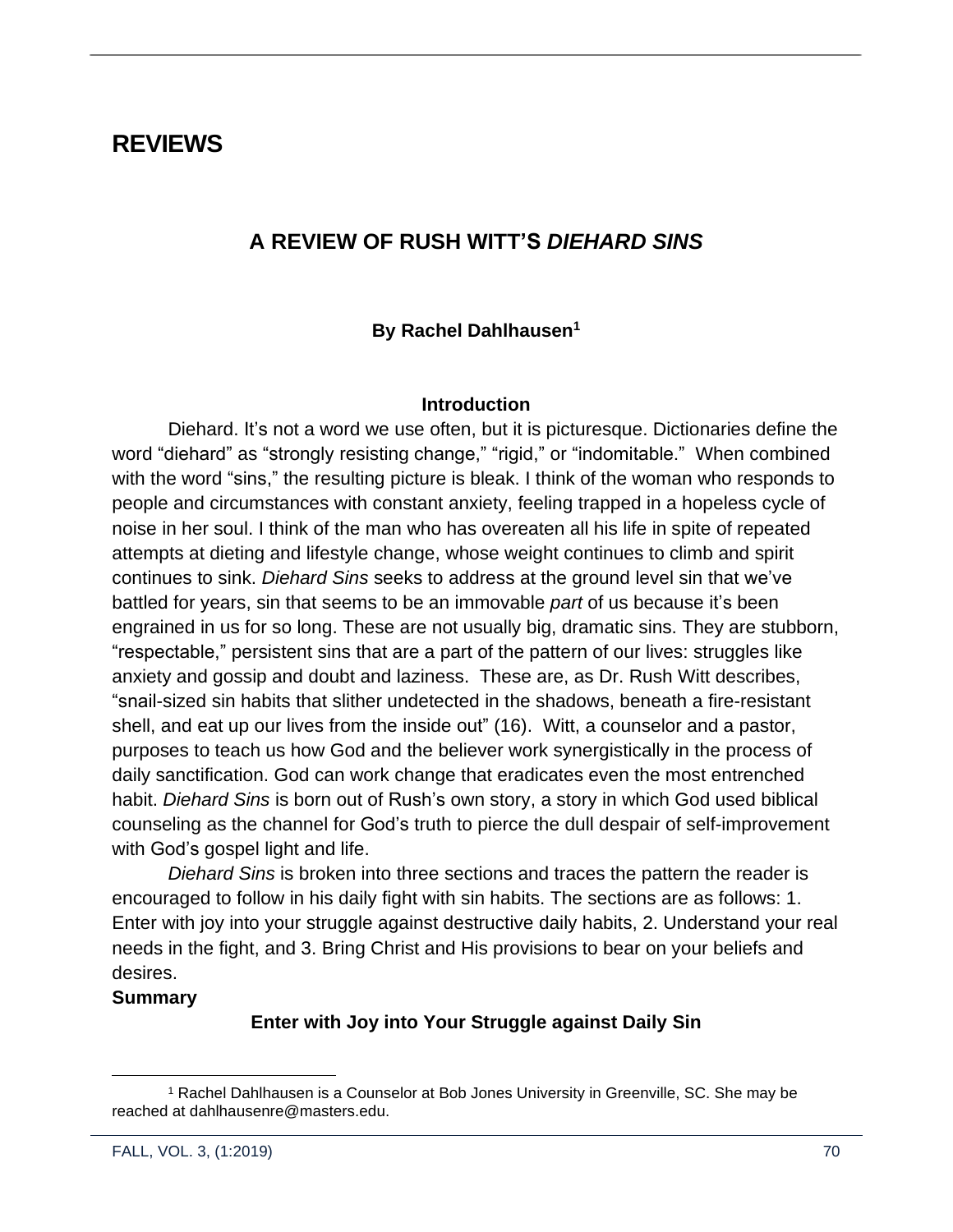# **REVIEWS**

# **A REVIEW OF RUSH WITT'S** *DIEHARD SINS*

### **By Rachel Dahlhausen<sup>1</sup>**

#### **Introduction**

Diehard. It's not a word we use often, but it is picturesque. Dictionaries define the word "diehard" as "strongly resisting change," "rigid," or "indomitable." When combined with the word "sins," the resulting picture is bleak. I think of the woman who responds to people and circumstances with constant anxiety, feeling trapped in a hopeless cycle of noise in her soul. I think of the man who has overeaten all his life in spite of repeated attempts at dieting and lifestyle change, whose weight continues to climb and spirit continues to sink. *Diehard Sins* seeks to address at the ground level sin that we've battled for years, sin that seems to be an immovable *part* of us because it's been engrained in us for so long. These are not usually big, dramatic sins. They are stubborn, "respectable," persistent sins that are a part of the pattern of our lives: struggles like anxiety and gossip and doubt and laziness. These are, as Dr. Rush Witt describes, "snail-sized sin habits that slither undetected in the shadows, beneath a fire-resistant shell, and eat up our lives from the inside out" (16). Witt, a counselor and a pastor, purposes to teach us how God and the believer work synergistically in the process of daily sanctification. God can work change that eradicates even the most entrenched habit. *Diehard Sins* is born out of Rush's own story, a story in which God used biblical counseling as the channel for God's truth to pierce the dull despair of self-improvement with God's gospel light and life.

*Diehard Sins* is broken into three sections and traces the pattern the reader is encouraged to follow in his daily fight with sin habits. The sections are as follows: 1. Enter with joy into your struggle against destructive daily habits, 2. Understand your real needs in the fight, and 3. Bring Christ and His provisions to bear on your beliefs and desires.

#### **Summary**

#### **Enter with Joy into Your Struggle against Daily Sin**

<sup>1</sup> Rachel Dahlhausen is a Counselor at Bob Jones University in Greenville, SC. She may be reached at dahlhausenre@masters.edu.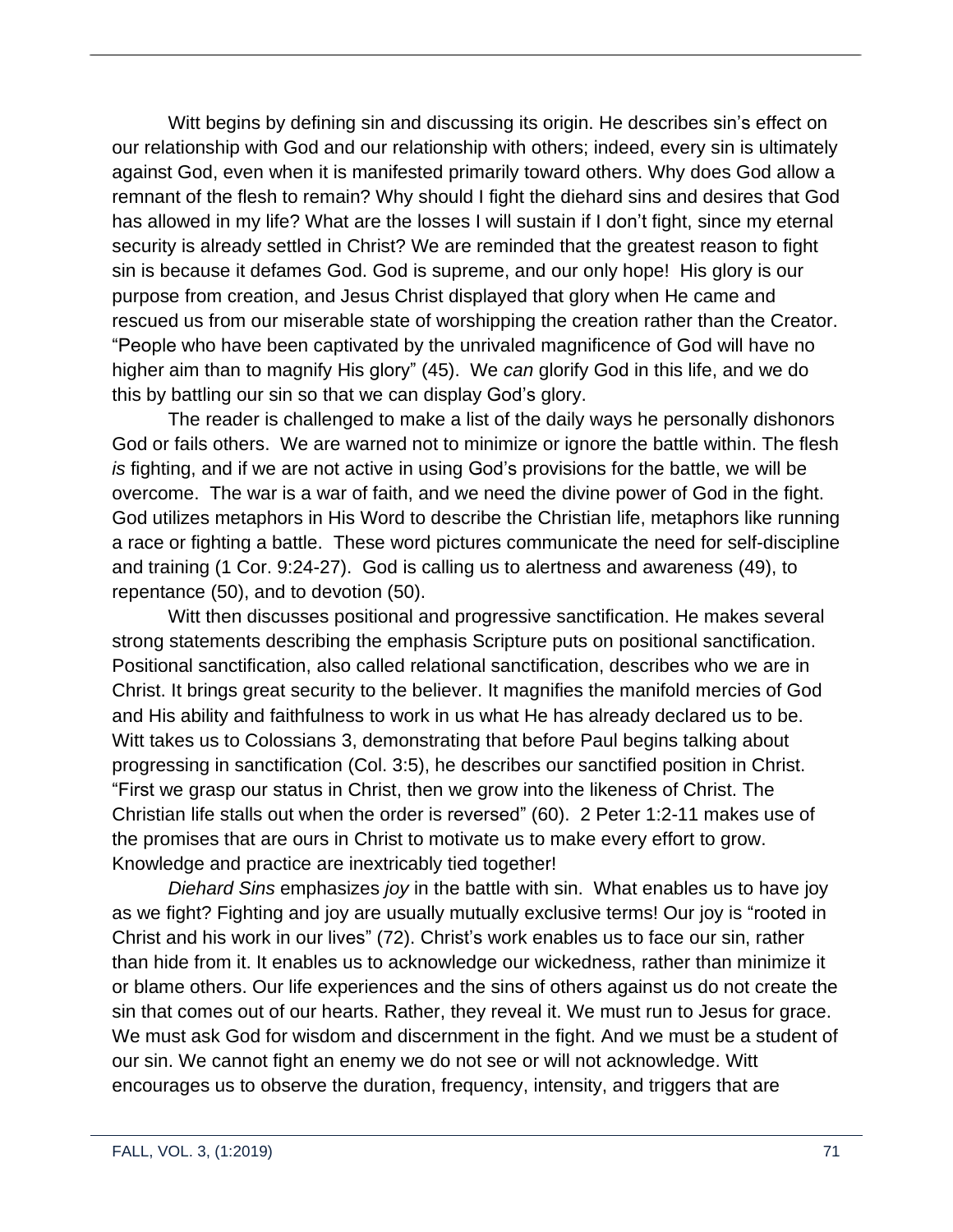Witt begins by defining sin and discussing its origin. He describes sin's effect on our relationship with God and our relationship with others; indeed, every sin is ultimately against God, even when it is manifested primarily toward others. Why does God allow a remnant of the flesh to remain? Why should I fight the diehard sins and desires that God has allowed in my life? What are the losses I will sustain if I don't fight, since my eternal security is already settled in Christ? We are reminded that the greatest reason to fight sin is because it defames God. God is supreme, and our only hope! His glory is our purpose from creation, and Jesus Christ displayed that glory when He came and rescued us from our miserable state of worshipping the creation rather than the Creator. "People who have been captivated by the unrivaled magnificence of God will have no higher aim than to magnify His glory" (45). We *can* glorify God in this life, and we do this by battling our sin so that we can display God's glory.

The reader is challenged to make a list of the daily ways he personally dishonors God or fails others. We are warned not to minimize or ignore the battle within. The flesh *is* fighting, and if we are not active in using God's provisions for the battle, we will be overcome. The war is a war of faith, and we need the divine power of God in the fight. God utilizes metaphors in His Word to describe the Christian life, metaphors like running a race or fighting a battle. These word pictures communicate the need for self-discipline and training (1 Cor. 9:24-27). God is calling us to alertness and awareness (49), to repentance (50), and to devotion (50).

Witt then discusses positional and progressive sanctification. He makes several strong statements describing the emphasis Scripture puts on positional sanctification. Positional sanctification, also called relational sanctification, describes who we are in Christ. It brings great security to the believer. It magnifies the manifold mercies of God and His ability and faithfulness to work in us what He has already declared us to be. Witt takes us to Colossians 3, demonstrating that before Paul begins talking about progressing in sanctification (Col. 3:5), he describes our sanctified position in Christ. "First we grasp our status in Christ, then we grow into the likeness of Christ. The Christian life stalls out when the order is reversed" (60). 2 Peter 1:2-11 makes use of the promises that are ours in Christ to motivate us to make every effort to grow. Knowledge and practice are inextricably tied together!

*Diehard Sins* emphasizes *joy* in the battle with sin. What enables us to have joy as we fight? Fighting and joy are usually mutually exclusive terms! Our joy is "rooted in Christ and his work in our lives" (72). Christ's work enables us to face our sin, rather than hide from it. It enables us to acknowledge our wickedness, rather than minimize it or blame others. Our life experiences and the sins of others against us do not create the sin that comes out of our hearts. Rather, they reveal it. We must run to Jesus for grace. We must ask God for wisdom and discernment in the fight. And we must be a student of our sin. We cannot fight an enemy we do not see or will not acknowledge. Witt encourages us to observe the duration, frequency, intensity, and triggers that are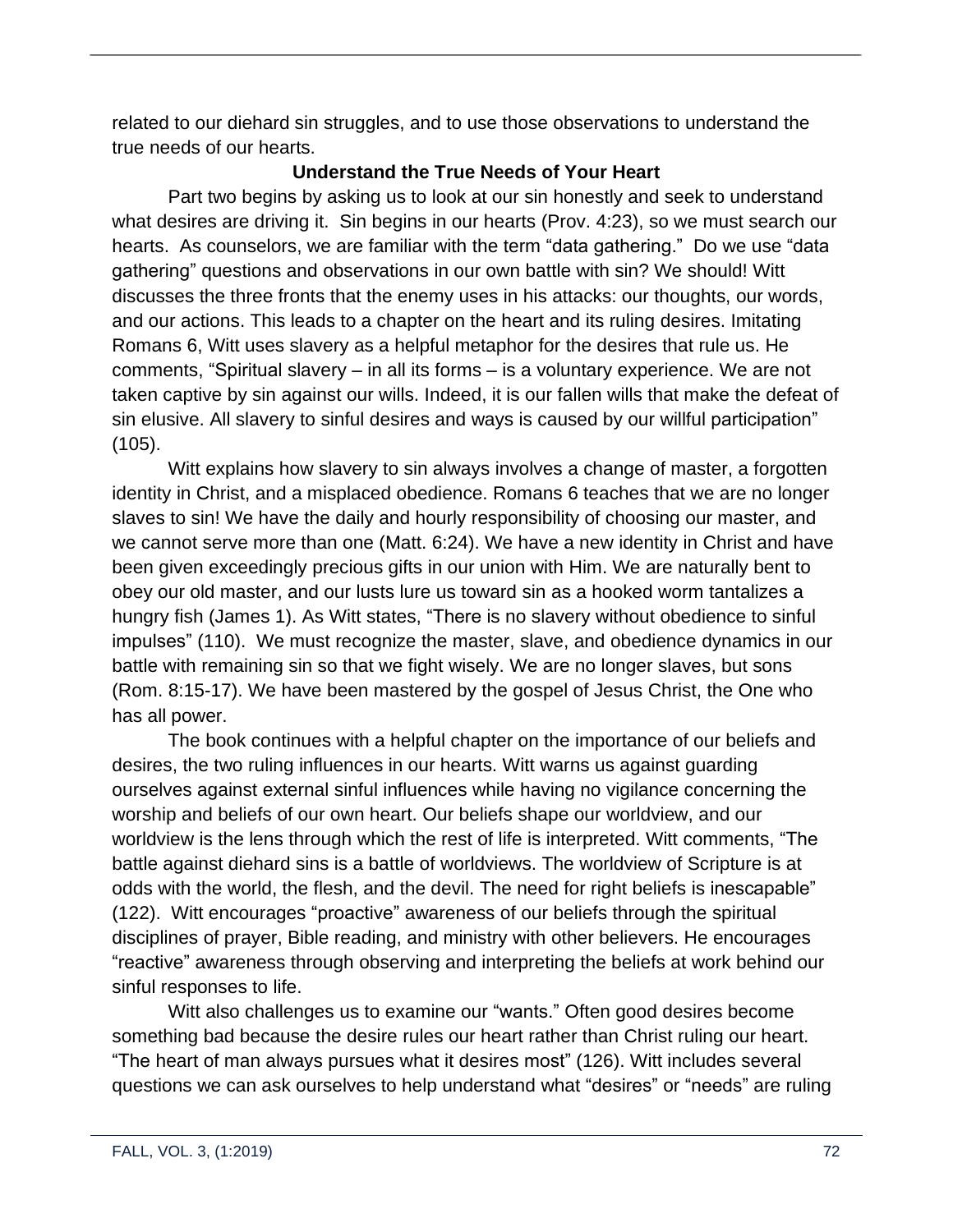related to our diehard sin struggles, and to use those observations to understand the true needs of our hearts.

# **Understand the True Needs of Your Heart**

Part two begins by asking us to look at our sin honestly and seek to understand what desires are driving it. Sin begins in our hearts (Prov. 4:23), so we must search our hearts. As counselors, we are familiar with the term "data gathering." Do we use "data gathering" questions and observations in our own battle with sin? We should! Witt discusses the three fronts that the enemy uses in his attacks: our thoughts, our words, and our actions. This leads to a chapter on the heart and its ruling desires. Imitating Romans 6, Witt uses slavery as a helpful metaphor for the desires that rule us. He comments, "Spiritual slavery – in all its forms – is a voluntary experience. We are not taken captive by sin against our wills. Indeed, it is our fallen wills that make the defeat of sin elusive. All slavery to sinful desires and ways is caused by our willful participation" (105).

Witt explains how slavery to sin always involves a change of master, a forgotten identity in Christ, and a misplaced obedience. Romans 6 teaches that we are no longer slaves to sin! We have the daily and hourly responsibility of choosing our master, and we cannot serve more than one (Matt. 6:24). We have a new identity in Christ and have been given exceedingly precious gifts in our union with Him. We are naturally bent to obey our old master, and our lusts lure us toward sin as a hooked worm tantalizes a hungry fish (James 1). As Witt states, "There is no slavery without obedience to sinful impulses" (110). We must recognize the master, slave, and obedience dynamics in our battle with remaining sin so that we fight wisely. We are no longer slaves, but sons (Rom. 8:15-17). We have been mastered by the gospel of Jesus Christ, the One who has all power.

The book continues with a helpful chapter on the importance of our beliefs and desires, the two ruling influences in our hearts. Witt warns us against guarding ourselves against external sinful influences while having no vigilance concerning the worship and beliefs of our own heart. Our beliefs shape our worldview, and our worldview is the lens through which the rest of life is interpreted. Witt comments, "The battle against diehard sins is a battle of worldviews. The worldview of Scripture is at odds with the world, the flesh, and the devil. The need for right beliefs is inescapable" (122). Witt encourages "proactive" awareness of our beliefs through the spiritual disciplines of prayer, Bible reading, and ministry with other believers. He encourages "reactive" awareness through observing and interpreting the beliefs at work behind our sinful responses to life.

Witt also challenges us to examine our "wants." Often good desires become something bad because the desire rules our heart rather than Christ ruling our heart. "The heart of man always pursues what it desires most" (126). Witt includes several questions we can ask ourselves to help understand what "desires" or "needs" are ruling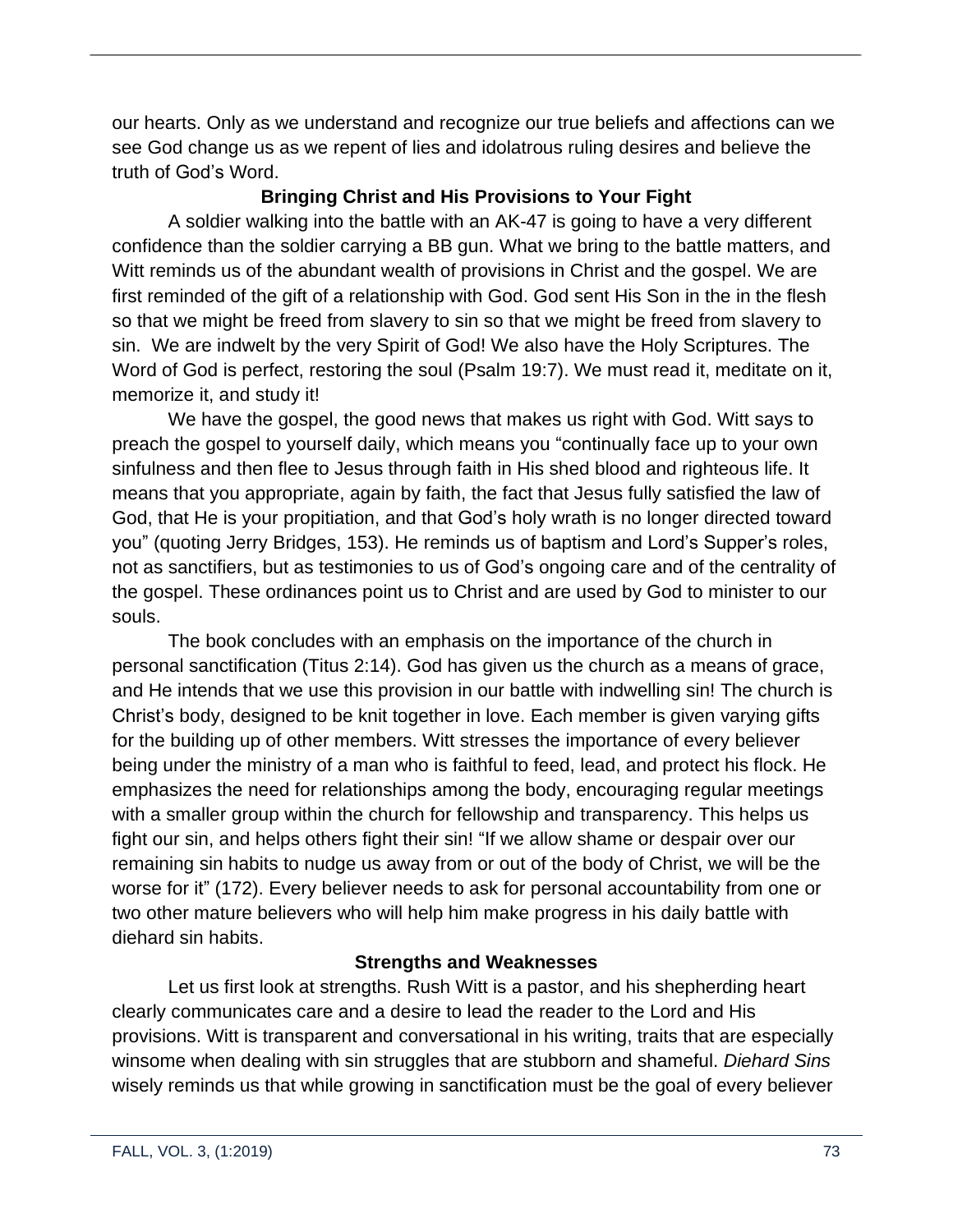our hearts. Only as we understand and recognize our true beliefs and affections can we see God change us as we repent of lies and idolatrous ruling desires and believe the truth of God's Word.

## **Bringing Christ and His Provisions to Your Fight**

A soldier walking into the battle with an AK-47 is going to have a very different confidence than the soldier carrying a BB gun. What we bring to the battle matters, and Witt reminds us of the abundant wealth of provisions in Christ and the gospel. We are first reminded of the gift of a relationship with God. God sent His Son in the in the flesh so that we might be freed from slavery to sin so that we might be freed from slavery to sin. We are indwelt by the very Spirit of God! We also have the Holy Scriptures. The Word of God is perfect, restoring the soul (Psalm 19:7). We must read it, meditate on it, memorize it, and study it!

We have the gospel, the good news that makes us right with God. Witt says to preach the gospel to yourself daily, which means you "continually face up to your own sinfulness and then flee to Jesus through faith in His shed blood and righteous life. It means that you appropriate, again by faith, the fact that Jesus fully satisfied the law of God, that He is your propitiation, and that God's holy wrath is no longer directed toward you" (quoting Jerry Bridges, 153). He reminds us of baptism and Lord's Supper's roles, not as sanctifiers, but as testimonies to us of God's ongoing care and of the centrality of the gospel. These ordinances point us to Christ and are used by God to minister to our souls.

The book concludes with an emphasis on the importance of the church in personal sanctification (Titus 2:14). God has given us the church as a means of grace, and He intends that we use this provision in our battle with indwelling sin! The church is Christ's body, designed to be knit together in love. Each member is given varying gifts for the building up of other members. Witt stresses the importance of every believer being under the ministry of a man who is faithful to feed, lead, and protect his flock. He emphasizes the need for relationships among the body, encouraging regular meetings with a smaller group within the church for fellowship and transparency. This helps us fight our sin, and helps others fight their sin! "If we allow shame or despair over our remaining sin habits to nudge us away from or out of the body of Christ, we will be the worse for it" (172). Every believer needs to ask for personal accountability from one or two other mature believers who will help him make progress in his daily battle with diehard sin habits.

## **Strengths and Weaknesses**

Let us first look at strengths. Rush Witt is a pastor, and his shepherding heart clearly communicates care and a desire to lead the reader to the Lord and His provisions. Witt is transparent and conversational in his writing, traits that are especially winsome when dealing with sin struggles that are stubborn and shameful. *Diehard Sins* wisely reminds us that while growing in sanctification must be the goal of every believer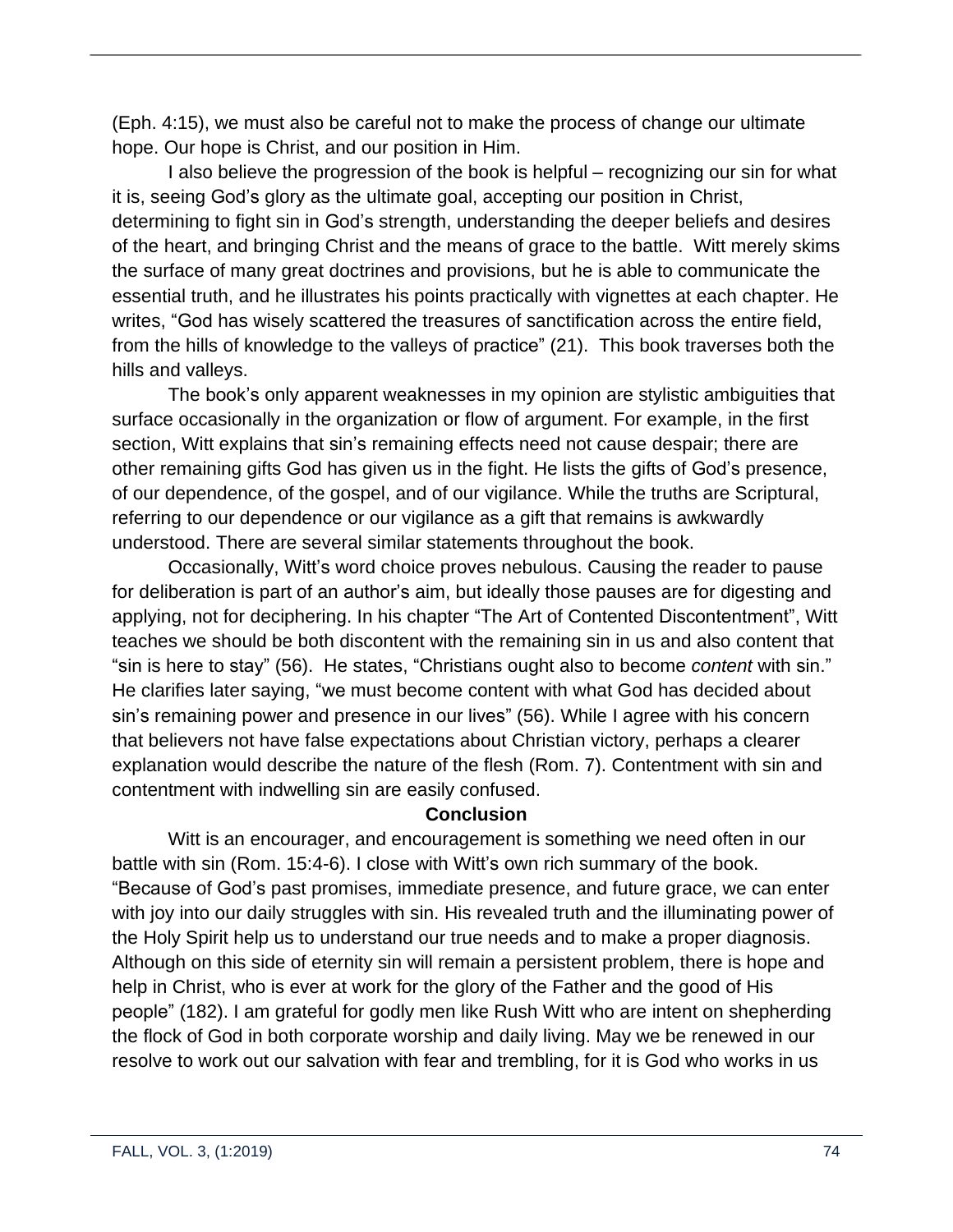(Eph. 4:15), we must also be careful not to make the process of change our ultimate hope. Our hope is Christ, and our position in Him.

I also believe the progression of the book is helpful – recognizing our sin for what it is, seeing God's glory as the ultimate goal, accepting our position in Christ, determining to fight sin in God's strength, understanding the deeper beliefs and desires of the heart, and bringing Christ and the means of grace to the battle. Witt merely skims the surface of many great doctrines and provisions, but he is able to communicate the essential truth, and he illustrates his points practically with vignettes at each chapter. He writes, "God has wisely scattered the treasures of sanctification across the entire field, from the hills of knowledge to the valleys of practice" (21). This book traverses both the hills and valleys.

The book's only apparent weaknesses in my opinion are stylistic ambiguities that surface occasionally in the organization or flow of argument. For example, in the first section, Witt explains that sin's remaining effects need not cause despair; there are other remaining gifts God has given us in the fight. He lists the gifts of God's presence, of our dependence, of the gospel, and of our vigilance. While the truths are Scriptural, referring to our dependence or our vigilance as a gift that remains is awkwardly understood. There are several similar statements throughout the book.

Occasionally, Witt's word choice proves nebulous. Causing the reader to pause for deliberation is part of an author's aim, but ideally those pauses are for digesting and applying, not for deciphering. In his chapter "The Art of Contented Discontentment", Witt teaches we should be both discontent with the remaining sin in us and also content that "sin is here to stay" (56). He states, "Christians ought also to become *content* with sin." He clarifies later saying, "we must become content with what God has decided about sin's remaining power and presence in our lives" (56). While I agree with his concern that believers not have false expectations about Christian victory, perhaps a clearer explanation would describe the nature of the flesh (Rom. 7). Contentment with sin and contentment with indwelling sin are easily confused.

## **Conclusion**

Witt is an encourager, and encouragement is something we need often in our battle with sin (Rom. 15:4-6). I close with Witt's own rich summary of the book. "Because of God's past promises, immediate presence, and future grace, we can enter with joy into our daily struggles with sin. His revealed truth and the illuminating power of the Holy Spirit help us to understand our true needs and to make a proper diagnosis. Although on this side of eternity sin will remain a persistent problem, there is hope and help in Christ, who is ever at work for the glory of the Father and the good of His people" (182). I am grateful for godly men like Rush Witt who are intent on shepherding the flock of God in both corporate worship and daily living. May we be renewed in our resolve to work out our salvation with fear and trembling, for it is God who works in us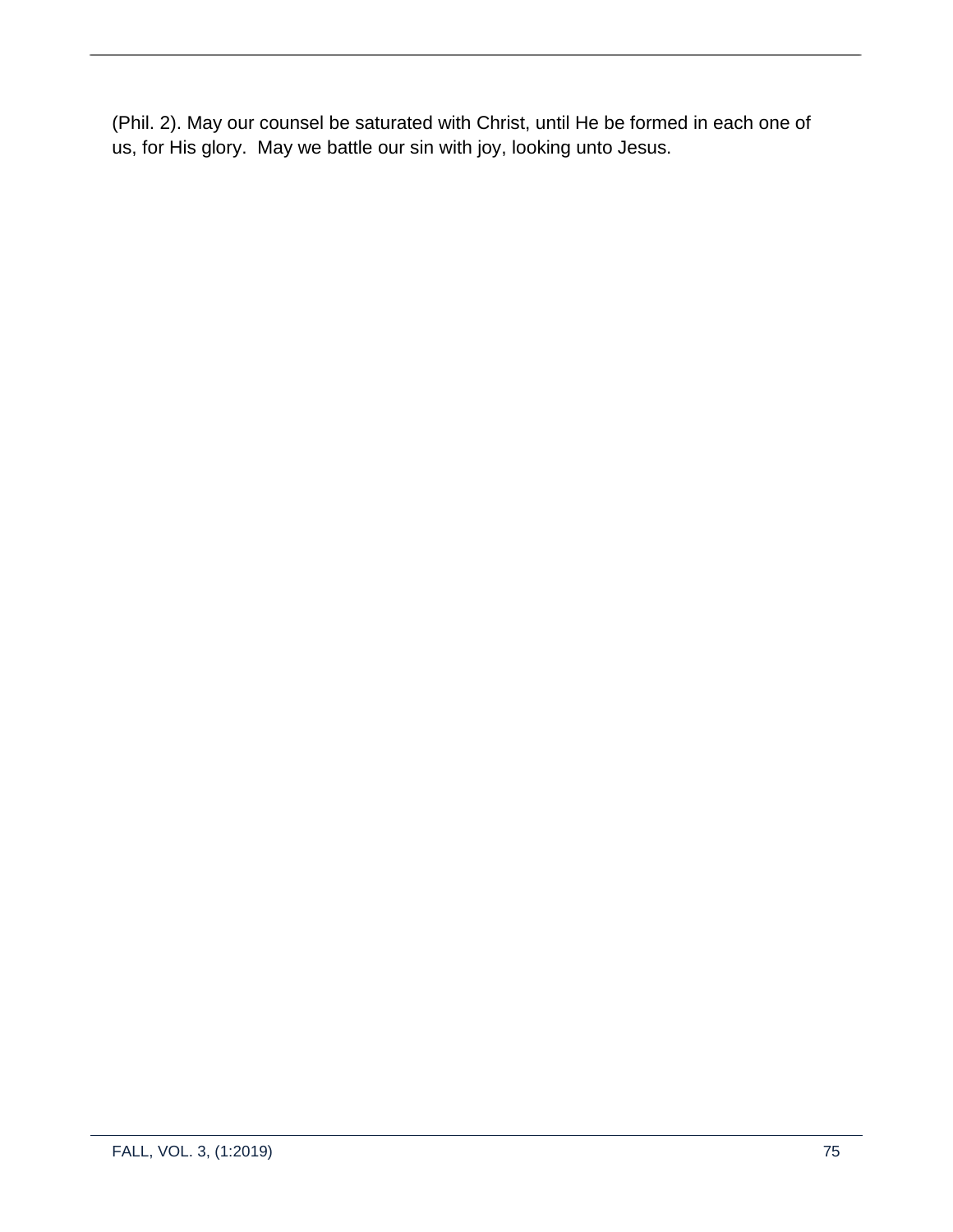(Phil. 2). May our counsel be saturated with Christ, until He be formed in each one of us, for His glory. May we battle our sin with joy, looking unto Jesus.